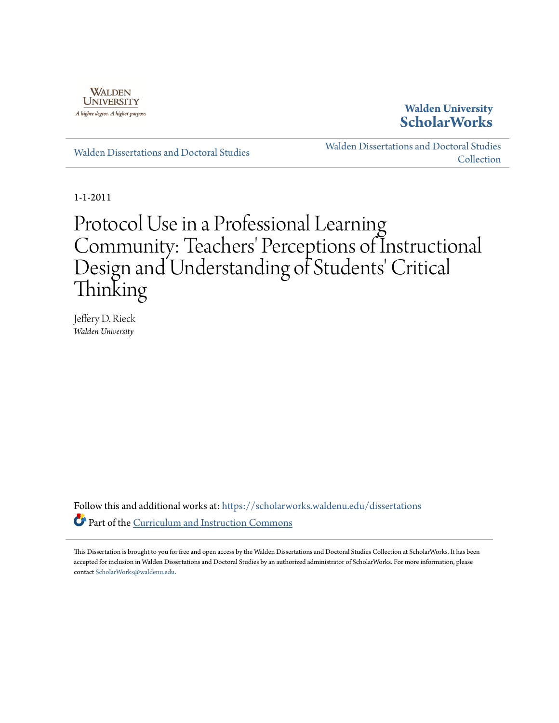

# **Walden University [ScholarWorks](https://scholarworks.waldenu.edu?utm_source=scholarworks.waldenu.edu%2Fdissertations%2F1070&utm_medium=PDF&utm_campaign=PDFCoverPages)**

[Walden Dissertations and Doctoral Studies](https://scholarworks.waldenu.edu/dissertations?utm_source=scholarworks.waldenu.edu%2Fdissertations%2F1070&utm_medium=PDF&utm_campaign=PDFCoverPages)

[Walden Dissertations and Doctoral Studies](https://scholarworks.waldenu.edu/dissanddoc?utm_source=scholarworks.waldenu.edu%2Fdissertations%2F1070&utm_medium=PDF&utm_campaign=PDFCoverPages) **[Collection](https://scholarworks.waldenu.edu/dissanddoc?utm_source=scholarworks.waldenu.edu%2Fdissertations%2F1070&utm_medium=PDF&utm_campaign=PDFCoverPages)** 

1-1-2011

# Protocol Use in a Professional Learning Community: Teachers' Perceptions of Instructional Design and Understanding of Students' Critical Thinking

Jeffery D. Rieck *Walden University*

Follow this and additional works at: [https://scholarworks.waldenu.edu/dissertations](https://scholarworks.waldenu.edu/dissertations?utm_source=scholarworks.waldenu.edu%2Fdissertations%2F1070&utm_medium=PDF&utm_campaign=PDFCoverPages) Part of the [Curriculum and Instruction Commons](http://network.bepress.com/hgg/discipline/786?utm_source=scholarworks.waldenu.edu%2Fdissertations%2F1070&utm_medium=PDF&utm_campaign=PDFCoverPages)

This Dissertation is brought to you for free and open access by the Walden Dissertations and Doctoral Studies Collection at ScholarWorks. It has been accepted for inclusion in Walden Dissertations and Doctoral Studies by an authorized administrator of ScholarWorks. For more information, please contact [ScholarWorks@waldenu.edu](mailto:ScholarWorks@waldenu.edu).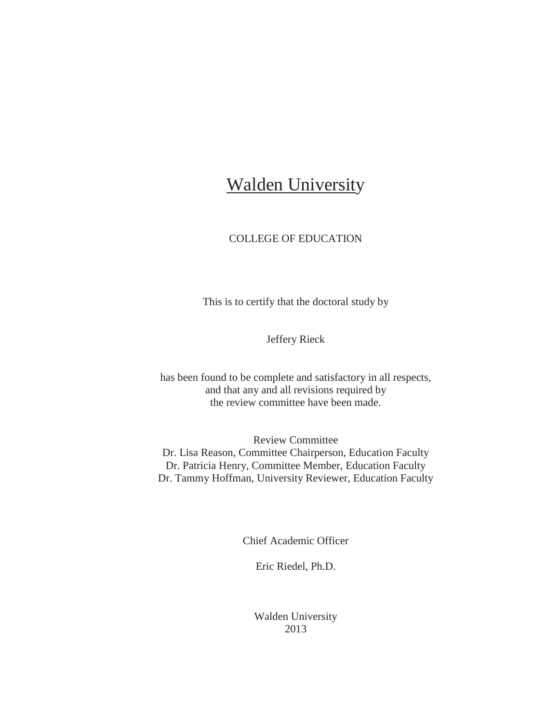# Walden University

# COLLEGE OF EDUCATION

This is to certify that the doctoral study by

Jeffery Rieck

has been found to be complete and satisfactory in all respects, and that any and all revisions required by the review committee have been made.

Review Committee Dr. Lisa Reason, Committee Chairperson, Education Faculty Dr. Patricia Henry, Committee Member, Education Faculty Dr. Tammy Hoffman, University Reviewer, Education Faculty

Chief Academic Officer

Eric Riedel, Ph.D.

Walden University 2013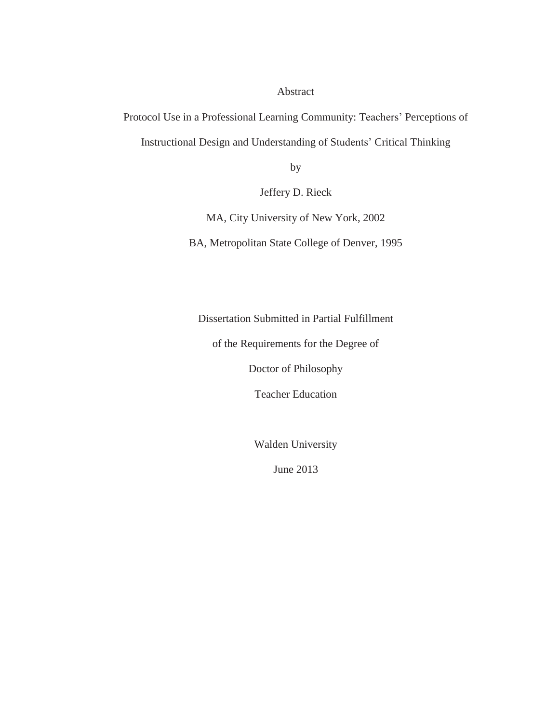Abstract

Protocol Use in a Professional Learning Community: Teachers' Perceptions of Instructional Design and Understanding of Students' Critical Thinking

by

Jeffery D. Rieck

MA, City University of New York, 2002

BA, Metropolitan State College of Denver, 1995

Dissertation Submitted in Partial Fulfillment

of the Requirements for the Degree of

Doctor of Philosophy

Teacher Education

Walden University

June 2013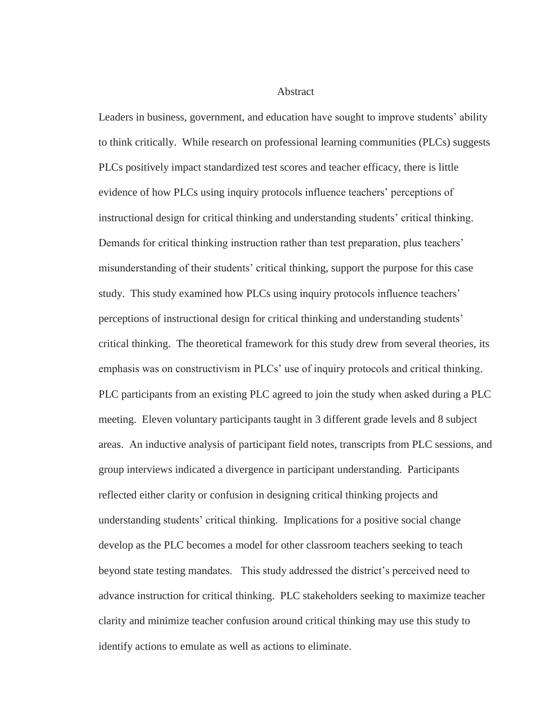Abstract

Leaders in business, government, and education have sought to improve students' ability to think critically. While research on professional learning communities (PLCs) suggests PLCs positively impact standardized test scores and teacher efficacy, there is little evidence of how PLCs using inquiry protocols influence teachers' perceptions of instructional design for critical thinking and understanding students' critical thinking. Demands for critical thinking instruction rather than test preparation, plus teachers' misunderstanding of their students' critical thinking, support the purpose for this case study. This study examined how PLCs using inquiry protocols influence teachers' perceptions of instructional design for critical thinking and understanding students' critical thinking. The theoretical framework for this study drew from several theories, its emphasis was on constructivism in PLCs' use of inquiry protocols and critical thinking. PLC participants from an existing PLC agreed to join the study when asked during a PLC meeting. Eleven voluntary participants taught in 3 different grade levels and 8 subject areas. An inductive analysis of participant field notes, transcripts from PLC sessions, and group interviews indicated a divergence in participant understanding. Participants reflected either clarity or confusion in designing critical thinking projects and understanding students' critical thinking. Implications for a positive social change develop as the PLC becomes a model for other classroom teachers seeking to teach beyond state testing mandates. This study addressed the district's perceived need to advance instruction for critical thinking. PLC stakeholders seeking to maximize teacher clarity and minimize teacher confusion around critical thinking may use this study to identify actions to emulate as well as actions to eliminate.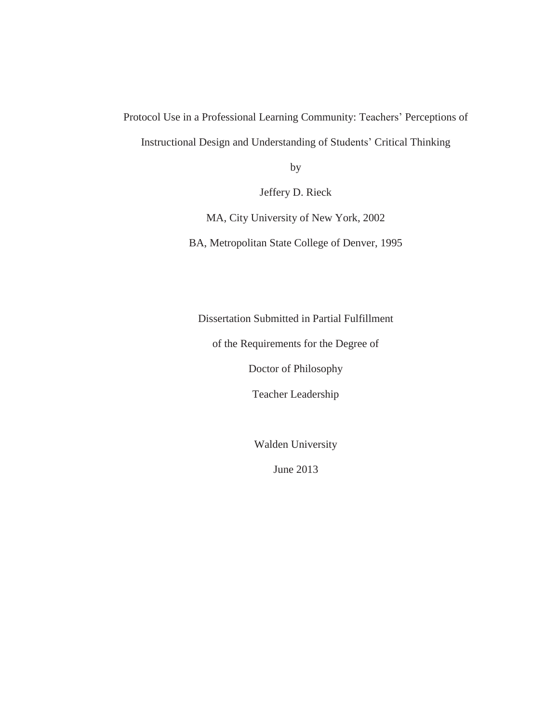Protocol Use in a Professional Learning Community: Teachers' Perceptions of Instructional Design and Understanding of Students' Critical Thinking

by

Jeffery D. Rieck

MA, City University of New York, 2002

BA, Metropolitan State College of Denver, 1995

Dissertation Submitted in Partial Fulfillment

of the Requirements for the Degree of

Doctor of Philosophy

Teacher Leadership

Walden University

June 2013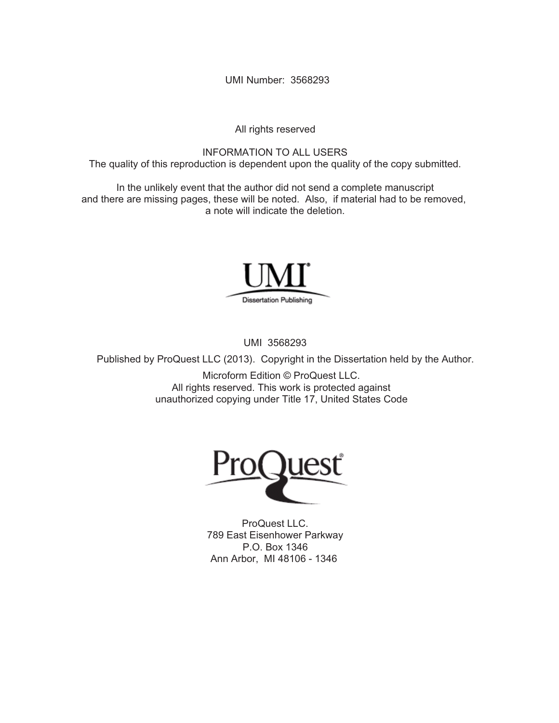UMI Number: 3568293

All rights reserved

INFORMATION TO ALL USERS The quality of this reproduction is dependent upon the quality of the copy submitted.

In the unlikely event that the author did not send a complete manuscript and there are missing pages, these will be noted. Also, if material had to be removed, a note will indicate the deletion.



UMI 3568293

Published by ProQuest LLC (2013). Copyright in the Dissertation held by the Author.

Microform Edition © ProQuest LLC. All rights reserved. This work is protected against unauthorized copying under Title 17, United States Code



ProQuest LLC. 789 East Eisenhower Parkway P.O. Box 1346 Ann Arbor, MI 48106 - 1346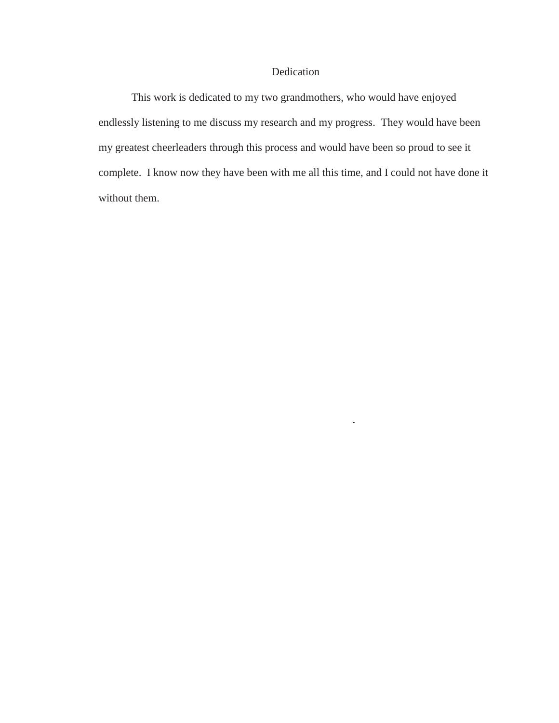# Dedication

This work is dedicated to my two grandmothers, who would have enjoyed endlessly listening to me discuss my research and my progress. They would have been my greatest cheerleaders through this process and would have been so proud to see it complete. I know now they have been with me all this time, and I could not have done it without them.

 $\overline{\phantom{a}}$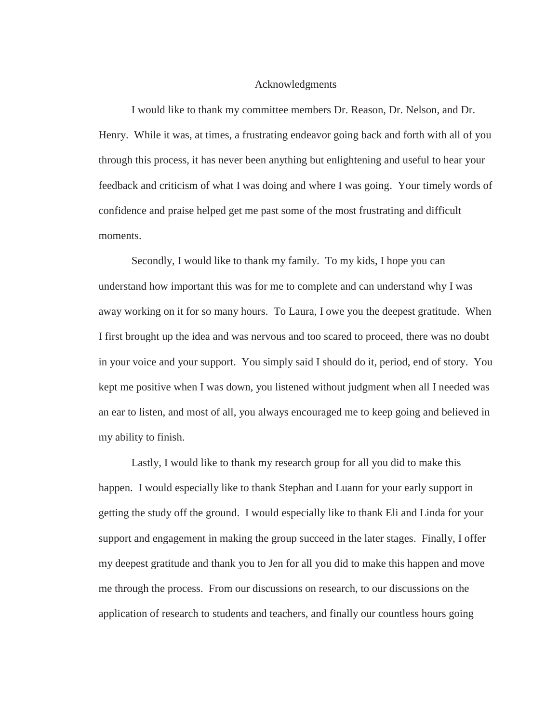#### Acknowledgments

I would like to thank my committee members Dr. Reason, Dr. Nelson, and Dr. Henry. While it was, at times, a frustrating endeavor going back and forth with all of you through this process, it has never been anything but enlightening and useful to hear your feedback and criticism of what I was doing and where I was going. Your timely words of confidence and praise helped get me past some of the most frustrating and difficult moments.

Secondly, I would like to thank my family. To my kids, I hope you can understand how important this was for me to complete and can understand why I was away working on it for so many hours. To Laura, I owe you the deepest gratitude. When I first brought up the idea and was nervous and too scared to proceed, there was no doubt in your voice and your support. You simply said I should do it, period, end of story. You kept me positive when I was down, you listened without judgment when all I needed was an ear to listen, and most of all, you always encouraged me to keep going and believed in my ability to finish.

Lastly, I would like to thank my research group for all you did to make this happen. I would especially like to thank Stephan and Luann for your early support in getting the study off the ground. I would especially like to thank Eli and Linda for your support and engagement in making the group succeed in the later stages. Finally, I offer my deepest gratitude and thank you to Jen for all you did to make this happen and move me through the process. From our discussions on research, to our discussions on the application of research to students and teachers, and finally our countless hours going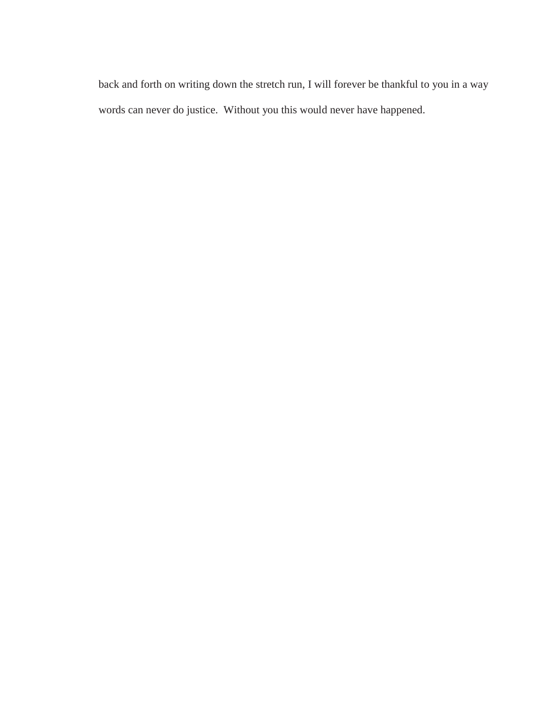back and forth on writing down the stretch run, I will forever be thankful to you in a way words can never do justice. Without you this would never have happened.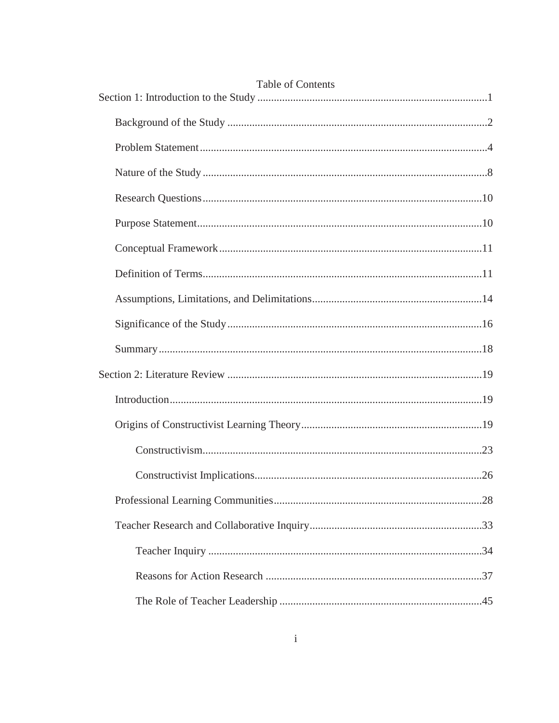| <b>Table of Contents</b> |  |
|--------------------------|--|
|                          |  |
|                          |  |
|                          |  |
|                          |  |
|                          |  |
|                          |  |
|                          |  |
|                          |  |
|                          |  |
|                          |  |
|                          |  |
|                          |  |
|                          |  |
|                          |  |
|                          |  |
|                          |  |
|                          |  |
|                          |  |
|                          |  |
|                          |  |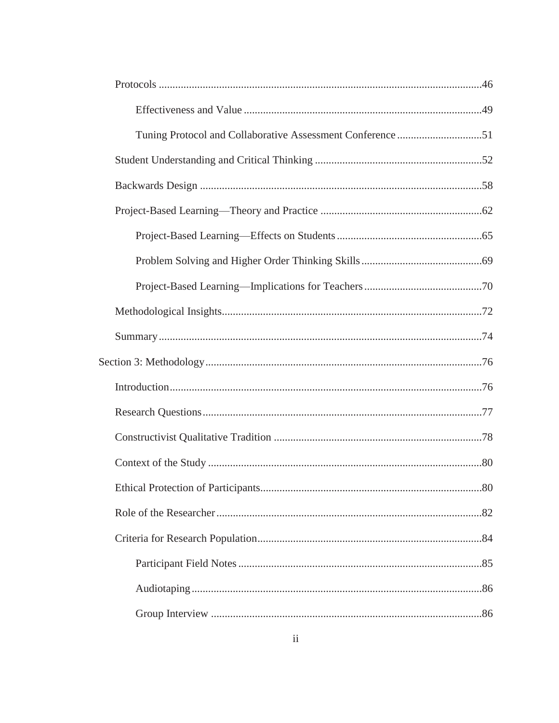| Tuning Protocol and Collaborative Assessment Conference51 |  |
|-----------------------------------------------------------|--|
|                                                           |  |
|                                                           |  |
|                                                           |  |
|                                                           |  |
|                                                           |  |
|                                                           |  |
|                                                           |  |
|                                                           |  |
|                                                           |  |
|                                                           |  |
|                                                           |  |
|                                                           |  |
|                                                           |  |
|                                                           |  |
|                                                           |  |
|                                                           |  |
|                                                           |  |
|                                                           |  |
|                                                           |  |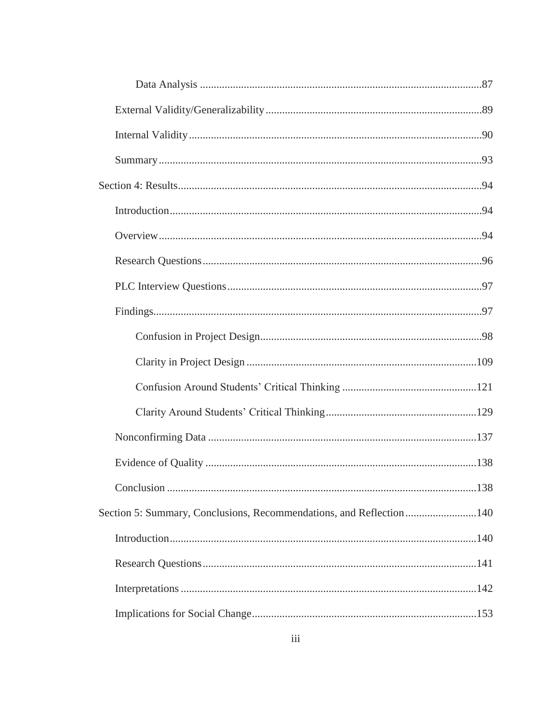| Section 5: Summary, Conclusions, Recommendations, and Reflection140 |  |
|---------------------------------------------------------------------|--|
|                                                                     |  |
|                                                                     |  |
|                                                                     |  |
|                                                                     |  |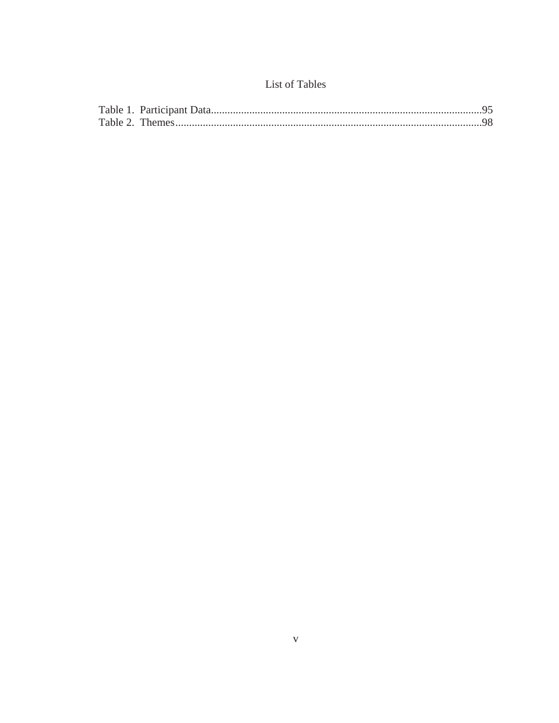# List of Tables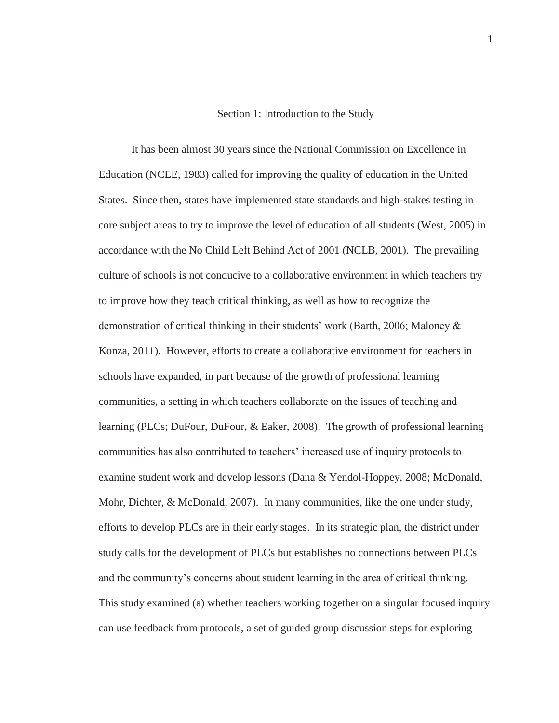#### Section 1: Introduction to the Study

It has been almost 30 years since the National Commission on Excellence in Education (NCEE, 1983) called for improving the quality of education in the United States. Since then, states have implemented state standards and high-stakes testing in core subject areas to try to improve the level of education of all students (West, 2005) in accordance with the No Child Left Behind Act of 2001 (NCLB, 2001). The prevailing culture of schools is not conducive to a collaborative environment in which teachers try to improve how they teach critical thinking, as well as how to recognize the demonstration of critical thinking in their students' work (Barth, 2006; Maloney & Konza, 2011). However, efforts to create a collaborative environment for teachers in schools have expanded, in part because of the growth of professional learning communities, a setting in which teachers collaborate on the issues of teaching and learning (PLCs; DuFour, DuFour, & Eaker, 2008). The growth of professional learning communities has also contributed to teachers' increased use of inquiry protocols to examine student work and develop lessons (Dana & Yendol-Hoppey, 2008; McDonald, Mohr, Dichter, & McDonald, 2007). In many communities, like the one under study, efforts to develop PLCs are in their early stages. In its strategic plan, the district under study calls for the development of PLCs but establishes no connections between PLCs and the community's concerns about student learning in the area of critical thinking. This study examined (a) whether teachers working together on a singular focused inquiry can use feedback from protocols, a set of guided group discussion steps for exploring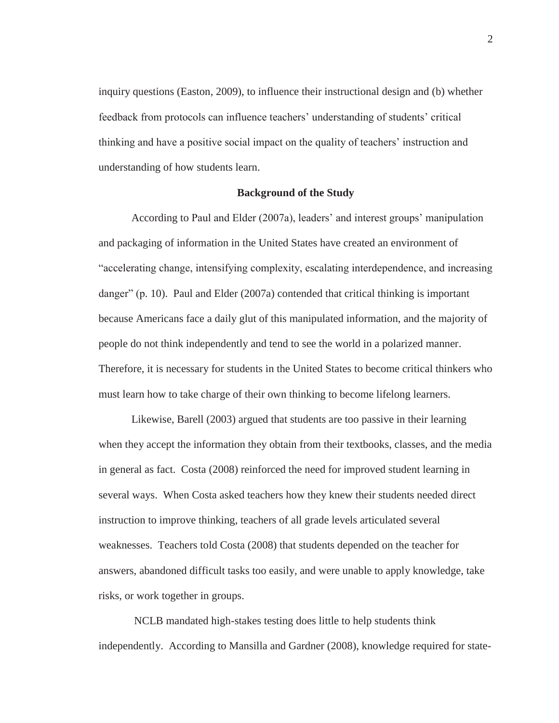inquiry questions (Easton, 2009), to influence their instructional design and (b) whether feedback from protocols can influence teachers' understanding of students' critical thinking and have a positive social impact on the quality of teachers' instruction and understanding of how students learn.

#### **Background of the Study**

According to Paul and Elder (2007a), leaders' and interest groups' manipulation and packaging of information in the United States have created an environment of "accelerating change, intensifying complexity, escalating interdependence, and increasing danger" (p. 10). Paul and Elder (2007a) contended that critical thinking is important because Americans face a daily glut of this manipulated information, and the majority of people do not think independently and tend to see the world in a polarized manner. Therefore, it is necessary for students in the United States to become critical thinkers who must learn how to take charge of their own thinking to become lifelong learners.

Likewise, Barell (2003) argued that students are too passive in their learning when they accept the information they obtain from their textbooks, classes, and the media in general as fact. Costa (2008) reinforced the need for improved student learning in several ways. When Costa asked teachers how they knew their students needed direct instruction to improve thinking, teachers of all grade levels articulated several weaknesses. Teachers told Costa (2008) that students depended on the teacher for answers, abandoned difficult tasks too easily, and were unable to apply knowledge, take risks, or work together in groups.

 NCLB mandated high-stakes testing does little to help students think independently. According to Mansilla and Gardner (2008), knowledge required for state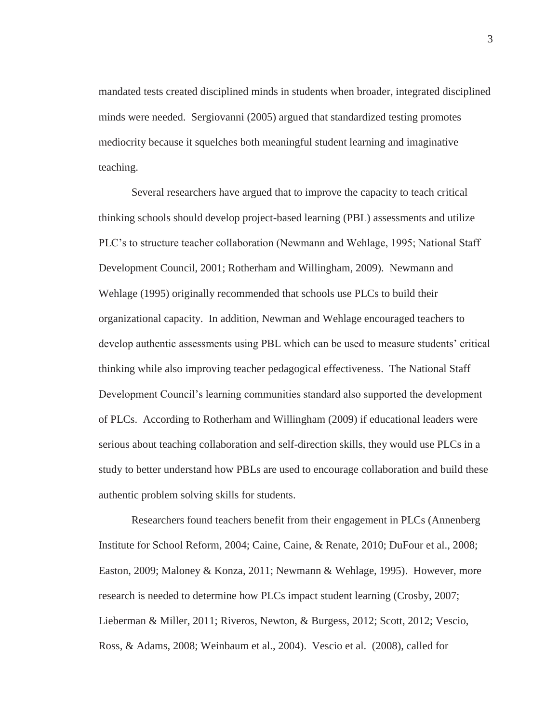mandated tests created disciplined minds in students when broader, integrated disciplined minds were needed. Sergiovanni (2005) argued that standardized testing promotes mediocrity because it squelches both meaningful student learning and imaginative teaching.

Several researchers have argued that to improve the capacity to teach critical thinking schools should develop project-based learning (PBL) assessments and utilize PLC's to structure teacher collaboration (Newmann and Wehlage, 1995; National Staff Development Council, 2001; Rotherham and Willingham, 2009). Newmann and Wehlage (1995) originally recommended that schools use PLCs to build their organizational capacity. In addition, Newman and Wehlage encouraged teachers to develop authentic assessments using PBL which can be used to measure students' critical thinking while also improving teacher pedagogical effectiveness. The National Staff Development Council's learning communities standard also supported the development of PLCs. According to Rotherham and Willingham (2009) if educational leaders were serious about teaching collaboration and self-direction skills, they would use PLCs in a study to better understand how PBLs are used to encourage collaboration and build these authentic problem solving skills for students.

Researchers found teachers benefit from their engagement in PLCs (Annenberg Institute for School Reform, 2004; Caine, Caine, & Renate, 2010; DuFour et al., 2008; Easton, 2009; Maloney & Konza, 2011; Newmann & Wehlage, 1995). However, more research is needed to determine how PLCs impact student learning (Crosby, 2007; Lieberman & Miller, 2011; Riveros, Newton, & Burgess, 2012; Scott, 2012; Vescio, Ross, & Adams, 2008; Weinbaum et al., 2004). Vescio et al. (2008), called for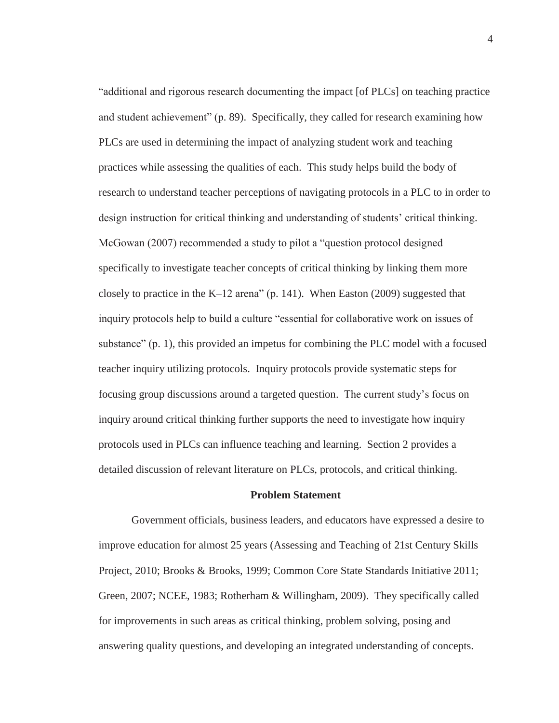"additional and rigorous research documenting the impact [of PLCs] on teaching practice and student achievement" (p. 89). Specifically, they called for research examining how PLCs are used in determining the impact of analyzing student work and teaching practices while assessing the qualities of each. This study helps build the body of research to understand teacher perceptions of navigating protocols in a PLC to in order to design instruction for critical thinking and understanding of students' critical thinking. McGowan (2007) recommended a study to pilot a "question protocol designed specifically to investigate teacher concepts of critical thinking by linking them more closely to practice in the K–12 arena" (p. 141). When Easton (2009) suggested that inquiry protocols help to build a culture "essential for collaborative work on issues of substance" (p. 1), this provided an impetus for combining the PLC model with a focused teacher inquiry utilizing protocols. Inquiry protocols provide systematic steps for focusing group discussions around a targeted question. The current study's focus on inquiry around critical thinking further supports the need to investigate how inquiry protocols used in PLCs can influence teaching and learning. Section 2 provides a detailed discussion of relevant literature on PLCs, protocols, and critical thinking.

#### **Problem Statement**

Government officials, business leaders, and educators have expressed a desire to improve education for almost 25 years (Assessing and Teaching of 21st Century Skills Project, 2010; Brooks & Brooks, 1999; Common Core State Standards Initiative 2011; Green, 2007; NCEE, 1983; Rotherham & Willingham, 2009). They specifically called for improvements in such areas as critical thinking, problem solving, posing and answering quality questions, and developing an integrated understanding of concepts.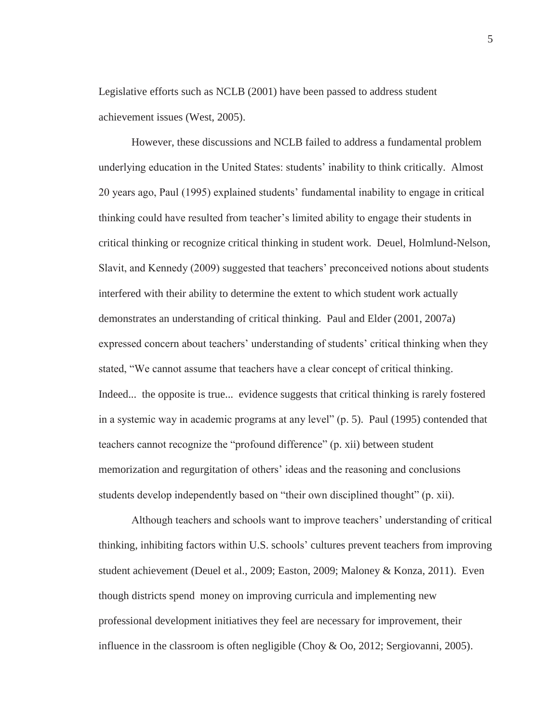Legislative efforts such as NCLB (2001) have been passed to address student achievement issues (West, 2005).

However, these discussions and NCLB failed to address a fundamental problem underlying education in the United States: students' inability to think critically. Almost 20 years ago, Paul (1995) explained students' fundamental inability to engage in critical thinking could have resulted from teacher's limited ability to engage their students in critical thinking or recognize critical thinking in student work. Deuel, Holmlund-Nelson, Slavit, and Kennedy (2009) suggested that teachers' preconceived notions about students interfered with their ability to determine the extent to which student work actually demonstrates an understanding of critical thinking. Paul and Elder (2001, 2007a) expressed concern about teachers' understanding of students' critical thinking when they stated, "We cannot assume that teachers have a clear concept of critical thinking. Indeed... the opposite is true... evidence suggests that critical thinking is rarely fostered in a systemic way in academic programs at any level" (p. 5). Paul (1995) contended that teachers cannot recognize the "profound difference" (p. xii) between student memorization and regurgitation of others' ideas and the reasoning and conclusions students develop independently based on "their own disciplined thought" (p. xii).

Although teachers and schools want to improve teachers' understanding of critical thinking, inhibiting factors within U.S. schools' cultures prevent teachers from improving student achievement (Deuel et al., 2009; Easton, 2009; Maloney & Konza, 2011). Even though districts spend money on improving curricula and implementing new professional development initiatives they feel are necessary for improvement, their influence in the classroom is often negligible (Choy & Oo, 2012; Sergiovanni, 2005).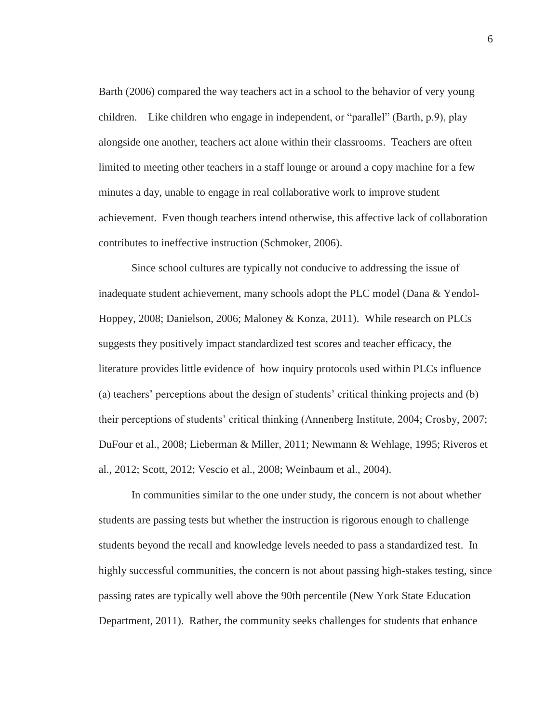Barth (2006) compared the way teachers act in a school to the behavior of very young children. Like children who engage in independent, or "parallel" (Barth, p.9), play alongside one another, teachers act alone within their classrooms. Teachers are often limited to meeting other teachers in a staff lounge or around a copy machine for a few minutes a day, unable to engage in real collaborative work to improve student achievement. Even though teachers intend otherwise, this affective lack of collaboration contributes to ineffective instruction (Schmoker, 2006).

Since school cultures are typically not conducive to addressing the issue of inadequate student achievement, many schools adopt the PLC model (Dana & Yendol-Hoppey, 2008; Danielson, 2006; Maloney & Konza, 2011). While research on PLCs suggests they positively impact standardized test scores and teacher efficacy, the literature provides little evidence of how inquiry protocols used within PLCs influence (a) teachers' perceptions about the design of students' critical thinking projects and (b) their perceptions of students' critical thinking (Annenberg Institute, 2004; Crosby, 2007; DuFour et al., 2008; Lieberman & Miller, 2011; Newmann & Wehlage, 1995; Riveros et al., 2012; Scott, 2012; Vescio et al., 2008; Weinbaum et al., 2004).

In communities similar to the one under study, the concern is not about whether students are passing tests but whether the instruction is rigorous enough to challenge students beyond the recall and knowledge levels needed to pass a standardized test. In highly successful communities, the concern is not about passing high-stakes testing, since passing rates are typically well above the 90th percentile (New York State Education Department, 2011). Rather, the community seeks challenges for students that enhance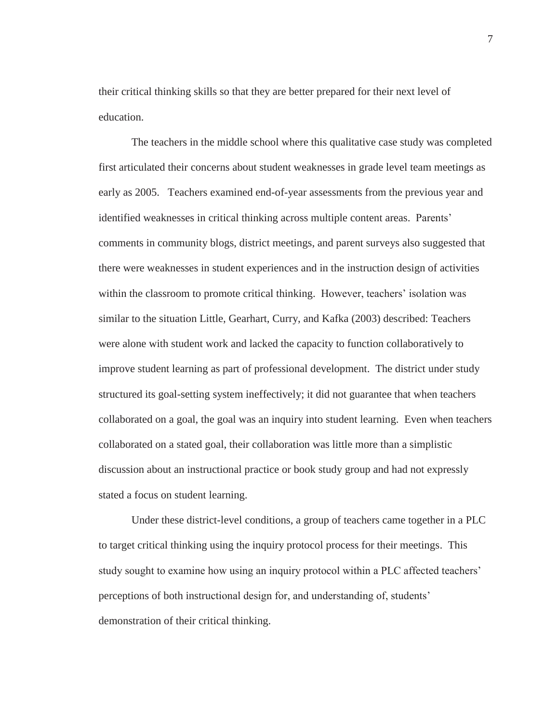their critical thinking skills so that they are better prepared for their next level of education.

The teachers in the middle school where this qualitative case study was completed first articulated their concerns about student weaknesses in grade level team meetings as early as 2005. Teachers examined end-of-year assessments from the previous year and identified weaknesses in critical thinking across multiple content areas. Parents' comments in community blogs, district meetings, and parent surveys also suggested that there were weaknesses in student experiences and in the instruction design of activities within the classroom to promote critical thinking. However, teachers' isolation was similar to the situation Little, Gearhart, Curry, and Kafka (2003) described: Teachers were alone with student work and lacked the capacity to function collaboratively to improve student learning as part of professional development. The district under study structured its goal-setting system ineffectively; it did not guarantee that when teachers collaborated on a goal, the goal was an inquiry into student learning. Even when teachers collaborated on a stated goal, their collaboration was little more than a simplistic discussion about an instructional practice or book study group and had not expressly stated a focus on student learning.

Under these district-level conditions, a group of teachers came together in a PLC to target critical thinking using the inquiry protocol process for their meetings. This study sought to examine how using an inquiry protocol within a PLC affected teachers' perceptions of both instructional design for, and understanding of, students' demonstration of their critical thinking.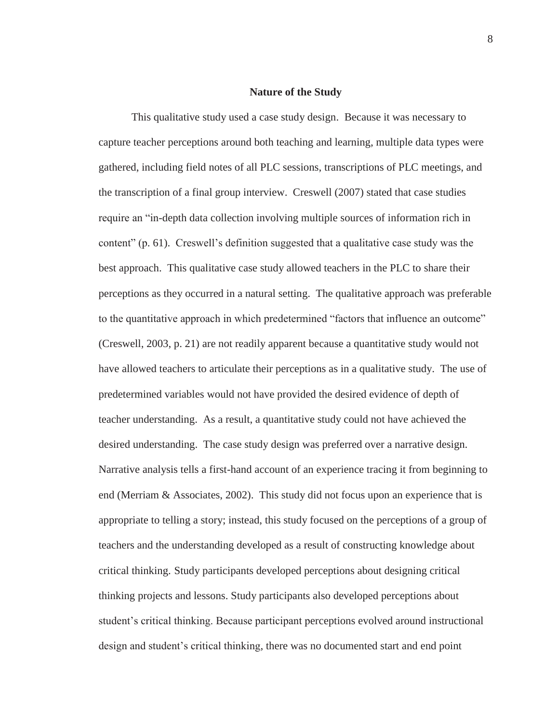#### **Nature of the Study**

This qualitative study used a case study design. Because it was necessary to capture teacher perceptions around both teaching and learning, multiple data types were gathered, including field notes of all PLC sessions, transcriptions of PLC meetings, and the transcription of a final group interview. Creswell (2007) stated that case studies require an "in-depth data collection involving multiple sources of information rich in content" (p. 61). Creswell's definition suggested that a qualitative case study was the best approach. This qualitative case study allowed teachers in the PLC to share their perceptions as they occurred in a natural setting. The qualitative approach was preferable to the quantitative approach in which predetermined "factors that influence an outcome" (Creswell, 2003, p. 21) are not readily apparent because a quantitative study would not have allowed teachers to articulate their perceptions as in a qualitative study. The use of predetermined variables would not have provided the desired evidence of depth of teacher understanding. As a result, a quantitative study could not have achieved the desired understanding. The case study design was preferred over a narrative design. Narrative analysis tells a first-hand account of an experience tracing it from beginning to end (Merriam & Associates, 2002). This study did not focus upon an experience that is appropriate to telling a story; instead, this study focused on the perceptions of a group of teachers and the understanding developed as a result of constructing knowledge about critical thinking. Study participants developed perceptions about designing critical thinking projects and lessons. Study participants also developed perceptions about student's critical thinking. Because participant perceptions evolved around instructional design and student's critical thinking, there was no documented start and end point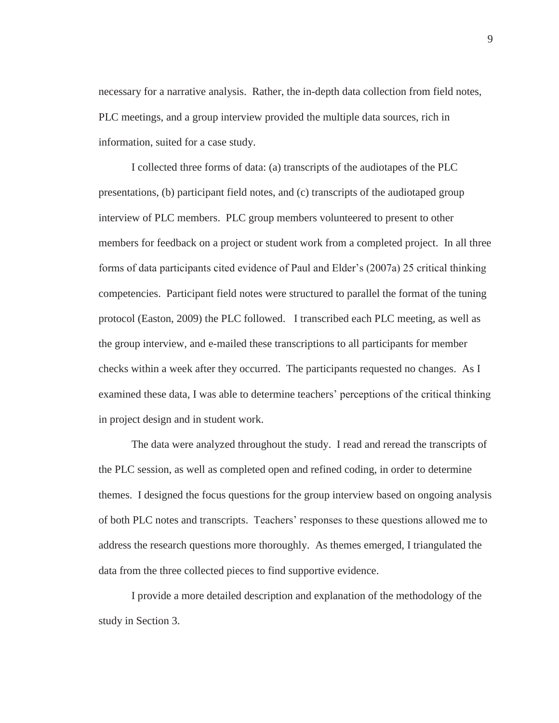necessary for a narrative analysis. Rather, the in-depth data collection from field notes, PLC meetings, and a group interview provided the multiple data sources, rich in information, suited for a case study.

I collected three forms of data: (a) transcripts of the audiotapes of the PLC presentations, (b) participant field notes, and (c) transcripts of the audiotaped group interview of PLC members. PLC group members volunteered to present to other members for feedback on a project or student work from a completed project. In all three forms of data participants cited evidence of Paul and Elder's (2007a) 25 critical thinking competencies. Participant field notes were structured to parallel the format of the tuning protocol (Easton, 2009) the PLC followed. I transcribed each PLC meeting, as well as the group interview, and e-mailed these transcriptions to all participants for member checks within a week after they occurred. The participants requested no changes. As I examined these data, I was able to determine teachers' perceptions of the critical thinking in project design and in student work.

The data were analyzed throughout the study. I read and reread the transcripts of the PLC session, as well as completed open and refined coding, in order to determine themes. I designed the focus questions for the group interview based on ongoing analysis of both PLC notes and transcripts. Teachers' responses to these questions allowed me to address the research questions more thoroughly. As themes emerged, I triangulated the data from the three collected pieces to find supportive evidence.

I provide a more detailed description and explanation of the methodology of the study in Section 3.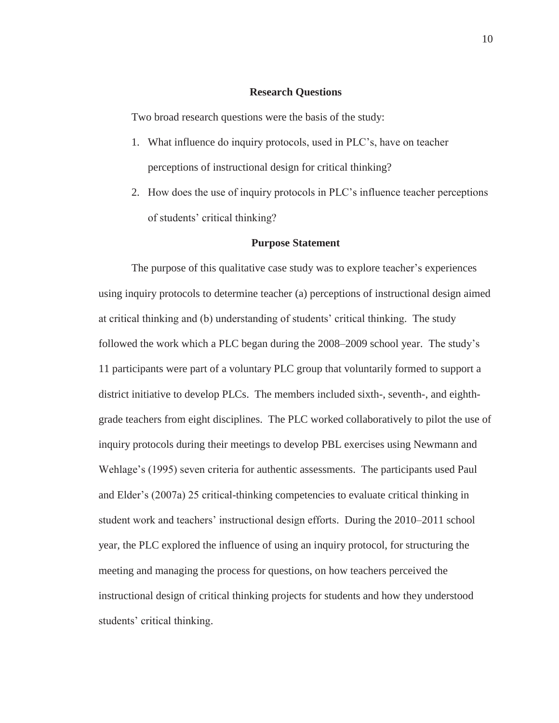#### **Research Questions**

Two broad research questions were the basis of the study:

- 1. What influence do inquiry protocols, used in PLC's, have on teacher perceptions of instructional design for critical thinking?
- 2. How does the use of inquiry protocols in PLC's influence teacher perceptions of students' critical thinking?

#### **Purpose Statement**

The purpose of this qualitative case study was to explore teacher's experiences using inquiry protocols to determine teacher (a) perceptions of instructional design aimed at critical thinking and (b) understanding of students' critical thinking. The study followed the work which a PLC began during the 2008–2009 school year. The study's 11 participants were part of a voluntary PLC group that voluntarily formed to support a district initiative to develop PLCs. The members included sixth-, seventh-, and eighthgrade teachers from eight disciplines. The PLC worked collaboratively to pilot the use of inquiry protocols during their meetings to develop PBL exercises using Newmann and Wehlage's (1995) seven criteria for authentic assessments. The participants used Paul and Elder's (2007a) 25 critical-thinking competencies to evaluate critical thinking in student work and teachers' instructional design efforts. During the 2010–2011 school year, the PLC explored the influence of using an inquiry protocol, for structuring the meeting and managing the process for questions, on how teachers perceived the instructional design of critical thinking projects for students and how they understood students' critical thinking.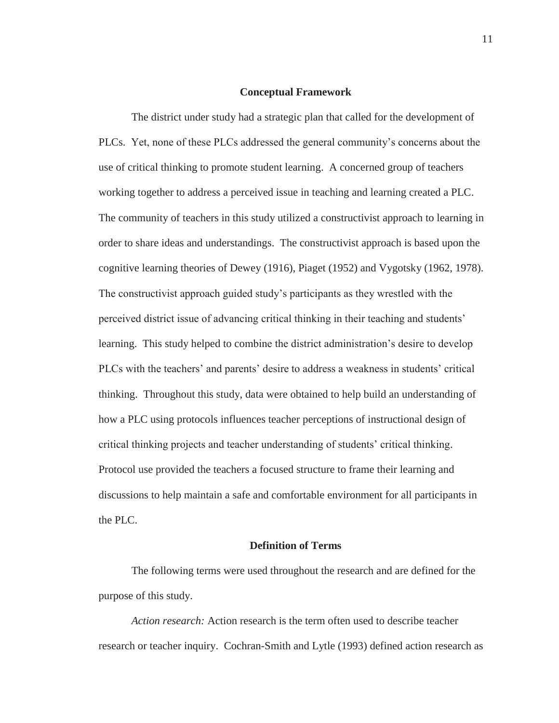#### **Conceptual Framework**

The district under study had a strategic plan that called for the development of PLCs. Yet, none of these PLCs addressed the general community's concerns about the use of critical thinking to promote student learning. A concerned group of teachers working together to address a perceived issue in teaching and learning created a PLC. The community of teachers in this study utilized a constructivist approach to learning in order to share ideas and understandings. The constructivist approach is based upon the cognitive learning theories of Dewey (1916), Piaget (1952) and Vygotsky (1962, 1978). The constructivist approach guided study's participants as they wrestled with the perceived district issue of advancing critical thinking in their teaching and students' learning. This study helped to combine the district administration's desire to develop PLCs with the teachers' and parents' desire to address a weakness in students' critical thinking. Throughout this study, data were obtained to help build an understanding of how a PLC using protocols influences teacher perceptions of instructional design of critical thinking projects and teacher understanding of students' critical thinking. Protocol use provided the teachers a focused structure to frame their learning and discussions to help maintain a safe and comfortable environment for all participants in the PLC.

#### **Definition of Terms**

The following terms were used throughout the research and are defined for the purpose of this study.

*Action research:* Action research is the term often used to describe teacher research or teacher inquiry. Cochran-Smith and Lytle (1993) defined action research as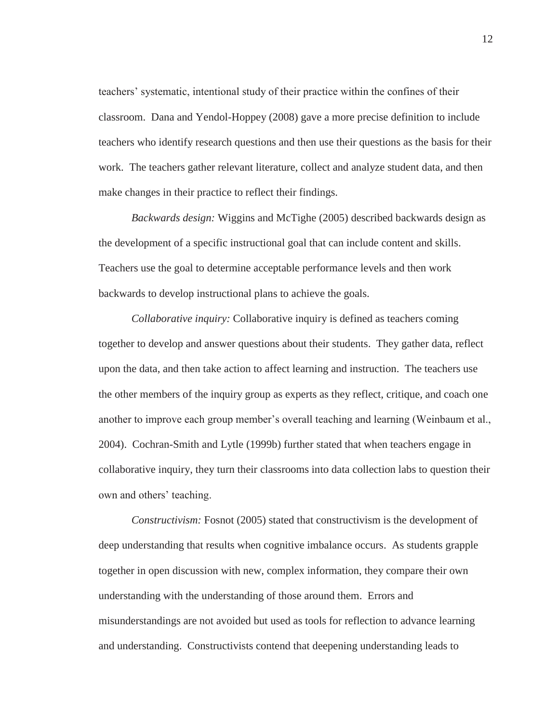teachers' systematic, intentional study of their practice within the confines of their classroom. Dana and Yendol-Hoppey (2008) gave a more precise definition to include teachers who identify research questions and then use their questions as the basis for their work. The teachers gather relevant literature, collect and analyze student data, and then make changes in their practice to reflect their findings.

*Backwards design:* Wiggins and McTighe (2005) described backwards design as the development of a specific instructional goal that can include content and skills. Teachers use the goal to determine acceptable performance levels and then work backwards to develop instructional plans to achieve the goals.

*Collaborative inquiry:* Collaborative inquiry is defined as teachers coming together to develop and answer questions about their students. They gather data, reflect upon the data, and then take action to affect learning and instruction. The teachers use the other members of the inquiry group as experts as they reflect, critique, and coach one another to improve each group member's overall teaching and learning (Weinbaum et al., 2004). Cochran-Smith and Lytle (1999b) further stated that when teachers engage in collaborative inquiry, they turn their classrooms into data collection labs to question their own and others' teaching.

*Constructivism:* Fosnot (2005) stated that constructivism is the development of deep understanding that results when cognitive imbalance occurs. As students grapple together in open discussion with new, complex information, they compare their own understanding with the understanding of those around them. Errors and misunderstandings are not avoided but used as tools for reflection to advance learning and understanding. Constructivists contend that deepening understanding leads to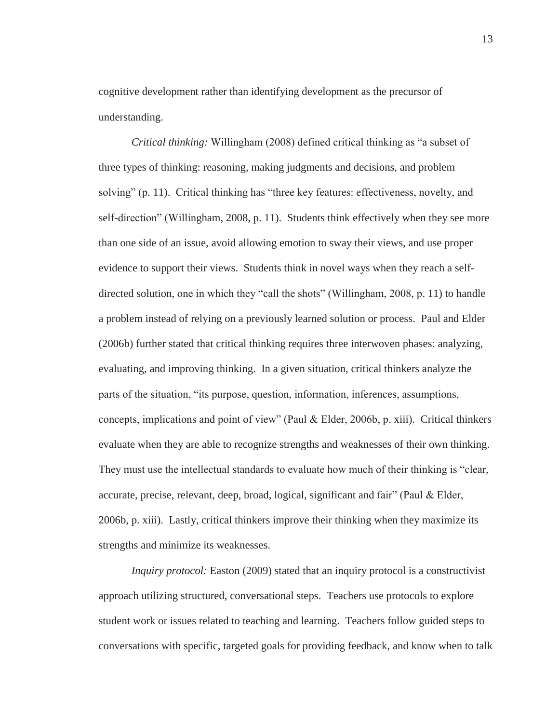cognitive development rather than identifying development as the precursor of understanding.

*Critical thinking:* Willingham (2008) defined critical thinking as "a subset of three types of thinking: reasoning, making judgments and decisions, and problem solving" (p. 11). Critical thinking has "three key features: effectiveness, novelty, and self-direction" (Willingham, 2008, p. 11). Students think effectively when they see more than one side of an issue, avoid allowing emotion to sway their views, and use proper evidence to support their views. Students think in novel ways when they reach a selfdirected solution, one in which they "call the shots" (Willingham, 2008, p. 11) to handle a problem instead of relying on a previously learned solution or process. Paul and Elder (2006b) further stated that critical thinking requires three interwoven phases: analyzing, evaluating, and improving thinking. In a given situation, critical thinkers analyze the parts of the situation, "its purpose, question, information, inferences, assumptions, concepts, implications and point of view" (Paul & Elder, 2006b, p. xiii). Critical thinkers evaluate when they are able to recognize strengths and weaknesses of their own thinking. They must use the intellectual standards to evaluate how much of their thinking is "clear, accurate, precise, relevant, deep, broad, logical, significant and fair" (Paul & Elder, 2006b, p. xiii). Lastly, critical thinkers improve their thinking when they maximize its strengths and minimize its weaknesses.

*Inquiry protocol:* Easton (2009) stated that an inquiry protocol is a constructivist approach utilizing structured, conversational steps. Teachers use protocols to explore student work or issues related to teaching and learning. Teachers follow guided steps to conversations with specific, targeted goals for providing feedback, and know when to talk

13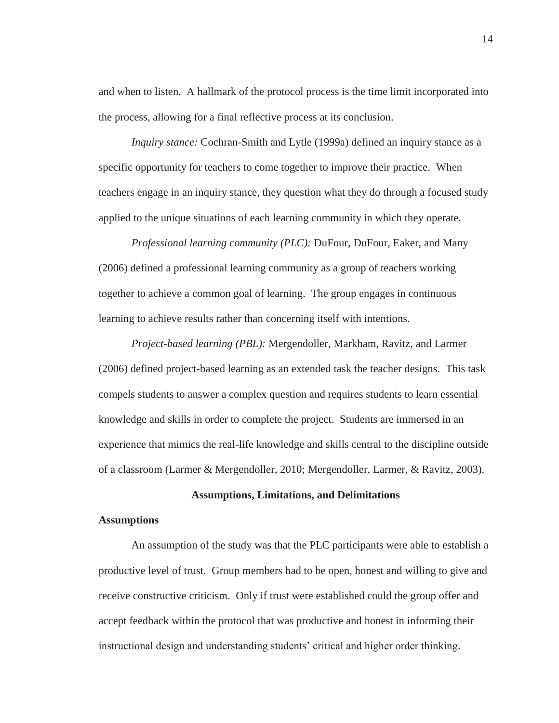and when to listen. A hallmark of the protocol process is the time limit incorporated into the process, allowing for a final reflective process at its conclusion.

*Inquiry stance:* Cochran-Smith and Lytle (1999a) defined an inquiry stance as a specific opportunity for teachers to come together to improve their practice. When teachers engage in an inquiry stance, they question what they do through a focused study applied to the unique situations of each learning community in which they operate.

*Professional learning community (PLC):* DuFour, DuFour, Eaker, and Many (2006) defined a professional learning community as a group of teachers working together to achieve a common goal of learning. The group engages in continuous learning to achieve results rather than concerning itself with intentions.

*Project-based learning (PBL):* Mergendoller, Markham, Ravitz, and Larmer (2006) defined project-based learning as an extended task the teacher designs. This task compels students to answer a complex question and requires students to learn essential knowledge and skills in order to complete the project. Students are immersed in an experience that mimics the real-life knowledge and skills central to the discipline outside of a classroom (Larmer & Mergendoller, 2010; Mergendoller, Larmer, & Ravitz, 2003).

### **Assumptions, Limitations, and Delimitations**

#### **Assumptions**

An assumption of the study was that the PLC participants were able to establish a productive level of trust. Group members had to be open, honest and willing to give and receive constructive criticism. Only if trust were established could the group offer and accept feedback within the protocol that was productive and honest in informing their instructional design and understanding students' critical and higher order thinking.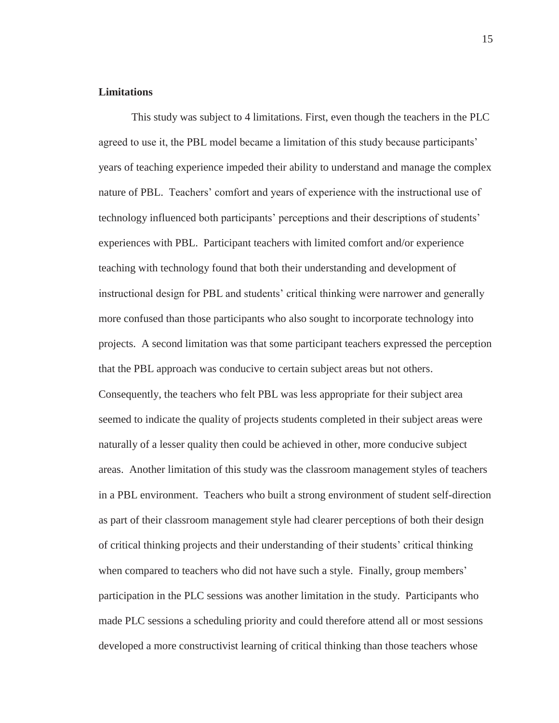#### **Limitations**

This study was subject to 4 limitations. First, even though the teachers in the PLC agreed to use it, the PBL model became a limitation of this study because participants' years of teaching experience impeded their ability to understand and manage the complex nature of PBL. Teachers' comfort and years of experience with the instructional use of technology influenced both participants' perceptions and their descriptions of students' experiences with PBL. Participant teachers with limited comfort and/or experience teaching with technology found that both their understanding and development of instructional design for PBL and students' critical thinking were narrower and generally more confused than those participants who also sought to incorporate technology into projects. A second limitation was that some participant teachers expressed the perception that the PBL approach was conducive to certain subject areas but not others. Consequently, the teachers who felt PBL was less appropriate for their subject area seemed to indicate the quality of projects students completed in their subject areas were naturally of a lesser quality then could be achieved in other, more conducive subject areas. Another limitation of this study was the classroom management styles of teachers in a PBL environment. Teachers who built a strong environment of student self-direction as part of their classroom management style had clearer perceptions of both their design of critical thinking projects and their understanding of their students' critical thinking when compared to teachers who did not have such a style. Finally, group members' participation in the PLC sessions was another limitation in the study. Participants who made PLC sessions a scheduling priority and could therefore attend all or most sessions developed a more constructivist learning of critical thinking than those teachers whose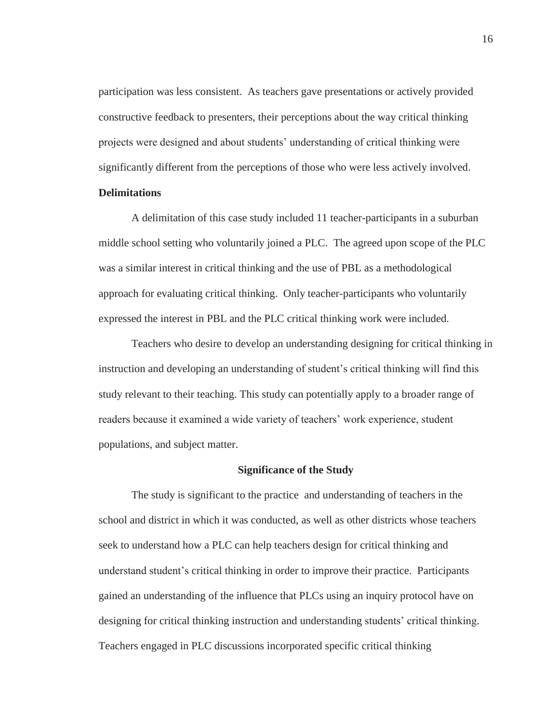participation was less consistent. As teachers gave presentations or actively provided constructive feedback to presenters, their perceptions about the way critical thinking projects were designed and about students' understanding of critical thinking were significantly different from the perceptions of those who were less actively involved.

# **Delimitations**

A delimitation of this case study included 11 teacher-participants in a suburban middle school setting who voluntarily joined a PLC. The agreed upon scope of the PLC was a similar interest in critical thinking and the use of PBL as a methodological approach for evaluating critical thinking. Only teacher-participants who voluntarily expressed the interest in PBL and the PLC critical thinking work were included.

Teachers who desire to develop an understanding designing for critical thinking in instruction and developing an understanding of student's critical thinking will find this study relevant to their teaching. This study can potentially apply to a broader range of readers because it examined a wide variety of teachers' work experience, student populations, and subject matter.

### **Significance of the Study**

The study is significant to the practice and understanding of teachers in the school and district in which it was conducted, as well as other districts whose teachers seek to understand how a PLC can help teachers design for critical thinking and understand student's critical thinking in order to improve their practice. Participants gained an understanding of the influence that PLCs using an inquiry protocol have on designing for critical thinking instruction and understanding students' critical thinking. Teachers engaged in PLC discussions incorporated specific critical thinking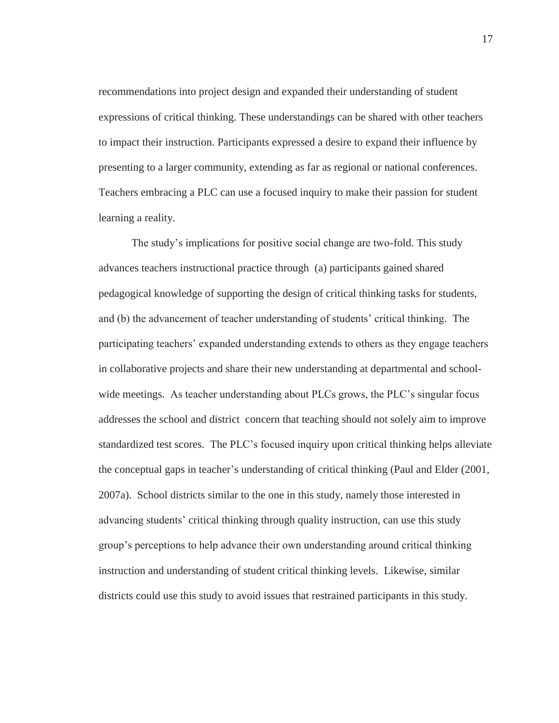recommendations into project design and expanded their understanding of student expressions of critical thinking. These understandings can be shared with other teachers to impact their instruction. Participants expressed a desire to expand their influence by presenting to a larger community, extending as far as regional or national conferences. Teachers embracing a PLC can use a focused inquiry to make their passion for student learning a reality.

The study's implications for positive social change are two-fold. This study advances teachers instructional practice through (a) participants gained shared pedagogical knowledge of supporting the design of critical thinking tasks for students, and (b) the advancement of teacher understanding of students' critical thinking. The participating teachers' expanded understanding extends to others as they engage teachers in collaborative projects and share their new understanding at departmental and schoolwide meetings. As teacher understanding about PLCs grows, the PLC's singular focus addresses the school and district concern that teaching should not solely aim to improve standardized test scores. The PLC's focused inquiry upon critical thinking helps alleviate the conceptual gaps in teacher's understanding of critical thinking (Paul and Elder (2001, 2007a). School districts similar to the one in this study, namely those interested in advancing students' critical thinking through quality instruction, can use this study group's perceptions to help advance their own understanding around critical thinking instruction and understanding of student critical thinking levels. Likewise, similar districts could use this study to avoid issues that restrained participants in this study.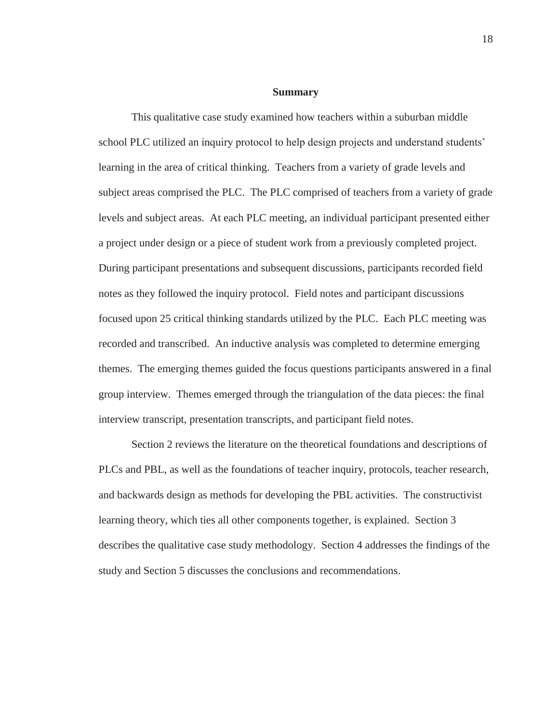#### **Summary**

This qualitative case study examined how teachers within a suburban middle school PLC utilized an inquiry protocol to help design projects and understand students' learning in the area of critical thinking. Teachers from a variety of grade levels and subject areas comprised the PLC. The PLC comprised of teachers from a variety of grade levels and subject areas. At each PLC meeting, an individual participant presented either a project under design or a piece of student work from a previously completed project. During participant presentations and subsequent discussions, participants recorded field notes as they followed the inquiry protocol. Field notes and participant discussions focused upon 25 critical thinking standards utilized by the PLC. Each PLC meeting was recorded and transcribed. An inductive analysis was completed to determine emerging themes. The emerging themes guided the focus questions participants answered in a final group interview. Themes emerged through the triangulation of the data pieces: the final interview transcript, presentation transcripts, and participant field notes.

Section 2 reviews the literature on the theoretical foundations and descriptions of PLCs and PBL, as well as the foundations of teacher inquiry, protocols, teacher research, and backwards design as methods for developing the PBL activities. The constructivist learning theory, which ties all other components together, is explained. Section 3 describes the qualitative case study methodology. Section 4 addresses the findings of the study and Section 5 discusses the conclusions and recommendations.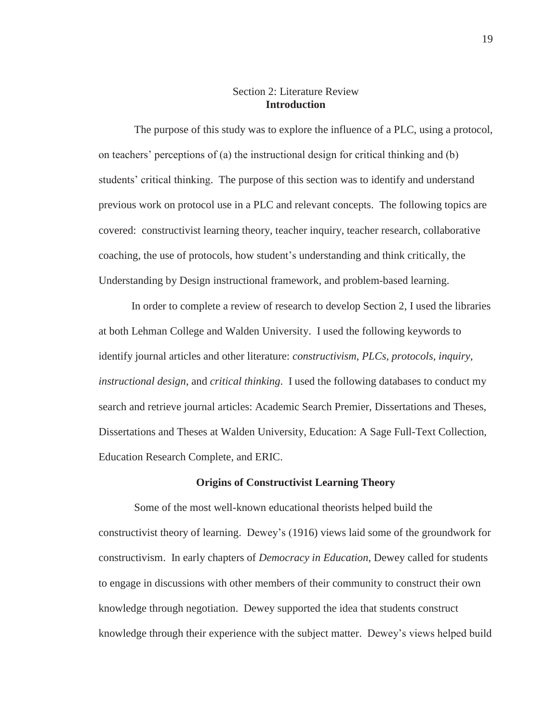## Section 2: Literature Review **Introduction**

 The purpose of this study was to explore the influence of a PLC, using a protocol, on teachers' perceptions of (a) the instructional design for critical thinking and (b) students' critical thinking. The purpose of this section was to identify and understand previous work on protocol use in a PLC and relevant concepts. The following topics are covered: constructivist learning theory, teacher inquiry, teacher research, collaborative coaching, the use of protocols, how student's understanding and think critically, the Understanding by Design instructional framework, and problem-based learning.

In order to complete a review of research to develop Section 2, I used the libraries at both Lehman College and Walden University. I used the following keywords to identify journal articles and other literature: *constructivism, PLCs, protocols, inquiry, instructional design*, and *critical thinking*. I used the following databases to conduct my search and retrieve journal articles: Academic Search Premier, Dissertations and Theses, Dissertations and Theses at Walden University, Education: A Sage Full-Text Collection, Education Research Complete, and ERIC.

#### **Origins of Constructivist Learning Theory**

 Some of the most well-known educational theorists helped build the constructivist theory of learning. Dewey's (1916) views laid some of the groundwork for constructivism. In early chapters of *Democracy in Education*, Dewey called for students to engage in discussions with other members of their community to construct their own knowledge through negotiation. Dewey supported the idea that students construct knowledge through their experience with the subject matter. Dewey's views helped build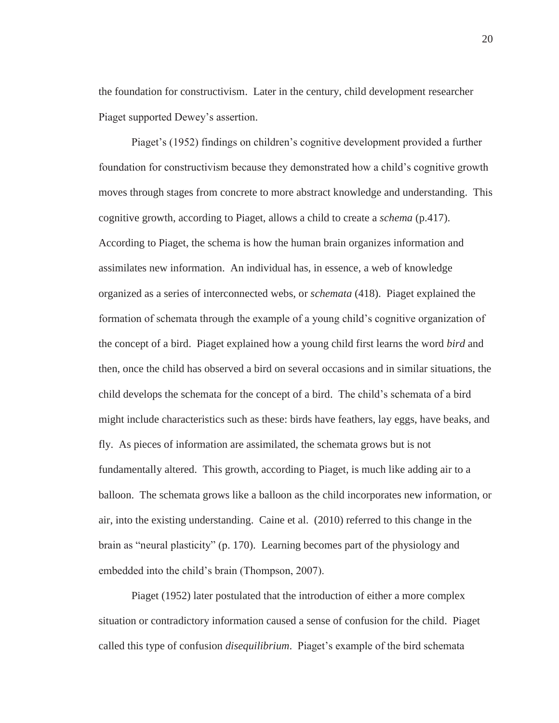the foundation for constructivism. Later in the century, child development researcher Piaget supported Dewey's assertion.

Piaget's (1952) findings on children's cognitive development provided a further foundation for constructivism because they demonstrated how a child's cognitive growth moves through stages from concrete to more abstract knowledge and understanding. This cognitive growth, according to Piaget, allows a child to create a *schema* (p.417). According to Piaget, the schema is how the human brain organizes information and assimilates new information. An individual has, in essence, a web of knowledge organized as a series of interconnected webs, or *schemata* (418). Piaget explained the formation of schemata through the example of a young child's cognitive organization of the concept of a bird. Piaget explained how a young child first learns the word *bird* and then, once the child has observed a bird on several occasions and in similar situations, the child develops the schemata for the concept of a bird. The child's schemata of a bird might include characteristics such as these: birds have feathers, lay eggs, have beaks, and fly. As pieces of information are assimilated, the schemata grows but is not fundamentally altered. This growth, according to Piaget, is much like adding air to a balloon. The schemata grows like a balloon as the child incorporates new information, or air, into the existing understanding. Caine et al. (2010) referred to this change in the brain as "neural plasticity" (p. 170). Learning becomes part of the physiology and embedded into the child's brain (Thompson, 2007).

Piaget (1952) later postulated that the introduction of either a more complex situation or contradictory information caused a sense of confusion for the child. Piaget called this type of confusion *disequilibrium*. Piaget's example of the bird schemata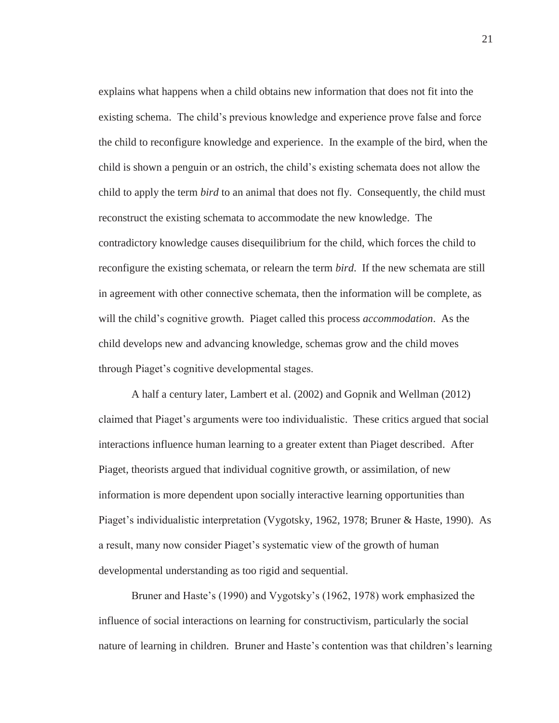explains what happens when a child obtains new information that does not fit into the existing schema. The child's previous knowledge and experience prove false and force the child to reconfigure knowledge and experience. In the example of the bird, when the child is shown a penguin or an ostrich, the child's existing schemata does not allow the child to apply the term *bird* to an animal that does not fly. Consequently, the child must reconstruct the existing schemata to accommodate the new knowledge. The contradictory knowledge causes disequilibrium for the child, which forces the child to reconfigure the existing schemata, or relearn the term *bird*. If the new schemata are still in agreement with other connective schemata, then the information will be complete, as will the child's cognitive growth. Piaget called this process *accommodation*. As the child develops new and advancing knowledge, schemas grow and the child moves through Piaget's cognitive developmental stages.

A half a century later, Lambert et al. (2002) and Gopnik and Wellman (2012) claimed that Piaget's arguments were too individualistic. These critics argued that social interactions influence human learning to a greater extent than Piaget described. After Piaget, theorists argued that individual cognitive growth, or assimilation, of new information is more dependent upon socially interactive learning opportunities than Piaget's individualistic interpretation (Vygotsky, 1962, 1978; Bruner & Haste, 1990). As a result, many now consider Piaget's systematic view of the growth of human developmental understanding as too rigid and sequential.

Bruner and Haste's (1990) and Vygotsky's (1962, 1978) work emphasized the influence of social interactions on learning for constructivism, particularly the social nature of learning in children. Bruner and Haste's contention was that children's learning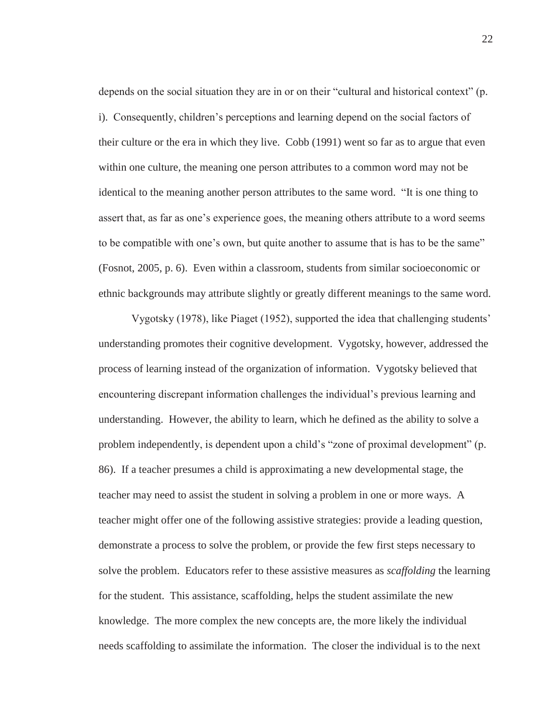depends on the social situation they are in or on their "cultural and historical context" (p. i). Consequently, children's perceptions and learning depend on the social factors of their culture or the era in which they live. Cobb (1991) went so far as to argue that even within one culture, the meaning one person attributes to a common word may not be identical to the meaning another person attributes to the same word. "It is one thing to assert that, as far as one's experience goes, the meaning others attribute to a word seems to be compatible with one's own, but quite another to assume that is has to be the same" (Fosnot, 2005, p. 6). Even within a classroom, students from similar socioeconomic or ethnic backgrounds may attribute slightly or greatly different meanings to the same word.

Vygotsky (1978), like Piaget (1952), supported the idea that challenging students' understanding promotes their cognitive development. Vygotsky, however, addressed the process of learning instead of the organization of information. Vygotsky believed that encountering discrepant information challenges the individual's previous learning and understanding. However, the ability to learn, which he defined as the ability to solve a problem independently, is dependent upon a child's "zone of proximal development" (p. 86). If a teacher presumes a child is approximating a new developmental stage, the teacher may need to assist the student in solving a problem in one or more ways. A teacher might offer one of the following assistive strategies: provide a leading question, demonstrate a process to solve the problem, or provide the few first steps necessary to solve the problem. Educators refer to these assistive measures as *scaffolding* the learning for the student. This assistance, scaffolding, helps the student assimilate the new knowledge. The more complex the new concepts are, the more likely the individual needs scaffolding to assimilate the information. The closer the individual is to the next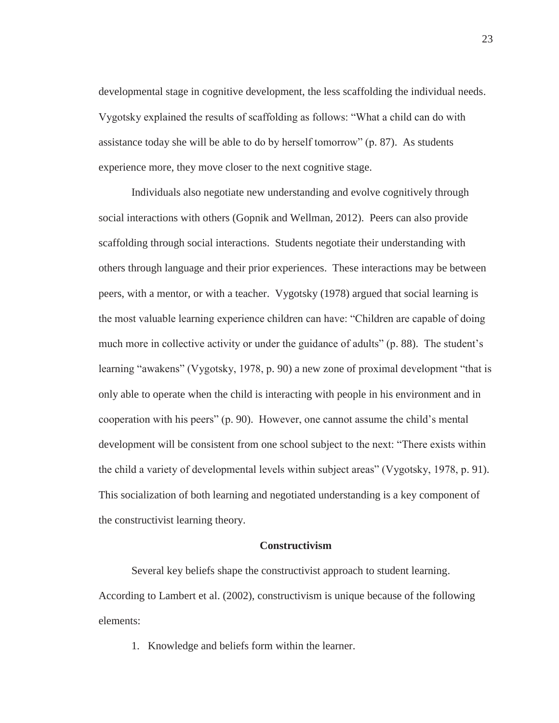developmental stage in cognitive development, the less scaffolding the individual needs. Vygotsky explained the results of scaffolding as follows: "What a child can do with assistance today she will be able to do by herself tomorrow" (p. 87). As students experience more, they move closer to the next cognitive stage.

Individuals also negotiate new understanding and evolve cognitively through social interactions with others (Gopnik and Wellman, 2012). Peers can also provide scaffolding through social interactions. Students negotiate their understanding with others through language and their prior experiences. These interactions may be between peers, with a mentor, or with a teacher. Vygotsky (1978) argued that social learning is the most valuable learning experience children can have: "Children are capable of doing much more in collective activity or under the guidance of adults" (p. 88). The student's learning "awakens" (Vygotsky, 1978, p. 90) a new zone of proximal development "that is only able to operate when the child is interacting with people in his environment and in cooperation with his peers" (p. 90). However, one cannot assume the child's mental development will be consistent from one school subject to the next: "There exists within the child a variety of developmental levels within subject areas" (Vygotsky, 1978, p. 91). This socialization of both learning and negotiated understanding is a key component of the constructivist learning theory.

### **Constructivism**

Several key beliefs shape the constructivist approach to student learning. According to Lambert et al. (2002), constructivism is unique because of the following elements:

1. Knowledge and beliefs form within the learner.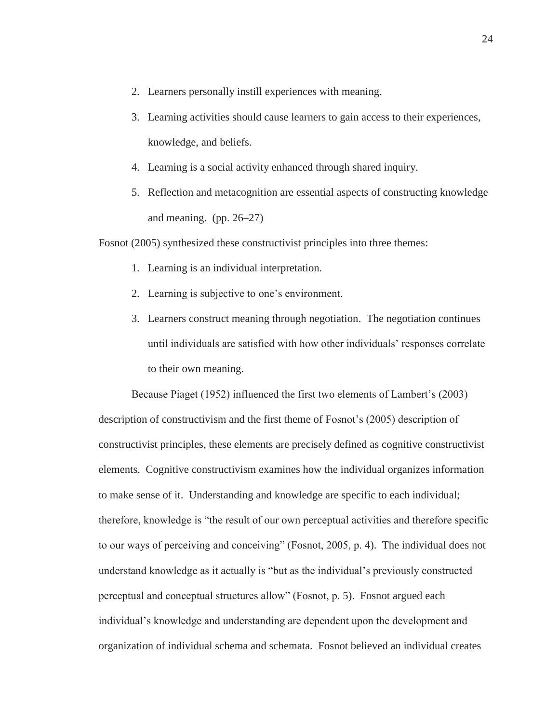- 2. Learners personally instill experiences with meaning.
- 3. Learning activities should cause learners to gain access to their experiences, knowledge, and beliefs.
- 4. Learning is a social activity enhanced through shared inquiry.
- 5. Reflection and metacognition are essential aspects of constructing knowledge and meaning. (pp. 26–27)

Fosnot (2005) synthesized these constructivist principles into three themes:

- 1. Learning is an individual interpretation.
- 2. Learning is subjective to one's environment.
- 3. Learners construct meaning through negotiation. The negotiation continues until individuals are satisfied with how other individuals' responses correlate to their own meaning.

Because Piaget (1952) influenced the first two elements of Lambert's (2003) description of constructivism and the first theme of Fosnot's (2005) description of constructivist principles, these elements are precisely defined as cognitive constructivist elements. Cognitive constructivism examines how the individual organizes information to make sense of it. Understanding and knowledge are specific to each individual; therefore, knowledge is "the result of our own perceptual activities and therefore specific to our ways of perceiving and conceiving" (Fosnot, 2005, p. 4). The individual does not understand knowledge as it actually is "but as the individual's previously constructed perceptual and conceptual structures allow" (Fosnot, p. 5). Fosnot argued each individual's knowledge and understanding are dependent upon the development and organization of individual schema and schemata. Fosnot believed an individual creates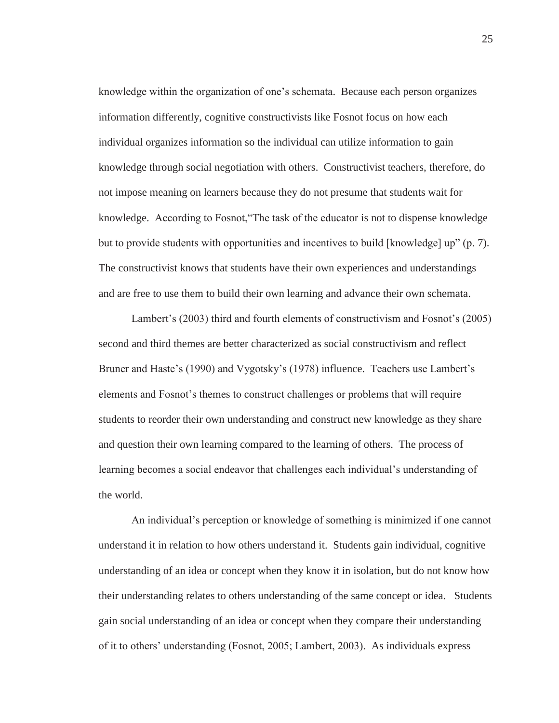knowledge within the organization of one's schemata. Because each person organizes information differently, cognitive constructivists like Fosnot focus on how each individual organizes information so the individual can utilize information to gain knowledge through social negotiation with others. Constructivist teachers, therefore, do not impose meaning on learners because they do not presume that students wait for knowledge. According to Fosnot,"The task of the educator is not to dispense knowledge but to provide students with opportunities and incentives to build [knowledge] up" (p. 7). The constructivist knows that students have their own experiences and understandings and are free to use them to build their own learning and advance their own schemata.

Lambert's (2003) third and fourth elements of constructivism and Fosnot's (2005) second and third themes are better characterized as social constructivism and reflect Bruner and Haste's (1990) and Vygotsky's (1978) influence. Teachers use Lambert's elements and Fosnot's themes to construct challenges or problems that will require students to reorder their own understanding and construct new knowledge as they share and question their own learning compared to the learning of others. The process of learning becomes a social endeavor that challenges each individual's understanding of the world.

An individual's perception or knowledge of something is minimized if one cannot understand it in relation to how others understand it. Students gain individual, cognitive understanding of an idea or concept when they know it in isolation, but do not know how their understanding relates to others understanding of the same concept or idea. Students gain social understanding of an idea or concept when they compare their understanding of it to others' understanding (Fosnot, 2005; Lambert, 2003). As individuals express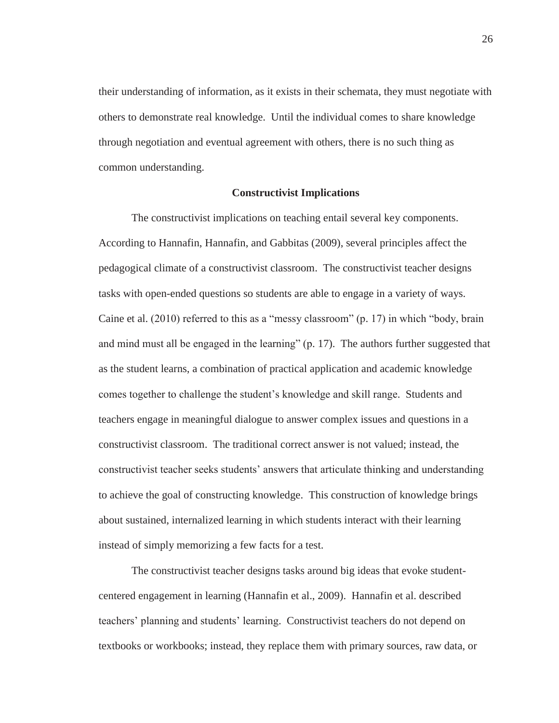their understanding of information, as it exists in their schemata, they must negotiate with others to demonstrate real knowledge. Until the individual comes to share knowledge through negotiation and eventual agreement with others, there is no such thing as common understanding.

## **Constructivist Implications**

The constructivist implications on teaching entail several key components. According to Hannafin, Hannafin, and Gabbitas (2009), several principles affect the pedagogical climate of a constructivist classroom. The constructivist teacher designs tasks with open-ended questions so students are able to engage in a variety of ways. Caine et al. (2010) referred to this as a "messy classroom" (p. 17) in which "body, brain and mind must all be engaged in the learning" (p. 17). The authors further suggested that as the student learns, a combination of practical application and academic knowledge comes together to challenge the student's knowledge and skill range. Students and teachers engage in meaningful dialogue to answer complex issues and questions in a constructivist classroom. The traditional correct answer is not valued; instead, the constructivist teacher seeks students' answers that articulate thinking and understanding to achieve the goal of constructing knowledge. This construction of knowledge brings about sustained, internalized learning in which students interact with their learning instead of simply memorizing a few facts for a test.

The constructivist teacher designs tasks around big ideas that evoke studentcentered engagement in learning (Hannafin et al., 2009). Hannafin et al. described teachers' planning and students' learning. Constructivist teachers do not depend on textbooks or workbooks; instead, they replace them with primary sources, raw data, or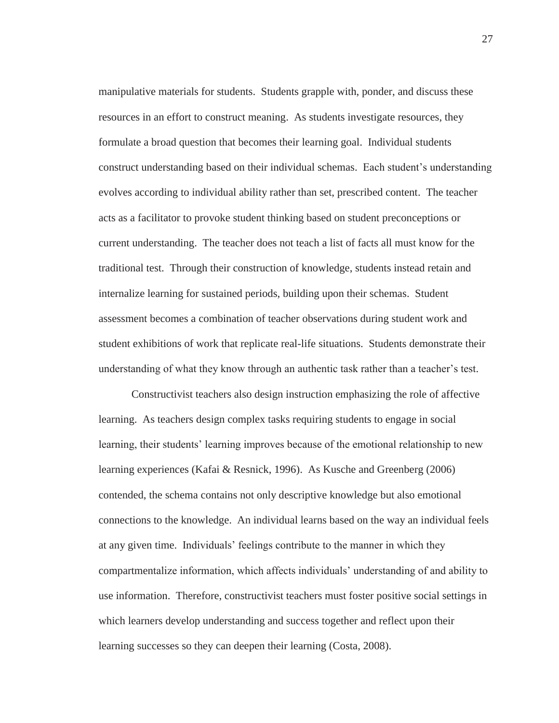manipulative materials for students. Students grapple with, ponder, and discuss these resources in an effort to construct meaning. As students investigate resources, they formulate a broad question that becomes their learning goal. Individual students construct understanding based on their individual schemas. Each student's understanding evolves according to individual ability rather than set, prescribed content. The teacher acts as a facilitator to provoke student thinking based on student preconceptions or current understanding. The teacher does not teach a list of facts all must know for the traditional test. Through their construction of knowledge, students instead retain and internalize learning for sustained periods, building upon their schemas. Student assessment becomes a combination of teacher observations during student work and student exhibitions of work that replicate real-life situations. Students demonstrate their understanding of what they know through an authentic task rather than a teacher's test.

Constructivist teachers also design instruction emphasizing the role of affective learning. As teachers design complex tasks requiring students to engage in social learning, their students' learning improves because of the emotional relationship to new learning experiences (Kafai & Resnick, 1996). As Kusche and Greenberg (2006) contended, the schema contains not only descriptive knowledge but also emotional connections to the knowledge. An individual learns based on the way an individual feels at any given time. Individuals' feelings contribute to the manner in which they compartmentalize information, which affects individuals' understanding of and ability to use information. Therefore, constructivist teachers must foster positive social settings in which learners develop understanding and success together and reflect upon their learning successes so they can deepen their learning (Costa, 2008).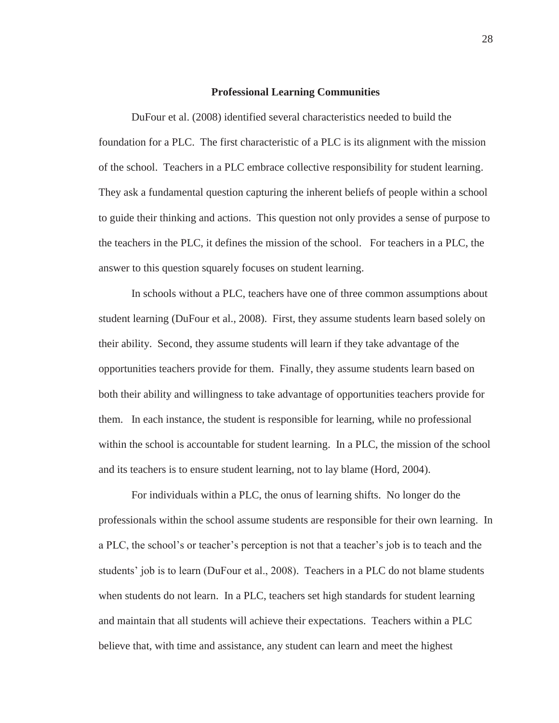### **Professional Learning Communities**

DuFour et al. (2008) identified several characteristics needed to build the foundation for a PLC. The first characteristic of a PLC is its alignment with the mission of the school. Teachers in a PLC embrace collective responsibility for student learning. They ask a fundamental question capturing the inherent beliefs of people within a school to guide their thinking and actions. This question not only provides a sense of purpose to the teachers in the PLC, it defines the mission of the school. For teachers in a PLC, the answer to this question squarely focuses on student learning.

In schools without a PLC, teachers have one of three common assumptions about student learning (DuFour et al., 2008). First, they assume students learn based solely on their ability. Second, they assume students will learn if they take advantage of the opportunities teachers provide for them. Finally, they assume students learn based on both their ability and willingness to take advantage of opportunities teachers provide for them. In each instance, the student is responsible for learning, while no professional within the school is accountable for student learning. In a PLC, the mission of the school and its teachers is to ensure student learning, not to lay blame (Hord, 2004).

For individuals within a PLC, the onus of learning shifts. No longer do the professionals within the school assume students are responsible for their own learning. In a PLC, the school's or teacher's perception is not that a teacher's job is to teach and the students' job is to learn (DuFour et al., 2008). Teachers in a PLC do not blame students when students do not learn. In a PLC, teachers set high standards for student learning and maintain that all students will achieve their expectations. Teachers within a PLC believe that, with time and assistance, any student can learn and meet the highest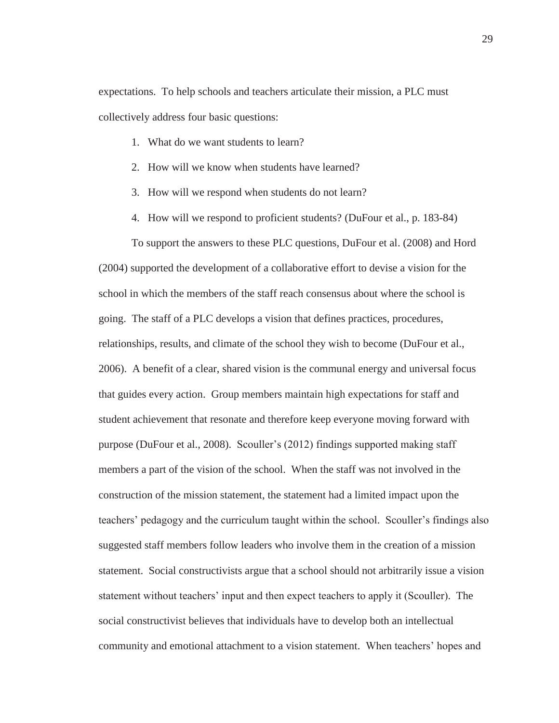expectations. To help schools and teachers articulate their mission, a PLC must collectively address four basic questions:

- 1. What do we want students to learn?
- 2. How will we know when students have learned?
- 3. How will we respond when students do not learn?
- 4. How will we respond to proficient students? (DuFour et al., p. 183-84)

To support the answers to these PLC questions, DuFour et al. (2008) and Hord (2004) supported the development of a collaborative effort to devise a vision for the school in which the members of the staff reach consensus about where the school is going. The staff of a PLC develops a vision that defines practices, procedures, relationships, results, and climate of the school they wish to become (DuFour et al., 2006). A benefit of a clear, shared vision is the communal energy and universal focus that guides every action. Group members maintain high expectations for staff and student achievement that resonate and therefore keep everyone moving forward with purpose (DuFour et al., 2008). Scouller's (2012) findings supported making staff members a part of the vision of the school. When the staff was not involved in the construction of the mission statement, the statement had a limited impact upon the teachers' pedagogy and the curriculum taught within the school. Scouller's findings also suggested staff members follow leaders who involve them in the creation of a mission statement. Social constructivists argue that a school should not arbitrarily issue a vision statement without teachers' input and then expect teachers to apply it (Scouller). The social constructivist believes that individuals have to develop both an intellectual community and emotional attachment to a vision statement. When teachers' hopes and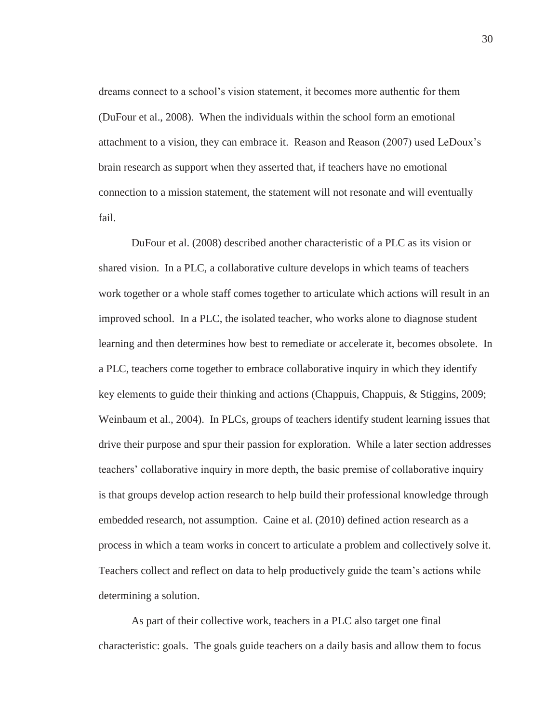dreams connect to a school's vision statement, it becomes more authentic for them (DuFour et al., 2008). When the individuals within the school form an emotional attachment to a vision, they can embrace it. Reason and Reason (2007) used LeDoux's brain research as support when they asserted that, if teachers have no emotional connection to a mission statement, the statement will not resonate and will eventually fail.

DuFour et al. (2008) described another characteristic of a PLC as its vision or shared vision. In a PLC, a collaborative culture develops in which teams of teachers work together or a whole staff comes together to articulate which actions will result in an improved school. In a PLC, the isolated teacher, who works alone to diagnose student learning and then determines how best to remediate or accelerate it, becomes obsolete. In a PLC, teachers come together to embrace collaborative inquiry in which they identify key elements to guide their thinking and actions (Chappuis, Chappuis, & Stiggins, 2009; Weinbaum et al., 2004). In PLCs, groups of teachers identify student learning issues that drive their purpose and spur their passion for exploration. While a later section addresses teachers' collaborative inquiry in more depth, the basic premise of collaborative inquiry is that groups develop action research to help build their professional knowledge through embedded research, not assumption. Caine et al. (2010) defined action research as a process in which a team works in concert to articulate a problem and collectively solve it. Teachers collect and reflect on data to help productively guide the team's actions while determining a solution.

As part of their collective work, teachers in a PLC also target one final characteristic: goals. The goals guide teachers on a daily basis and allow them to focus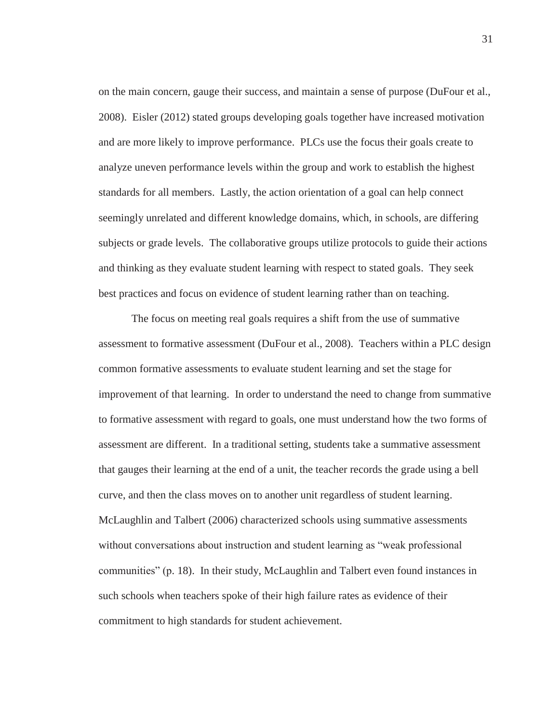on the main concern, gauge their success, and maintain a sense of purpose (DuFour et al., 2008). Eisler (2012) stated groups developing goals together have increased motivation and are more likely to improve performance. PLCs use the focus their goals create to analyze uneven performance levels within the group and work to establish the highest standards for all members. Lastly, the action orientation of a goal can help connect seemingly unrelated and different knowledge domains, which, in schools, are differing subjects or grade levels. The collaborative groups utilize protocols to guide their actions and thinking as they evaluate student learning with respect to stated goals. They seek best practices and focus on evidence of student learning rather than on teaching.

The focus on meeting real goals requires a shift from the use of summative assessment to formative assessment (DuFour et al., 2008). Teachers within a PLC design common formative assessments to evaluate student learning and set the stage for improvement of that learning. In order to understand the need to change from summative to formative assessment with regard to goals, one must understand how the two forms of assessment are different. In a traditional setting, students take a summative assessment that gauges their learning at the end of a unit, the teacher records the grade using a bell curve, and then the class moves on to another unit regardless of student learning. McLaughlin and Talbert (2006) characterized schools using summative assessments without conversations about instruction and student learning as "weak professional communities" (p. 18). In their study, McLaughlin and Talbert even found instances in such schools when teachers spoke of their high failure rates as evidence of their commitment to high standards for student achievement.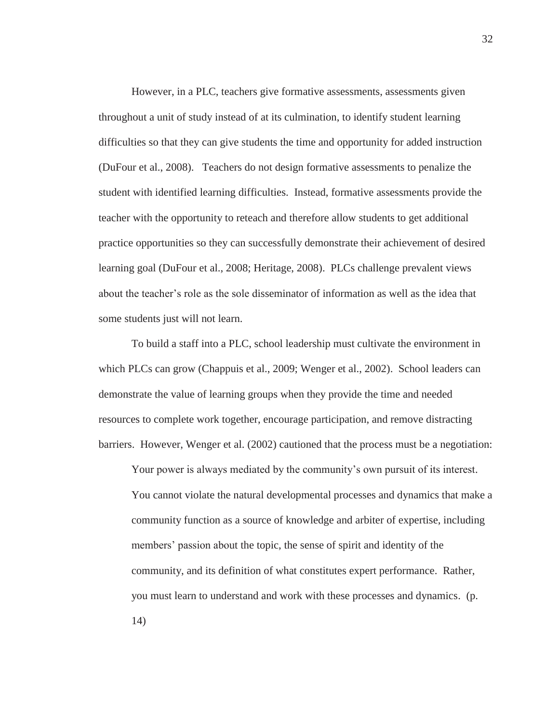However, in a PLC, teachers give formative assessments, assessments given throughout a unit of study instead of at its culmination, to identify student learning difficulties so that they can give students the time and opportunity for added instruction (DuFour et al., 2008). Teachers do not design formative assessments to penalize the student with identified learning difficulties. Instead, formative assessments provide the teacher with the opportunity to reteach and therefore allow students to get additional practice opportunities so they can successfully demonstrate their achievement of desired learning goal (DuFour et al., 2008; Heritage, 2008). PLCs challenge prevalent views about the teacher's role as the sole disseminator of information as well as the idea that some students just will not learn.

To build a staff into a PLC, school leadership must cultivate the environment in which PLCs can grow (Chappuis et al., 2009; Wenger et al., 2002). School leaders can demonstrate the value of learning groups when they provide the time and needed resources to complete work together, encourage participation, and remove distracting barriers. However, Wenger et al. (2002) cautioned that the process must be a negotiation:

Your power is always mediated by the community's own pursuit of its interest. You cannot violate the natural developmental processes and dynamics that make a community function as a source of knowledge and arbiter of expertise, including members' passion about the topic, the sense of spirit and identity of the community, and its definition of what constitutes expert performance. Rather, you must learn to understand and work with these processes and dynamics. (p. 14)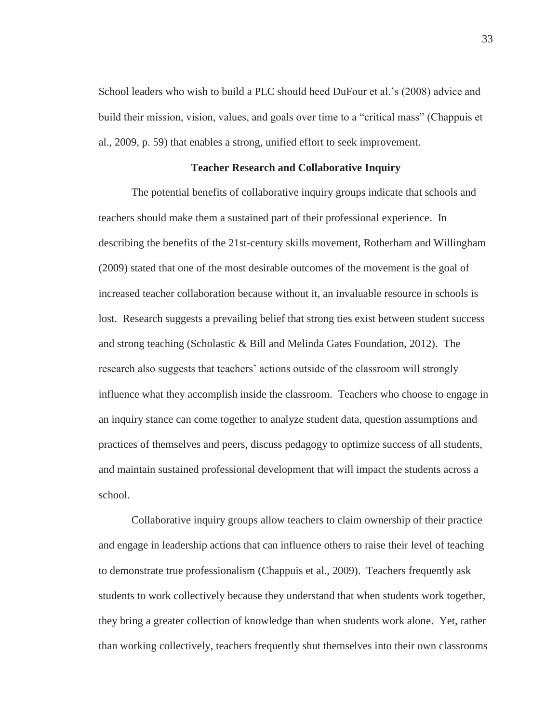School leaders who wish to build a PLC should heed DuFour et al.'s (2008) advice and build their mission, vision, values, and goals over time to a "critical mass" (Chappuis et al., 2009, p. 59) that enables a strong, unified effort to seek improvement.

# **Teacher Research and Collaborative Inquiry**

The potential benefits of collaborative inquiry groups indicate that schools and teachers should make them a sustained part of their professional experience. In describing the benefits of the 21st-century skills movement, Rotherham and Willingham (2009) stated that one of the most desirable outcomes of the movement is the goal of increased teacher collaboration because without it, an invaluable resource in schools is lost. Research suggests a prevailing belief that strong ties exist between student success and strong teaching (Scholastic & Bill and Melinda Gates Foundation, 2012). The research also suggests that teachers' actions outside of the classroom will strongly influence what they accomplish inside the classroom. Teachers who choose to engage in an inquiry stance can come together to analyze student data, question assumptions and practices of themselves and peers, discuss pedagogy to optimize success of all students, and maintain sustained professional development that will impact the students across a school.

Collaborative inquiry groups allow teachers to claim ownership of their practice and engage in leadership actions that can influence others to raise their level of teaching to demonstrate true professionalism (Chappuis et al., 2009). Teachers frequently ask students to work collectively because they understand that when students work together, they bring a greater collection of knowledge than when students work alone. Yet, rather than working collectively, teachers frequently shut themselves into their own classrooms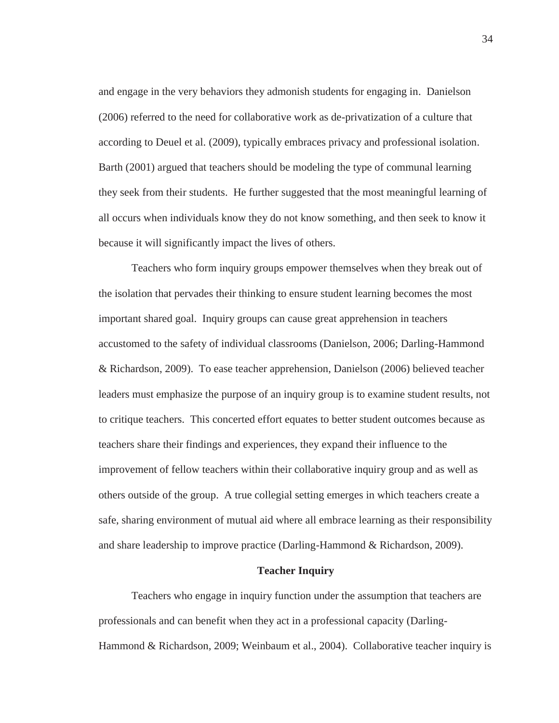and engage in the very behaviors they admonish students for engaging in. Danielson (2006) referred to the need for collaborative work as de-privatization of a culture that according to Deuel et al. (2009), typically embraces privacy and professional isolation. Barth (2001) argued that teachers should be modeling the type of communal learning they seek from their students. He further suggested that the most meaningful learning of all occurs when individuals know they do not know something, and then seek to know it because it will significantly impact the lives of others.

Teachers who form inquiry groups empower themselves when they break out of the isolation that pervades their thinking to ensure student learning becomes the most important shared goal. Inquiry groups can cause great apprehension in teachers accustomed to the safety of individual classrooms (Danielson, 2006; Darling-Hammond & Richardson, 2009). To ease teacher apprehension, Danielson (2006) believed teacher leaders must emphasize the purpose of an inquiry group is to examine student results, not to critique teachers. This concerted effort equates to better student outcomes because as teachers share their findings and experiences, they expand their influence to the improvement of fellow teachers within their collaborative inquiry group and as well as others outside of the group. A true collegial setting emerges in which teachers create a safe, sharing environment of mutual aid where all embrace learning as their responsibility and share leadership to improve practice (Darling-Hammond & Richardson, 2009).

#### **Teacher Inquiry**

Teachers who engage in inquiry function under the assumption that teachers are professionals and can benefit when they act in a professional capacity (Darling-Hammond & Richardson, 2009; Weinbaum et al., 2004). Collaborative teacher inquiry is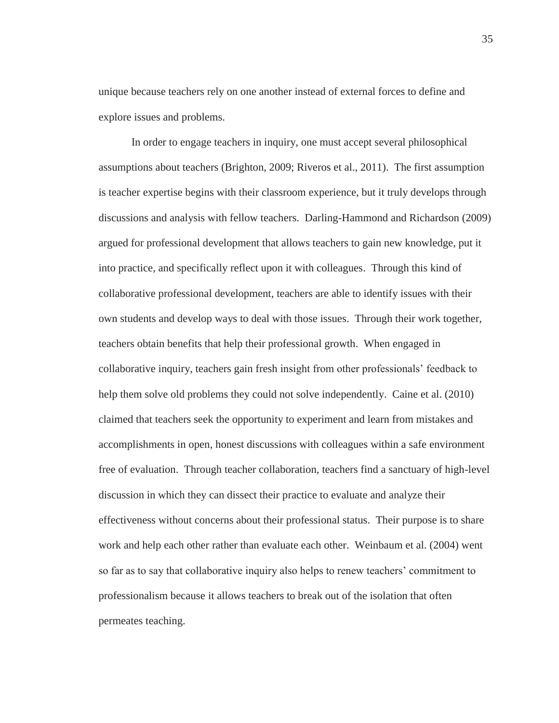unique because teachers rely on one another instead of external forces to define and explore issues and problems.

In order to engage teachers in inquiry, one must accept several philosophical assumptions about teachers (Brighton, 2009; Riveros et al., 2011). The first assumption is teacher expertise begins with their classroom experience, but it truly develops through discussions and analysis with fellow teachers. Darling-Hammond and Richardson (2009) argued for professional development that allows teachers to gain new knowledge, put it into practice, and specifically reflect upon it with colleagues. Through this kind of collaborative professional development, teachers are able to identify issues with their own students and develop ways to deal with those issues. Through their work together, teachers obtain benefits that help their professional growth. When engaged in collaborative inquiry, teachers gain fresh insight from other professionals' feedback to help them solve old problems they could not solve independently. Caine et al. (2010) claimed that teachers seek the opportunity to experiment and learn from mistakes and accomplishments in open, honest discussions with colleagues within a safe environment free of evaluation. Through teacher collaboration, teachers find a sanctuary of high-level discussion in which they can dissect their practice to evaluate and analyze their effectiveness without concerns about their professional status. Their purpose is to share work and help each other rather than evaluate each other. Weinbaum et al. (2004) went so far as to say that collaborative inquiry also helps to renew teachers' commitment to professionalism because it allows teachers to break out of the isolation that often permeates teaching.

35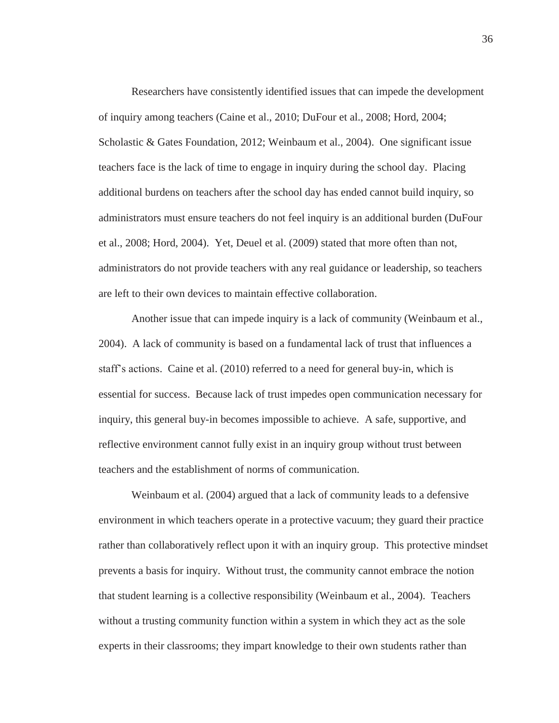Researchers have consistently identified issues that can impede the development of inquiry among teachers (Caine et al., 2010; DuFour et al., 2008; Hord, 2004; Scholastic & Gates Foundation, 2012; Weinbaum et al., 2004). One significant issue teachers face is the lack of time to engage in inquiry during the school day. Placing additional burdens on teachers after the school day has ended cannot build inquiry, so administrators must ensure teachers do not feel inquiry is an additional burden (DuFour et al., 2008; Hord, 2004). Yet, Deuel et al. (2009) stated that more often than not, administrators do not provide teachers with any real guidance or leadership, so teachers are left to their own devices to maintain effective collaboration.

Another issue that can impede inquiry is a lack of community (Weinbaum et al., 2004). A lack of community is based on a fundamental lack of trust that influences a staff's actions. Caine et al. (2010) referred to a need for general buy-in, which is essential for success. Because lack of trust impedes open communication necessary for inquiry, this general buy-in becomes impossible to achieve. A safe, supportive, and reflective environment cannot fully exist in an inquiry group without trust between teachers and the establishment of norms of communication.

Weinbaum et al. (2004) argued that a lack of community leads to a defensive environment in which teachers operate in a protective vacuum; they guard their practice rather than collaboratively reflect upon it with an inquiry group. This protective mindset prevents a basis for inquiry. Without trust, the community cannot embrace the notion that student learning is a collective responsibility (Weinbaum et al., 2004). Teachers without a trusting community function within a system in which they act as the sole experts in their classrooms; they impart knowledge to their own students rather than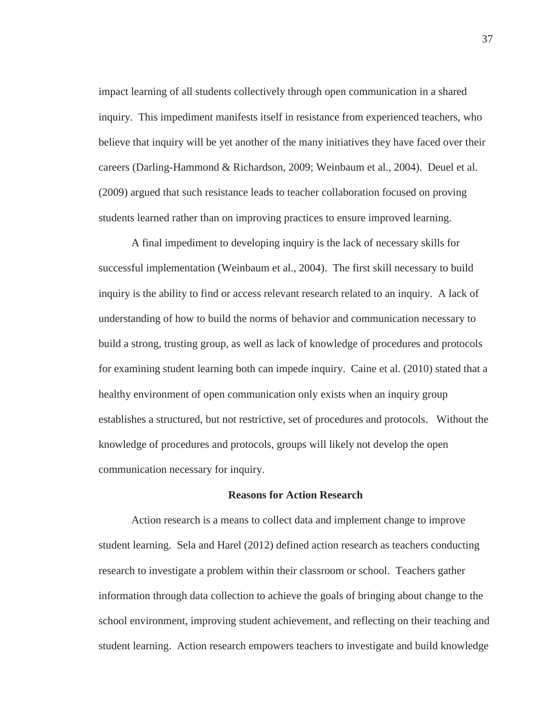impact learning of all students collectively through open communication in a shared inquiry. This impediment manifests itself in resistance from experienced teachers, who believe that inquiry will be yet another of the many initiatives they have faced over their careers (Darling-Hammond & Richardson, 2009; Weinbaum et al., 2004). Deuel et al. (2009) argued that such resistance leads to teacher collaboration focused on proving students learned rather than on improving practices to ensure improved learning.

A final impediment to developing inquiry is the lack of necessary skills for successful implementation (Weinbaum et al., 2004). The first skill necessary to build inquiry is the ability to find or access relevant research related to an inquiry. A lack of understanding of how to build the norms of behavior and communication necessary to build a strong, trusting group, as well as lack of knowledge of procedures and protocols for examining student learning both can impede inquiry. Caine et al. (2010) stated that a healthy environment of open communication only exists when an inquiry group establishes a structured, but not restrictive, set of procedures and protocols. Without the knowledge of procedures and protocols, groups will likely not develop the open communication necessary for inquiry.

## **Reasons for Action Research**

Action research is a means to collect data and implement change to improve student learning. Sela and Harel (2012) defined action research as teachers conducting research to investigate a problem within their classroom or school. Teachers gather information through data collection to achieve the goals of bringing about change to the school environment, improving student achievement, and reflecting on their teaching and student learning. Action research empowers teachers to investigate and build knowledge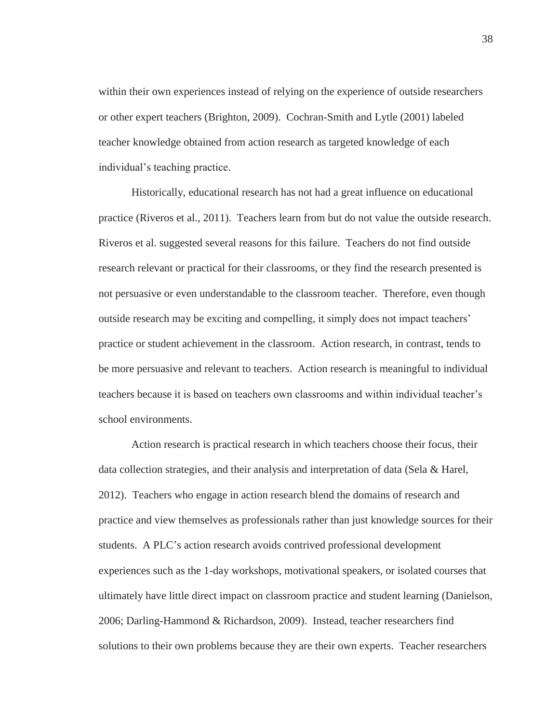within their own experiences instead of relying on the experience of outside researchers or other expert teachers (Brighton, 2009). Cochran-Smith and Lytle (2001) labeled teacher knowledge obtained from action research as targeted knowledge of each individual's teaching practice.

Historically, educational research has not had a great influence on educational practice (Riveros et al., 2011). Teachers learn from but do not value the outside research. Riveros et al. suggested several reasons for this failure. Teachers do not find outside research relevant or practical for their classrooms, or they find the research presented is not persuasive or even understandable to the classroom teacher. Therefore, even though outside research may be exciting and compelling, it simply does not impact teachers' practice or student achievement in the classroom. Action research, in contrast, tends to be more persuasive and relevant to teachers. Action research is meaningful to individual teachers because it is based on teachers own classrooms and within individual teacher's school environments.

Action research is practical research in which teachers choose their focus, their data collection strategies, and their analysis and interpretation of data (Sela & Harel, 2012). Teachers who engage in action research blend the domains of research and practice and view themselves as professionals rather than just knowledge sources for their students. A PLC's action research avoids contrived professional development experiences such as the 1-day workshops, motivational speakers, or isolated courses that ultimately have little direct impact on classroom practice and student learning (Danielson, 2006; Darling-Hammond & Richardson, 2009). Instead, teacher researchers find solutions to their own problems because they are their own experts. Teacher researchers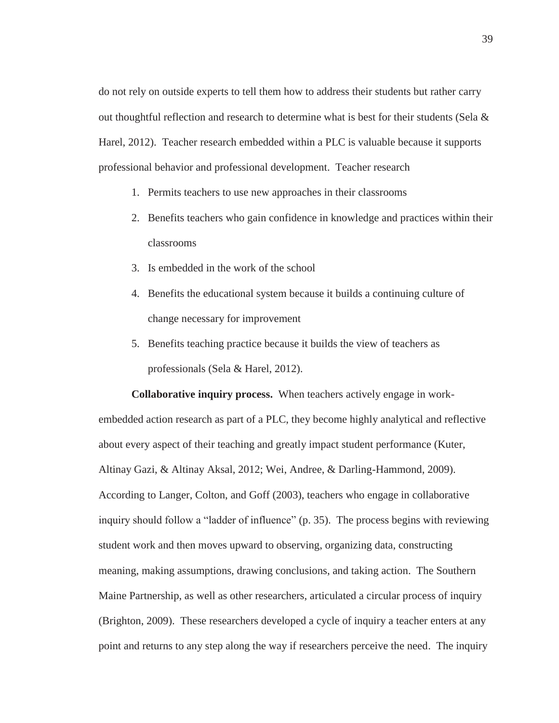do not rely on outside experts to tell them how to address their students but rather carry out thoughtful reflection and research to determine what is best for their students (Sela  $\&$ Harel, 2012). Teacher research embedded within a PLC is valuable because it supports professional behavior and professional development. Teacher research

- 1. Permits teachers to use new approaches in their classrooms
- 2. Benefits teachers who gain confidence in knowledge and practices within their classrooms
- 3. Is embedded in the work of the school
- 4. Benefits the educational system because it builds a continuing culture of change necessary for improvement
- 5. Benefits teaching practice because it builds the view of teachers as professionals (Sela & Harel, 2012).

**Collaborative inquiry process.** When teachers actively engage in workembedded action research as part of a PLC, they become highly analytical and reflective about every aspect of their teaching and greatly impact student performance (Kuter, Altinay Gazi, & Altinay Aksal, 2012; Wei, Andree, & Darling-Hammond, 2009). According to Langer, Colton, and Goff (2003), teachers who engage in collaborative inquiry should follow a "ladder of influence" (p. 35). The process begins with reviewing student work and then moves upward to observing, organizing data, constructing meaning, making assumptions, drawing conclusions, and taking action. The Southern Maine Partnership, as well as other researchers, articulated a circular process of inquiry (Brighton, 2009). These researchers developed a cycle of inquiry a teacher enters at any point and returns to any step along the way if researchers perceive the need. The inquiry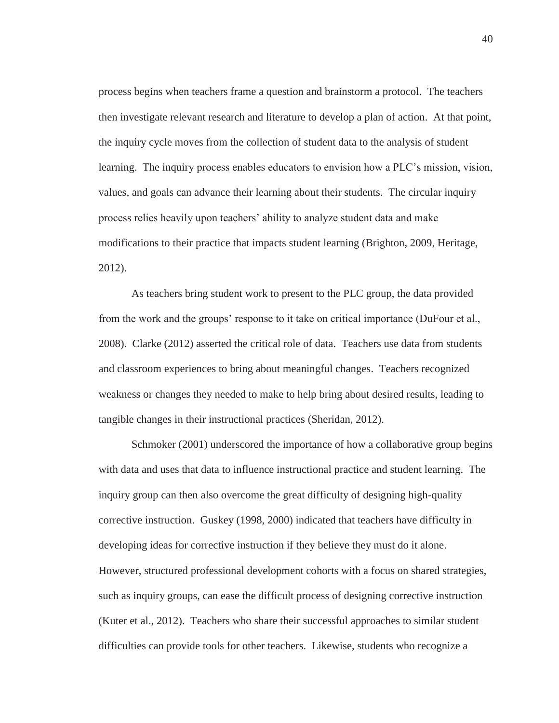process begins when teachers frame a question and brainstorm a protocol. The teachers then investigate relevant research and literature to develop a plan of action. At that point, the inquiry cycle moves from the collection of student data to the analysis of student learning. The inquiry process enables educators to envision how a PLC's mission, vision, values, and goals can advance their learning about their students. The circular inquiry process relies heavily upon teachers' ability to analyze student data and make modifications to their practice that impacts student learning (Brighton, 2009, Heritage, 2012).

As teachers bring student work to present to the PLC group, the data provided from the work and the groups' response to it take on critical importance (DuFour et al., 2008). Clarke (2012) asserted the critical role of data. Teachers use data from students and classroom experiences to bring about meaningful changes. Teachers recognized weakness or changes they needed to make to help bring about desired results, leading to tangible changes in their instructional practices (Sheridan, 2012).

Schmoker (2001) underscored the importance of how a collaborative group begins with data and uses that data to influence instructional practice and student learning. The inquiry group can then also overcome the great difficulty of designing high-quality corrective instruction. Guskey (1998, 2000) indicated that teachers have difficulty in developing ideas for corrective instruction if they believe they must do it alone. However, structured professional development cohorts with a focus on shared strategies, such as inquiry groups, can ease the difficult process of designing corrective instruction (Kuter et al., 2012). Teachers who share their successful approaches to similar student difficulties can provide tools for other teachers. Likewise, students who recognize a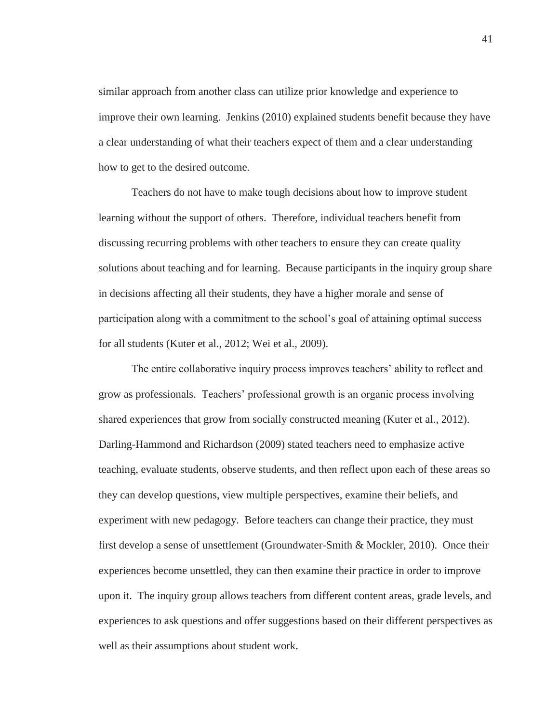similar approach from another class can utilize prior knowledge and experience to improve their own learning. Jenkins (2010) explained students benefit because they have a clear understanding of what their teachers expect of them and a clear understanding how to get to the desired outcome.

Teachers do not have to make tough decisions about how to improve student learning without the support of others. Therefore, individual teachers benefit from discussing recurring problems with other teachers to ensure they can create quality solutions about teaching and for learning. Because participants in the inquiry group share in decisions affecting all their students, they have a higher morale and sense of participation along with a commitment to the school's goal of attaining optimal success for all students (Kuter et al., 2012; Wei et al., 2009).

The entire collaborative inquiry process improves teachers' ability to reflect and grow as professionals. Teachers' professional growth is an organic process involving shared experiences that grow from socially constructed meaning (Kuter et al.*,* 2012). Darling-Hammond and Richardson (2009) stated teachers need to emphasize active teaching, evaluate students, observe students, and then reflect upon each of these areas so they can develop questions, view multiple perspectives, examine their beliefs, and experiment with new pedagogy. Before teachers can change their practice, they must first develop a sense of unsettlement (Groundwater-Smith & Mockler, 2010). Once their experiences become unsettled, they can then examine their practice in order to improve upon it. The inquiry group allows teachers from different content areas, grade levels, and experiences to ask questions and offer suggestions based on their different perspectives as well as their assumptions about student work.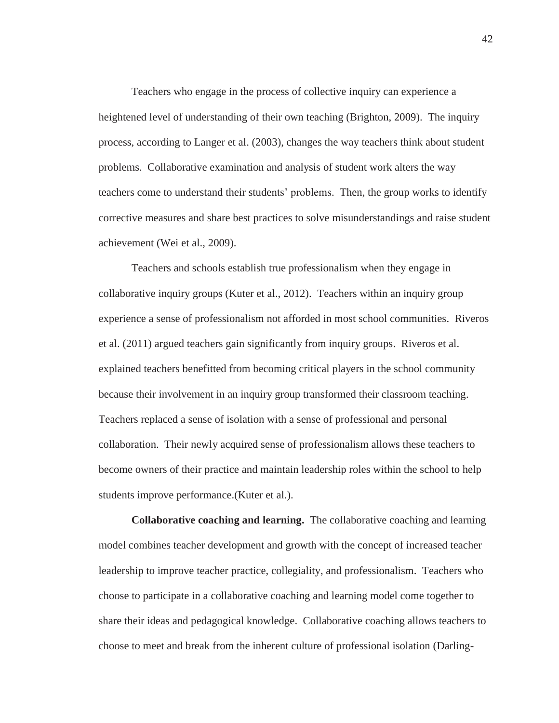Teachers who engage in the process of collective inquiry can experience a heightened level of understanding of their own teaching (Brighton, 2009). The inquiry process, according to Langer et al. (2003), changes the way teachers think about student problems. Collaborative examination and analysis of student work alters the way teachers come to understand their students' problems. Then, the group works to identify corrective measures and share best practices to solve misunderstandings and raise student achievement (Wei et al., 2009).

Teachers and schools establish true professionalism when they engage in collaborative inquiry groups (Kuter et al., 2012). Teachers within an inquiry group experience a sense of professionalism not afforded in most school communities. Riveros et al. (2011) argued teachers gain significantly from inquiry groups. Riveros et al. explained teachers benefitted from becoming critical players in the school community because their involvement in an inquiry group transformed their classroom teaching. Teachers replaced a sense of isolation with a sense of professional and personal collaboration. Their newly acquired sense of professionalism allows these teachers to become owners of their practice and maintain leadership roles within the school to help students improve performance.(Kuter et al.).

**Collaborative coaching and learning.** The collaborative coaching and learning model combines teacher development and growth with the concept of increased teacher leadership to improve teacher practice, collegiality, and professionalism. Teachers who choose to participate in a collaborative coaching and learning model come together to share their ideas and pedagogical knowledge. Collaborative coaching allows teachers to choose to meet and break from the inherent culture of professional isolation (Darling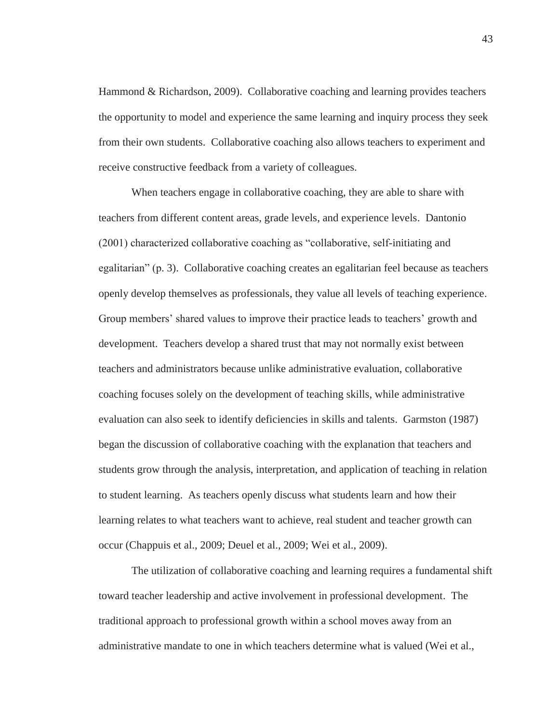Hammond & Richardson, 2009). Collaborative coaching and learning provides teachers the opportunity to model and experience the same learning and inquiry process they seek from their own students. Collaborative coaching also allows teachers to experiment and receive constructive feedback from a variety of colleagues.

When teachers engage in collaborative coaching, they are able to share with teachers from different content areas, grade levels, and experience levels. Dantonio (2001) characterized collaborative coaching as "collaborative, self-initiating and egalitarian" (p. 3). Collaborative coaching creates an egalitarian feel because as teachers openly develop themselves as professionals, they value all levels of teaching experience. Group members' shared values to improve their practice leads to teachers' growth and development. Teachers develop a shared trust that may not normally exist between teachers and administrators because unlike administrative evaluation, collaborative coaching focuses solely on the development of teaching skills, while administrative evaluation can also seek to identify deficiencies in skills and talents. Garmston (1987) began the discussion of collaborative coaching with the explanation that teachers and students grow through the analysis, interpretation, and application of teaching in relation to student learning. As teachers openly discuss what students learn and how their learning relates to what teachers want to achieve, real student and teacher growth can occur (Chappuis et al., 2009; Deuel et al., 2009; Wei et al., 2009).

The utilization of collaborative coaching and learning requires a fundamental shift toward teacher leadership and active involvement in professional development. The traditional approach to professional growth within a school moves away from an administrative mandate to one in which teachers determine what is valued (Wei et al.,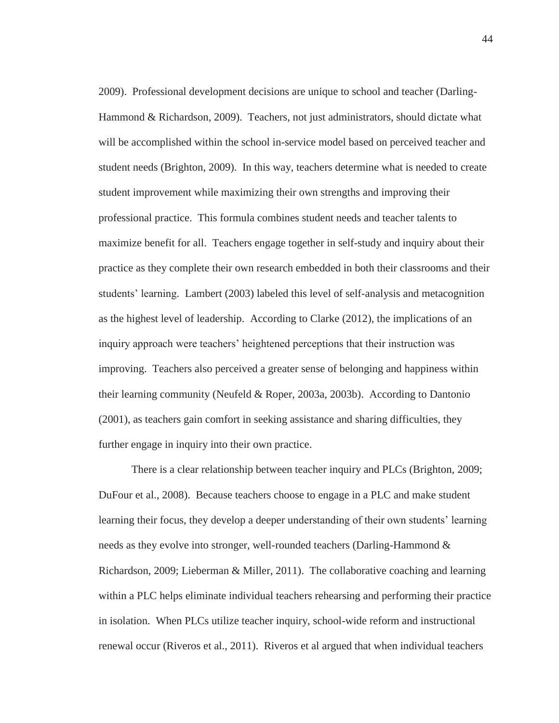2009). Professional development decisions are unique to school and teacher (Darling-Hammond & Richardson, 2009). Teachers, not just administrators, should dictate what will be accomplished within the school in-service model based on perceived teacher and student needs (Brighton, 2009). In this way, teachers determine what is needed to create student improvement while maximizing their own strengths and improving their professional practice. This formula combines student needs and teacher talents to maximize benefit for all. Teachers engage together in self-study and inquiry about their practice as they complete their own research embedded in both their classrooms and their students' learning. Lambert (2003) labeled this level of self-analysis and metacognition as the highest level of leadership. According to Clarke (2012), the implications of an inquiry approach were teachers' heightened perceptions that their instruction was improving. Teachers also perceived a greater sense of belonging and happiness within their learning community (Neufeld & Roper, 2003a, 2003b). According to Dantonio (2001), as teachers gain comfort in seeking assistance and sharing difficulties, they further engage in inquiry into their own practice.

There is a clear relationship between teacher inquiry and PLCs (Brighton, 2009; DuFour et al., 2008). Because teachers choose to engage in a PLC and make student learning their focus, they develop a deeper understanding of their own students' learning needs as they evolve into stronger, well-rounded teachers (Darling-Hammond & Richardson, 2009; Lieberman & Miller, 2011). The collaborative coaching and learning within a PLC helps eliminate individual teachers rehearsing and performing their practice in isolation. When PLCs utilize teacher inquiry, school-wide reform and instructional renewal occur (Riveros et al., 2011). Riveros et al argued that when individual teachers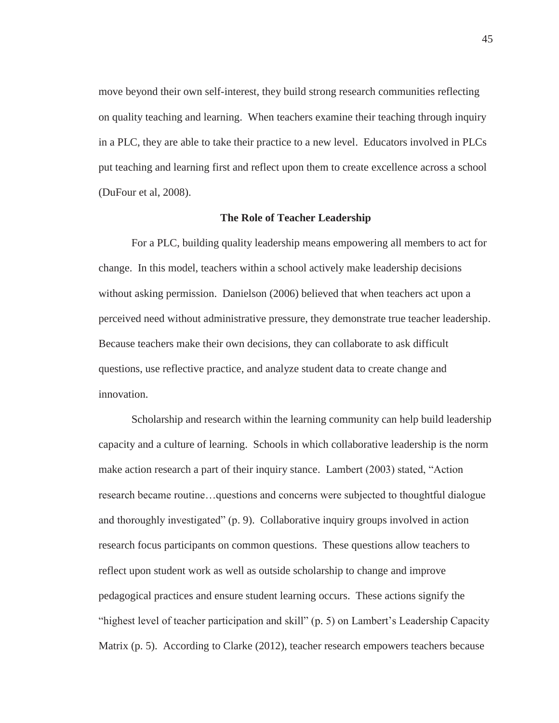move beyond their own self-interest, they build strong research communities reflecting on quality teaching and learning. When teachers examine their teaching through inquiry in a PLC, they are able to take their practice to a new level. Educators involved in PLCs put teaching and learning first and reflect upon them to create excellence across a school (DuFour et al, 2008).

## **The Role of Teacher Leadership**

For a PLC, building quality leadership means empowering all members to act for change. In this model, teachers within a school actively make leadership decisions without asking permission. Danielson (2006) believed that when teachers act upon a perceived need without administrative pressure, they demonstrate true teacher leadership. Because teachers make their own decisions, they can collaborate to ask difficult questions, use reflective practice, and analyze student data to create change and innovation.

Scholarship and research within the learning community can help build leadership capacity and a culture of learning. Schools in which collaborative leadership is the norm make action research a part of their inquiry stance. Lambert (2003) stated, "Action research became routine…questions and concerns were subjected to thoughtful dialogue and thoroughly investigated" (p. 9). Collaborative inquiry groups involved in action research focus participants on common questions. These questions allow teachers to reflect upon student work as well as outside scholarship to change and improve pedagogical practices and ensure student learning occurs. These actions signify the "highest level of teacher participation and skill" (p. 5) on Lambert's Leadership Capacity Matrix (p. 5). According to Clarke (2012), teacher research empowers teachers because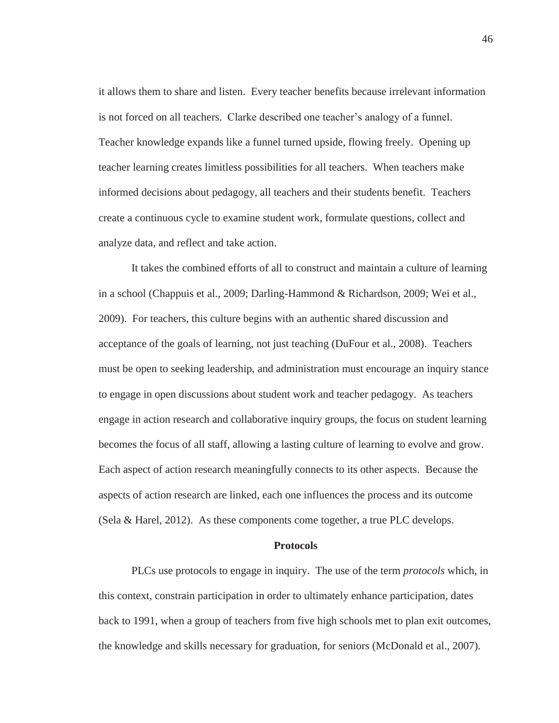it allows them to share and listen. Every teacher benefits because irrelevant information is not forced on all teachers. Clarke described one teacher's analogy of a funnel. Teacher knowledge expands like a funnel turned upside, flowing freely. Opening up teacher learning creates limitless possibilities for all teachers. When teachers make informed decisions about pedagogy, all teachers and their students benefit. Teachers create a continuous cycle to examine student work, formulate questions, collect and analyze data, and reflect and take action.

It takes the combined efforts of all to construct and maintain a culture of learning in a school (Chappuis et al., 2009; Darling-Hammond & Richardson, 2009; Wei et al., 2009). For teachers, this culture begins with an authentic shared discussion and acceptance of the goals of learning, not just teaching (DuFour et al., 2008). Teachers must be open to seeking leadership, and administration must encourage an inquiry stance to engage in open discussions about student work and teacher pedagogy. As teachers engage in action research and collaborative inquiry groups, the focus on student learning becomes the focus of all staff, allowing a lasting culture of learning to evolve and grow. Each aspect of action research meaningfully connects to its other aspects. Because the aspects of action research are linked, each one influences the process and its outcome (Sela & Harel, 2012). As these components come together, a true PLC develops.

### **Protocols**

PLCs use protocols to engage in inquiry. The use of the term *protocols* which, in this context, constrain participation in order to ultimately enhance participation, dates back to 1991, when a group of teachers from five high schools met to plan exit outcomes, the knowledge and skills necessary for graduation, for seniors (McDonald et al., 2007).

46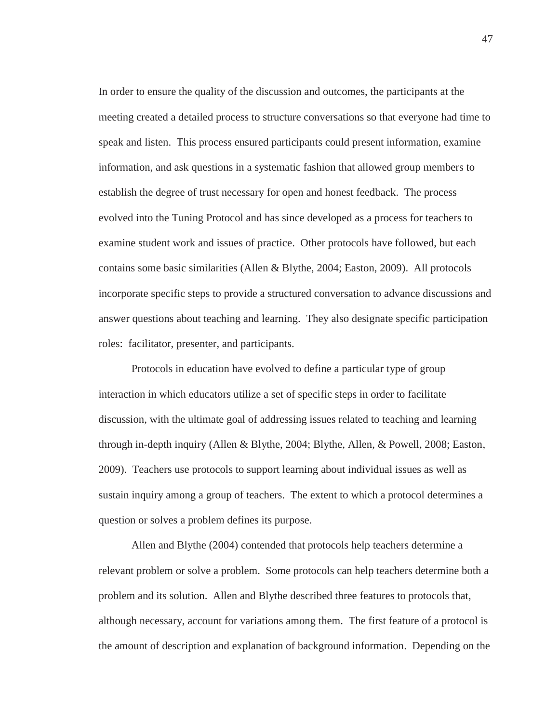In order to ensure the quality of the discussion and outcomes, the participants at the meeting created a detailed process to structure conversations so that everyone had time to speak and listen. This process ensured participants could present information, examine information, and ask questions in a systematic fashion that allowed group members to establish the degree of trust necessary for open and honest feedback. The process evolved into the Tuning Protocol and has since developed as a process for teachers to examine student work and issues of practice. Other protocols have followed, but each contains some basic similarities (Allen & Blythe, 2004; Easton, 2009). All protocols incorporate specific steps to provide a structured conversation to advance discussions and answer questions about teaching and learning. They also designate specific participation roles: facilitator, presenter, and participants.

Protocols in education have evolved to define a particular type of group interaction in which educators utilize a set of specific steps in order to facilitate discussion, with the ultimate goal of addressing issues related to teaching and learning through in-depth inquiry (Allen & Blythe, 2004; Blythe, Allen, & Powell, 2008; Easton, 2009). Teachers use protocols to support learning about individual issues as well as sustain inquiry among a group of teachers. The extent to which a protocol determines a question or solves a problem defines its purpose.

Allen and Blythe (2004) contended that protocols help teachers determine a relevant problem or solve a problem. Some protocols can help teachers determine both a problem and its solution. Allen and Blythe described three features to protocols that, although necessary, account for variations among them. The first feature of a protocol is the amount of description and explanation of background information. Depending on the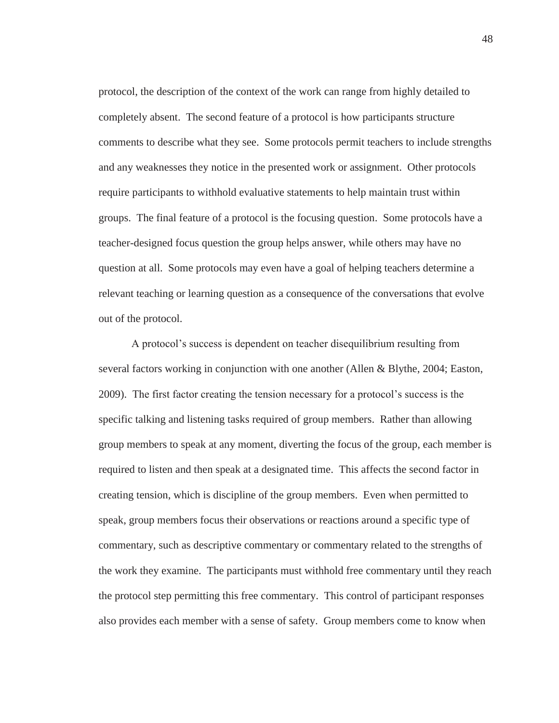protocol, the description of the context of the work can range from highly detailed to completely absent. The second feature of a protocol is how participants structure comments to describe what they see. Some protocols permit teachers to include strengths and any weaknesses they notice in the presented work or assignment. Other protocols require participants to withhold evaluative statements to help maintain trust within groups. The final feature of a protocol is the focusing question. Some protocols have a teacher-designed focus question the group helps answer, while others may have no question at all. Some protocols may even have a goal of helping teachers determine a relevant teaching or learning question as a consequence of the conversations that evolve out of the protocol.

A protocol's success is dependent on teacher disequilibrium resulting from several factors working in conjunction with one another (Allen & Blythe, 2004; Easton, 2009). The first factor creating the tension necessary for a protocol's success is the specific talking and listening tasks required of group members. Rather than allowing group members to speak at any moment, diverting the focus of the group, each member is required to listen and then speak at a designated time. This affects the second factor in creating tension, which is discipline of the group members. Even when permitted to speak, group members focus their observations or reactions around a specific type of commentary, such as descriptive commentary or commentary related to the strengths of the work they examine. The participants must withhold free commentary until they reach the protocol step permitting this free commentary. This control of participant responses also provides each member with a sense of safety. Group members come to know when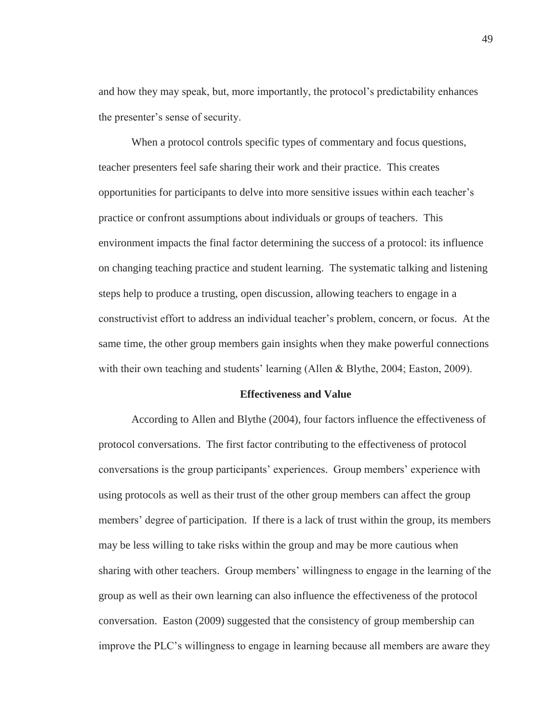and how they may speak, but, more importantly, the protocol's predictability enhances the presenter's sense of security.

When a protocol controls specific types of commentary and focus questions, teacher presenters feel safe sharing their work and their practice. This creates opportunities for participants to delve into more sensitive issues within each teacher's practice or confront assumptions about individuals or groups of teachers. This environment impacts the final factor determining the success of a protocol: its influence on changing teaching practice and student learning. The systematic talking and listening steps help to produce a trusting, open discussion, allowing teachers to engage in a constructivist effort to address an individual teacher's problem, concern, or focus. At the same time, the other group members gain insights when they make powerful connections with their own teaching and students' learning (Allen & Blythe, 2004; Easton, 2009).

# **Effectiveness and Value**

According to Allen and Blythe (2004), four factors influence the effectiveness of protocol conversations. The first factor contributing to the effectiveness of protocol conversations is the group participants' experiences. Group members' experience with using protocols as well as their trust of the other group members can affect the group members' degree of participation. If there is a lack of trust within the group, its members may be less willing to take risks within the group and may be more cautious when sharing with other teachers. Group members' willingness to engage in the learning of the group as well as their own learning can also influence the effectiveness of the protocol conversation. Easton (2009) suggested that the consistency of group membership can improve the PLC's willingness to engage in learning because all members are aware they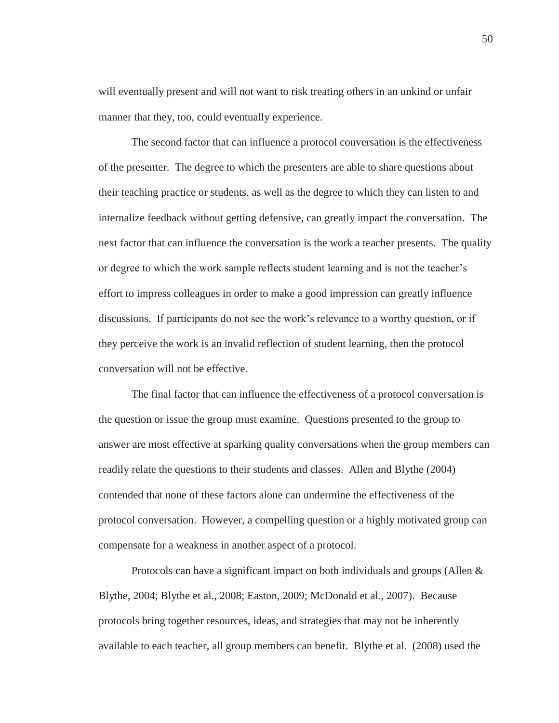will eventually present and will not want to risk treating others in an unkind or unfair manner that they, too, could eventually experience.

The second factor that can influence a protocol conversation is the effectiveness of the presenter. The degree to which the presenters are able to share questions about their teaching practice or students, as well as the degree to which they can listen to and internalize feedback without getting defensive, can greatly impact the conversation. The next factor that can influence the conversation is the work a teacher presents. The quality or degree to which the work sample reflects student learning and is not the teacher's effort to impress colleagues in order to make a good impression can greatly influence discussions. If participants do not see the work's relevance to a worthy question, or if they perceive the work is an invalid reflection of student learning, then the protocol conversation will not be effective.

The final factor that can influence the effectiveness of a protocol conversation is the question or issue the group must examine. Questions presented to the group to answer are most effective at sparking quality conversations when the group members can readily relate the questions to their students and classes. Allen and Blythe (2004) contended that none of these factors alone can undermine the effectiveness of the protocol conversation. However, a compelling question or a highly motivated group can compensate for a weakness in another aspect of a protocol.

Protocols can have a significant impact on both individuals and groups (Allen & Blythe, 2004; Blythe et al., 2008; Easton, 2009; McDonald et al., 2007). Because protocols bring together resources, ideas, and strategies that may not be inherently available to each teacher, all group members can benefit. Blythe et al. (2008) used the

50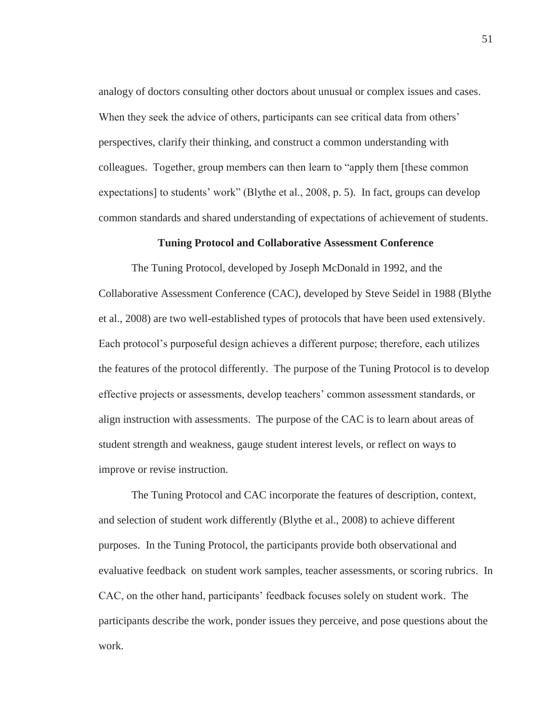analogy of doctors consulting other doctors about unusual or complex issues and cases. When they seek the advice of others, participants can see critical data from others' perspectives, clarify their thinking, and construct a common understanding with colleagues. Together, group members can then learn to "apply them [these common expectations] to students' work" (Blythe et al., 2008, p. 5). In fact, groups can develop common standards and shared understanding of expectations of achievement of students.

#### **Tuning Protocol and Collaborative Assessment Conference**

The Tuning Protocol, developed by Joseph McDonald in 1992, and the Collaborative Assessment Conference (CAC), developed by Steve Seidel in 1988 (Blythe et al., 2008) are two well-established types of protocols that have been used extensively. Each protocol's purposeful design achieves a different purpose; therefore, each utilizes the features of the protocol differently. The purpose of the Tuning Protocol is to develop effective projects or assessments, develop teachers' common assessment standards, or align instruction with assessments. The purpose of the CAC is to learn about areas of student strength and weakness, gauge student interest levels, or reflect on ways to improve or revise instruction.

The Tuning Protocol and CAC incorporate the features of description, context, and selection of student work differently (Blythe et al., 2008) to achieve different purposes. In the Tuning Protocol, the participants provide both observational and evaluative feedback on student work samples, teacher assessments, or scoring rubrics. In CAC, on the other hand, participants' feedback focuses solely on student work. The participants describe the work, ponder issues they perceive, and pose questions about the work.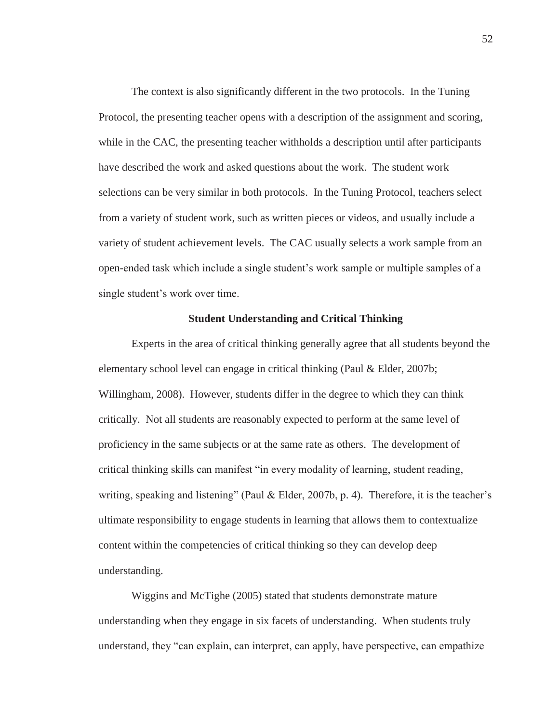The context is also significantly different in the two protocols. In the Tuning Protocol, the presenting teacher opens with a description of the assignment and scoring, while in the CAC, the presenting teacher withholds a description until after participants have described the work and asked questions about the work. The student work selections can be very similar in both protocols. In the Tuning Protocol, teachers select from a variety of student work, such as written pieces or videos, and usually include a variety of student achievement levels. The CAC usually selects a work sample from an open-ended task which include a single student's work sample or multiple samples of a single student's work over time.

# **Student Understanding and Critical Thinking**

Experts in the area of critical thinking generally agree that all students beyond the elementary school level can engage in critical thinking (Paul & Elder, 2007b; Willingham, 2008). However, students differ in the degree to which they can think critically. Not all students are reasonably expected to perform at the same level of proficiency in the same subjects or at the same rate as others. The development of critical thinking skills can manifest "in every modality of learning, student reading, writing, speaking and listening" (Paul & Elder, 2007b, p. 4). Therefore, it is the teacher's ultimate responsibility to engage students in learning that allows them to contextualize content within the competencies of critical thinking so they can develop deep understanding.

Wiggins and McTighe (2005) stated that students demonstrate mature understanding when they engage in six facets of understanding. When students truly understand, they "can explain, can interpret, can apply, have perspective, can empathize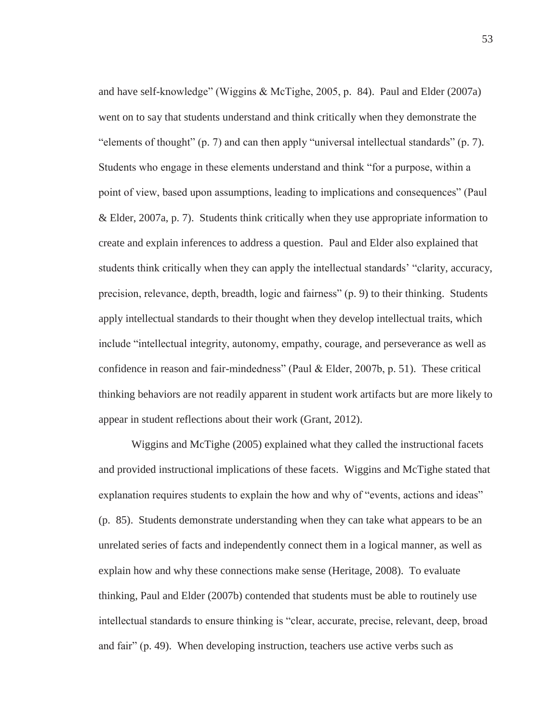and have self-knowledge" (Wiggins & McTighe, 2005, p. 84). Paul and Elder (2007a) went on to say that students understand and think critically when they demonstrate the "elements of thought" (p. 7) and can then apply "universal intellectual standards" (p. 7). Students who engage in these elements understand and think "for a purpose, within a point of view, based upon assumptions, leading to implications and consequences" (Paul & Elder, 2007a, p. 7). Students think critically when they use appropriate information to create and explain inferences to address a question. Paul and Elder also explained that students think critically when they can apply the intellectual standards' "clarity, accuracy, precision, relevance, depth, breadth, logic and fairness" (p. 9) to their thinking. Students apply intellectual standards to their thought when they develop intellectual traits, which include "intellectual integrity, autonomy, empathy, courage, and perseverance as well as confidence in reason and fair-mindedness" (Paul & Elder, 2007b, p. 51). These critical thinking behaviors are not readily apparent in student work artifacts but are more likely to appear in student reflections about their work (Grant, 2012).

Wiggins and McTighe (2005) explained what they called the instructional facets and provided instructional implications of these facets. Wiggins and McTighe stated that explanation requires students to explain the how and why of "events, actions and ideas" (p. 85). Students demonstrate understanding when they can take what appears to be an unrelated series of facts and independently connect them in a logical manner, as well as explain how and why these connections make sense (Heritage, 2008). To evaluate thinking, Paul and Elder (2007b) contended that students must be able to routinely use intellectual standards to ensure thinking is "clear, accurate, precise, relevant, deep, broad and fair" (p. 49). When developing instruction, teachers use active verbs such as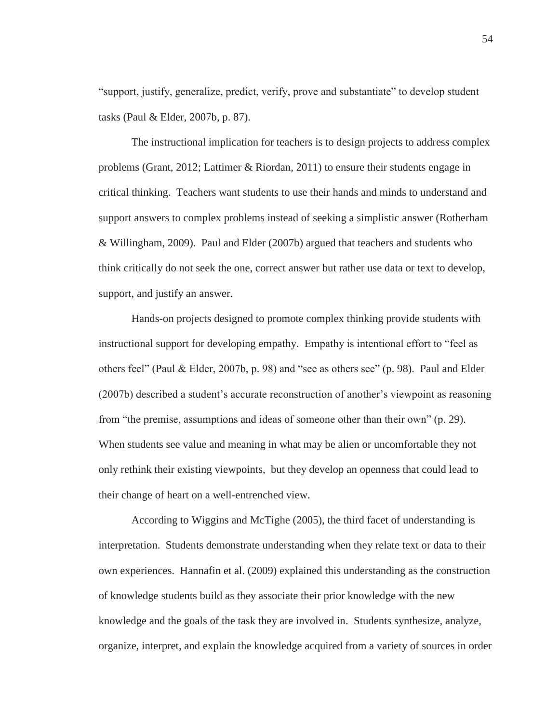"support, justify, generalize, predict, verify, prove and substantiate" to develop student tasks (Paul & Elder, 2007b, p. 87).

The instructional implication for teachers is to design projects to address complex problems (Grant, 2012; Lattimer & Riordan, 2011) to ensure their students engage in critical thinking. Teachers want students to use their hands and minds to understand and support answers to complex problems instead of seeking a simplistic answer (Rotherham & Willingham, 2009). Paul and Elder (2007b) argued that teachers and students who think critically do not seek the one, correct answer but rather use data or text to develop, support, and justify an answer.

Hands-on projects designed to promote complex thinking provide students with instructional support for developing empathy. Empathy is intentional effort to "feel as others feel" (Paul & Elder, 2007b, p. 98) and "see as others see" (p. 98). Paul and Elder (2007b) described a student's accurate reconstruction of another's viewpoint as reasoning from "the premise, assumptions and ideas of someone other than their own" (p. 29). When students see value and meaning in what may be alien or uncomfortable they not only rethink their existing viewpoints, but they develop an openness that could lead to their change of heart on a well-entrenched view.

According to Wiggins and McTighe (2005), the third facet of understanding is interpretation. Students demonstrate understanding when they relate text or data to their own experiences. Hannafin et al. (2009) explained this understanding as the construction of knowledge students build as they associate their prior knowledge with the new knowledge and the goals of the task they are involved in. Students synthesize, analyze, organize, interpret, and explain the knowledge acquired from a variety of sources in order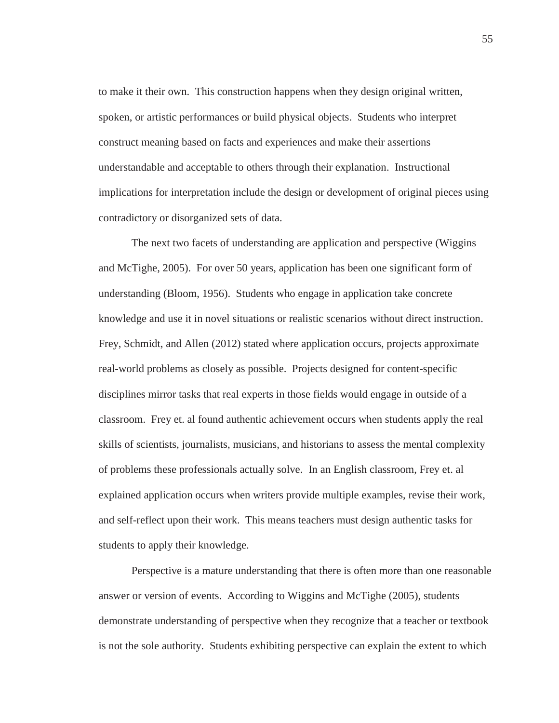to make it their own. This construction happens when they design original written, spoken, or artistic performances or build physical objects. Students who interpret construct meaning based on facts and experiences and make their assertions understandable and acceptable to others through their explanation. Instructional implications for interpretation include the design or development of original pieces using contradictory or disorganized sets of data.

The next two facets of understanding are application and perspective (Wiggins and McTighe, 2005). For over 50 years, application has been one significant form of understanding (Bloom, 1956). Students who engage in application take concrete knowledge and use it in novel situations or realistic scenarios without direct instruction. Frey, Schmidt, and Allen (2012) stated where application occurs, projects approximate real-world problems as closely as possible. Projects designed for content-specific disciplines mirror tasks that real experts in those fields would engage in outside of a classroom. Frey et. al found authentic achievement occurs when students apply the real skills of scientists, journalists, musicians, and historians to assess the mental complexity of problems these professionals actually solve. In an English classroom, Frey et. al explained application occurs when writers provide multiple examples, revise their work, and self-reflect upon their work. This means teachers must design authentic tasks for students to apply their knowledge.

Perspective is a mature understanding that there is often more than one reasonable answer or version of events. According to Wiggins and McTighe (2005), students demonstrate understanding of perspective when they recognize that a teacher or textbook is not the sole authority. Students exhibiting perspective can explain the extent to which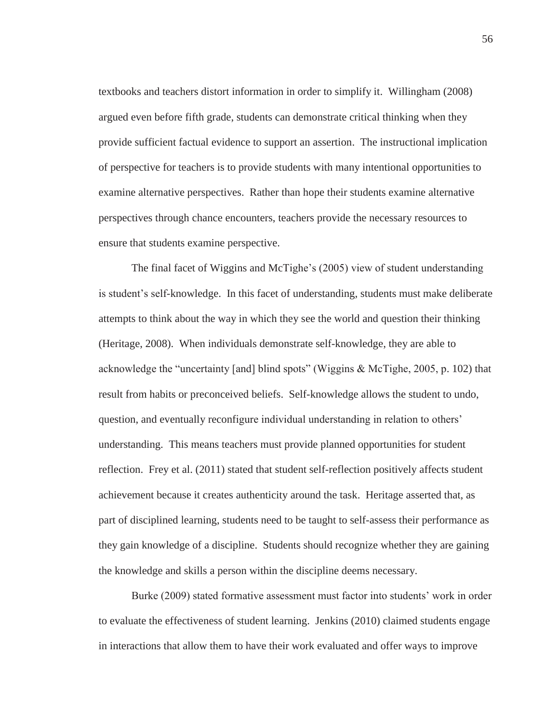textbooks and teachers distort information in order to simplify it. Willingham (2008) argued even before fifth grade, students can demonstrate critical thinking when they provide sufficient factual evidence to support an assertion. The instructional implication of perspective for teachers is to provide students with many intentional opportunities to examine alternative perspectives. Rather than hope their students examine alternative perspectives through chance encounters, teachers provide the necessary resources to ensure that students examine perspective.

The final facet of Wiggins and McTighe's (2005) view of student understanding is student's self-knowledge. In this facet of understanding, students must make deliberate attempts to think about the way in which they see the world and question their thinking (Heritage, 2008). When individuals demonstrate self-knowledge, they are able to acknowledge the "uncertainty [and] blind spots" (Wiggins & McTighe, 2005, p. 102) that result from habits or preconceived beliefs. Self-knowledge allows the student to undo, question, and eventually reconfigure individual understanding in relation to others' understanding. This means teachers must provide planned opportunities for student reflection. Frey et al. (2011) stated that student self-reflection positively affects student achievement because it creates authenticity around the task. Heritage asserted that, as part of disciplined learning, students need to be taught to self-assess their performance as they gain knowledge of a discipline. Students should recognize whether they are gaining the knowledge and skills a person within the discipline deems necessary.

Burke (2009) stated formative assessment must factor into students' work in order to evaluate the effectiveness of student learning. Jenkins (2010) claimed students engage in interactions that allow them to have their work evaluated and offer ways to improve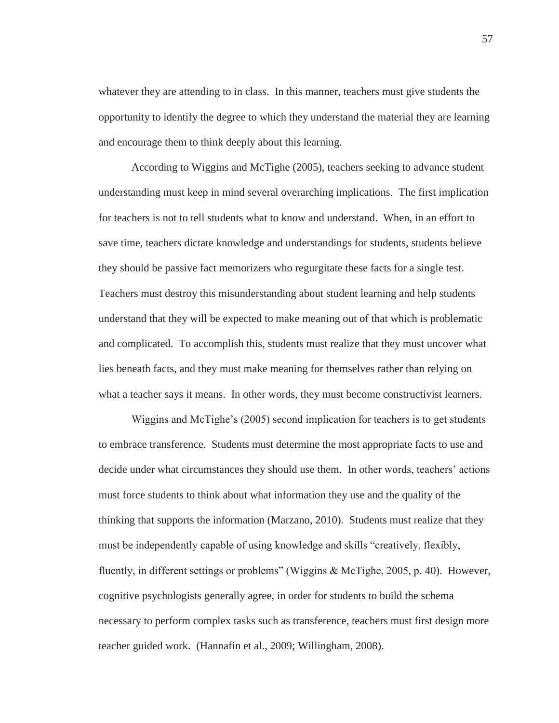whatever they are attending to in class. In this manner, teachers must give students the opportunity to identify the degree to which they understand the material they are learning and encourage them to think deeply about this learning.

According to Wiggins and McTighe (2005), teachers seeking to advance student understanding must keep in mind several overarching implications. The first implication for teachers is not to tell students what to know and understand. When, in an effort to save time, teachers dictate knowledge and understandings for students, students believe they should be passive fact memorizers who regurgitate these facts for a single test. Teachers must destroy this misunderstanding about student learning and help students understand that they will be expected to make meaning out of that which is problematic and complicated. To accomplish this, students must realize that they must uncover what lies beneath facts, and they must make meaning for themselves rather than relying on what a teacher says it means. In other words, they must become constructivist learners.

Wiggins and McTighe's (2005) second implication for teachers is to get students to embrace transference. Students must determine the most appropriate facts to use and decide under what circumstances they should use them. In other words, teachers' actions must force students to think about what information they use and the quality of the thinking that supports the information (Marzano, 2010). Students must realize that they must be independently capable of using knowledge and skills "creatively, flexibly, fluently, in different settings or problems" (Wiggins & McTighe, 2005, p. 40). However, cognitive psychologists generally agree, in order for students to build the schema necessary to perform complex tasks such as transference, teachers must first design more teacher guided work. (Hannafin et al., 2009; Willingham, 2008).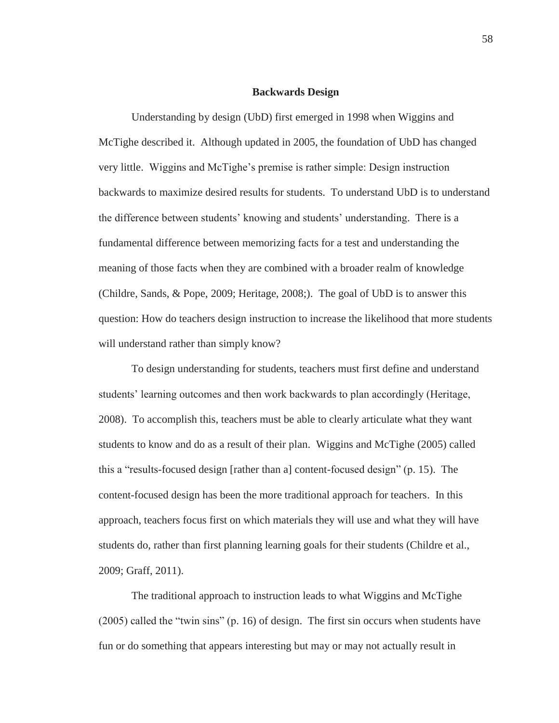### **Backwards Design**

Understanding by design (UbD) first emerged in 1998 when Wiggins and McTighe described it. Although updated in 2005, the foundation of UbD has changed very little. Wiggins and McTighe's premise is rather simple: Design instruction backwards to maximize desired results for students. To understand UbD is to understand the difference between students' knowing and students' understanding. There is a fundamental difference between memorizing facts for a test and understanding the meaning of those facts when they are combined with a broader realm of knowledge (Childre, Sands, & Pope, 2009; Heritage, 2008;). The goal of UbD is to answer this question: How do teachers design instruction to increase the likelihood that more students will understand rather than simply know?

To design understanding for students, teachers must first define and understand students' learning outcomes and then work backwards to plan accordingly (Heritage, 2008). To accomplish this, teachers must be able to clearly articulate what they want students to know and do as a result of their plan. Wiggins and McTighe (2005) called this a "results-focused design [rather than a] content-focused design" (p. 15). The content-focused design has been the more traditional approach for teachers. In this approach, teachers focus first on which materials they will use and what they will have students do, rather than first planning learning goals for their students (Childre et al., 2009; Graff, 2011).

The traditional approach to instruction leads to what Wiggins and McTighe (2005) called the "twin sins" (p. 16) of design. The first sin occurs when students have fun or do something that appears interesting but may or may not actually result in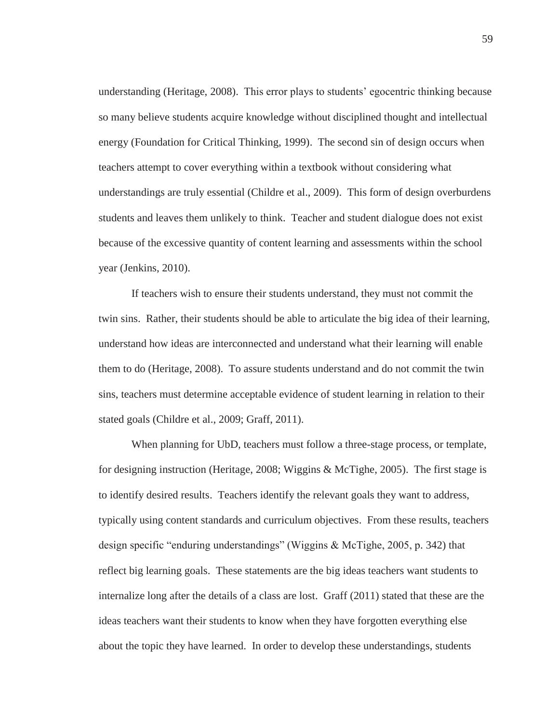understanding (Heritage, 2008). This error plays to students' egocentric thinking because so many believe students acquire knowledge without disciplined thought and intellectual energy (Foundation for Critical Thinking, 1999). The second sin of design occurs when teachers attempt to cover everything within a textbook without considering what understandings are truly essential (Childre et al., 2009). This form of design overburdens students and leaves them unlikely to think. Teacher and student dialogue does not exist because of the excessive quantity of content learning and assessments within the school year (Jenkins, 2010).

If teachers wish to ensure their students understand, they must not commit the twin sins. Rather, their students should be able to articulate the big idea of their learning, understand how ideas are interconnected and understand what their learning will enable them to do (Heritage, 2008). To assure students understand and do not commit the twin sins, teachers must determine acceptable evidence of student learning in relation to their stated goals (Childre et al., 2009; Graff, 2011).

When planning for UbD, teachers must follow a three-stage process, or template, for designing instruction (Heritage, 2008; Wiggins & McTighe, 2005). The first stage is to identify desired results. Teachers identify the relevant goals they want to address, typically using content standards and curriculum objectives. From these results, teachers design specific "enduring understandings" (Wiggins & McTighe, 2005, p. 342) that reflect big learning goals. These statements are the big ideas teachers want students to internalize long after the details of a class are lost. Graff (2011) stated that these are the ideas teachers want their students to know when they have forgotten everything else about the topic they have learned. In order to develop these understandings, students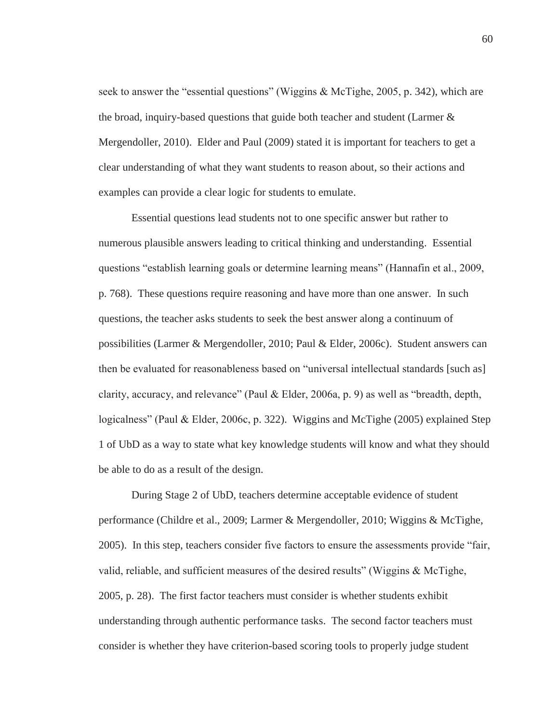seek to answer the "essential questions" (Wiggins & McTighe, 2005, p. 342), which are the broad, inquiry-based questions that guide both teacher and student (Larmer  $\&$ Mergendoller, 2010). Elder and Paul (2009) stated it is important for teachers to get a clear understanding of what they want students to reason about, so their actions and examples can provide a clear logic for students to emulate.

Essential questions lead students not to one specific answer but rather to numerous plausible answers leading to critical thinking and understanding. Essential questions "establish learning goals or determine learning means" (Hannafin et al., 2009, p. 768). These questions require reasoning and have more than one answer. In such questions, the teacher asks students to seek the best answer along a continuum of possibilities (Larmer & Mergendoller, 2010; Paul & Elder, 2006c). Student answers can then be evaluated for reasonableness based on "universal intellectual standards [such as] clarity, accuracy, and relevance" (Paul & Elder, 2006a, p. 9) as well as "breadth, depth, logicalness" (Paul & Elder, 2006c, p. 322). Wiggins and McTighe (2005) explained Step 1 of UbD as a way to state what key knowledge students will know and what they should be able to do as a result of the design.

During Stage 2 of UbD, teachers determine acceptable evidence of student performance (Childre et al., 2009; Larmer & Mergendoller, 2010; Wiggins & McTighe, 2005). In this step, teachers consider five factors to ensure the assessments provide "fair, valid, reliable, and sufficient measures of the desired results" (Wiggins  $\&$  McTighe, 2005, p. 28). The first factor teachers must consider is whether students exhibit understanding through authentic performance tasks. The second factor teachers must consider is whether they have criterion-based scoring tools to properly judge student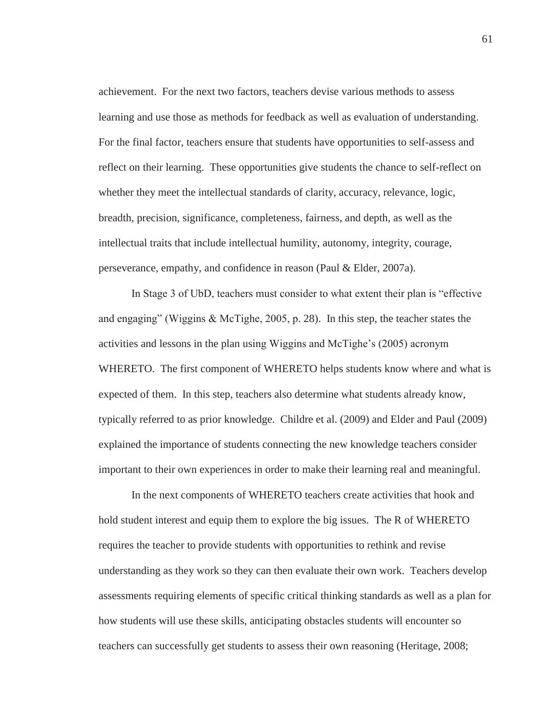achievement. For the next two factors, teachers devise various methods to assess learning and use those as methods for feedback as well as evaluation of understanding. For the final factor, teachers ensure that students have opportunities to self-assess and reflect on their learning. These opportunities give students the chance to self-reflect on whether they meet the intellectual standards of clarity, accuracy, relevance, logic, breadth, precision, significance, completeness, fairness, and depth, as well as the intellectual traits that include intellectual humility, autonomy, integrity, courage, perseverance, empathy, and confidence in reason (Paul & Elder, 2007a).

In Stage 3 of UbD, teachers must consider to what extent their plan is "effective and engaging" (Wiggins & McTighe, 2005, p. 28). In this step, the teacher states the activities and lessons in the plan using Wiggins and McTighe's (2005) acronym WHERETO. The first component of WHERETO helps students know where and what is expected of them. In this step, teachers also determine what students already know, typically referred to as prior knowledge. Childre et al. (2009) and Elder and Paul (2009) explained the importance of students connecting the new knowledge teachers consider important to their own experiences in order to make their learning real and meaningful.

In the next components of WHERETO teachers create activities that hook and hold student interest and equip them to explore the big issues. The R of WHERETO requires the teacher to provide students with opportunities to rethink and revise understanding as they work so they can then evaluate their own work. Teachers develop assessments requiring elements of specific critical thinking standards as well as a plan for how students will use these skills, anticipating obstacles students will encounter so teachers can successfully get students to assess their own reasoning (Heritage, 2008;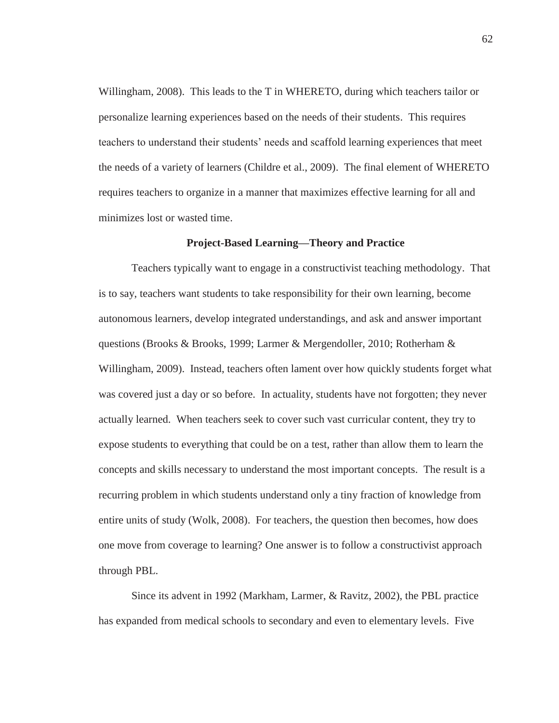Willingham, 2008). This leads to the T in WHERETO, during which teachers tailor or personalize learning experiences based on the needs of their students. This requires teachers to understand their students' needs and scaffold learning experiences that meet the needs of a variety of learners (Childre et al., 2009). The final element of WHERETO requires teachers to organize in a manner that maximizes effective learning for all and minimizes lost or wasted time.

#### **Project-Based Learning—Theory and Practice**

Teachers typically want to engage in a constructivist teaching methodology. That is to say, teachers want students to take responsibility for their own learning, become autonomous learners, develop integrated understandings, and ask and answer important questions (Brooks & Brooks, 1999; Larmer & Mergendoller, 2010; Rotherham & Willingham, 2009). Instead, teachers often lament over how quickly students forget what was covered just a day or so before. In actuality, students have not forgotten; they never actually learned. When teachers seek to cover such vast curricular content, they try to expose students to everything that could be on a test, rather than allow them to learn the concepts and skills necessary to understand the most important concepts. The result is a recurring problem in which students understand only a tiny fraction of knowledge from entire units of study (Wolk, 2008). For teachers, the question then becomes, how does one move from coverage to learning? One answer is to follow a constructivist approach through PBL.

Since its advent in 1992 (Markham, Larmer, & Ravitz, 2002), the PBL practice has expanded from medical schools to secondary and even to elementary levels. Five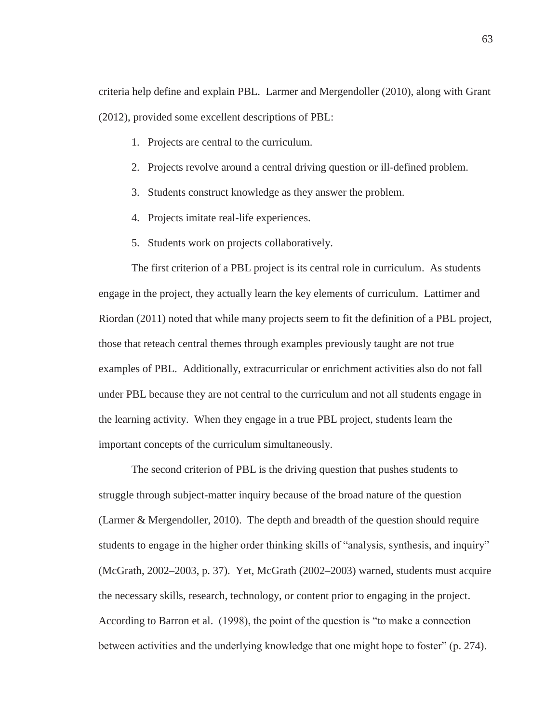criteria help define and explain PBL. Larmer and Mergendoller (2010), along with Grant (2012), provided some excellent descriptions of PBL:

- 1. Projects are central to the curriculum.
- 2. Projects revolve around a central driving question or ill-defined problem.
- 3. Students construct knowledge as they answer the problem.
- 4. Projects imitate real-life experiences.
- 5. Students work on projects collaboratively.

The first criterion of a PBL project is its central role in curriculum. As students engage in the project, they actually learn the key elements of curriculum. Lattimer and Riordan (2011) noted that while many projects seem to fit the definition of a PBL project, those that reteach central themes through examples previously taught are not true examples of PBL. Additionally, extracurricular or enrichment activities also do not fall under PBL because they are not central to the curriculum and not all students engage in the learning activity. When they engage in a true PBL project, students learn the important concepts of the curriculum simultaneously.

The second criterion of PBL is the driving question that pushes students to struggle through subject-matter inquiry because of the broad nature of the question (Larmer & Mergendoller, 2010). The depth and breadth of the question should require students to engage in the higher order thinking skills of "analysis, synthesis, and inquiry" (McGrath, 2002–2003, p. 37). Yet, McGrath (2002–2003) warned, students must acquire the necessary skills, research, technology, or content prior to engaging in the project. According to Barron et al. (1998), the point of the question is "to make a connection between activities and the underlying knowledge that one might hope to foster" (p. 274).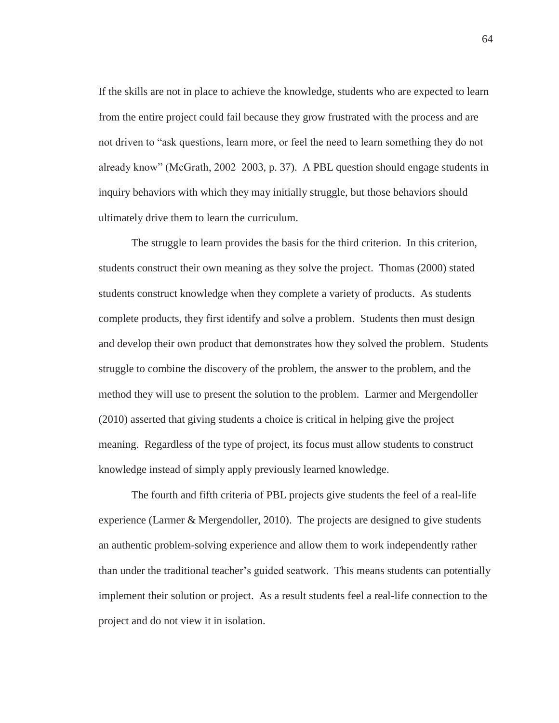If the skills are not in place to achieve the knowledge, students who are expected to learn from the entire project could fail because they grow frustrated with the process and are not driven to "ask questions, learn more, or feel the need to learn something they do not already know" (McGrath, 2002–2003, p. 37). A PBL question should engage students in inquiry behaviors with which they may initially struggle, but those behaviors should ultimately drive them to learn the curriculum.

The struggle to learn provides the basis for the third criterion. In this criterion, students construct their own meaning as they solve the project. Thomas (2000) stated students construct knowledge when they complete a variety of products. As students complete products, they first identify and solve a problem. Students then must design and develop their own product that demonstrates how they solved the problem. Students struggle to combine the discovery of the problem, the answer to the problem, and the method they will use to present the solution to the problem. Larmer and Mergendoller (2010) asserted that giving students a choice is critical in helping give the project meaning. Regardless of the type of project, its focus must allow students to construct knowledge instead of simply apply previously learned knowledge.

The fourth and fifth criteria of PBL projects give students the feel of a real-life experience (Larmer & Mergendoller, 2010). The projects are designed to give students an authentic problem-solving experience and allow them to work independently rather than under the traditional teacher's guided seatwork. This means students can potentially implement their solution or project. As a result students feel a real-life connection to the project and do not view it in isolation.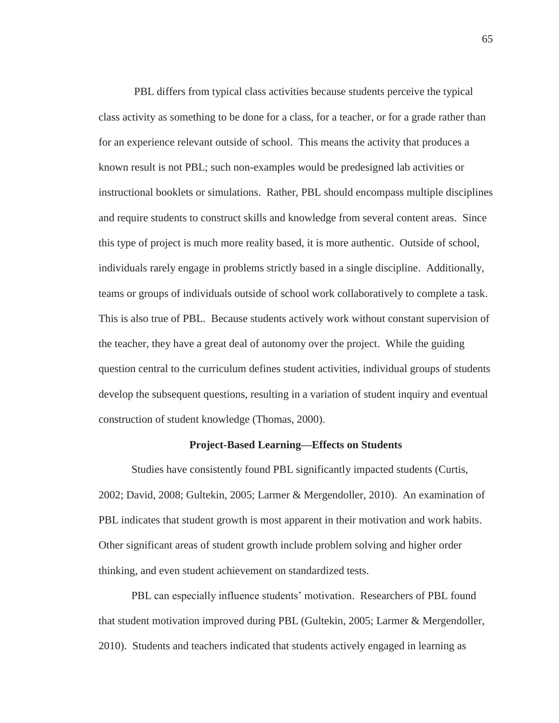PBL differs from typical class activities because students perceive the typical class activity as something to be done for a class, for a teacher, or for a grade rather than for an experience relevant outside of school. This means the activity that produces a known result is not PBL; such non-examples would be predesigned lab activities or instructional booklets or simulations. Rather, PBL should encompass multiple disciplines and require students to construct skills and knowledge from several content areas. Since this type of project is much more reality based, it is more authentic. Outside of school, individuals rarely engage in problems strictly based in a single discipline. Additionally, teams or groups of individuals outside of school work collaboratively to complete a task. This is also true of PBL. Because students actively work without constant supervision of the teacher, they have a great deal of autonomy over the project. While the guiding question central to the curriculum defines student activities, individual groups of students develop the subsequent questions, resulting in a variation of student inquiry and eventual construction of student knowledge (Thomas, 2000).

## **Project-Based Learning—Effects on Students**

Studies have consistently found PBL significantly impacted students (Curtis, 2002; David, 2008; Gultekin, 2005; Larmer & Mergendoller, 2010). An examination of PBL indicates that student growth is most apparent in their motivation and work habits. Other significant areas of student growth include problem solving and higher order thinking, and even student achievement on standardized tests.

PBL can especially influence students' motivation. Researchers of PBL found that student motivation improved during PBL (Gultekin, 2005; Larmer & Mergendoller, 2010). Students and teachers indicated that students actively engaged in learning as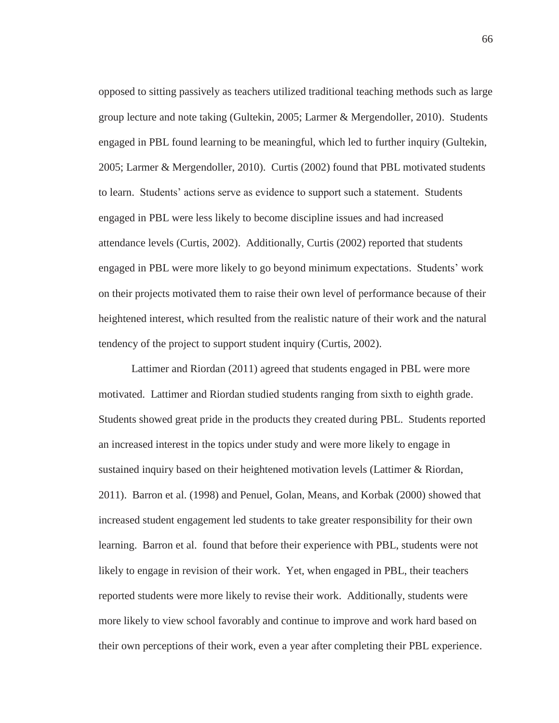opposed to sitting passively as teachers utilized traditional teaching methods such as large group lecture and note taking (Gultekin, 2005; Larmer & Mergendoller, 2010). Students engaged in PBL found learning to be meaningful, which led to further inquiry (Gultekin, 2005; Larmer & Mergendoller, 2010). Curtis (2002) found that PBL motivated students to learn. Students' actions serve as evidence to support such a statement. Students engaged in PBL were less likely to become discipline issues and had increased attendance levels (Curtis, 2002). Additionally, Curtis (2002) reported that students engaged in PBL were more likely to go beyond minimum expectations. Students' work on their projects motivated them to raise their own level of performance because of their heightened interest, which resulted from the realistic nature of their work and the natural tendency of the project to support student inquiry (Curtis, 2002).

Lattimer and Riordan (2011) agreed that students engaged in PBL were more motivated. Lattimer and Riordan studied students ranging from sixth to eighth grade. Students showed great pride in the products they created during PBL. Students reported an increased interest in the topics under study and were more likely to engage in sustained inquiry based on their heightened motivation levels (Lattimer & Riordan, 2011). Barron et al. (1998) and Penuel, Golan, Means, and Korbak (2000) showed that increased student engagement led students to take greater responsibility for their own learning. Barron et al. found that before their experience with PBL, students were not likely to engage in revision of their work. Yet, when engaged in PBL, their teachers reported students were more likely to revise their work. Additionally, students were more likely to view school favorably and continue to improve and work hard based on their own perceptions of their work, even a year after completing their PBL experience.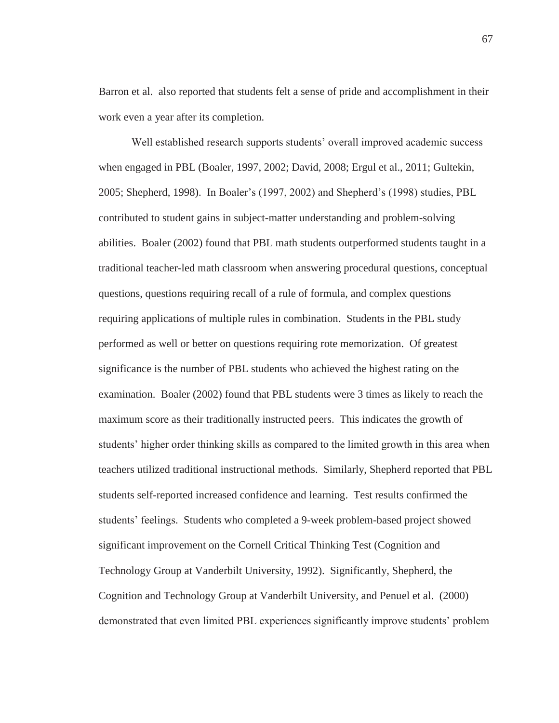Barron et al. also reported that students felt a sense of pride and accomplishment in their work even a year after its completion.

Well established research supports students' overall improved academic success when engaged in PBL (Boaler, 1997, 2002; David, 2008; Ergul et al., 2011; Gultekin, 2005; Shepherd, 1998). In Boaler's (1997, 2002) and Shepherd's (1998) studies, PBL contributed to student gains in subject-matter understanding and problem-solving abilities. Boaler (2002) found that PBL math students outperformed students taught in a traditional teacher-led math classroom when answering procedural questions, conceptual questions, questions requiring recall of a rule of formula, and complex questions requiring applications of multiple rules in combination. Students in the PBL study performed as well or better on questions requiring rote memorization. Of greatest significance is the number of PBL students who achieved the highest rating on the examination. Boaler (2002) found that PBL students were 3 times as likely to reach the maximum score as their traditionally instructed peers. This indicates the growth of students' higher order thinking skills as compared to the limited growth in this area when teachers utilized traditional instructional methods. Similarly, Shepherd reported that PBL students self-reported increased confidence and learning. Test results confirmed the students' feelings. Students who completed a 9-week problem-based project showed significant improvement on the Cornell Critical Thinking Test (Cognition and Technology Group at Vanderbilt University, 1992). Significantly, Shepherd, the Cognition and Technology Group at Vanderbilt University, and Penuel et al. (2000) demonstrated that even limited PBL experiences significantly improve students' problem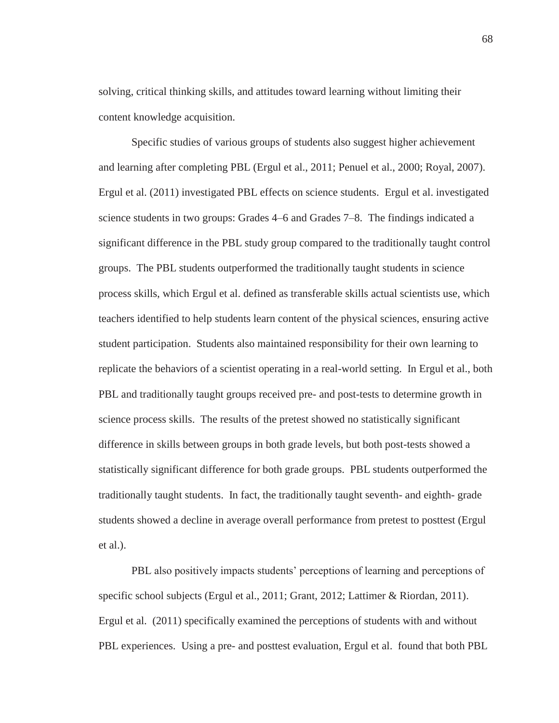solving, critical thinking skills, and attitudes toward learning without limiting their content knowledge acquisition.

Specific studies of various groups of students also suggest higher achievement and learning after completing PBL (Ergul et al., 2011; Penuel et al., 2000; Royal, 2007). Ergul et al. (2011) investigated PBL effects on science students. Ergul et al. investigated science students in two groups: Grades 4–6 and Grades 7–8. The findings indicated a significant difference in the PBL study group compared to the traditionally taught control groups. The PBL students outperformed the traditionally taught students in science process skills, which Ergul et al. defined as transferable skills actual scientists use, which teachers identified to help students learn content of the physical sciences, ensuring active student participation. Students also maintained responsibility for their own learning to replicate the behaviors of a scientist operating in a real-world setting. In Ergul et al., both PBL and traditionally taught groups received pre- and post-tests to determine growth in science process skills. The results of the pretest showed no statistically significant difference in skills between groups in both grade levels, but both post-tests showed a statistically significant difference for both grade groups. PBL students outperformed the traditionally taught students. In fact, the traditionally taught seventh- and eighth- grade students showed a decline in average overall performance from pretest to posttest (Ergul et al.).

PBL also positively impacts students' perceptions of learning and perceptions of specific school subjects (Ergul et al., 2011; Grant, 2012; Lattimer & Riordan, 2011). Ergul et al. (2011) specifically examined the perceptions of students with and without PBL experiences. Using a pre- and posttest evaluation, Ergul et al. found that both PBL

68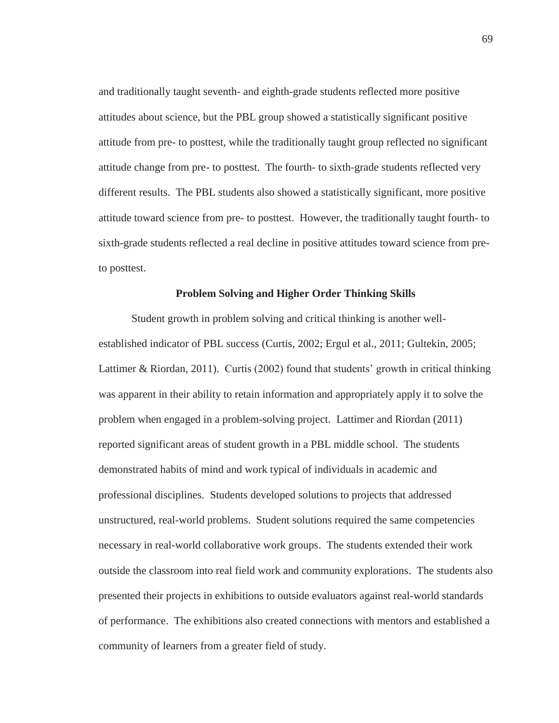and traditionally taught seventh- and eighth-grade students reflected more positive attitudes about science, but the PBL group showed a statistically significant positive attitude from pre- to posttest, while the traditionally taught group reflected no significant attitude change from pre- to posttest. The fourth- to sixth-grade students reflected very different results. The PBL students also showed a statistically significant, more positive attitude toward science from pre- to posttest. However, the traditionally taught fourth- to sixth-grade students reflected a real decline in positive attitudes toward science from preto posttest.

# **Problem Solving and Higher Order Thinking Skills**

Student growth in problem solving and critical thinking is another wellestablished indicator of PBL success (Curtis, 2002; Ergul et al., 2011; Gultekin, 2005; Lattimer & Riordan, 2011). Curtis (2002) found that students' growth in critical thinking was apparent in their ability to retain information and appropriately apply it to solve the problem when engaged in a problem-solving project. Lattimer and Riordan (2011) reported significant areas of student growth in a PBL middle school. The students demonstrated habits of mind and work typical of individuals in academic and professional disciplines. Students developed solutions to projects that addressed unstructured, real-world problems. Student solutions required the same competencies necessary in real-world collaborative work groups. The students extended their work outside the classroom into real field work and community explorations. The students also presented their projects in exhibitions to outside evaluators against real-world standards of performance. The exhibitions also created connections with mentors and established a community of learners from a greater field of study.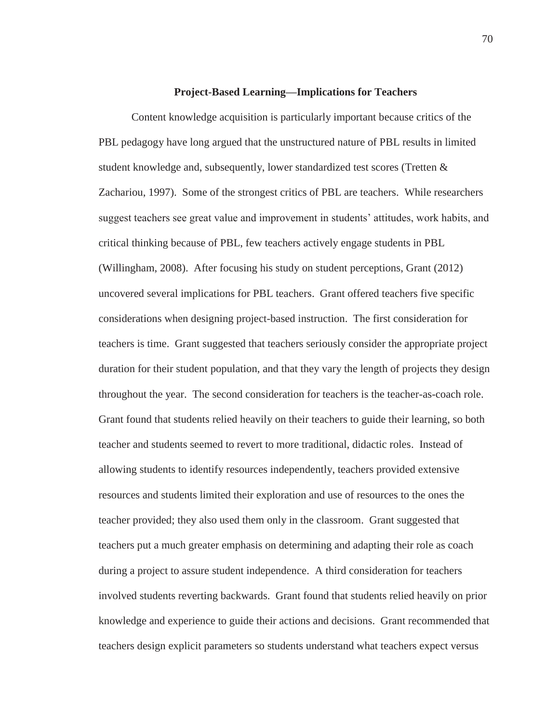## **Project-Based Learning—Implications for Teachers**

Content knowledge acquisition is particularly important because critics of the PBL pedagogy have long argued that the unstructured nature of PBL results in limited student knowledge and, subsequently, lower standardized test scores (Tretten & Zachariou, 1997). Some of the strongest critics of PBL are teachers. While researchers suggest teachers see great value and improvement in students' attitudes, work habits, and critical thinking because of PBL, few teachers actively engage students in PBL (Willingham, 2008). After focusing his study on student perceptions, Grant (2012) uncovered several implications for PBL teachers. Grant offered teachers five specific considerations when designing project-based instruction. The first consideration for teachers is time. Grant suggested that teachers seriously consider the appropriate project duration for their student population, and that they vary the length of projects they design throughout the year. The second consideration for teachers is the teacher-as-coach role. Grant found that students relied heavily on their teachers to guide their learning, so both teacher and students seemed to revert to more traditional, didactic roles. Instead of allowing students to identify resources independently, teachers provided extensive resources and students limited their exploration and use of resources to the ones the teacher provided; they also used them only in the classroom. Grant suggested that teachers put a much greater emphasis on determining and adapting their role as coach during a project to assure student independence. A third consideration for teachers involved students reverting backwards. Grant found that students relied heavily on prior knowledge and experience to guide their actions and decisions. Grant recommended that teachers design explicit parameters so students understand what teachers expect versus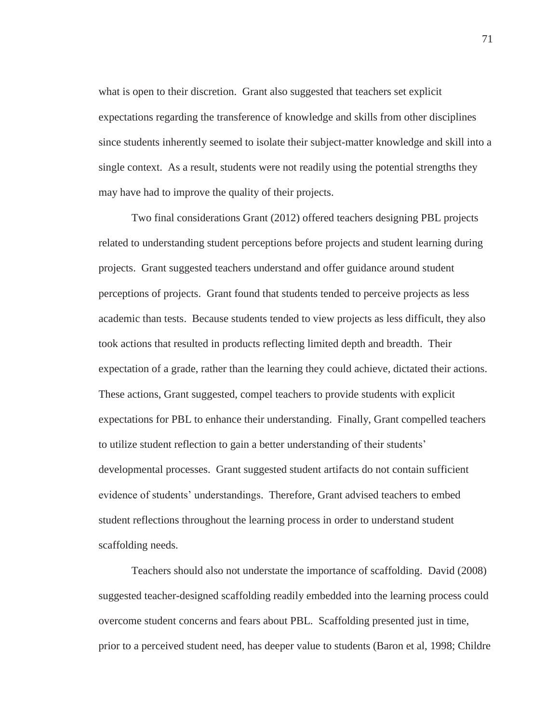what is open to their discretion. Grant also suggested that teachers set explicit expectations regarding the transference of knowledge and skills from other disciplines since students inherently seemed to isolate their subject-matter knowledge and skill into a single context. As a result, students were not readily using the potential strengths they may have had to improve the quality of their projects.

Two final considerations Grant (2012) offered teachers designing PBL projects related to understanding student perceptions before projects and student learning during projects. Grant suggested teachers understand and offer guidance around student perceptions of projects. Grant found that students tended to perceive projects as less academic than tests. Because students tended to view projects as less difficult, they also took actions that resulted in products reflecting limited depth and breadth. Their expectation of a grade, rather than the learning they could achieve, dictated their actions. These actions, Grant suggested, compel teachers to provide students with explicit expectations for PBL to enhance their understanding. Finally, Grant compelled teachers to utilize student reflection to gain a better understanding of their students' developmental processes. Grant suggested student artifacts do not contain sufficient evidence of students' understandings. Therefore, Grant advised teachers to embed student reflections throughout the learning process in order to understand student scaffolding needs.

Teachers should also not understate the importance of scaffolding. David (2008) suggested teacher-designed scaffolding readily embedded into the learning process could overcome student concerns and fears about PBL. Scaffolding presented just in time, prior to a perceived student need, has deeper value to students (Baron et al, 1998; Childre

71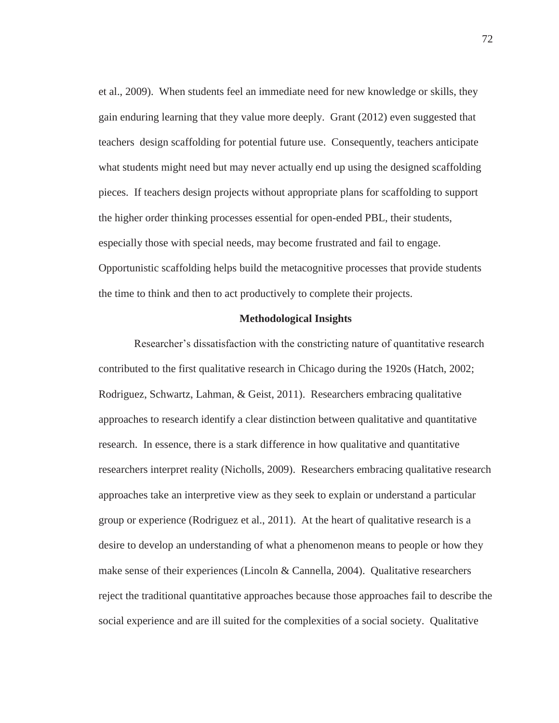et al., 2009). When students feel an immediate need for new knowledge or skills, they gain enduring learning that they value more deeply. Grant (2012) even suggested that teachers design scaffolding for potential future use. Consequently, teachers anticipate what students might need but may never actually end up using the designed scaffolding pieces. If teachers design projects without appropriate plans for scaffolding to support the higher order thinking processes essential for open-ended PBL, their students, especially those with special needs, may become frustrated and fail to engage. Opportunistic scaffolding helps build the metacognitive processes that provide students the time to think and then to act productively to complete their projects.

# **Methodological Insights**

Researcher's dissatisfaction with the constricting nature of quantitative research contributed to the first qualitative research in Chicago during the 1920s (Hatch, 2002; Rodriguez, Schwartz, Lahman, & Geist, 2011). Researchers embracing qualitative approaches to research identify a clear distinction between qualitative and quantitative research. In essence, there is a stark difference in how qualitative and quantitative researchers interpret reality (Nicholls, 2009). Researchers embracing qualitative research approaches take an interpretive view as they seek to explain or understand a particular group or experience (Rodriguez et al., 2011). At the heart of qualitative research is a desire to develop an understanding of what a phenomenon means to people or how they make sense of their experiences (Lincoln & Cannella, 2004). Qualitative researchers reject the traditional quantitative approaches because those approaches fail to describe the social experience and are ill suited for the complexities of a social society. Qualitative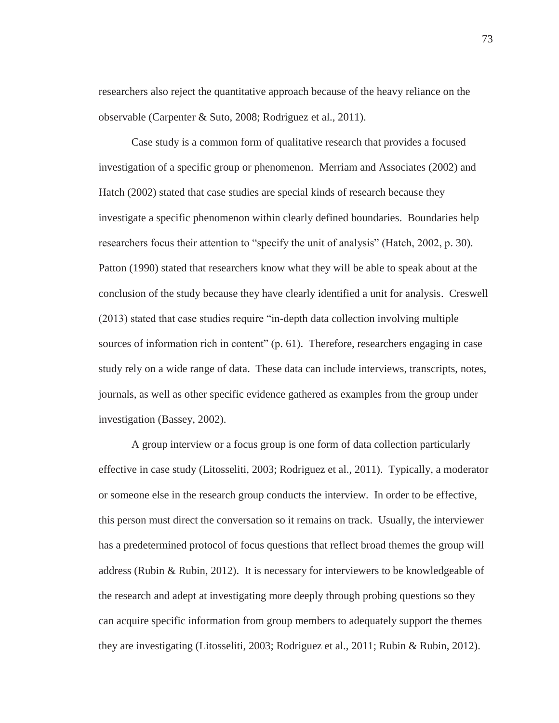researchers also reject the quantitative approach because of the heavy reliance on the observable (Carpenter & Suto, 2008; Rodriguez et al., 2011).

Case study is a common form of qualitative research that provides a focused investigation of a specific group or phenomenon. Merriam and Associates (2002) and Hatch (2002) stated that case studies are special kinds of research because they investigate a specific phenomenon within clearly defined boundaries. Boundaries help researchers focus their attention to "specify the unit of analysis" (Hatch, 2002, p. 30). Patton (1990) stated that researchers know what they will be able to speak about at the conclusion of the study because they have clearly identified a unit for analysis. Creswell (2013) stated that case studies require "in-depth data collection involving multiple sources of information rich in content" (p. 61). Therefore, researchers engaging in case study rely on a wide range of data. These data can include interviews, transcripts, notes, journals, as well as other specific evidence gathered as examples from the group under investigation (Bassey, 2002).

A group interview or a focus group is one form of data collection particularly effective in case study (Litosseliti, 2003; Rodriguez et al., 2011). Typically, a moderator or someone else in the research group conducts the interview. In order to be effective, this person must direct the conversation so it remains on track. Usually, the interviewer has a predetermined protocol of focus questions that reflect broad themes the group will address (Rubin & Rubin, 2012). It is necessary for interviewers to be knowledgeable of the research and adept at investigating more deeply through probing questions so they can acquire specific information from group members to adequately support the themes they are investigating (Litosseliti, 2003; Rodriguez et al., 2011; Rubin & Rubin, 2012).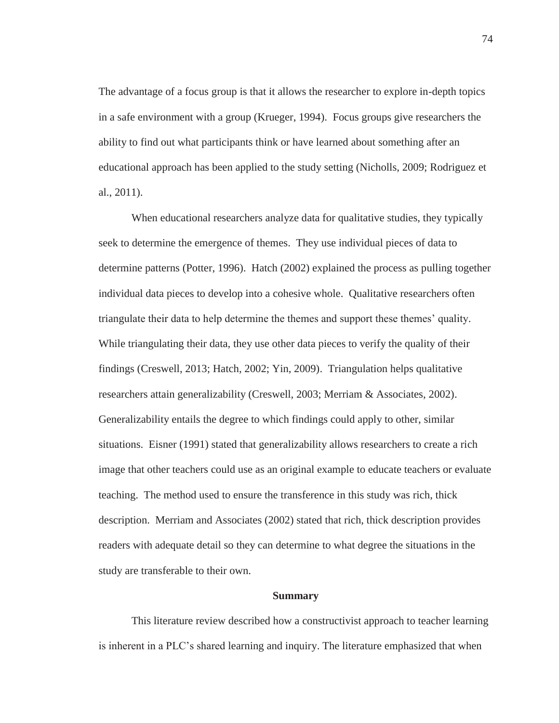The advantage of a focus group is that it allows the researcher to explore in-depth topics in a safe environment with a group (Krueger, 1994). Focus groups give researchers the ability to find out what participants think or have learned about something after an educational approach has been applied to the study setting (Nicholls, 2009; Rodriguez et al., 2011).

When educational researchers analyze data for qualitative studies, they typically seek to determine the emergence of themes. They use individual pieces of data to determine patterns (Potter, 1996). Hatch (2002) explained the process as pulling together individual data pieces to develop into a cohesive whole. Qualitative researchers often triangulate their data to help determine the themes and support these themes' quality. While triangulating their data, they use other data pieces to verify the quality of their findings (Creswell, 2013; Hatch, 2002; Yin, 2009). Triangulation helps qualitative researchers attain generalizability (Creswell, 2003; Merriam & Associates, 2002). Generalizability entails the degree to which findings could apply to other, similar situations. Eisner (1991) stated that generalizability allows researchers to create a rich image that other teachers could use as an original example to educate teachers or evaluate teaching. The method used to ensure the transference in this study was rich, thick description. Merriam and Associates (2002) stated that rich, thick description provides readers with adequate detail so they can determine to what degree the situations in the study are transferable to their own.

### **Summary**

This literature review described how a constructivist approach to teacher learning is inherent in a PLC's shared learning and inquiry. The literature emphasized that when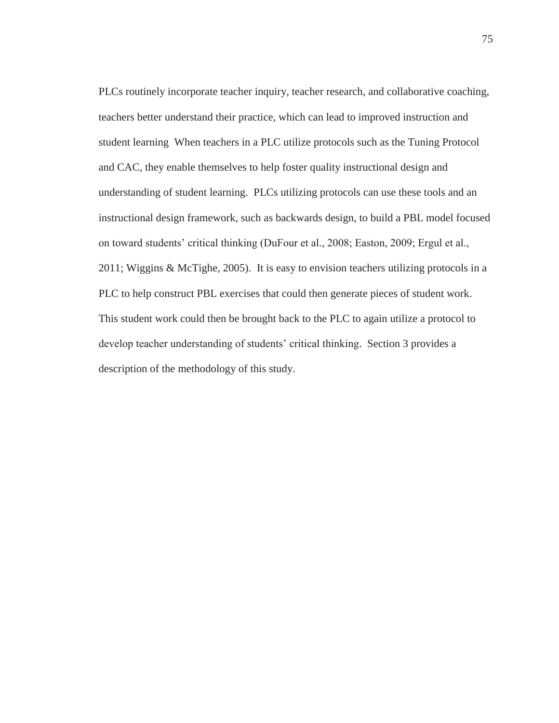PLCs routinely incorporate teacher inquiry, teacher research, and collaborative coaching, teachers better understand their practice, which can lead to improved instruction and student learning When teachers in a PLC utilize protocols such as the Tuning Protocol and CAC, they enable themselves to help foster quality instructional design and understanding of student learning. PLCs utilizing protocols can use these tools and an instructional design framework, such as backwards design, to build a PBL model focused on toward students' critical thinking (DuFour et al., 2008; Easton, 2009; Ergul et al., 2011; Wiggins & McTighe, 2005). It is easy to envision teachers utilizing protocols in a PLC to help construct PBL exercises that could then generate pieces of student work. This student work could then be brought back to the PLC to again utilize a protocol to develop teacher understanding of students' critical thinking. Section 3 provides a description of the methodology of this study.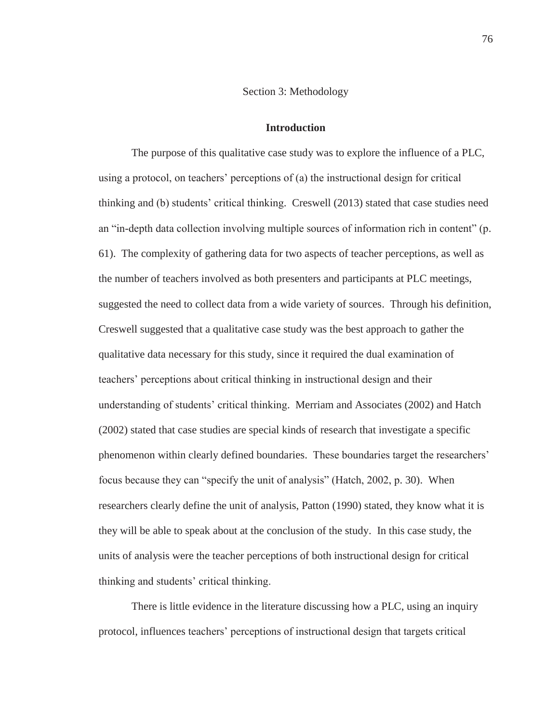#### Section 3: Methodology

### **Introduction**

The purpose of this qualitative case study was to explore the influence of a PLC, using a protocol, on teachers' perceptions of (a) the instructional design for critical thinking and (b) students' critical thinking. Creswell (2013) stated that case studies need an "in-depth data collection involving multiple sources of information rich in content" (p. 61). The complexity of gathering data for two aspects of teacher perceptions, as well as the number of teachers involved as both presenters and participants at PLC meetings, suggested the need to collect data from a wide variety of sources. Through his definition, Creswell suggested that a qualitative case study was the best approach to gather the qualitative data necessary for this study, since it required the dual examination of teachers' perceptions about critical thinking in instructional design and their understanding of students' critical thinking. Merriam and Associates (2002) and Hatch (2002) stated that case studies are special kinds of research that investigate a specific phenomenon within clearly defined boundaries. These boundaries target the researchers' focus because they can "specify the unit of analysis" (Hatch, 2002, p. 30). When researchers clearly define the unit of analysis, Patton (1990) stated, they know what it is they will be able to speak about at the conclusion of the study. In this case study, the units of analysis were the teacher perceptions of both instructional design for critical thinking and students' critical thinking.

There is little evidence in the literature discussing how a PLC, using an inquiry protocol, influences teachers' perceptions of instructional design that targets critical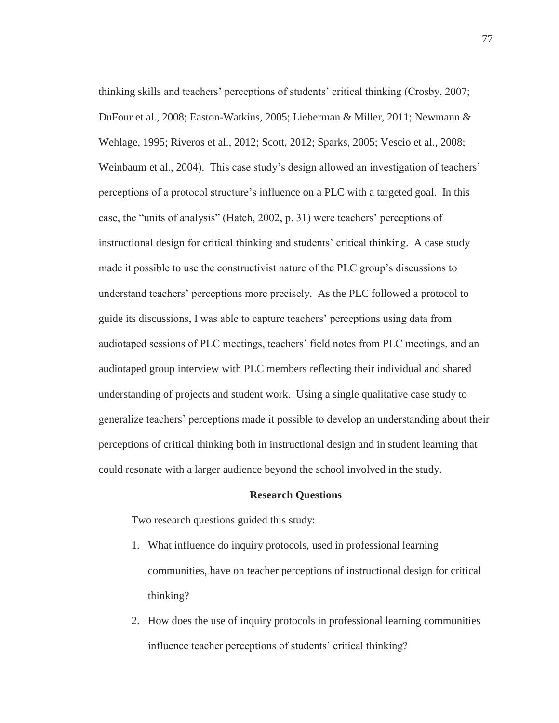thinking skills and teachers' perceptions of students' critical thinking (Crosby, 2007; DuFour et al., 2008; Easton-Watkins, 2005; Lieberman & Miller, 2011; Newmann & Wehlage, 1995; Riveros et al., 2012; Scott, 2012; Sparks, 2005; Vescio et al., 2008; Weinbaum et al., 2004). This case study's design allowed an investigation of teachers' perceptions of a protocol structure's influence on a PLC with a targeted goal. In this case, the "units of analysis" (Hatch, 2002, p. 31) were teachers' perceptions of instructional design for critical thinking and students' critical thinking. A case study made it possible to use the constructivist nature of the PLC group's discussions to understand teachers' perceptions more precisely. As the PLC followed a protocol to guide its discussions, I was able to capture teachers' perceptions using data from audiotaped sessions of PLC meetings, teachers' field notes from PLC meetings, and an audiotaped group interview with PLC members reflecting their individual and shared understanding of projects and student work. Using a single qualitative case study to generalize teachers' perceptions made it possible to develop an understanding about their perceptions of critical thinking both in instructional design and in student learning that could resonate with a larger audience beyond the school involved in the study.

### **Research Questions**

Two research questions guided this study:

- 1. What influence do inquiry protocols, used in professional learning communities, have on teacher perceptions of instructional design for critical thinking?
- 2. How does the use of inquiry protocols in professional learning communities influence teacher perceptions of students' critical thinking?

77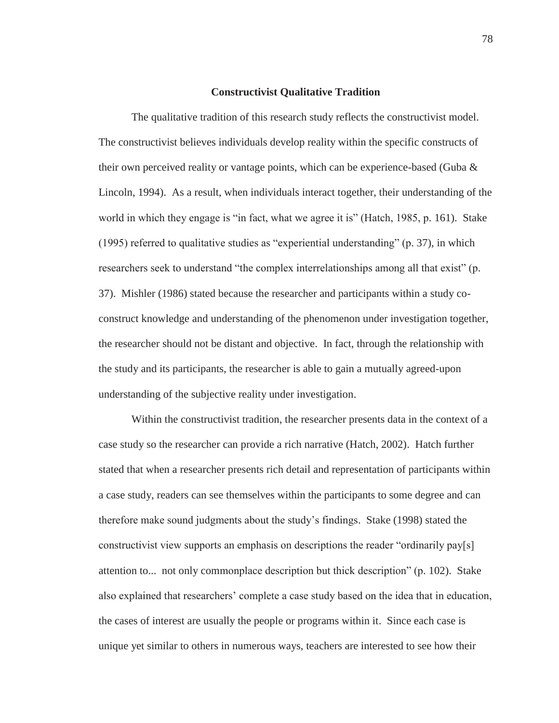## **Constructivist Qualitative Tradition**

The qualitative tradition of this research study reflects the constructivist model. The constructivist believes individuals develop reality within the specific constructs of their own perceived reality or vantage points, which can be experience-based (Guba  $\&$ Lincoln, 1994). As a result, when individuals interact together, their understanding of the world in which they engage is "in fact, what we agree it is" (Hatch, 1985, p. 161). Stake (1995) referred to qualitative studies as "experiential understanding" (p. 37), in which researchers seek to understand "the complex interrelationships among all that exist" (p. 37). Mishler (1986) stated because the researcher and participants within a study coconstruct knowledge and understanding of the phenomenon under investigation together, the researcher should not be distant and objective. In fact, through the relationship with the study and its participants, the researcher is able to gain a mutually agreed-upon understanding of the subjective reality under investigation.

Within the constructivist tradition, the researcher presents data in the context of a case study so the researcher can provide a rich narrative (Hatch, 2002). Hatch further stated that when a researcher presents rich detail and representation of participants within a case study, readers can see themselves within the participants to some degree and can therefore make sound judgments about the study's findings. Stake (1998) stated the constructivist view supports an emphasis on descriptions the reader "ordinarily pay[s] attention to... not only commonplace description but thick description" (p. 102). Stake also explained that researchers' complete a case study based on the idea that in education, the cases of interest are usually the people or programs within it. Since each case is unique yet similar to others in numerous ways, teachers are interested to see how their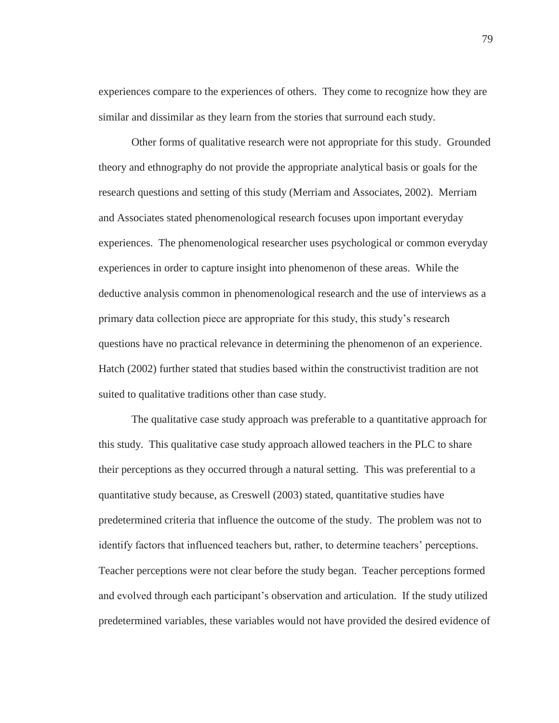experiences compare to the experiences of others. They come to recognize how they are similar and dissimilar as they learn from the stories that surround each study.

Other forms of qualitative research were not appropriate for this study. Grounded theory and ethnography do not provide the appropriate analytical basis or goals for the research questions and setting of this study (Merriam and Associates, 2002). Merriam and Associates stated phenomenological research focuses upon important everyday experiences. The phenomenological researcher uses psychological or common everyday experiences in order to capture insight into phenomenon of these areas. While the deductive analysis common in phenomenological research and the use of interviews as a primary data collection piece are appropriate for this study, this study's research questions have no practical relevance in determining the phenomenon of an experience. Hatch (2002) further stated that studies based within the constructivist tradition are not suited to qualitative traditions other than case study.

The qualitative case study approach was preferable to a quantitative approach for this study. This qualitative case study approach allowed teachers in the PLC to share their perceptions as they occurred through a natural setting. This was preferential to a quantitative study because, as Creswell (2003) stated, quantitative studies have predetermined criteria that influence the outcome of the study. The problem was not to identify factors that influenced teachers but, rather, to determine teachers' perceptions. Teacher perceptions were not clear before the study began. Teacher perceptions formed and evolved through each participant's observation and articulation. If the study utilized predetermined variables, these variables would not have provided the desired evidence of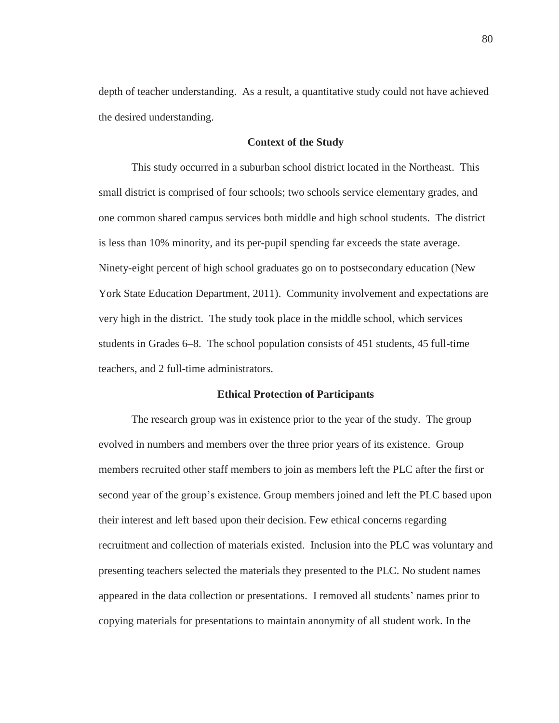depth of teacher understanding. As a result, a quantitative study could not have achieved the desired understanding.

# **Context of the Study**

This study occurred in a suburban school district located in the Northeast. This small district is comprised of four schools; two schools service elementary grades, and one common shared campus services both middle and high school students. The district is less than 10% minority, and its per-pupil spending far exceeds the state average. Ninety-eight percent of high school graduates go on to postsecondary education (New York State Education Department, 2011). Community involvement and expectations are very high in the district. The study took place in the middle school, which services students in Grades 6–8. The school population consists of 451 students, 45 full-time teachers, and 2 full-time administrators.

## **Ethical Protection of Participants**

The research group was in existence prior to the year of the study. The group evolved in numbers and members over the three prior years of its existence. Group members recruited other staff members to join as members left the PLC after the first or second year of the group's existence. Group members joined and left the PLC based upon their interest and left based upon their decision. Few ethical concerns regarding recruitment and collection of materials existed. Inclusion into the PLC was voluntary and presenting teachers selected the materials they presented to the PLC. No student names appeared in the data collection or presentations. I removed all students' names prior to copying materials for presentations to maintain anonymity of all student work. In the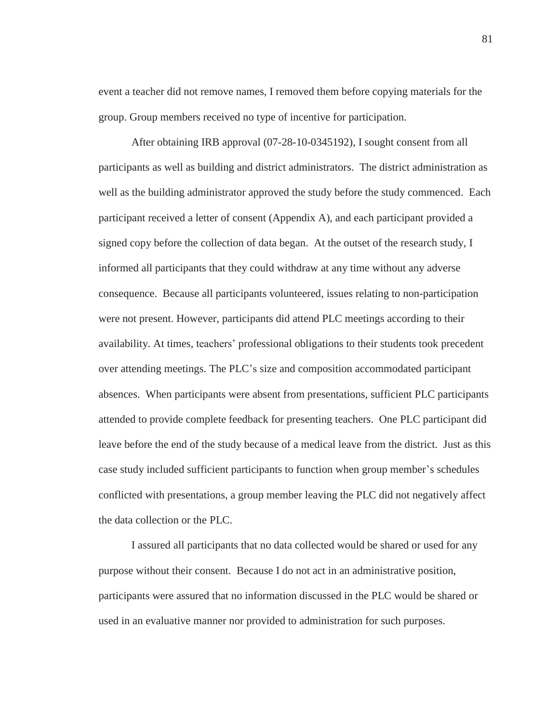event a teacher did not remove names, I removed them before copying materials for the group. Group members received no type of incentive for participation.

After obtaining IRB approval (07-28-10-0345192), I sought consent from all participants as well as building and district administrators. The district administration as well as the building administrator approved the study before the study commenced. Each participant received a letter of consent (Appendix A), and each participant provided a signed copy before the collection of data began. At the outset of the research study, I informed all participants that they could withdraw at any time without any adverse consequence. Because all participants volunteered, issues relating to non-participation were not present. However, participants did attend PLC meetings according to their availability. At times, teachers' professional obligations to their students took precedent over attending meetings. The PLC's size and composition accommodated participant absences. When participants were absent from presentations, sufficient PLC participants attended to provide complete feedback for presenting teachers. One PLC participant did leave before the end of the study because of a medical leave from the district. Just as this case study included sufficient participants to function when group member's schedules conflicted with presentations, a group member leaving the PLC did not negatively affect the data collection or the PLC.

I assured all participants that no data collected would be shared or used for any purpose without their consent. Because I do not act in an administrative position, participants were assured that no information discussed in the PLC would be shared or used in an evaluative manner nor provided to administration for such purposes.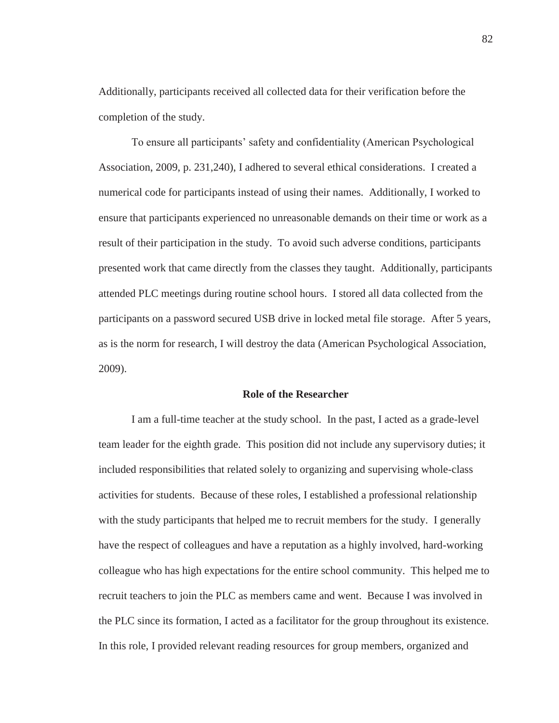Additionally, participants received all collected data for their verification before the completion of the study.

To ensure all participants' safety and confidentiality (American Psychological Association, 2009, p. 231,240), I adhered to several ethical considerations. I created a numerical code for participants instead of using their names. Additionally, I worked to ensure that participants experienced no unreasonable demands on their time or work as a result of their participation in the study. To avoid such adverse conditions, participants presented work that came directly from the classes they taught. Additionally, participants attended PLC meetings during routine school hours. I stored all data collected from the participants on a password secured USB drive in locked metal file storage. After 5 years, as is the norm for research, I will destroy the data (American Psychological Association, 2009).

## **Role of the Researcher**

I am a full-time teacher at the study school. In the past, I acted as a grade-level team leader for the eighth grade. This position did not include any supervisory duties; it included responsibilities that related solely to organizing and supervising whole-class activities for students. Because of these roles, I established a professional relationship with the study participants that helped me to recruit members for the study. I generally have the respect of colleagues and have a reputation as a highly involved, hard-working colleague who has high expectations for the entire school community. This helped me to recruit teachers to join the PLC as members came and went. Because I was involved in the PLC since its formation, I acted as a facilitator for the group throughout its existence. In this role, I provided relevant reading resources for group members, organized and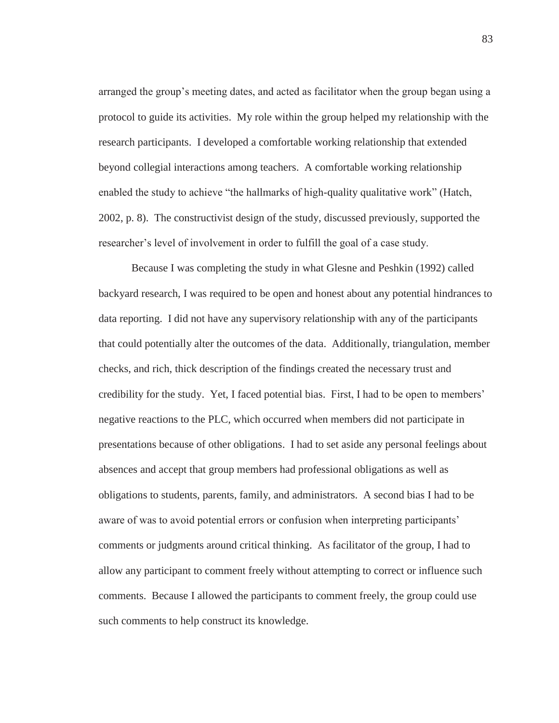arranged the group's meeting dates, and acted as facilitator when the group began using a protocol to guide its activities. My role within the group helped my relationship with the research participants. I developed a comfortable working relationship that extended beyond collegial interactions among teachers. A comfortable working relationship enabled the study to achieve "the hallmarks of high-quality qualitative work" (Hatch, 2002, p. 8). The constructivist design of the study, discussed previously, supported the researcher's level of involvement in order to fulfill the goal of a case study.

Because I was completing the study in what Glesne and Peshkin (1992) called backyard research, I was required to be open and honest about any potential hindrances to data reporting. I did not have any supervisory relationship with any of the participants that could potentially alter the outcomes of the data. Additionally, triangulation, member checks, and rich, thick description of the findings created the necessary trust and credibility for the study. Yet, I faced potential bias. First, I had to be open to members' negative reactions to the PLC, which occurred when members did not participate in presentations because of other obligations. I had to set aside any personal feelings about absences and accept that group members had professional obligations as well as obligations to students, parents, family, and administrators. A second bias I had to be aware of was to avoid potential errors or confusion when interpreting participants' comments or judgments around critical thinking. As facilitator of the group, I had to allow any participant to comment freely without attempting to correct or influence such comments. Because I allowed the participants to comment freely, the group could use such comments to help construct its knowledge.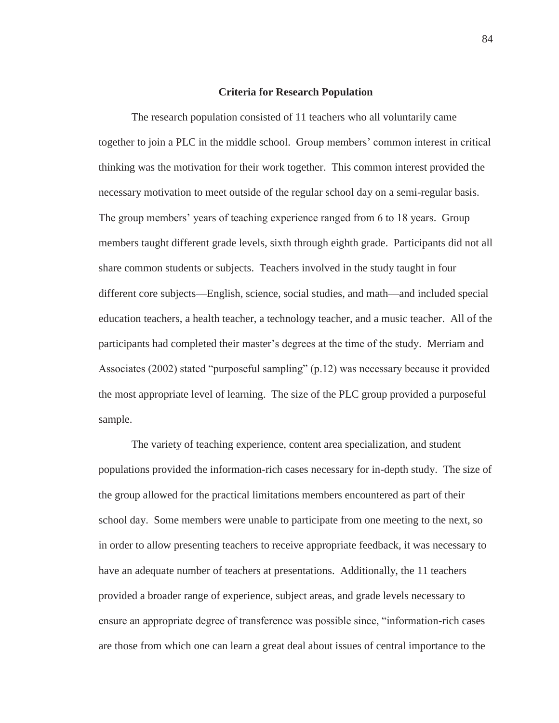## **Criteria for Research Population**

The research population consisted of 11 teachers who all voluntarily came together to join a PLC in the middle school. Group members' common interest in critical thinking was the motivation for their work together. This common interest provided the necessary motivation to meet outside of the regular school day on a semi-regular basis. The group members' years of teaching experience ranged from 6 to 18 years. Group members taught different grade levels, sixth through eighth grade. Participants did not all share common students or subjects. Teachers involved in the study taught in four different core subjects—English, science, social studies, and math—and included special education teachers, a health teacher, a technology teacher, and a music teacher. All of the participants had completed their master's degrees at the time of the study. Merriam and Associates (2002) stated "purposeful sampling" (p.12) was necessary because it provided the most appropriate level of learning. The size of the PLC group provided a purposeful sample.

The variety of teaching experience, content area specialization, and student populations provided the information-rich cases necessary for in-depth study. The size of the group allowed for the practical limitations members encountered as part of their school day. Some members were unable to participate from one meeting to the next, so in order to allow presenting teachers to receive appropriate feedback, it was necessary to have an adequate number of teachers at presentations. Additionally, the 11 teachers provided a broader range of experience, subject areas, and grade levels necessary to ensure an appropriate degree of transference was possible since, "information-rich cases are those from which one can learn a great deal about issues of central importance to the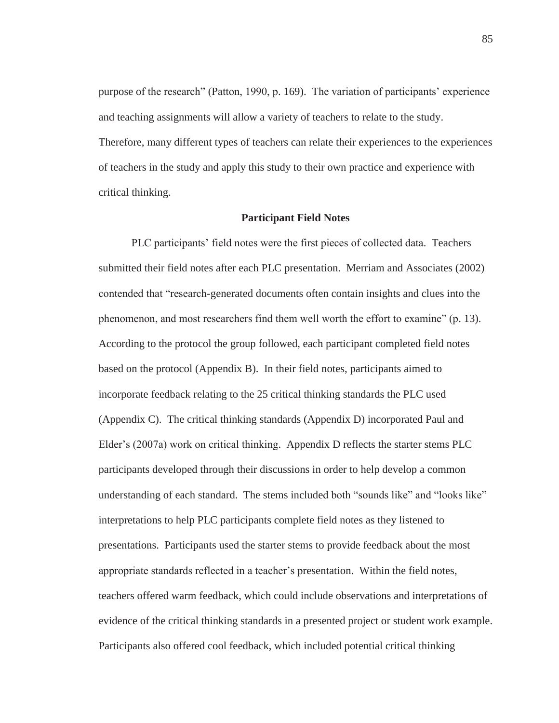purpose of the research" (Patton, 1990, p. 169). The variation of participants' experience and teaching assignments will allow a variety of teachers to relate to the study. Therefore, many different types of teachers can relate their experiences to the experiences of teachers in the study and apply this study to their own practice and experience with critical thinking.

## **Participant Field Notes**

PLC participants' field notes were the first pieces of collected data. Teachers submitted their field notes after each PLC presentation. Merriam and Associates (2002) contended that "research-generated documents often contain insights and clues into the phenomenon, and most researchers find them well worth the effort to examine" (p. 13). According to the protocol the group followed, each participant completed field notes based on the protocol (Appendix B). In their field notes, participants aimed to incorporate feedback relating to the 25 critical thinking standards the PLC used (Appendix C). The critical thinking standards (Appendix D) incorporated Paul and Elder's (2007a) work on critical thinking. Appendix D reflects the starter stems PLC participants developed through their discussions in order to help develop a common understanding of each standard. The stems included both "sounds like" and "looks like" interpretations to help PLC participants complete field notes as they listened to presentations. Participants used the starter stems to provide feedback about the most appropriate standards reflected in a teacher's presentation. Within the field notes, teachers offered warm feedback, which could include observations and interpretations of evidence of the critical thinking standards in a presented project or student work example. Participants also offered cool feedback, which included potential critical thinking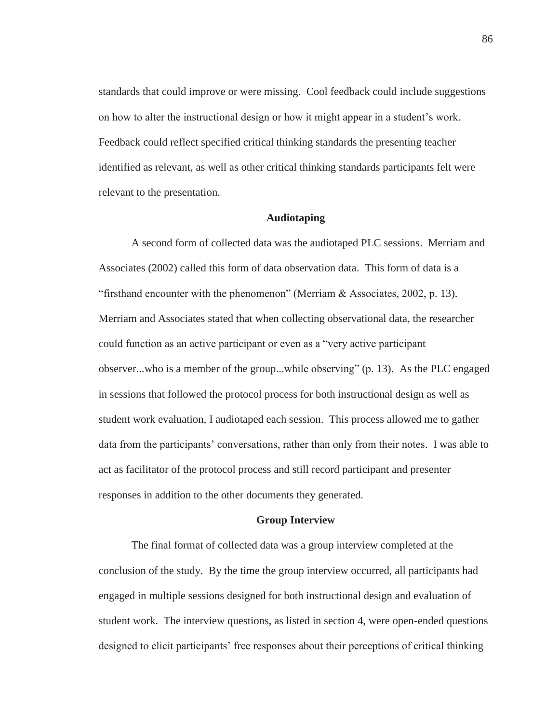standards that could improve or were missing. Cool feedback could include suggestions on how to alter the instructional design or how it might appear in a student's work. Feedback could reflect specified critical thinking standards the presenting teacher identified as relevant, as well as other critical thinking standards participants felt were relevant to the presentation.

## **Audiotaping**

A second form of collected data was the audiotaped PLC sessions. Merriam and Associates (2002) called this form of data observation data. This form of data is a "firsthand encounter with the phenomenon" (Merriam & Associates, 2002, p. 13). Merriam and Associates stated that when collecting observational data, the researcher could function as an active participant or even as a "very active participant observer...who is a member of the group...while observing" (p. 13). As the PLC engaged in sessions that followed the protocol process for both instructional design as well as student work evaluation, I audiotaped each session. This process allowed me to gather data from the participants' conversations, rather than only from their notes. I was able to act as facilitator of the protocol process and still record participant and presenter responses in addition to the other documents they generated.

#### **Group Interview**

The final format of collected data was a group interview completed at the conclusion of the study. By the time the group interview occurred, all participants had engaged in multiple sessions designed for both instructional design and evaluation of student work. The interview questions, as listed in section 4, were open-ended questions designed to elicit participants' free responses about their perceptions of critical thinking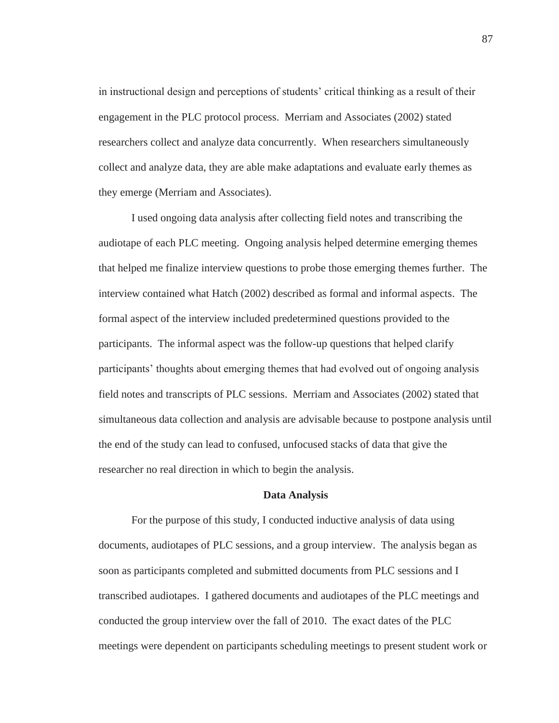in instructional design and perceptions of students' critical thinking as a result of their engagement in the PLC protocol process. Merriam and Associates (2002) stated researchers collect and analyze data concurrently. When researchers simultaneously collect and analyze data, they are able make adaptations and evaluate early themes as they emerge (Merriam and Associates).

I used ongoing data analysis after collecting field notes and transcribing the audiotape of each PLC meeting. Ongoing analysis helped determine emerging themes that helped me finalize interview questions to probe those emerging themes further. The interview contained what Hatch (2002) described as formal and informal aspects. The formal aspect of the interview included predetermined questions provided to the participants. The informal aspect was the follow-up questions that helped clarify participants' thoughts about emerging themes that had evolved out of ongoing analysis field notes and transcripts of PLC sessions. Merriam and Associates (2002) stated that simultaneous data collection and analysis are advisable because to postpone analysis until the end of the study can lead to confused, unfocused stacks of data that give the researcher no real direction in which to begin the analysis.

### **Data Analysis**

For the purpose of this study, I conducted inductive analysis of data using documents, audiotapes of PLC sessions, and a group interview. The analysis began as soon as participants completed and submitted documents from PLC sessions and I transcribed audiotapes. I gathered documents and audiotapes of the PLC meetings and conducted the group interview over the fall of 2010. The exact dates of the PLC meetings were dependent on participants scheduling meetings to present student work or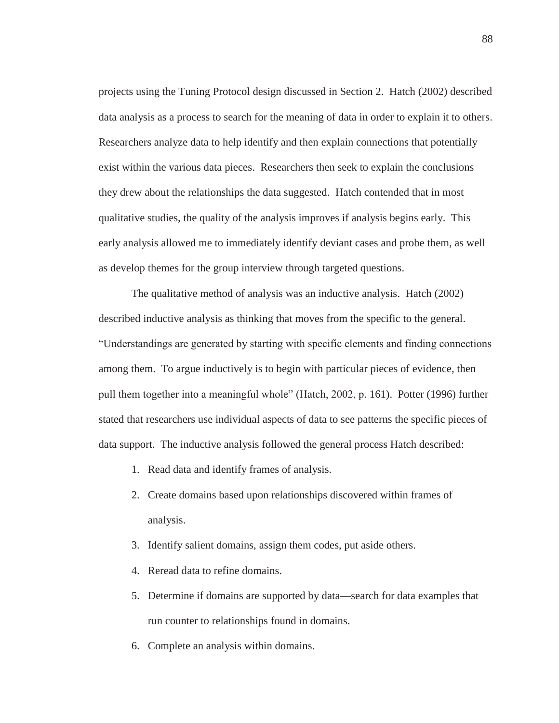projects using the Tuning Protocol design discussed in Section 2. Hatch (2002) described data analysis as a process to search for the meaning of data in order to explain it to others. Researchers analyze data to help identify and then explain connections that potentially exist within the various data pieces. Researchers then seek to explain the conclusions they drew about the relationships the data suggested. Hatch contended that in most qualitative studies, the quality of the analysis improves if analysis begins early. This early analysis allowed me to immediately identify deviant cases and probe them, as well as develop themes for the group interview through targeted questions.

 The qualitative method of analysis was an inductive analysis. Hatch (2002) described inductive analysis as thinking that moves from the specific to the general. "Understandings are generated by starting with specific elements and finding connections among them. To argue inductively is to begin with particular pieces of evidence, then pull them together into a meaningful whole" (Hatch, 2002, p. 161). Potter (1996) further stated that researchers use individual aspects of data to see patterns the specific pieces of data support. The inductive analysis followed the general process Hatch described:

- 1. Read data and identify frames of analysis.
- 2. Create domains based upon relationships discovered within frames of analysis.
- 3. Identify salient domains, assign them codes, put aside others.
- 4. Reread data to refine domains.
- 5. Determine if domains are supported by data—search for data examples that run counter to relationships found in domains.
- 6. Complete an analysis within domains.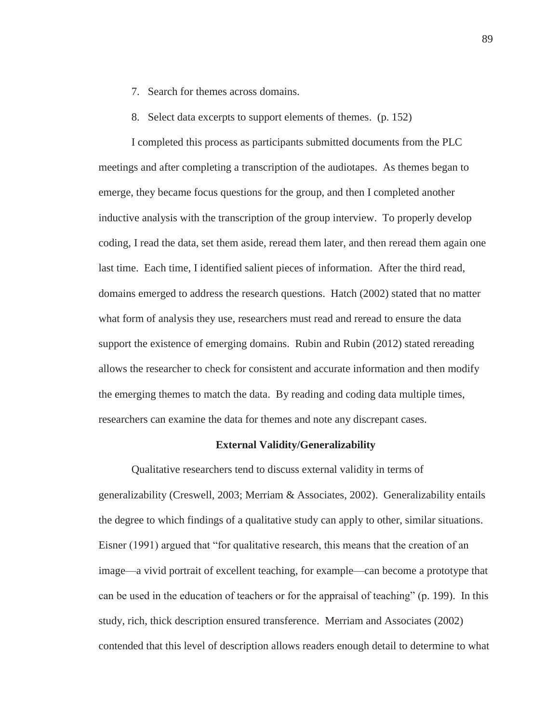- 7. Search for themes across domains.
- 8. Select data excerpts to support elements of themes. (p. 152)

I completed this process as participants submitted documents from the PLC meetings and after completing a transcription of the audiotapes. As themes began to emerge, they became focus questions for the group, and then I completed another inductive analysis with the transcription of the group interview. To properly develop coding, I read the data, set them aside, reread them later, and then reread them again one last time. Each time, I identified salient pieces of information. After the third read, domains emerged to address the research questions. Hatch (2002) stated that no matter what form of analysis they use, researchers must read and reread to ensure the data support the existence of emerging domains. Rubin and Rubin (2012) stated rereading allows the researcher to check for consistent and accurate information and then modify the emerging themes to match the data. By reading and coding data multiple times, researchers can examine the data for themes and note any discrepant cases.

## **External Validity/Generalizability**

Qualitative researchers tend to discuss external validity in terms of generalizability (Creswell, 2003; Merriam & Associates, 2002). Generalizability entails the degree to which findings of a qualitative study can apply to other, similar situations. Eisner (1991) argued that "for qualitative research, this means that the creation of an image—a vivid portrait of excellent teaching, for example—can become a prototype that can be used in the education of teachers or for the appraisal of teaching" (p. 199). In this study, rich, thick description ensured transference. Merriam and Associates (2002) contended that this level of description allows readers enough detail to determine to what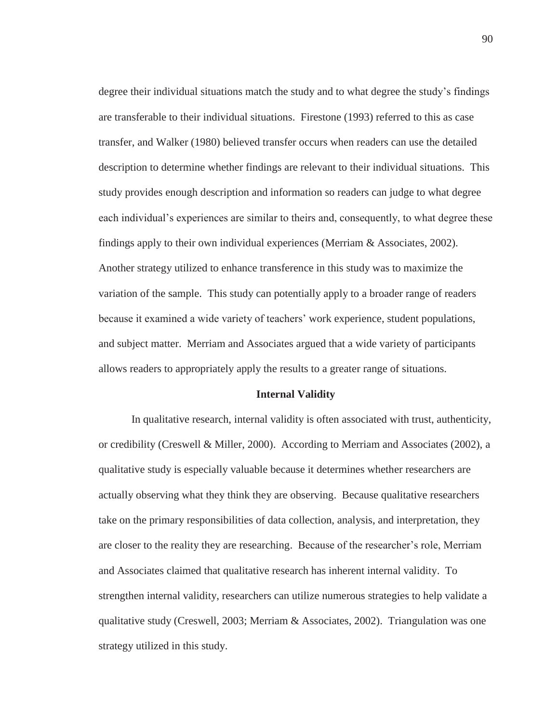degree their individual situations match the study and to what degree the study's findings are transferable to their individual situations. Firestone (1993) referred to this as case transfer, and Walker (1980) believed transfer occurs when readers can use the detailed description to determine whether findings are relevant to their individual situations. This study provides enough description and information so readers can judge to what degree each individual's experiences are similar to theirs and, consequently, to what degree these findings apply to their own individual experiences (Merriam & Associates, 2002). Another strategy utilized to enhance transference in this study was to maximize the variation of the sample. This study can potentially apply to a broader range of readers because it examined a wide variety of teachers' work experience, student populations, and subject matter. Merriam and Associates argued that a wide variety of participants allows readers to appropriately apply the results to a greater range of situations.

## **Internal Validity**

In qualitative research, internal validity is often associated with trust, authenticity, or credibility (Creswell & Miller, 2000). According to Merriam and Associates (2002), a qualitative study is especially valuable because it determines whether researchers are actually observing what they think they are observing. Because qualitative researchers take on the primary responsibilities of data collection, analysis, and interpretation, they are closer to the reality they are researching. Because of the researcher's role, Merriam and Associates claimed that qualitative research has inherent internal validity. To strengthen internal validity, researchers can utilize numerous strategies to help validate a qualitative study (Creswell, 2003; Merriam & Associates, 2002). Triangulation was one strategy utilized in this study.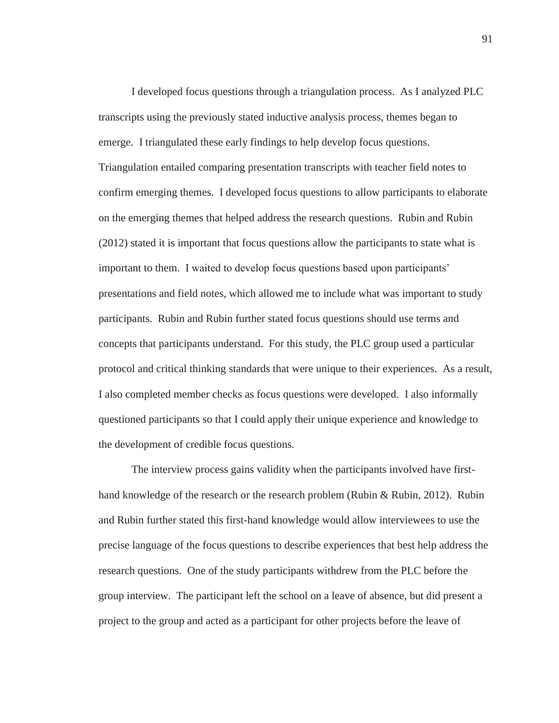I developed focus questions through a triangulation process. As I analyzed PLC transcripts using the previously stated inductive analysis process, themes began to emerge. I triangulated these early findings to help develop focus questions. Triangulation entailed comparing presentation transcripts with teacher field notes to confirm emerging themes. I developed focus questions to allow participants to elaborate on the emerging themes that helped address the research questions. Rubin and Rubin (2012) stated it is important that focus questions allow the participants to state what is important to them. I waited to develop focus questions based upon participants' presentations and field notes, which allowed me to include what was important to study participants. Rubin and Rubin further stated focus questions should use terms and concepts that participants understand. For this study, the PLC group used a particular protocol and critical thinking standards that were unique to their experiences. As a result, I also completed member checks as focus questions were developed. I also informally questioned participants so that I could apply their unique experience and knowledge to the development of credible focus questions.

 The interview process gains validity when the participants involved have firsthand knowledge of the research or the research problem (Rubin & Rubin, 2012). Rubin and Rubin further stated this first-hand knowledge would allow interviewees to use the precise language of the focus questions to describe experiences that best help address the research questions. One of the study participants withdrew from the PLC before the group interview. The participant left the school on a leave of absence, but did present a project to the group and acted as a participant for other projects before the leave of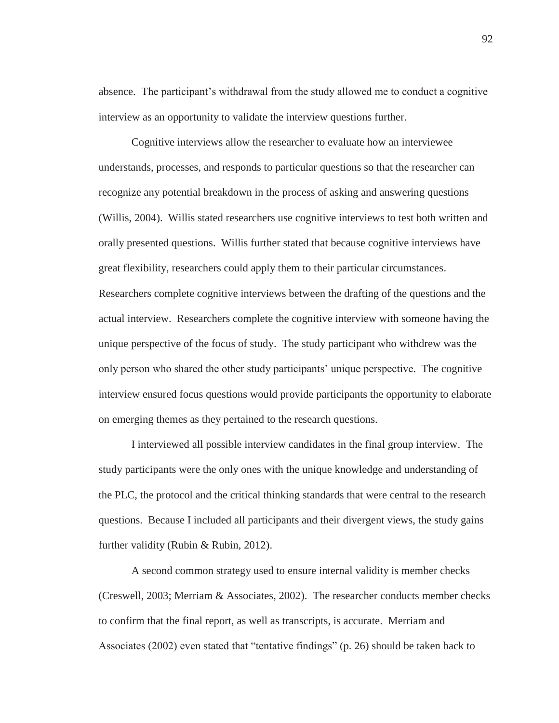absence. The participant's withdrawal from the study allowed me to conduct a cognitive interview as an opportunity to validate the interview questions further.

 Cognitive interviews allow the researcher to evaluate how an interviewee understands, processes, and responds to particular questions so that the researcher can recognize any potential breakdown in the process of asking and answering questions (Willis, 2004). Willis stated researchers use cognitive interviews to test both written and orally presented questions. Willis further stated that because cognitive interviews have great flexibility, researchers could apply them to their particular circumstances. Researchers complete cognitive interviews between the drafting of the questions and the actual interview. Researchers complete the cognitive interview with someone having the unique perspective of the focus of study. The study participant who withdrew was the only person who shared the other study participants' unique perspective. The cognitive interview ensured focus questions would provide participants the opportunity to elaborate on emerging themes as they pertained to the research questions.

 I interviewed all possible interview candidates in the final group interview. The study participants were the only ones with the unique knowledge and understanding of the PLC, the protocol and the critical thinking standards that were central to the research questions. Because I included all participants and their divergent views, the study gains further validity (Rubin & Rubin, 2012).

A second common strategy used to ensure internal validity is member checks (Creswell, 2003; Merriam & Associates, 2002). The researcher conducts member checks to confirm that the final report, as well as transcripts, is accurate. Merriam and Associates (2002) even stated that "tentative findings" (p. 26) should be taken back to

92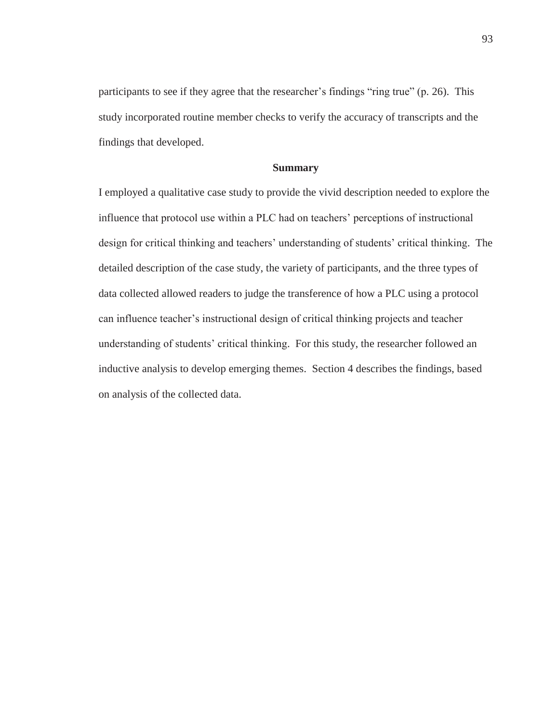participants to see if they agree that the researcher's findings "ring true" (p. 26). This study incorporated routine member checks to verify the accuracy of transcripts and the findings that developed.

# **Summary**

I employed a qualitative case study to provide the vivid description needed to explore the influence that protocol use within a PLC had on teachers' perceptions of instructional design for critical thinking and teachers' understanding of students' critical thinking. The detailed description of the case study, the variety of participants, and the three types of data collected allowed readers to judge the transference of how a PLC using a protocol can influence teacher's instructional design of critical thinking projects and teacher understanding of students' critical thinking. For this study, the researcher followed an inductive analysis to develop emerging themes. Section 4 describes the findings, based on analysis of the collected data.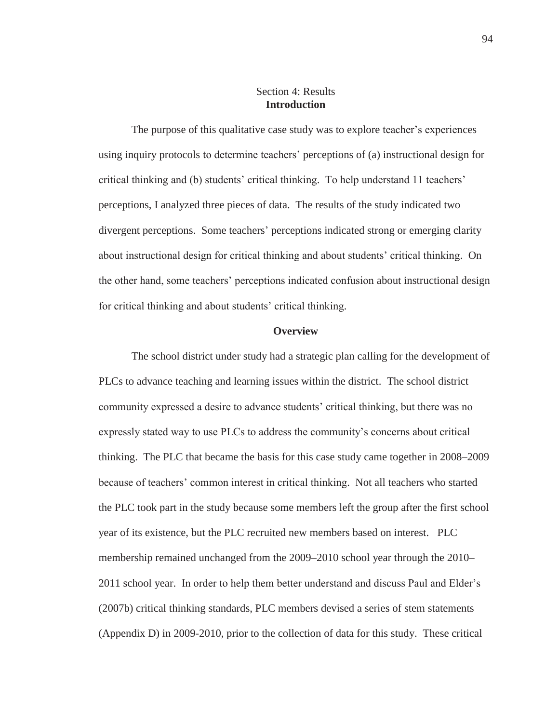# Section 4: Results **Introduction**

The purpose of this qualitative case study was to explore teacher's experiences using inquiry protocols to determine teachers' perceptions of (a) instructional design for critical thinking and (b) students' critical thinking. To help understand 11 teachers' perceptions, I analyzed three pieces of data. The results of the study indicated two divergent perceptions. Some teachers' perceptions indicated strong or emerging clarity about instructional design for critical thinking and about students' critical thinking. On the other hand, some teachers' perceptions indicated confusion about instructional design for critical thinking and about students' critical thinking.

## **Overview**

The school district under study had a strategic plan calling for the development of PLCs to advance teaching and learning issues within the district. The school district community expressed a desire to advance students' critical thinking, but there was no expressly stated way to use PLCs to address the community's concerns about critical thinking. The PLC that became the basis for this case study came together in 2008–2009 because of teachers' common interest in critical thinking. Not all teachers who started the PLC took part in the study because some members left the group after the first school year of its existence, but the PLC recruited new members based on interest. PLC membership remained unchanged from the 2009–2010 school year through the 2010– 2011 school year. In order to help them better understand and discuss Paul and Elder's (2007b) critical thinking standards, PLC members devised a series of stem statements (Appendix D) in 2009-2010, prior to the collection of data for this study. These critical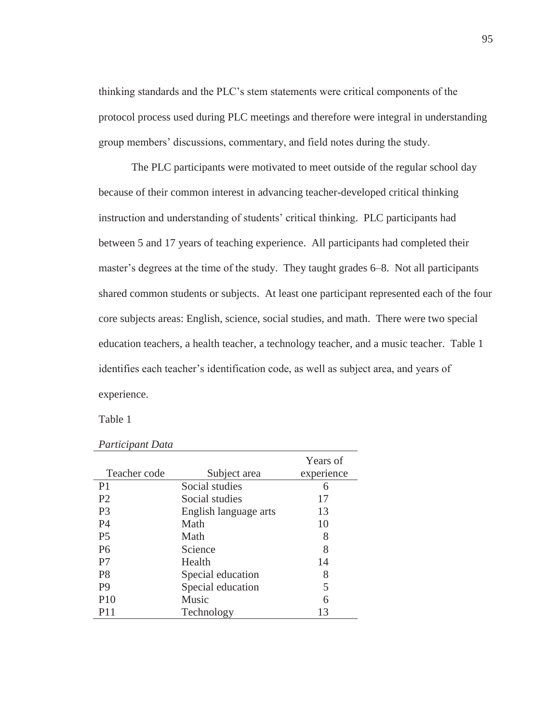thinking standards and the PLC's stem statements were critical components of the protocol process used during PLC meetings and therefore were integral in understanding group members' discussions, commentary, and field notes during the study.

The PLC participants were motivated to meet outside of the regular school day because of their common interest in advancing teacher-developed critical thinking instruction and understanding of students' critical thinking. PLC participants had between 5 and 17 years of teaching experience. All participants had completed their master's degrees at the time of the study. They taught grades 6–8. Not all participants shared common students or subjects. At least one participant represented each of the four core subjects areas: English, science, social studies, and math. There were two special education teachers, a health teacher, a technology teacher, and a music teacher. Table 1 identifies each teacher's identification code, as well as subject area, and years of experience.

Table 1

| Teacher code   | Subject area          | Years of<br>experience |
|----------------|-----------------------|------------------------|
| P <sub>1</sub> | Social studies        | 6                      |
| P <sub>2</sub> | Social studies        | 17                     |
| P3             | English language arts | 13                     |
| <b>P4</b>      | Math                  | 10                     |
| P <sub>5</sub> | Math                  | 8                      |
| P <sub>6</sub> | Science               | 8                      |
| P <sub>7</sub> | Health                | 14                     |
| P <sub>8</sub> | Special education     | 8                      |
| P <sub>9</sub> | Special education     | 5                      |
| <b>P10</b>     | <b>Music</b>          | 6                      |
| P11            | Technology            | 13                     |

*Participant Data*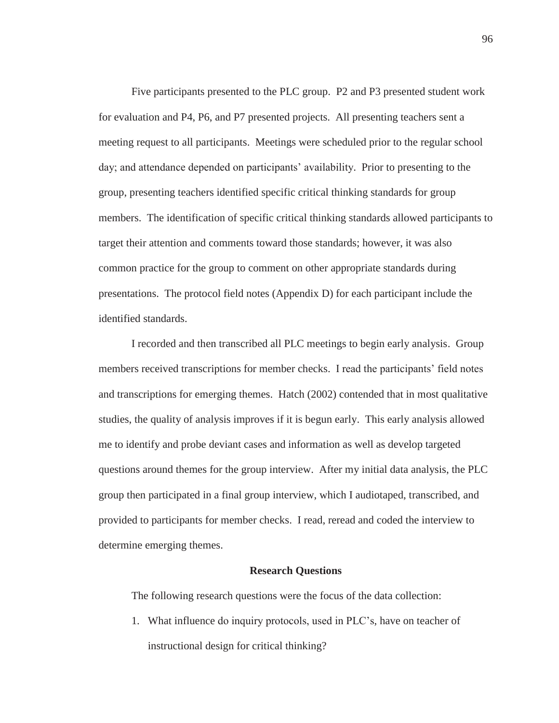Five participants presented to the PLC group. P2 and P3 presented student work for evaluation and P4, P6, and P7 presented projects. All presenting teachers sent a meeting request to all participants. Meetings were scheduled prior to the regular school day; and attendance depended on participants' availability. Prior to presenting to the group, presenting teachers identified specific critical thinking standards for group members. The identification of specific critical thinking standards allowed participants to target their attention and comments toward those standards; however, it was also common practice for the group to comment on other appropriate standards during presentations. The protocol field notes (Appendix D) for each participant include the identified standards.

I recorded and then transcribed all PLC meetings to begin early analysis. Group members received transcriptions for member checks. I read the participants' field notes and transcriptions for emerging themes. Hatch (2002) contended that in most qualitative studies, the quality of analysis improves if it is begun early. This early analysis allowed me to identify and probe deviant cases and information as well as develop targeted questions around themes for the group interview. After my initial data analysis, the PLC group then participated in a final group interview, which I audiotaped, transcribed, and provided to participants for member checks. I read, reread and coded the interview to determine emerging themes.

#### **Research Questions**

The following research questions were the focus of the data collection:

1. What influence do inquiry protocols, used in PLC's, have on teacher of instructional design for critical thinking?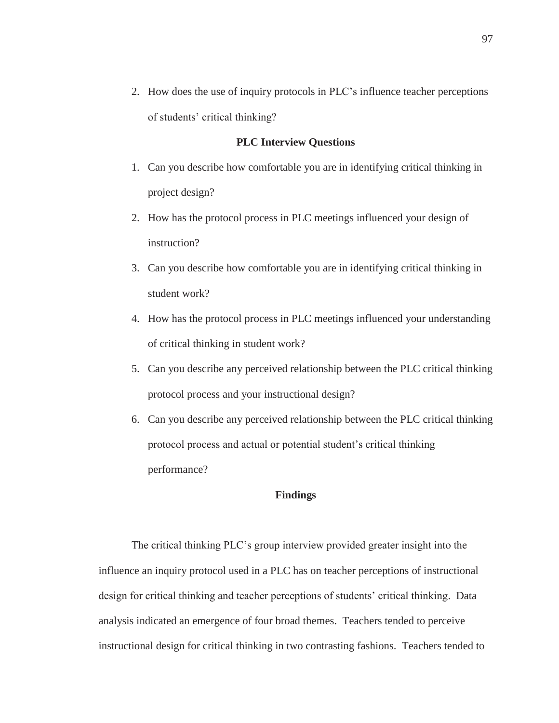2. How does the use of inquiry protocols in PLC's influence teacher perceptions of students' critical thinking?

### **PLC Interview Questions**

- 1. Can you describe how comfortable you are in identifying critical thinking in project design?
- 2. How has the protocol process in PLC meetings influenced your design of instruction?
- 3. Can you describe how comfortable you are in identifying critical thinking in student work?
- 4. How has the protocol process in PLC meetings influenced your understanding of critical thinking in student work?
- 5. Can you describe any perceived relationship between the PLC critical thinking protocol process and your instructional design?
- 6. Can you describe any perceived relationship between the PLC critical thinking protocol process and actual or potential student's critical thinking performance?

### **Findings**

The critical thinking PLC's group interview provided greater insight into the influence an inquiry protocol used in a PLC has on teacher perceptions of instructional design for critical thinking and teacher perceptions of students' critical thinking. Data analysis indicated an emergence of four broad themes. Teachers tended to perceive instructional design for critical thinking in two contrasting fashions. Teachers tended to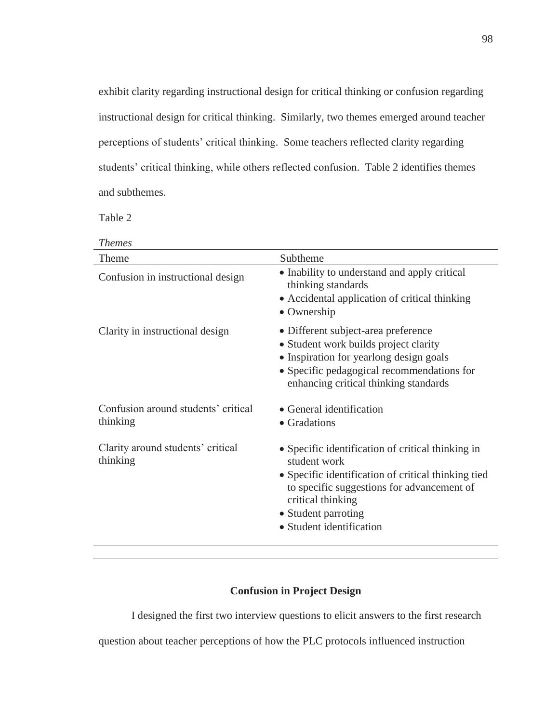exhibit clarity regarding instructional design for critical thinking or confusion regarding instructional design for critical thinking. Similarly, two themes emerged around teacher perceptions of students' critical thinking. Some teachers reflected clarity regarding students' critical thinking, while others reflected confusion. Table 2 identifies themes and subthemes.

Table 2

| <i>Themes</i>                                   |                                                                                                                                                                                                                                                |
|-------------------------------------------------|------------------------------------------------------------------------------------------------------------------------------------------------------------------------------------------------------------------------------------------------|
| Theme                                           | Subtheme                                                                                                                                                                                                                                       |
| Confusion in instructional design               | • Inability to understand and apply critical<br>thinking standards<br>• Accidental application of critical thinking<br>• Ownership                                                                                                             |
| Clarity in instructional design                 | • Different subject-area preference<br>• Student work builds project clarity<br>• Inspiration for yearlong design goals<br>• Specific pedagogical recommendations for<br>enhancing critical thinking standards                                 |
| Confusion around students' critical<br>thinking | • General identification<br>• Gradations                                                                                                                                                                                                       |
| Clarity around students' critical<br>thinking   | • Specific identification of critical thinking in<br>student work<br>• Specific identification of critical thinking tied<br>to specific suggestions for advancement of<br>critical thinking<br>• Student parroting<br>• Student identification |

### **Confusion in Project Design**

I designed the first two interview questions to elicit answers to the first research

question about teacher perceptions of how the PLC protocols influenced instruction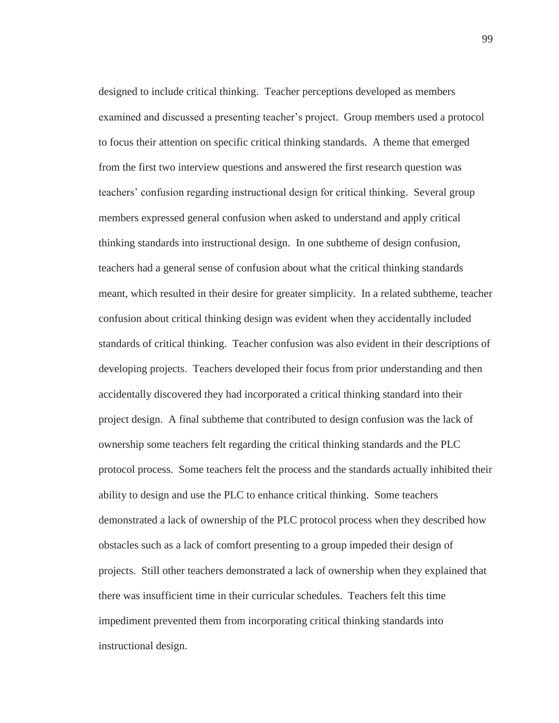designed to include critical thinking. Teacher perceptions developed as members examined and discussed a presenting teacher's project. Group members used a protocol to focus their attention on specific critical thinking standards. A theme that emerged from the first two interview questions and answered the first research question was teachers' confusion regarding instructional design for critical thinking. Several group members expressed general confusion when asked to understand and apply critical thinking standards into instructional design. In one subtheme of design confusion, teachers had a general sense of confusion about what the critical thinking standards meant, which resulted in their desire for greater simplicity. In a related subtheme, teacher confusion about critical thinking design was evident when they accidentally included standards of critical thinking. Teacher confusion was also evident in their descriptions of developing projects. Teachers developed their focus from prior understanding and then accidentally discovered they had incorporated a critical thinking standard into their project design. A final subtheme that contributed to design confusion was the lack of ownership some teachers felt regarding the critical thinking standards and the PLC protocol process. Some teachers felt the process and the standards actually inhibited their ability to design and use the PLC to enhance critical thinking. Some teachers demonstrated a lack of ownership of the PLC protocol process when they described how obstacles such as a lack of comfort presenting to a group impeded their design of projects. Still other teachers demonstrated a lack of ownership when they explained that there was insufficient time in their curricular schedules. Teachers felt this time impediment prevented them from incorporating critical thinking standards into instructional design.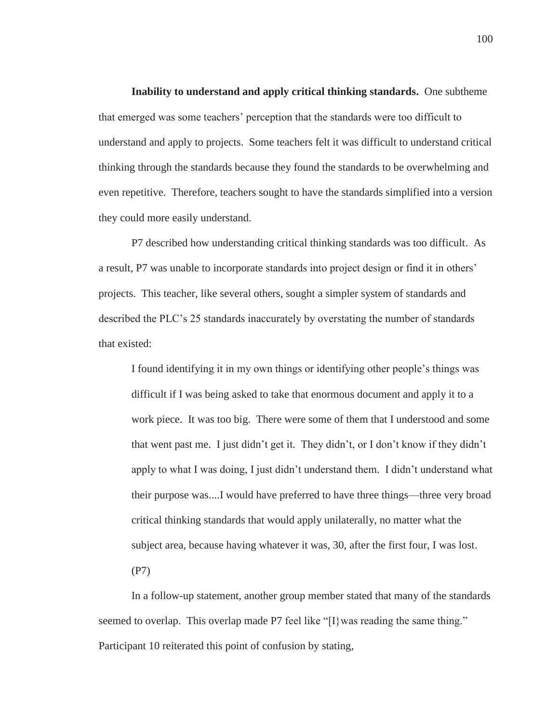**Inability to understand and apply critical thinking standards.** One subtheme that emerged was some teachers' perception that the standards were too difficult to understand and apply to projects. Some teachers felt it was difficult to understand critical thinking through the standards because they found the standards to be overwhelming and even repetitive. Therefore, teachers sought to have the standards simplified into a version they could more easily understand.

P7 described how understanding critical thinking standards was too difficult. As a result, P7 was unable to incorporate standards into project design or find it in others' projects. This teacher, like several others, sought a simpler system of standards and described the PLC's 25 standards inaccurately by overstating the number of standards that existed:

I found identifying it in my own things or identifying other people's things was difficult if I was being asked to take that enormous document and apply it to a work piece. It was too big. There were some of them that I understood and some that went past me. I just didn't get it. They didn't, or I don't know if they didn't apply to what I was doing, I just didn't understand them. I didn't understand what their purpose was....I would have preferred to have three things—three very broad critical thinking standards that would apply unilaterally, no matter what the subject area, because having whatever it was, 30, after the first four, I was lost.

(P7)

In a follow-up statement, another group member stated that many of the standards seemed to overlap. This overlap made P7 feel like "[I] was reading the same thing." Participant 10 reiterated this point of confusion by stating,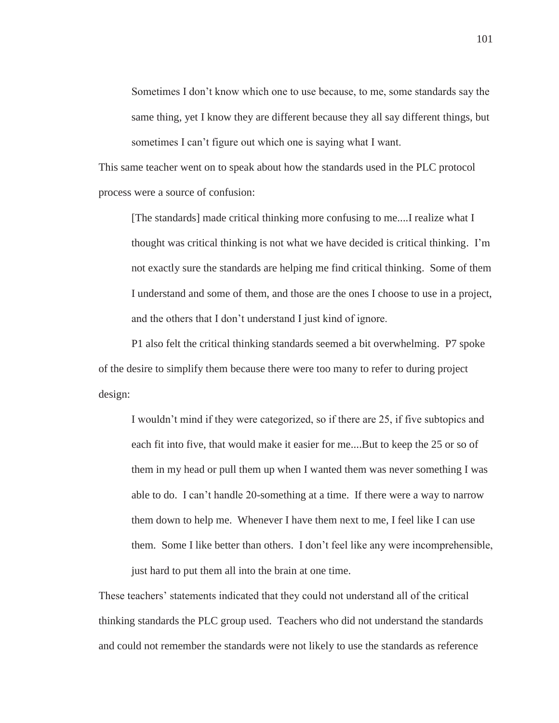Sometimes I don't know which one to use because, to me, some standards say the same thing, yet I know they are different because they all say different things, but sometimes I can't figure out which one is saying what I want.

This same teacher went on to speak about how the standards used in the PLC protocol process were a source of confusion:

[The standards] made critical thinking more confusing to me....I realize what I thought was critical thinking is not what we have decided is critical thinking. I'm not exactly sure the standards are helping me find critical thinking. Some of them I understand and some of them, and those are the ones I choose to use in a project, and the others that I don't understand I just kind of ignore.

P1 also felt the critical thinking standards seemed a bit overwhelming. P7 spoke of the desire to simplify them because there were too many to refer to during project design:

I wouldn't mind if they were categorized, so if there are 25, if five subtopics and each fit into five, that would make it easier for me....But to keep the 25 or so of them in my head or pull them up when I wanted them was never something I was able to do. I can't handle 20-something at a time. If there were a way to narrow them down to help me. Whenever I have them next to me, I feel like I can use them. Some I like better than others. I don't feel like any were incomprehensible, just hard to put them all into the brain at one time.

These teachers' statements indicated that they could not understand all of the critical thinking standards the PLC group used. Teachers who did not understand the standards and could not remember the standards were not likely to use the standards as reference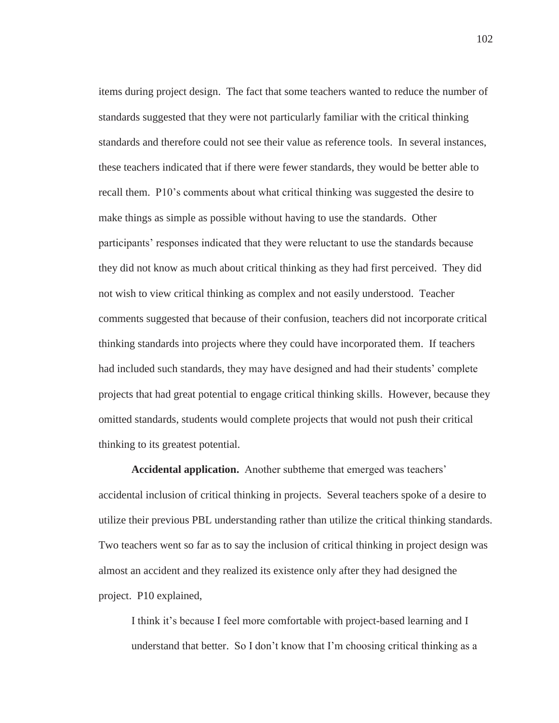items during project design. The fact that some teachers wanted to reduce the number of standards suggested that they were not particularly familiar with the critical thinking standards and therefore could not see their value as reference tools. In several instances, these teachers indicated that if there were fewer standards, they would be better able to recall them. P10's comments about what critical thinking was suggested the desire to make things as simple as possible without having to use the standards. Other participants' responses indicated that they were reluctant to use the standards because they did not know as much about critical thinking as they had first perceived. They did not wish to view critical thinking as complex and not easily understood. Teacher comments suggested that because of their confusion, teachers did not incorporate critical thinking standards into projects where they could have incorporated them. If teachers had included such standards, they may have designed and had their students' complete projects that had great potential to engage critical thinking skills. However, because they omitted standards, students would complete projects that would not push their critical thinking to its greatest potential.

**Accidental application.** Another subtheme that emerged was teachers' accidental inclusion of critical thinking in projects. Several teachers spoke of a desire to utilize their previous PBL understanding rather than utilize the critical thinking standards. Two teachers went so far as to say the inclusion of critical thinking in project design was almost an accident and they realized its existence only after they had designed the project. P10 explained,

I think it's because I feel more comfortable with project-based learning and I understand that better. So I don't know that I'm choosing critical thinking as a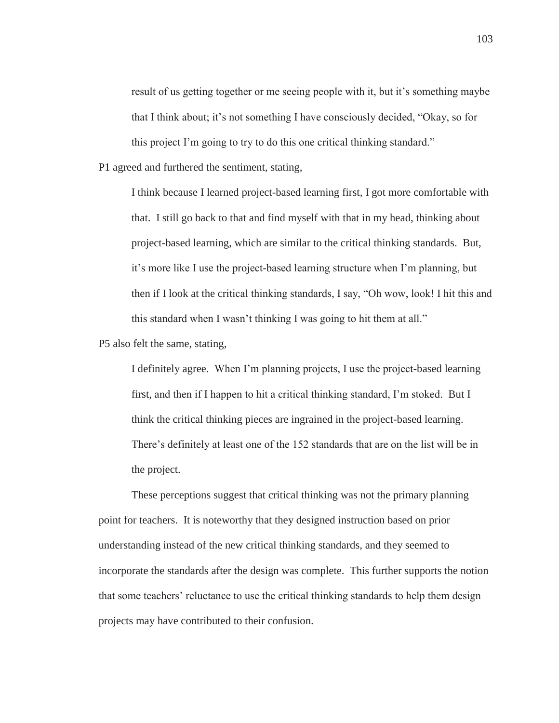result of us getting together or me seeing people with it, but it's something maybe that I think about; it's not something I have consciously decided, "Okay, so for this project I'm going to try to do this one critical thinking standard."

P1 agreed and furthered the sentiment, stating,

I think because I learned project-based learning first, I got more comfortable with that. I still go back to that and find myself with that in my head, thinking about project-based learning, which are similar to the critical thinking standards. But, it's more like I use the project-based learning structure when I'm planning, but then if I look at the critical thinking standards, I say, "Oh wow, look! I hit this and this standard when I wasn't thinking I was going to hit them at all."

P5 also felt the same, stating,

I definitely agree. When I'm planning projects, I use the project-based learning first, and then if I happen to hit a critical thinking standard, I'm stoked. But I think the critical thinking pieces are ingrained in the project-based learning. There's definitely at least one of the 152 standards that are on the list will be in the project.

These perceptions suggest that critical thinking was not the primary planning point for teachers. It is noteworthy that they designed instruction based on prior understanding instead of the new critical thinking standards, and they seemed to incorporate the standards after the design was complete. This further supports the notion that some teachers' reluctance to use the critical thinking standards to help them design projects may have contributed to their confusion.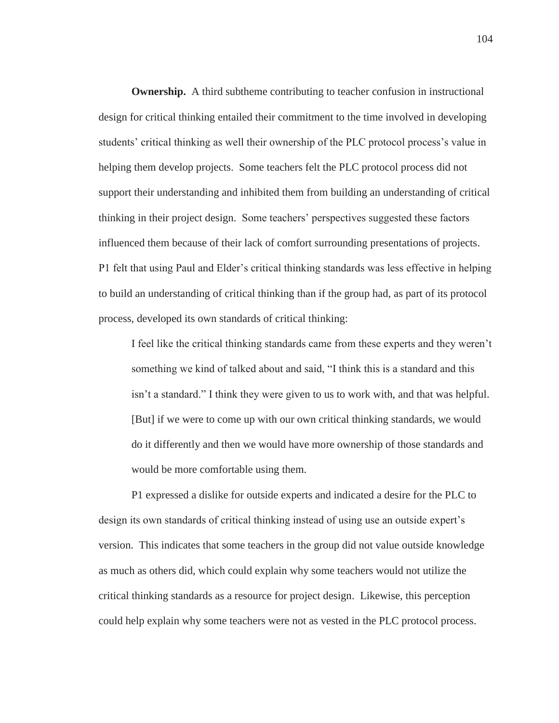**Ownership.** A third subtheme contributing to teacher confusion in instructional design for critical thinking entailed their commitment to the time involved in developing students' critical thinking as well their ownership of the PLC protocol process's value in helping them develop projects. Some teachers felt the PLC protocol process did not support their understanding and inhibited them from building an understanding of critical thinking in their project design. Some teachers' perspectives suggested these factors influenced them because of their lack of comfort surrounding presentations of projects. P1 felt that using Paul and Elder's critical thinking standards was less effective in helping to build an understanding of critical thinking than if the group had, as part of its protocol process, developed its own standards of critical thinking:

I feel like the critical thinking standards came from these experts and they weren't something we kind of talked about and said, "I think this is a standard and this isn't a standard." I think they were given to us to work with, and that was helpful. [But] if we were to come up with our own critical thinking standards, we would do it differently and then we would have more ownership of those standards and would be more comfortable using them.

P1 expressed a dislike for outside experts and indicated a desire for the PLC to design its own standards of critical thinking instead of using use an outside expert's version. This indicates that some teachers in the group did not value outside knowledge as much as others did, which could explain why some teachers would not utilize the critical thinking standards as a resource for project design. Likewise, this perception could help explain why some teachers were not as vested in the PLC protocol process.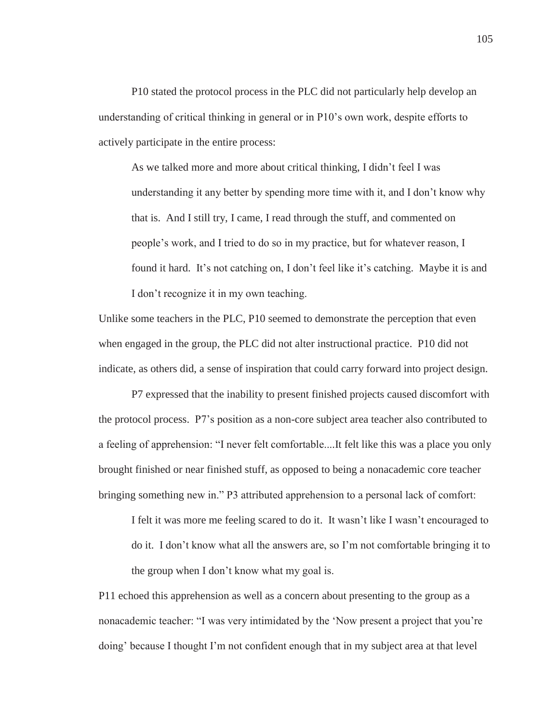P10 stated the protocol process in the PLC did not particularly help develop an understanding of critical thinking in general or in P10's own work, despite efforts to actively participate in the entire process:

As we talked more and more about critical thinking, I didn't feel I was understanding it any better by spending more time with it, and I don't know why that is. And I still try, I came, I read through the stuff, and commented on people's work, and I tried to do so in my practice, but for whatever reason, I found it hard. It's not catching on, I don't feel like it's catching. Maybe it is and I don't recognize it in my own teaching.

Unlike some teachers in the PLC, P10 seemed to demonstrate the perception that even when engaged in the group, the PLC did not alter instructional practice. P10 did not indicate, as others did, a sense of inspiration that could carry forward into project design.

P7 expressed that the inability to present finished projects caused discomfort with the protocol process. P7's position as a non-core subject area teacher also contributed to a feeling of apprehension: "I never felt comfortable....It felt like this was a place you only brought finished or near finished stuff, as opposed to being a nonacademic core teacher bringing something new in." P3 attributed apprehension to a personal lack of comfort:

I felt it was more me feeling scared to do it. It wasn't like I wasn't encouraged to do it. I don't know what all the answers are, so I'm not comfortable bringing it to the group when I don't know what my goal is.

P11 echoed this apprehension as well as a concern about presenting to the group as a nonacademic teacher: "I was very intimidated by the 'Now present a project that you're doing' because I thought I'm not confident enough that in my subject area at that level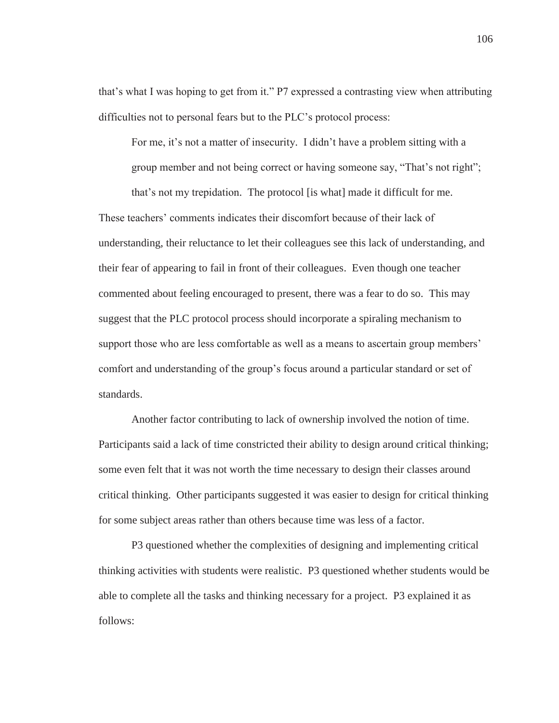that's what I was hoping to get from it." P7 expressed a contrasting view when attributing difficulties not to personal fears but to the PLC's protocol process:

For me, it's not a matter of insecurity. I didn't have a problem sitting with a group member and not being correct or having someone say, "That's not right";

that's not my trepidation. The protocol [is what] made it difficult for me. These teachers' comments indicates their discomfort because of their lack of understanding, their reluctance to let their colleagues see this lack of understanding, and their fear of appearing to fail in front of their colleagues. Even though one teacher commented about feeling encouraged to present, there was a fear to do so. This may suggest that the PLC protocol process should incorporate a spiraling mechanism to support those who are less comfortable as well as a means to ascertain group members' comfort and understanding of the group's focus around a particular standard or set of standards.

Another factor contributing to lack of ownership involved the notion of time. Participants said a lack of time constricted their ability to design around critical thinking; some even felt that it was not worth the time necessary to design their classes around critical thinking. Other participants suggested it was easier to design for critical thinking for some subject areas rather than others because time was less of a factor.

P3 questioned whether the complexities of designing and implementing critical thinking activities with students were realistic. P3 questioned whether students would be able to complete all the tasks and thinking necessary for a project. P3 explained it as follows: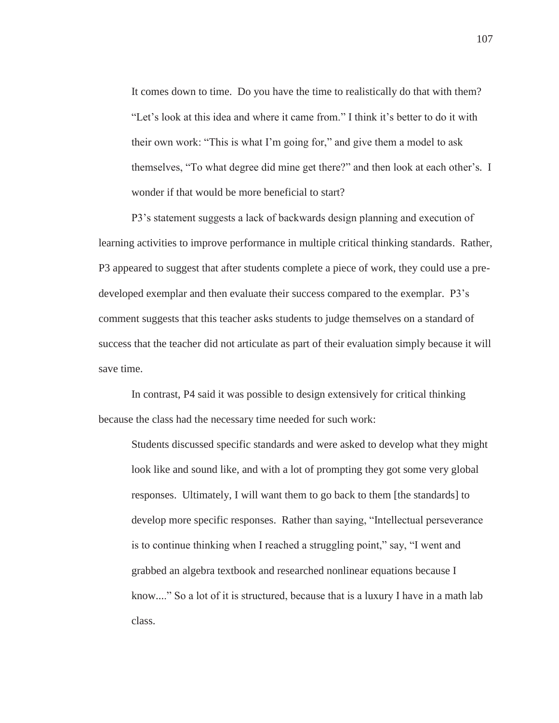It comes down to time. Do you have the time to realistically do that with them? "Let's look at this idea and where it came from." I think it's better to do it with their own work: "This is what I'm going for," and give them a model to ask themselves, "To what degree did mine get there?" and then look at each other's. I wonder if that would be more beneficial to start?

P3's statement suggests a lack of backwards design planning and execution of learning activities to improve performance in multiple critical thinking standards. Rather, P3 appeared to suggest that after students complete a piece of work, they could use a predeveloped exemplar and then evaluate their success compared to the exemplar. P3's comment suggests that this teacher asks students to judge themselves on a standard of success that the teacher did not articulate as part of their evaluation simply because it will save time.

In contrast, P4 said it was possible to design extensively for critical thinking because the class had the necessary time needed for such work:

Students discussed specific standards and were asked to develop what they might look like and sound like, and with a lot of prompting they got some very global responses. Ultimately, I will want them to go back to them [the standards] to develop more specific responses. Rather than saying, "Intellectual perseverance is to continue thinking when I reached a struggling point," say, "I went and grabbed an algebra textbook and researched nonlinear equations because I know...." So a lot of it is structured, because that is a luxury I have in a math lab class.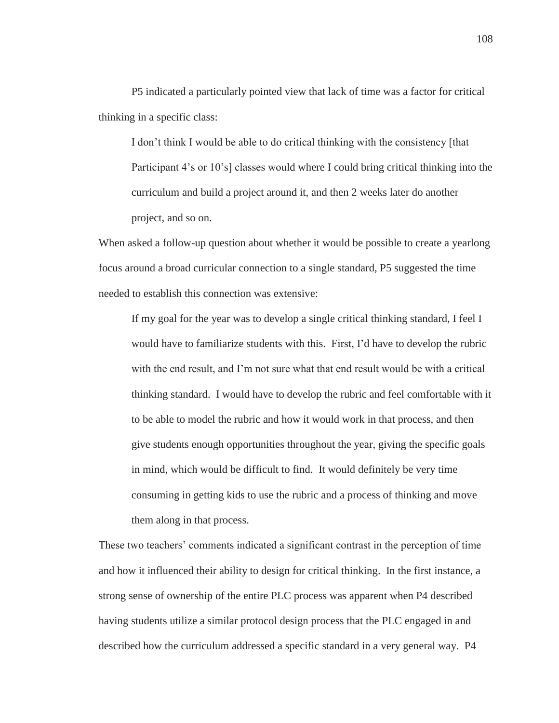P5 indicated a particularly pointed view that lack of time was a factor for critical thinking in a specific class:

I don't think I would be able to do critical thinking with the consistency [that Participant 4's or 10's] classes would where I could bring critical thinking into the curriculum and build a project around it, and then 2 weeks later do another project, and so on.

When asked a follow-up question about whether it would be possible to create a yearlong focus around a broad curricular connection to a single standard, P5 suggested the time needed to establish this connection was extensive:

If my goal for the year was to develop a single critical thinking standard, I feel I would have to familiarize students with this. First, I'd have to develop the rubric with the end result, and I'm not sure what that end result would be with a critical thinking standard. I would have to develop the rubric and feel comfortable with it to be able to model the rubric and how it would work in that process, and then give students enough opportunities throughout the year, giving the specific goals in mind, which would be difficult to find. It would definitely be very time consuming in getting kids to use the rubric and a process of thinking and move them along in that process.

These two teachers' comments indicated a significant contrast in the perception of time and how it influenced their ability to design for critical thinking. In the first instance, a strong sense of ownership of the entire PLC process was apparent when P4 described having students utilize a similar protocol design process that the PLC engaged in and described how the curriculum addressed a specific standard in a very general way. P4

108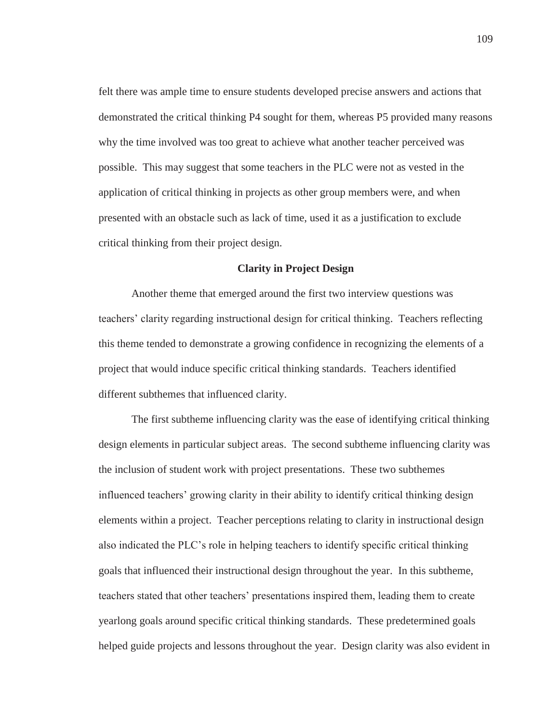felt there was ample time to ensure students developed precise answers and actions that demonstrated the critical thinking P4 sought for them, whereas P5 provided many reasons why the time involved was too great to achieve what another teacher perceived was possible. This may suggest that some teachers in the PLC were not as vested in the application of critical thinking in projects as other group members were, and when presented with an obstacle such as lack of time, used it as a justification to exclude critical thinking from their project design.

### **Clarity in Project Design**

Another theme that emerged around the first two interview questions was teachers' clarity regarding instructional design for critical thinking. Teachers reflecting this theme tended to demonstrate a growing confidence in recognizing the elements of a project that would induce specific critical thinking standards. Teachers identified different subthemes that influenced clarity.

The first subtheme influencing clarity was the ease of identifying critical thinking design elements in particular subject areas. The second subtheme influencing clarity was the inclusion of student work with project presentations. These two subthemes influenced teachers' growing clarity in their ability to identify critical thinking design elements within a project. Teacher perceptions relating to clarity in instructional design also indicated the PLC's role in helping teachers to identify specific critical thinking goals that influenced their instructional design throughout the year. In this subtheme, teachers stated that other teachers' presentations inspired them, leading them to create yearlong goals around specific critical thinking standards. These predetermined goals helped guide projects and lessons throughout the year. Design clarity was also evident in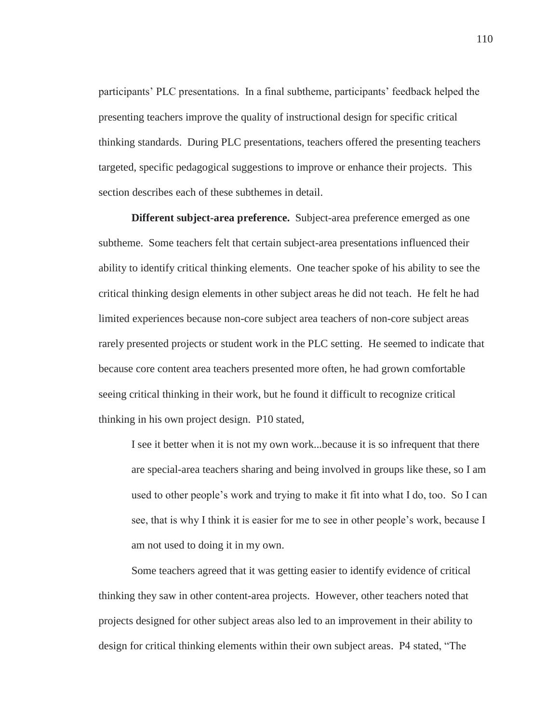participants' PLC presentations. In a final subtheme, participants' feedback helped the presenting teachers improve the quality of instructional design for specific critical thinking standards. During PLC presentations, teachers offered the presenting teachers targeted, specific pedagogical suggestions to improve or enhance their projects. This section describes each of these subthemes in detail.

**Different subject-area preference.** Subject-area preference emerged as one subtheme. Some teachers felt that certain subject-area presentations influenced their ability to identify critical thinking elements. One teacher spoke of his ability to see the critical thinking design elements in other subject areas he did not teach. He felt he had limited experiences because non-core subject area teachers of non-core subject areas rarely presented projects or student work in the PLC setting. He seemed to indicate that because core content area teachers presented more often, he had grown comfortable seeing critical thinking in their work, but he found it difficult to recognize critical thinking in his own project design. P10 stated,

I see it better when it is not my own work...because it is so infrequent that there are special-area teachers sharing and being involved in groups like these, so I am used to other people's work and trying to make it fit into what I do, too. So I can see, that is why I think it is easier for me to see in other people's work, because I am not used to doing it in my own.

Some teachers agreed that it was getting easier to identify evidence of critical thinking they saw in other content-area projects. However, other teachers noted that projects designed for other subject areas also led to an improvement in their ability to design for critical thinking elements within their own subject areas. P4 stated, "The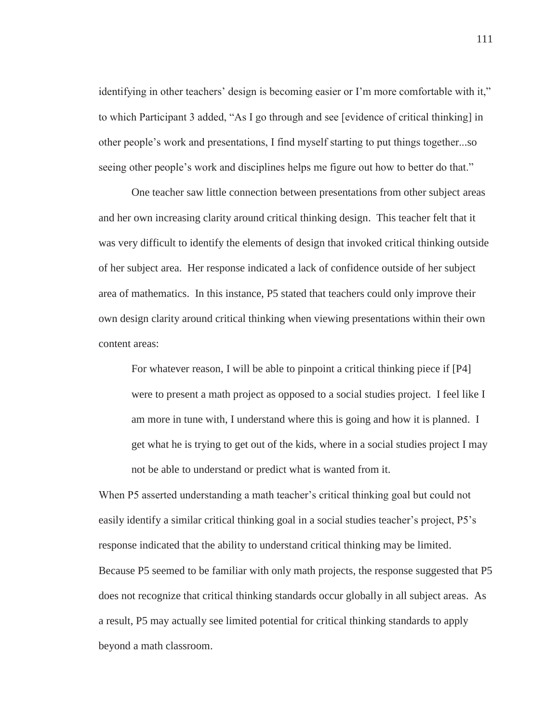identifying in other teachers' design is becoming easier or I'm more comfortable with it," to which Participant 3 added, "As I go through and see [evidence of critical thinking] in other people's work and presentations, I find myself starting to put things together...so seeing other people's work and disciplines helps me figure out how to better do that."

One teacher saw little connection between presentations from other subject areas and her own increasing clarity around critical thinking design. This teacher felt that it was very difficult to identify the elements of design that invoked critical thinking outside of her subject area. Her response indicated a lack of confidence outside of her subject area of mathematics. In this instance, P5 stated that teachers could only improve their own design clarity around critical thinking when viewing presentations within their own content areas:

For whatever reason, I will be able to pinpoint a critical thinking piece if [P4] were to present a math project as opposed to a social studies project. I feel like I am more in tune with, I understand where this is going and how it is planned. I get what he is trying to get out of the kids, where in a social studies project I may not be able to understand or predict what is wanted from it.

When P5 asserted understanding a math teacher's critical thinking goal but could not easily identify a similar critical thinking goal in a social studies teacher's project, P5's response indicated that the ability to understand critical thinking may be limited. Because P5 seemed to be familiar with only math projects, the response suggested that P5 does not recognize that critical thinking standards occur globally in all subject areas. As a result, P5 may actually see limited potential for critical thinking standards to apply beyond a math classroom.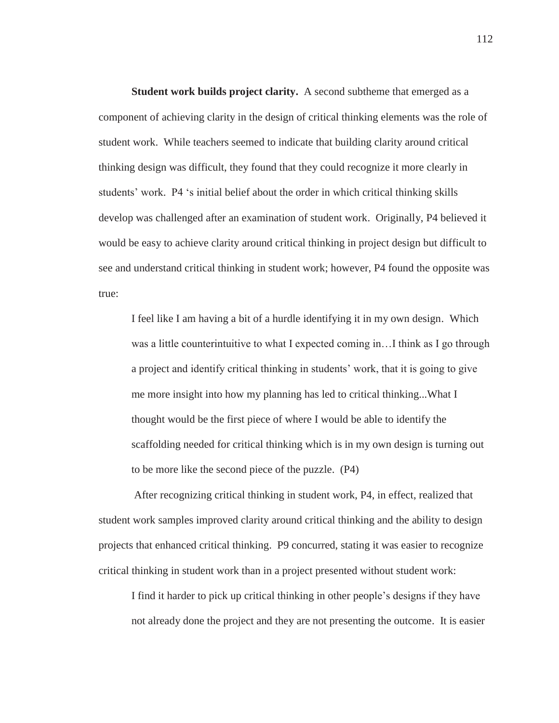**Student work builds project clarity.** A second subtheme that emerged as a component of achieving clarity in the design of critical thinking elements was the role of student work. While teachers seemed to indicate that building clarity around critical thinking design was difficult, they found that they could recognize it more clearly in students' work. P4 's initial belief about the order in which critical thinking skills develop was challenged after an examination of student work. Originally, P4 believed it would be easy to achieve clarity around critical thinking in project design but difficult to see and understand critical thinking in student work; however, P4 found the opposite was true:

I feel like I am having a bit of a hurdle identifying it in my own design. Which was a little counterintuitive to what I expected coming in...I think as I go through a project and identify critical thinking in students' work, that it is going to give me more insight into how my planning has led to critical thinking...What I thought would be the first piece of where I would be able to identify the scaffolding needed for critical thinking which is in my own design is turning out to be more like the second piece of the puzzle. (P4)

 After recognizing critical thinking in student work, P4, in effect, realized that student work samples improved clarity around critical thinking and the ability to design projects that enhanced critical thinking. P9 concurred, stating it was easier to recognize critical thinking in student work than in a project presented without student work:

I find it harder to pick up critical thinking in other people's designs if they have not already done the project and they are not presenting the outcome. It is easier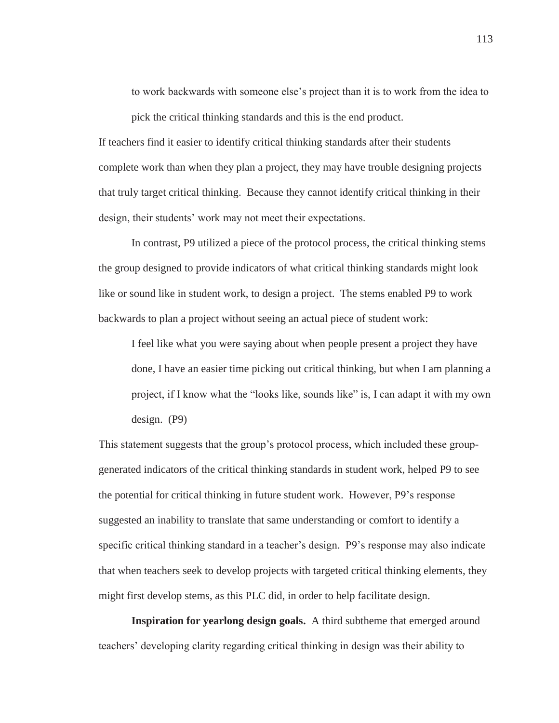to work backwards with someone else's project than it is to work from the idea to pick the critical thinking standards and this is the end product.

If teachers find it easier to identify critical thinking standards after their students complete work than when they plan a project, they may have trouble designing projects that truly target critical thinking. Because they cannot identify critical thinking in their design, their students' work may not meet their expectations.

In contrast, P9 utilized a piece of the protocol process, the critical thinking stems the group designed to provide indicators of what critical thinking standards might look like or sound like in student work, to design a project. The stems enabled P9 to work backwards to plan a project without seeing an actual piece of student work:

I feel like what you were saying about when people present a project they have done, I have an easier time picking out critical thinking, but when I am planning a project, if I know what the "looks like, sounds like" is, I can adapt it with my own design. (P9)

This statement suggests that the group's protocol process, which included these groupgenerated indicators of the critical thinking standards in student work, helped P9 to see the potential for critical thinking in future student work. However, P9's response suggested an inability to translate that same understanding or comfort to identify a specific critical thinking standard in a teacher's design. P9's response may also indicate that when teachers seek to develop projects with targeted critical thinking elements, they might first develop stems, as this PLC did, in order to help facilitate design.

**Inspiration for yearlong design goals.** A third subtheme that emerged around teachers' developing clarity regarding critical thinking in design was their ability to

113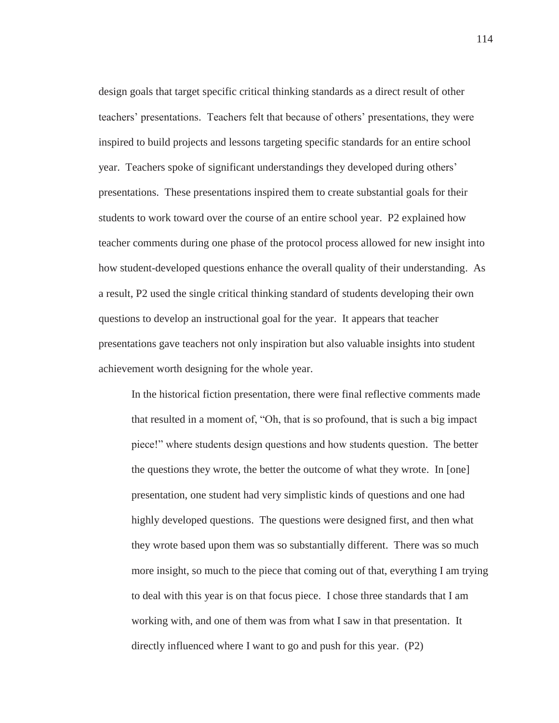design goals that target specific critical thinking standards as a direct result of other teachers' presentations. Teachers felt that because of others' presentations, they were inspired to build projects and lessons targeting specific standards for an entire school year. Teachers spoke of significant understandings they developed during others' presentations. These presentations inspired them to create substantial goals for their students to work toward over the course of an entire school year. P2 explained how teacher comments during one phase of the protocol process allowed for new insight into how student-developed questions enhance the overall quality of their understanding. As a result, P2 used the single critical thinking standard of students developing their own questions to develop an instructional goal for the year. It appears that teacher presentations gave teachers not only inspiration but also valuable insights into student achievement worth designing for the whole year.

In the historical fiction presentation, there were final reflective comments made that resulted in a moment of, "Oh, that is so profound, that is such a big impact piece!" where students design questions and how students question. The better the questions they wrote, the better the outcome of what they wrote. In [one] presentation, one student had very simplistic kinds of questions and one had highly developed questions. The questions were designed first, and then what they wrote based upon them was so substantially different. There was so much more insight, so much to the piece that coming out of that, everything I am trying to deal with this year is on that focus piece. I chose three standards that I am working with, and one of them was from what I saw in that presentation. It directly influenced where I want to go and push for this year. (P2)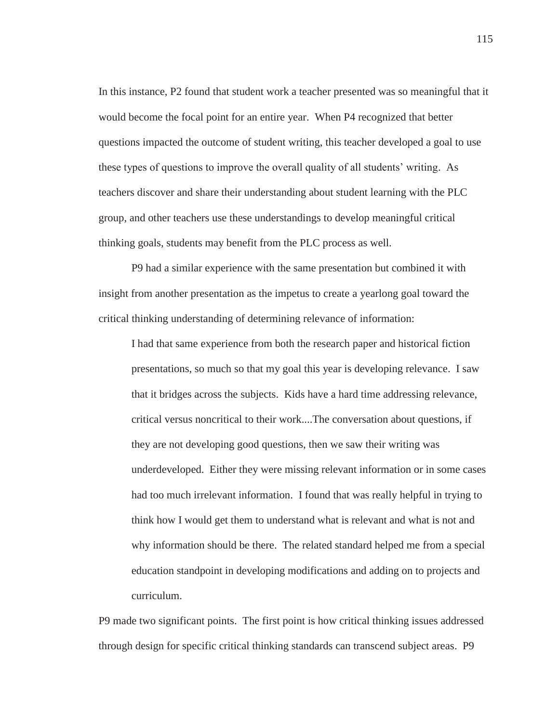In this instance, P2 found that student work a teacher presented was so meaningful that it would become the focal point for an entire year. When P4 recognized that better questions impacted the outcome of student writing, this teacher developed a goal to use these types of questions to improve the overall quality of all students' writing. As teachers discover and share their understanding about student learning with the PLC group, and other teachers use these understandings to develop meaningful critical thinking goals, students may benefit from the PLC process as well.

P9 had a similar experience with the same presentation but combined it with insight from another presentation as the impetus to create a yearlong goal toward the critical thinking understanding of determining relevance of information:

I had that same experience from both the research paper and historical fiction presentations, so much so that my goal this year is developing relevance. I saw that it bridges across the subjects. Kids have a hard time addressing relevance, critical versus noncritical to their work....The conversation about questions, if they are not developing good questions, then we saw their writing was underdeveloped. Either they were missing relevant information or in some cases had too much irrelevant information. I found that was really helpful in trying to think how I would get them to understand what is relevant and what is not and why information should be there. The related standard helped me from a special education standpoint in developing modifications and adding on to projects and curriculum.

P9 made two significant points. The first point is how critical thinking issues addressed through design for specific critical thinking standards can transcend subject areas. P9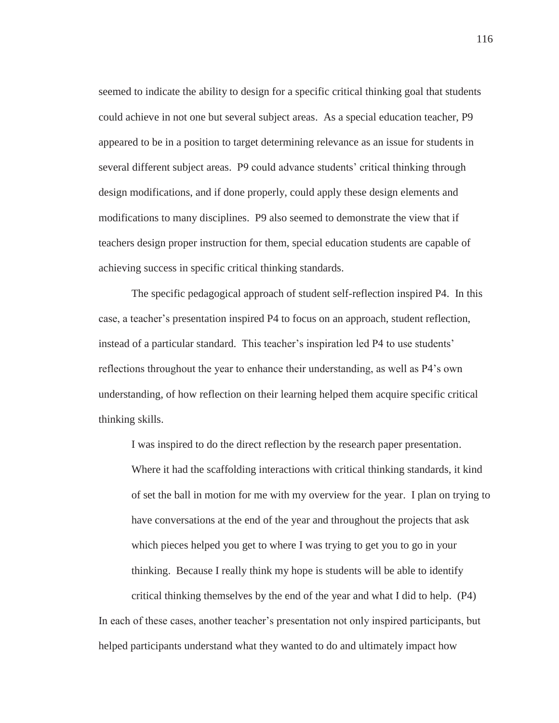seemed to indicate the ability to design for a specific critical thinking goal that students could achieve in not one but several subject areas. As a special education teacher, P9 appeared to be in a position to target determining relevance as an issue for students in several different subject areas. P9 could advance students' critical thinking through design modifications, and if done properly, could apply these design elements and modifications to many disciplines. P9 also seemed to demonstrate the view that if teachers design proper instruction for them, special education students are capable of achieving success in specific critical thinking standards.

The specific pedagogical approach of student self-reflection inspired P4. In this case, a teacher's presentation inspired P4 to focus on an approach, student reflection, instead of a particular standard. This teacher's inspiration led P4 to use students' reflections throughout the year to enhance their understanding, as well as P4's own understanding, of how reflection on their learning helped them acquire specific critical thinking skills.

I was inspired to do the direct reflection by the research paper presentation. Where it had the scaffolding interactions with critical thinking standards, it kind of set the ball in motion for me with my overview for the year. I plan on trying to have conversations at the end of the year and throughout the projects that ask which pieces helped you get to where I was trying to get you to go in your thinking. Because I really think my hope is students will be able to identify critical thinking themselves by the end of the year and what I did to help. (P4) In each of these cases, another teacher's presentation not only inspired participants, but

helped participants understand what they wanted to do and ultimately impact how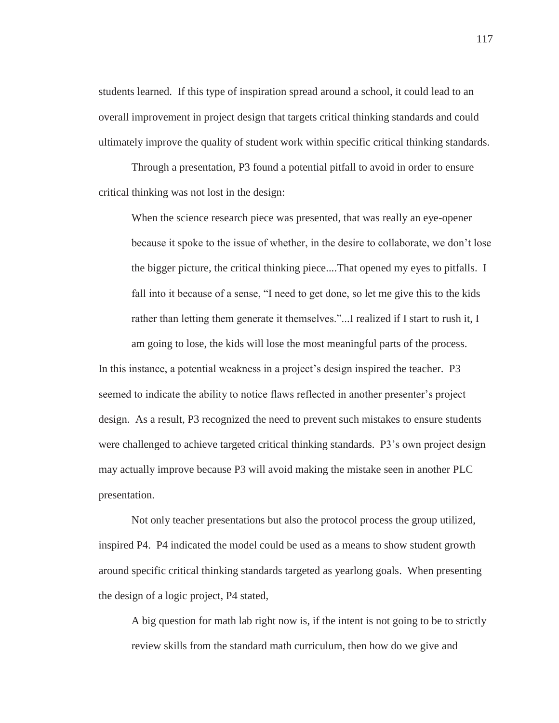students learned. If this type of inspiration spread around a school, it could lead to an overall improvement in project design that targets critical thinking standards and could ultimately improve the quality of student work within specific critical thinking standards.

Through a presentation, P3 found a potential pitfall to avoid in order to ensure critical thinking was not lost in the design:

When the science research piece was presented, that was really an eye-opener because it spoke to the issue of whether, in the desire to collaborate, we don't lose the bigger picture, the critical thinking piece....That opened my eyes to pitfalls. I fall into it because of a sense, "I need to get done, so let me give this to the kids rather than letting them generate it themselves."...I realized if I start to rush it, I am going to lose, the kids will lose the most meaningful parts of the process. In this instance, a potential weakness in a project's design inspired the teacher. P3 seemed to indicate the ability to notice flaws reflected in another presenter's project design. As a result, P3 recognized the need to prevent such mistakes to ensure students were challenged to achieve targeted critical thinking standards. P3's own project design may actually improve because P3 will avoid making the mistake seen in another PLC presentation.

Not only teacher presentations but also the protocol process the group utilized, inspired P4. P4 indicated the model could be used as a means to show student growth around specific critical thinking standards targeted as yearlong goals. When presenting the design of a logic project, P4 stated,

A big question for math lab right now is, if the intent is not going to be to strictly review skills from the standard math curriculum, then how do we give and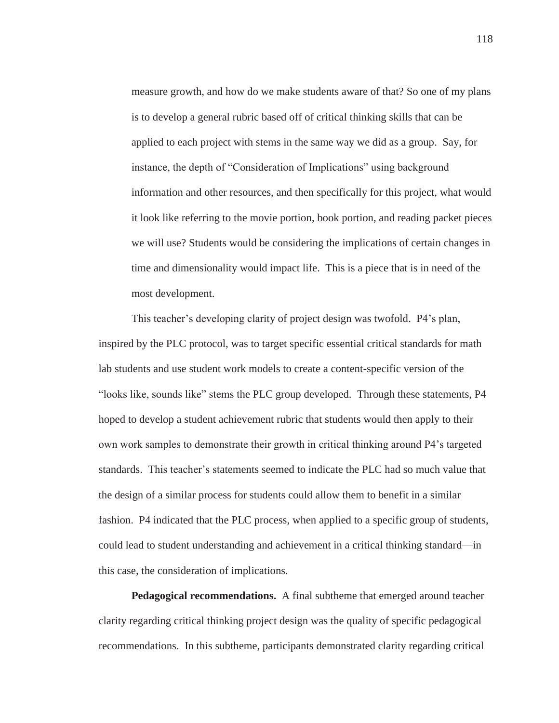measure growth, and how do we make students aware of that? So one of my plans is to develop a general rubric based off of critical thinking skills that can be applied to each project with stems in the same way we did as a group. Say, for instance, the depth of "Consideration of Implications" using background information and other resources, and then specifically for this project, what would it look like referring to the movie portion, book portion, and reading packet pieces we will use? Students would be considering the implications of certain changes in time and dimensionality would impact life. This is a piece that is in need of the most development.

This teacher's developing clarity of project design was twofold. P4's plan, inspired by the PLC protocol, was to target specific essential critical standards for math lab students and use student work models to create a content-specific version of the "looks like, sounds like" stems the PLC group developed. Through these statements, P4 hoped to develop a student achievement rubric that students would then apply to their own work samples to demonstrate their growth in critical thinking around P4's targeted standards. This teacher's statements seemed to indicate the PLC had so much value that the design of a similar process for students could allow them to benefit in a similar fashion. P4 indicated that the PLC process, when applied to a specific group of students, could lead to student understanding and achievement in a critical thinking standard—in this case, the consideration of implications.

**Pedagogical recommendations.** A final subtheme that emerged around teacher clarity regarding critical thinking project design was the quality of specific pedagogical recommendations. In this subtheme, participants demonstrated clarity regarding critical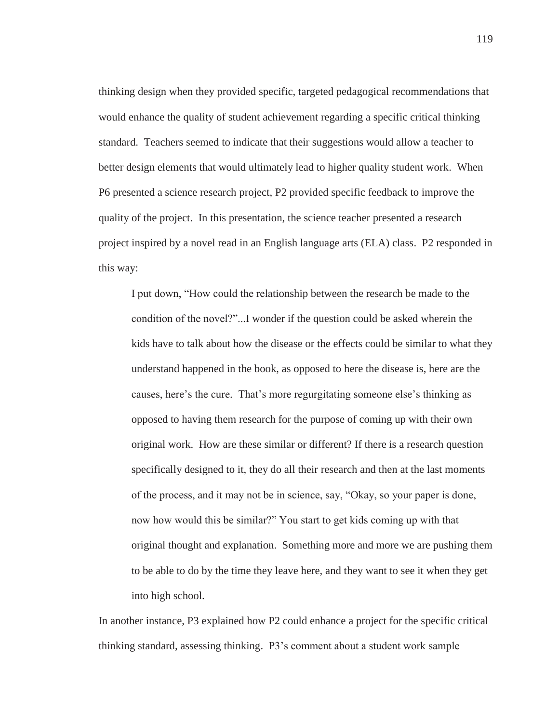thinking design when they provided specific, targeted pedagogical recommendations that would enhance the quality of student achievement regarding a specific critical thinking standard. Teachers seemed to indicate that their suggestions would allow a teacher to better design elements that would ultimately lead to higher quality student work. When P6 presented a science research project, P2 provided specific feedback to improve the quality of the project. In this presentation, the science teacher presented a research project inspired by a novel read in an English language arts (ELA) class. P2 responded in this way:

I put down, "How could the relationship between the research be made to the condition of the novel?"...I wonder if the question could be asked wherein the kids have to talk about how the disease or the effects could be similar to what they understand happened in the book, as opposed to here the disease is, here are the causes, here's the cure. That's more regurgitating someone else's thinking as opposed to having them research for the purpose of coming up with their own original work. How are these similar or different? If there is a research question specifically designed to it, they do all their research and then at the last moments of the process, and it may not be in science, say, "Okay, so your paper is done, now how would this be similar?" You start to get kids coming up with that original thought and explanation. Something more and more we are pushing them to be able to do by the time they leave here, and they want to see it when they get into high school.

In another instance, P3 explained how P2 could enhance a project for the specific critical thinking standard, assessing thinking. P3's comment about a student work sample

119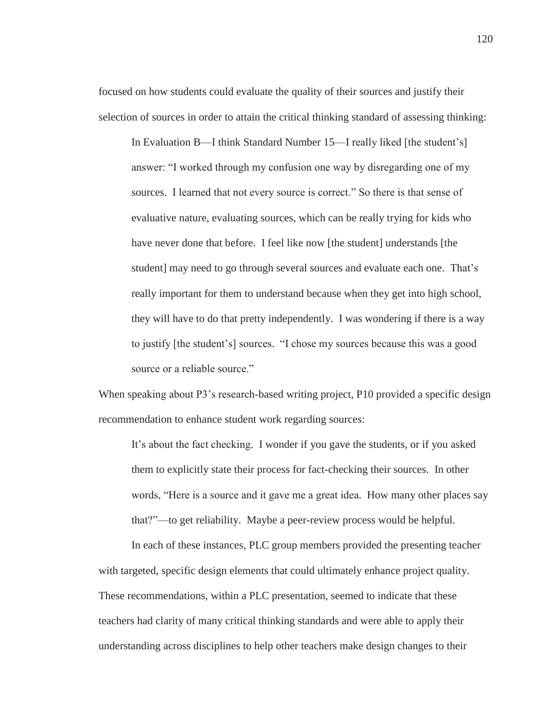focused on how students could evaluate the quality of their sources and justify their selection of sources in order to attain the critical thinking standard of assessing thinking:

In Evaluation B—I think Standard Number 15—I really liked [the student's] answer: "I worked through my confusion one way by disregarding one of my sources. I learned that not every source is correct." So there is that sense of evaluative nature, evaluating sources, which can be really trying for kids who have never done that before. I feel like now [the student] understands [the student] may need to go through several sources and evaluate each one. That's really important for them to understand because when they get into high school, they will have to do that pretty independently. I was wondering if there is a way to justify [the student's] sources. "I chose my sources because this was a good source or a reliable source."

When speaking about P3's research-based writing project, P10 provided a specific design recommendation to enhance student work regarding sources:

It's about the fact checking. I wonder if you gave the students, or if you asked them to explicitly state their process for fact-checking their sources. In other words, "Here is a source and it gave me a great idea. How many other places say that?"—to get reliability. Maybe a peer-review process would be helpful.

In each of these instances, PLC group members provided the presenting teacher with targeted, specific design elements that could ultimately enhance project quality. These recommendations, within a PLC presentation, seemed to indicate that these teachers had clarity of many critical thinking standards and were able to apply their understanding across disciplines to help other teachers make design changes to their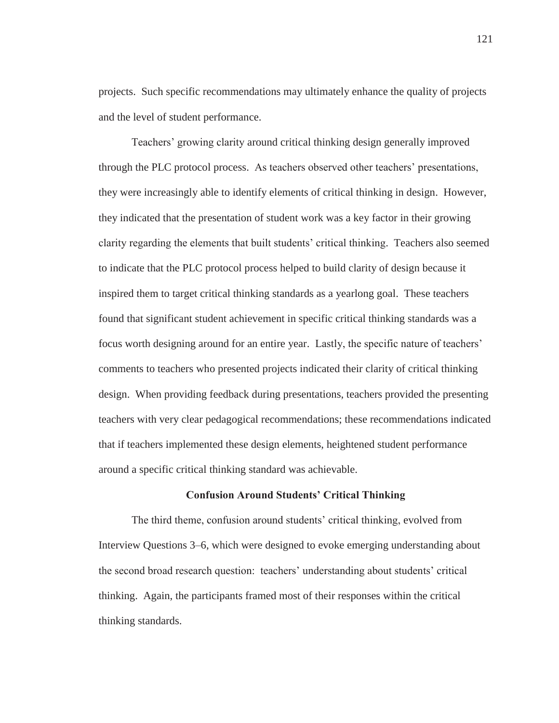projects. Such specific recommendations may ultimately enhance the quality of projects and the level of student performance.

Teachers' growing clarity around critical thinking design generally improved through the PLC protocol process. As teachers observed other teachers' presentations, they were increasingly able to identify elements of critical thinking in design. However, they indicated that the presentation of student work was a key factor in their growing clarity regarding the elements that built students' critical thinking. Teachers also seemed to indicate that the PLC protocol process helped to build clarity of design because it inspired them to target critical thinking standards as a yearlong goal. These teachers found that significant student achievement in specific critical thinking standards was a focus worth designing around for an entire year. Lastly, the specific nature of teachers' comments to teachers who presented projects indicated their clarity of critical thinking design. When providing feedback during presentations, teachers provided the presenting teachers with very clear pedagogical recommendations; these recommendations indicated that if teachers implemented these design elements, heightened student performance around a specific critical thinking standard was achievable.

#### **Confusion Around Students' Critical Thinking**

The third theme, confusion around students' critical thinking, evolved from Interview Questions 3–6, which were designed to evoke emerging understanding about the second broad research question: teachers' understanding about students' critical thinking. Again, the participants framed most of their responses within the critical thinking standards.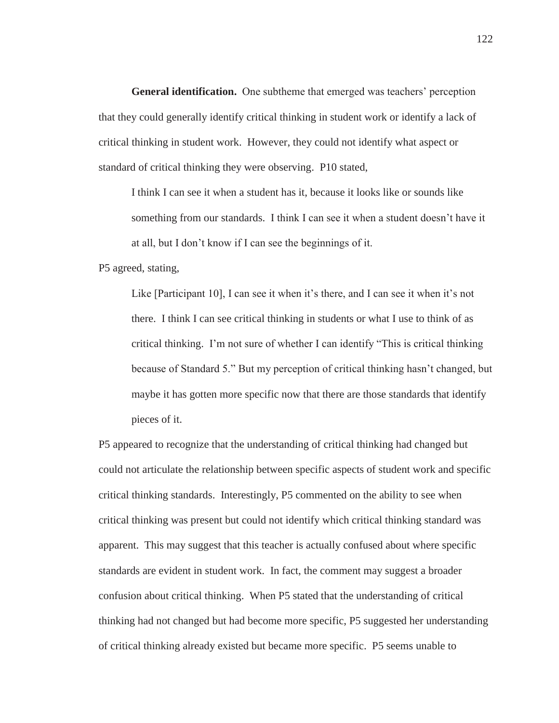**General identification.** One subtheme that emerged was teachers' perception that they could generally identify critical thinking in student work or identify a lack of critical thinking in student work. However, they could not identify what aspect or standard of critical thinking they were observing. P10 stated,

I think I can see it when a student has it, because it looks like or sounds like something from our standards. I think I can see it when a student doesn't have it at all, but I don't know if I can see the beginnings of it.

P5 agreed, stating,

Like [Participant 10], I can see it when it's there, and I can see it when it's not there. I think I can see critical thinking in students or what I use to think of as critical thinking. I'm not sure of whether I can identify "This is critical thinking because of Standard 5." But my perception of critical thinking hasn't changed, but maybe it has gotten more specific now that there are those standards that identify pieces of it.

P5 appeared to recognize that the understanding of critical thinking had changed but could not articulate the relationship between specific aspects of student work and specific critical thinking standards. Interestingly, P5 commented on the ability to see when critical thinking was present but could not identify which critical thinking standard was apparent. This may suggest that this teacher is actually confused about where specific standards are evident in student work. In fact, the comment may suggest a broader confusion about critical thinking. When P5 stated that the understanding of critical thinking had not changed but had become more specific, P5 suggested her understanding of critical thinking already existed but became more specific. P5 seems unable to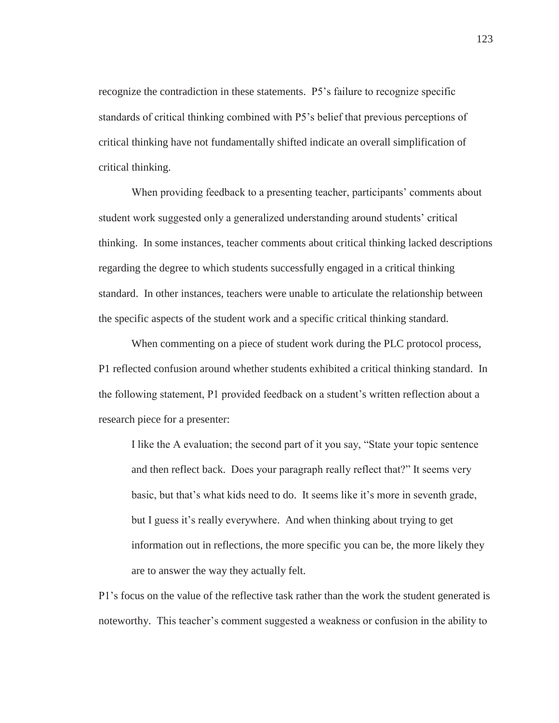recognize the contradiction in these statements. P5's failure to recognize specific standards of critical thinking combined with P5's belief that previous perceptions of critical thinking have not fundamentally shifted indicate an overall simplification of critical thinking.

When providing feedback to a presenting teacher, participants' comments about student work suggested only a generalized understanding around students' critical thinking. In some instances, teacher comments about critical thinking lacked descriptions regarding the degree to which students successfully engaged in a critical thinking standard. In other instances, teachers were unable to articulate the relationship between the specific aspects of the student work and a specific critical thinking standard.

When commenting on a piece of student work during the PLC protocol process, P1 reflected confusion around whether students exhibited a critical thinking standard. In the following statement, P1 provided feedback on a student's written reflection about a research piece for a presenter:

I like the A evaluation; the second part of it you say, "State your topic sentence and then reflect back. Does your paragraph really reflect that?" It seems very basic, but that's what kids need to do. It seems like it's more in seventh grade, but I guess it's really everywhere. And when thinking about trying to get information out in reflections, the more specific you can be, the more likely they are to answer the way they actually felt.

P1's focus on the value of the reflective task rather than the work the student generated is noteworthy. This teacher's comment suggested a weakness or confusion in the ability to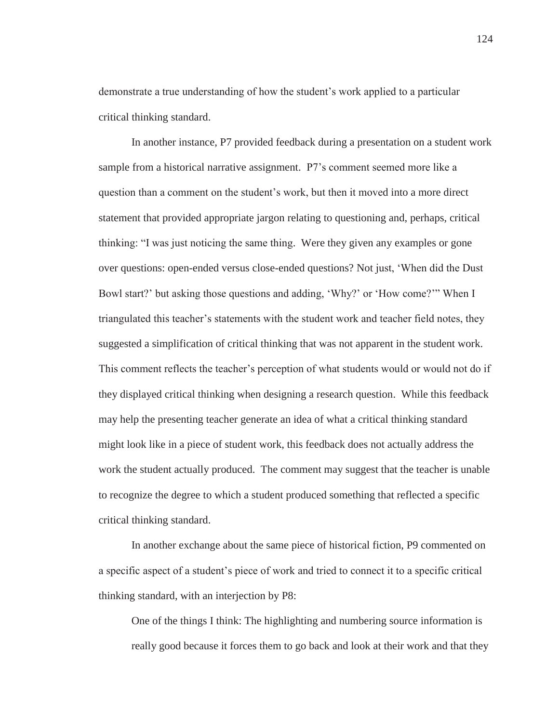demonstrate a true understanding of how the student's work applied to a particular critical thinking standard.

In another instance, P7 provided feedback during a presentation on a student work sample from a historical narrative assignment. P7's comment seemed more like a question than a comment on the student's work, but then it moved into a more direct statement that provided appropriate jargon relating to questioning and, perhaps, critical thinking: "I was just noticing the same thing. Were they given any examples or gone over questions: open-ended versus close-ended questions? Not just, 'When did the Dust Bowl start?' but asking those questions and adding, 'Why?' or 'How come?'" When I triangulated this teacher's statements with the student work and teacher field notes, they suggested a simplification of critical thinking that was not apparent in the student work. This comment reflects the teacher's perception of what students would or would not do if they displayed critical thinking when designing a research question. While this feedback may help the presenting teacher generate an idea of what a critical thinking standard might look like in a piece of student work, this feedback does not actually address the work the student actually produced. The comment may suggest that the teacher is unable to recognize the degree to which a student produced something that reflected a specific critical thinking standard.

In another exchange about the same piece of historical fiction, P9 commented on a specific aspect of a student's piece of work and tried to connect it to a specific critical thinking standard, with an interjection by P8:

One of the things I think: The highlighting and numbering source information is really good because it forces them to go back and look at their work and that they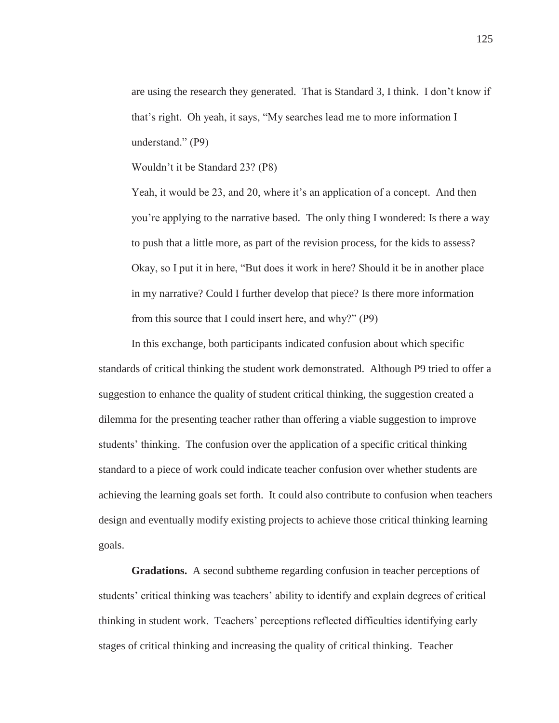are using the research they generated. That is Standard 3, I think. I don't know if that's right. Oh yeah, it says, "My searches lead me to more information I understand." (P9)

Wouldn't it be Standard 23? (P8)

Yeah, it would be 23, and 20, where it's an application of a concept. And then you're applying to the narrative based. The only thing I wondered: Is there a way to push that a little more, as part of the revision process, for the kids to assess? Okay, so I put it in here, "But does it work in here? Should it be in another place in my narrative? Could I further develop that piece? Is there more information from this source that I could insert here, and why?" (P9)

In this exchange, both participants indicated confusion about which specific standards of critical thinking the student work demonstrated. Although P9 tried to offer a suggestion to enhance the quality of student critical thinking, the suggestion created a dilemma for the presenting teacher rather than offering a viable suggestion to improve students' thinking. The confusion over the application of a specific critical thinking standard to a piece of work could indicate teacher confusion over whether students are achieving the learning goals set forth. It could also contribute to confusion when teachers design and eventually modify existing projects to achieve those critical thinking learning goals.

**Gradations.** A second subtheme regarding confusion in teacher perceptions of students' critical thinking was teachers' ability to identify and explain degrees of critical thinking in student work. Teachers' perceptions reflected difficulties identifying early stages of critical thinking and increasing the quality of critical thinking. Teacher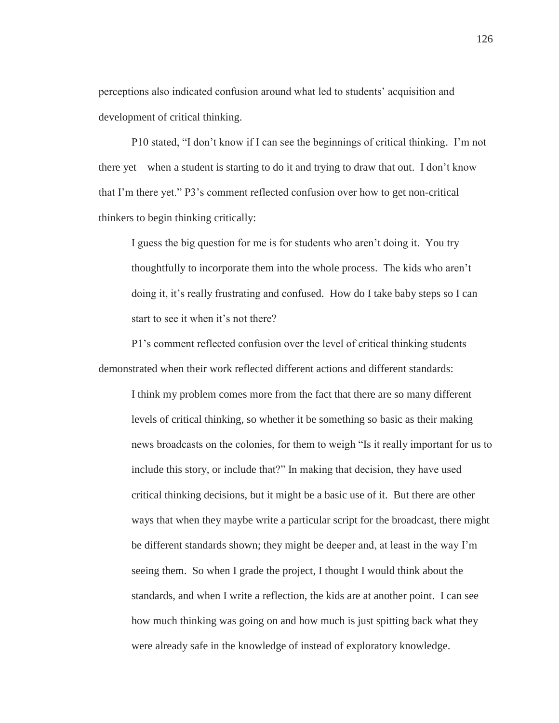perceptions also indicated confusion around what led to students' acquisition and development of critical thinking.

P10 stated, "I don't know if I can see the beginnings of critical thinking. I'm not there yet—when a student is starting to do it and trying to draw that out. I don't know that I'm there yet." P3's comment reflected confusion over how to get non-critical thinkers to begin thinking critically:

I guess the big question for me is for students who aren't doing it. You try thoughtfully to incorporate them into the whole process. The kids who aren't doing it, it's really frustrating and confused. How do I take baby steps so I can start to see it when it's not there?

P1's comment reflected confusion over the level of critical thinking students demonstrated when their work reflected different actions and different standards:

I think my problem comes more from the fact that there are so many different levels of critical thinking, so whether it be something so basic as their making news broadcasts on the colonies, for them to weigh "Is it really important for us to include this story, or include that?" In making that decision, they have used critical thinking decisions, but it might be a basic use of it. But there are other ways that when they maybe write a particular script for the broadcast, there might be different standards shown; they might be deeper and, at least in the way I'm seeing them. So when I grade the project, I thought I would think about the standards, and when I write a reflection, the kids are at another point. I can see how much thinking was going on and how much is just spitting back what they were already safe in the knowledge of instead of exploratory knowledge.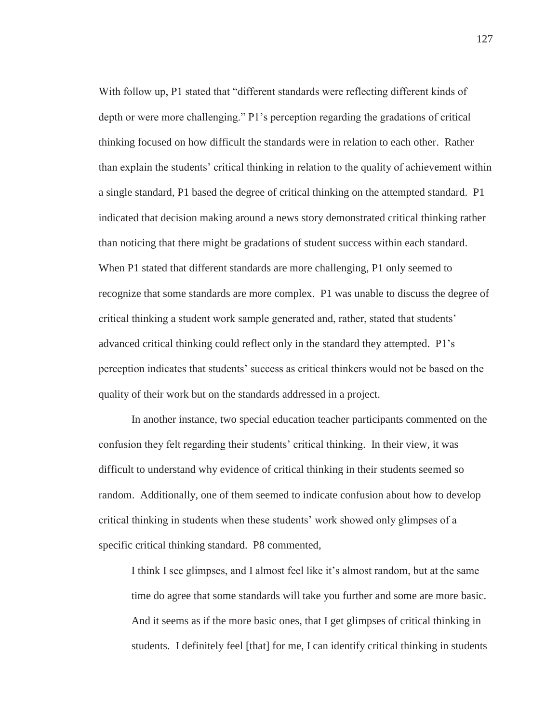With follow up, P1 stated that "different standards were reflecting different kinds of depth or were more challenging." P1's perception regarding the gradations of critical thinking focused on how difficult the standards were in relation to each other. Rather than explain the students' critical thinking in relation to the quality of achievement within a single standard, P1 based the degree of critical thinking on the attempted standard. P1 indicated that decision making around a news story demonstrated critical thinking rather than noticing that there might be gradations of student success within each standard. When P1 stated that different standards are more challenging, P1 only seemed to recognize that some standards are more complex. P1 was unable to discuss the degree of critical thinking a student work sample generated and, rather, stated that students' advanced critical thinking could reflect only in the standard they attempted. P1's perception indicates that students' success as critical thinkers would not be based on the quality of their work but on the standards addressed in a project.

In another instance, two special education teacher participants commented on the confusion they felt regarding their students' critical thinking. In their view, it was difficult to understand why evidence of critical thinking in their students seemed so random. Additionally, one of them seemed to indicate confusion about how to develop critical thinking in students when these students' work showed only glimpses of a specific critical thinking standard. P8 commented,

I think I see glimpses, and I almost feel like it's almost random, but at the same time do agree that some standards will take you further and some are more basic. And it seems as if the more basic ones, that I get glimpses of critical thinking in students. I definitely feel [that] for me, I can identify critical thinking in students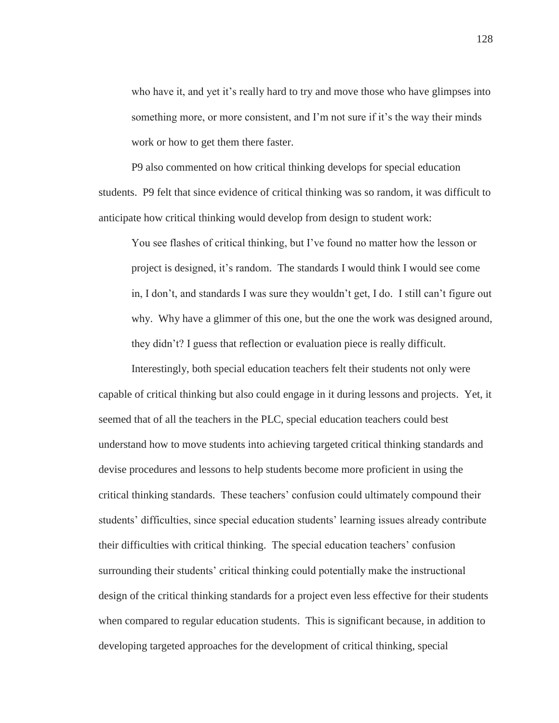who have it, and yet it's really hard to try and move those who have glimpses into something more, or more consistent, and I'm not sure if it's the way their minds work or how to get them there faster.

P9 also commented on how critical thinking develops for special education students. P9 felt that since evidence of critical thinking was so random, it was difficult to anticipate how critical thinking would develop from design to student work:

You see flashes of critical thinking, but I've found no matter how the lesson or project is designed, it's random. The standards I would think I would see come in, I don't, and standards I was sure they wouldn't get, I do. I still can't figure out why. Why have a glimmer of this one, but the one the work was designed around, they didn't? I guess that reflection or evaluation piece is really difficult.

Interestingly, both special education teachers felt their students not only were capable of critical thinking but also could engage in it during lessons and projects. Yet, it seemed that of all the teachers in the PLC, special education teachers could best understand how to move students into achieving targeted critical thinking standards and devise procedures and lessons to help students become more proficient in using the critical thinking standards. These teachers' confusion could ultimately compound their students' difficulties, since special education students' learning issues already contribute their difficulties with critical thinking. The special education teachers' confusion surrounding their students' critical thinking could potentially make the instructional design of the critical thinking standards for a project even less effective for their students when compared to regular education students. This is significant because, in addition to developing targeted approaches for the development of critical thinking, special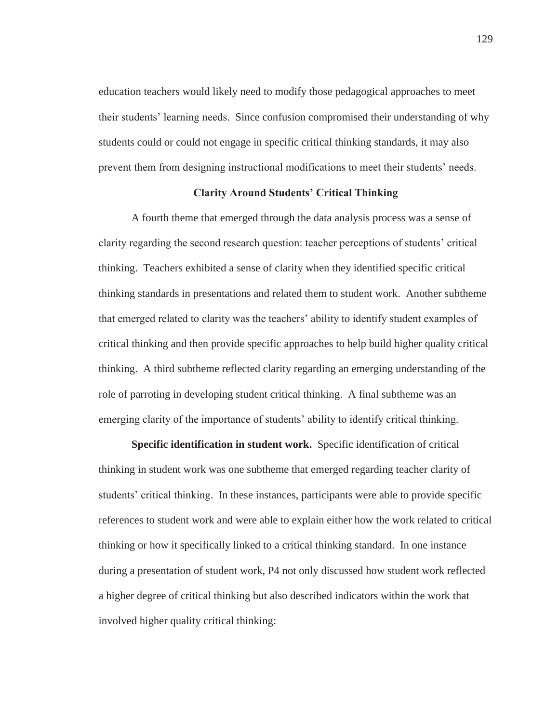education teachers would likely need to modify those pedagogical approaches to meet their students' learning needs. Since confusion compromised their understanding of why students could or could not engage in specific critical thinking standards, it may also prevent them from designing instructional modifications to meet their students' needs.

### **Clarity Around Students' Critical Thinking**

A fourth theme that emerged through the data analysis process was a sense of clarity regarding the second research question: teacher perceptions of students' critical thinking. Teachers exhibited a sense of clarity when they identified specific critical thinking standards in presentations and related them to student work. Another subtheme that emerged related to clarity was the teachers' ability to identify student examples of critical thinking and then provide specific approaches to help build higher quality critical thinking. A third subtheme reflected clarity regarding an emerging understanding of the role of parroting in developing student critical thinking. A final subtheme was an emerging clarity of the importance of students' ability to identify critical thinking.

**Specific identification in student work.** Specific identification of critical thinking in student work was one subtheme that emerged regarding teacher clarity of students' critical thinking. In these instances, participants were able to provide specific references to student work and were able to explain either how the work related to critical thinking or how it specifically linked to a critical thinking standard. In one instance during a presentation of student work, P4 not only discussed how student work reflected a higher degree of critical thinking but also described indicators within the work that involved higher quality critical thinking: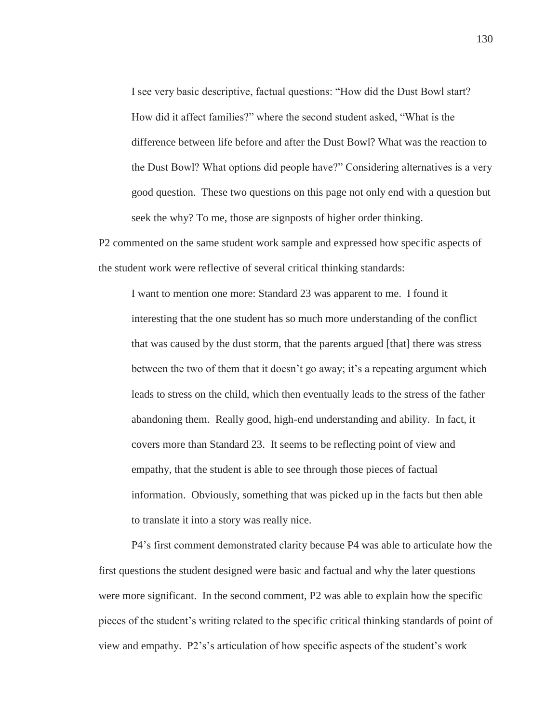I see very basic descriptive, factual questions: "How did the Dust Bowl start? How did it affect families?" where the second student asked, "What is the difference between life before and after the Dust Bowl? What was the reaction to the Dust Bowl? What options did people have?" Considering alternatives is a very good question. These two questions on this page not only end with a question but seek the why? To me, those are signposts of higher order thinking.

P2 commented on the same student work sample and expressed how specific aspects of the student work were reflective of several critical thinking standards:

I want to mention one more: Standard 23 was apparent to me. I found it interesting that the one student has so much more understanding of the conflict that was caused by the dust storm, that the parents argued [that] there was stress between the two of them that it doesn't go away; it's a repeating argument which leads to stress on the child, which then eventually leads to the stress of the father abandoning them. Really good, high-end understanding and ability. In fact, it covers more than Standard 23. It seems to be reflecting point of view and empathy, that the student is able to see through those pieces of factual information. Obviously, something that was picked up in the facts but then able to translate it into a story was really nice.

P4's first comment demonstrated clarity because P4 was able to articulate how the first questions the student designed were basic and factual and why the later questions were more significant. In the second comment, P2 was able to explain how the specific pieces of the student's writing related to the specific critical thinking standards of point of view and empathy. P2's's articulation of how specific aspects of the student's work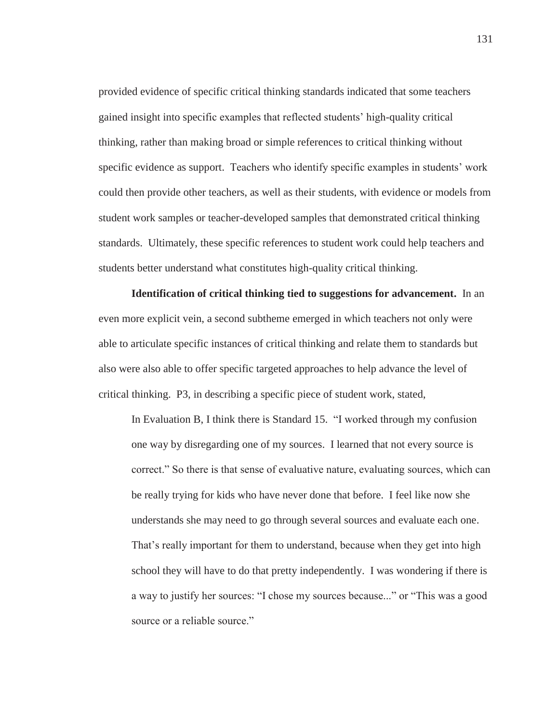provided evidence of specific critical thinking standards indicated that some teachers gained insight into specific examples that reflected students' high-quality critical thinking, rather than making broad or simple references to critical thinking without specific evidence as support. Teachers who identify specific examples in students' work could then provide other teachers, as well as their students, with evidence or models from student work samples or teacher-developed samples that demonstrated critical thinking standards. Ultimately, these specific references to student work could help teachers and students better understand what constitutes high-quality critical thinking.

**Identification of critical thinking tied to suggestions for advancement.** In an even more explicit vein, a second subtheme emerged in which teachers not only were able to articulate specific instances of critical thinking and relate them to standards but also were also able to offer specific targeted approaches to help advance the level of critical thinking. P3, in describing a specific piece of student work, stated,

In Evaluation B, I think there is Standard 15. "I worked through my confusion one way by disregarding one of my sources. I learned that not every source is correct." So there is that sense of evaluative nature, evaluating sources, which can be really trying for kids who have never done that before. I feel like now she understands she may need to go through several sources and evaluate each one. That's really important for them to understand, because when they get into high school they will have to do that pretty independently. I was wondering if there is a way to justify her sources: "I chose my sources because..." or "This was a good source or a reliable source."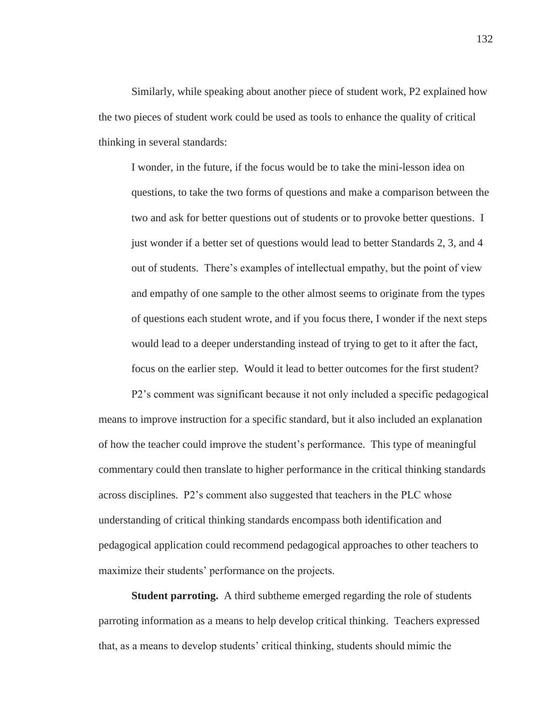Similarly, while speaking about another piece of student work, P2 explained how the two pieces of student work could be used as tools to enhance the quality of critical thinking in several standards:

I wonder, in the future, if the focus would be to take the mini-lesson idea on questions, to take the two forms of questions and make a comparison between the two and ask for better questions out of students or to provoke better questions. I just wonder if a better set of questions would lead to better Standards 2, 3, and 4 out of students. There's examples of intellectual empathy, but the point of view and empathy of one sample to the other almost seems to originate from the types of questions each student wrote, and if you focus there, I wonder if the next steps would lead to a deeper understanding instead of trying to get to it after the fact, focus on the earlier step. Would it lead to better outcomes for the first student?

P2's comment was significant because it not only included a specific pedagogical means to improve instruction for a specific standard, but it also included an explanation of how the teacher could improve the student's performance. This type of meaningful commentary could then translate to higher performance in the critical thinking standards across disciplines. P2's comment also suggested that teachers in the PLC whose understanding of critical thinking standards encompass both identification and pedagogical application could recommend pedagogical approaches to other teachers to maximize their students' performance on the projects.

**Student parroting.** A third subtheme emerged regarding the role of students parroting information as a means to help develop critical thinking. Teachers expressed that, as a means to develop students' critical thinking, students should mimic the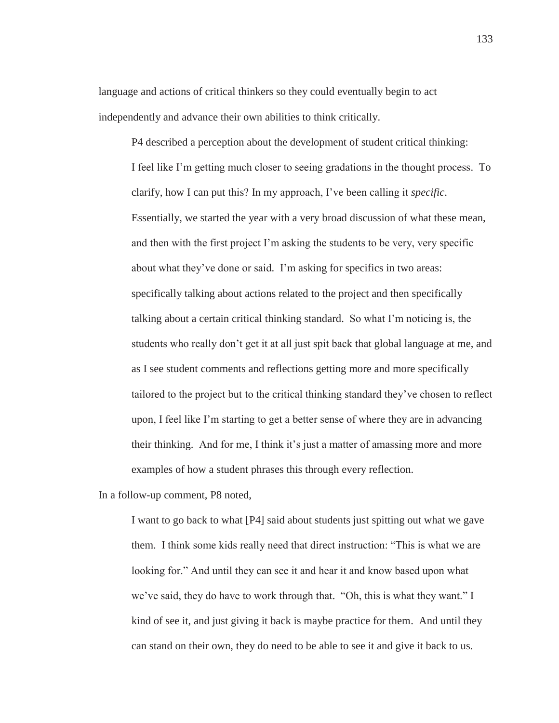language and actions of critical thinkers so they could eventually begin to act independently and advance their own abilities to think critically.

P4 described a perception about the development of student critical thinking: I feel like I'm getting much closer to seeing gradations in the thought process. To clarify, how I can put this? In my approach, I've been calling it *specific*. Essentially, we started the year with a very broad discussion of what these mean, and then with the first project I'm asking the students to be very, very specific about what they've done or said. I'm asking for specifics in two areas: specifically talking about actions related to the project and then specifically talking about a certain critical thinking standard. So what I'm noticing is, the students who really don't get it at all just spit back that global language at me, and as I see student comments and reflections getting more and more specifically tailored to the project but to the critical thinking standard they've chosen to reflect upon, I feel like I'm starting to get a better sense of where they are in advancing their thinking. And for me, I think it's just a matter of amassing more and more examples of how a student phrases this through every reflection.

In a follow-up comment, P8 noted,

I want to go back to what [P4] said about students just spitting out what we gave them. I think some kids really need that direct instruction: "This is what we are looking for." And until they can see it and hear it and know based upon what we've said, they do have to work through that. "Oh, this is what they want." I kind of see it, and just giving it back is maybe practice for them. And until they can stand on their own, they do need to be able to see it and give it back to us.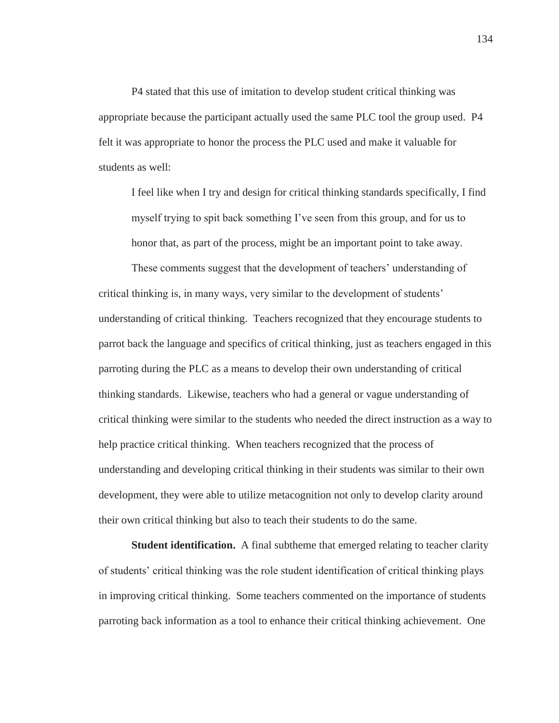P4 stated that this use of imitation to develop student critical thinking was appropriate because the participant actually used the same PLC tool the group used. P4 felt it was appropriate to honor the process the PLC used and make it valuable for students as well:

I feel like when I try and design for critical thinking standards specifically, I find myself trying to spit back something I've seen from this group, and for us to honor that, as part of the process, might be an important point to take away.

These comments suggest that the development of teachers' understanding of critical thinking is, in many ways, very similar to the development of students' understanding of critical thinking. Teachers recognized that they encourage students to parrot back the language and specifics of critical thinking, just as teachers engaged in this parroting during the PLC as a means to develop their own understanding of critical thinking standards. Likewise, teachers who had a general or vague understanding of critical thinking were similar to the students who needed the direct instruction as a way to help practice critical thinking. When teachers recognized that the process of understanding and developing critical thinking in their students was similar to their own development, they were able to utilize metacognition not only to develop clarity around their own critical thinking but also to teach their students to do the same.

**Student identification.** A final subtheme that emerged relating to teacher clarity of students' critical thinking was the role student identification of critical thinking plays in improving critical thinking. Some teachers commented on the importance of students parroting back information as a tool to enhance their critical thinking achievement. One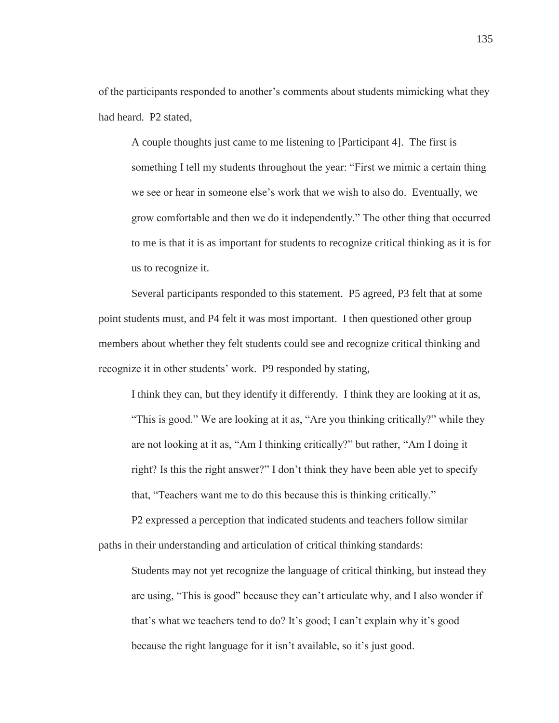of the participants responded to another's comments about students mimicking what they had heard. P2 stated,

A couple thoughts just came to me listening to [Participant 4]. The first is something I tell my students throughout the year: "First we mimic a certain thing we see or hear in someone else's work that we wish to also do. Eventually, we grow comfortable and then we do it independently." The other thing that occurred to me is that it is as important for students to recognize critical thinking as it is for us to recognize it.

Several participants responded to this statement. P5 agreed, P3 felt that at some point students must, and P4 felt it was most important. I then questioned other group members about whether they felt students could see and recognize critical thinking and recognize it in other students' work. P9 responded by stating,

I think they can, but they identify it differently. I think they are looking at it as, "This is good." We are looking at it as, "Are you thinking critically?" while they are not looking at it as, "Am I thinking critically?" but rather, "Am I doing it right? Is this the right answer?" I don't think they have been able yet to specify that, "Teachers want me to do this because this is thinking critically."

P2 expressed a perception that indicated students and teachers follow similar paths in their understanding and articulation of critical thinking standards:

Students may not yet recognize the language of critical thinking, but instead they are using, "This is good" because they can't articulate why, and I also wonder if that's what we teachers tend to do? It's good; I can't explain why it's good because the right language for it isn't available, so it's just good.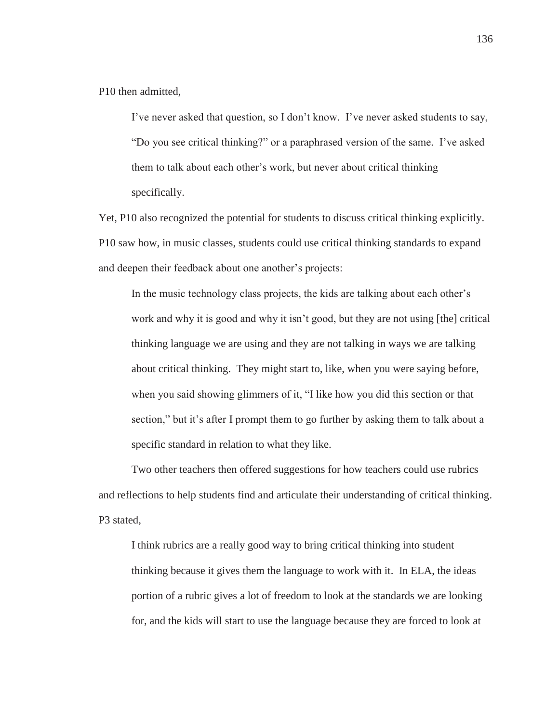P10 then admitted,

I've never asked that question, so I don't know. I've never asked students to say, "Do you see critical thinking?" or a paraphrased version of the same. I've asked them to talk about each other's work, but never about critical thinking specifically.

Yet, P10 also recognized the potential for students to discuss critical thinking explicitly. P10 saw how, in music classes, students could use critical thinking standards to expand and deepen their feedback about one another's projects:

In the music technology class projects, the kids are talking about each other's work and why it is good and why it isn't good, but they are not using [the] critical thinking language we are using and they are not talking in ways we are talking about critical thinking. They might start to, like, when you were saying before, when you said showing glimmers of it, "I like how you did this section or that section," but it's after I prompt them to go further by asking them to talk about a specific standard in relation to what they like.

Two other teachers then offered suggestions for how teachers could use rubrics and reflections to help students find and articulate their understanding of critical thinking. P3 stated,

I think rubrics are a really good way to bring critical thinking into student thinking because it gives them the language to work with it. In ELA, the ideas portion of a rubric gives a lot of freedom to look at the standards we are looking for, and the kids will start to use the language because they are forced to look at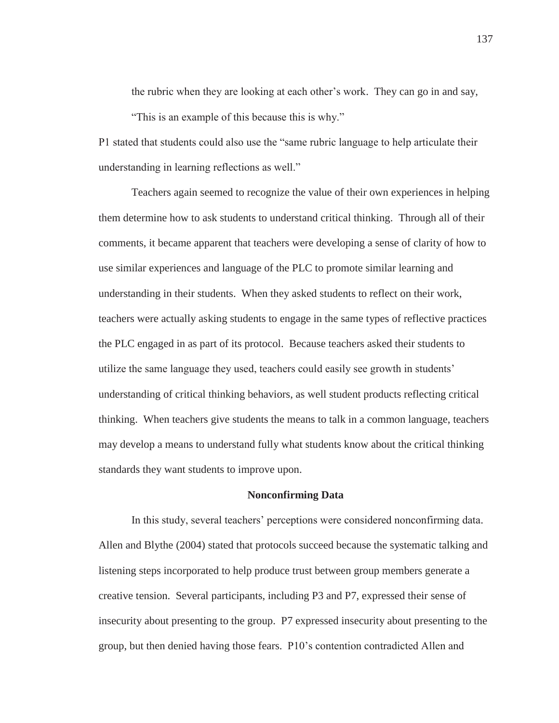the rubric when they are looking at each other's work. They can go in and say,

"This is an example of this because this is why."

P1 stated that students could also use the "same rubric language to help articulate their understanding in learning reflections as well."

Teachers again seemed to recognize the value of their own experiences in helping them determine how to ask students to understand critical thinking. Through all of their comments, it became apparent that teachers were developing a sense of clarity of how to use similar experiences and language of the PLC to promote similar learning and understanding in their students. When they asked students to reflect on their work, teachers were actually asking students to engage in the same types of reflective practices the PLC engaged in as part of its protocol. Because teachers asked their students to utilize the same language they used, teachers could easily see growth in students' understanding of critical thinking behaviors, as well student products reflecting critical thinking. When teachers give students the means to talk in a common language, teachers may develop a means to understand fully what students know about the critical thinking standards they want students to improve upon.

### **Nonconfirming Data**

In this study, several teachers' perceptions were considered nonconfirming data. Allen and Blythe (2004) stated that protocols succeed because the systematic talking and listening steps incorporated to help produce trust between group members generate a creative tension. Several participants, including P3 and P7, expressed their sense of insecurity about presenting to the group. P7 expressed insecurity about presenting to the group, but then denied having those fears. P10's contention contradicted Allen and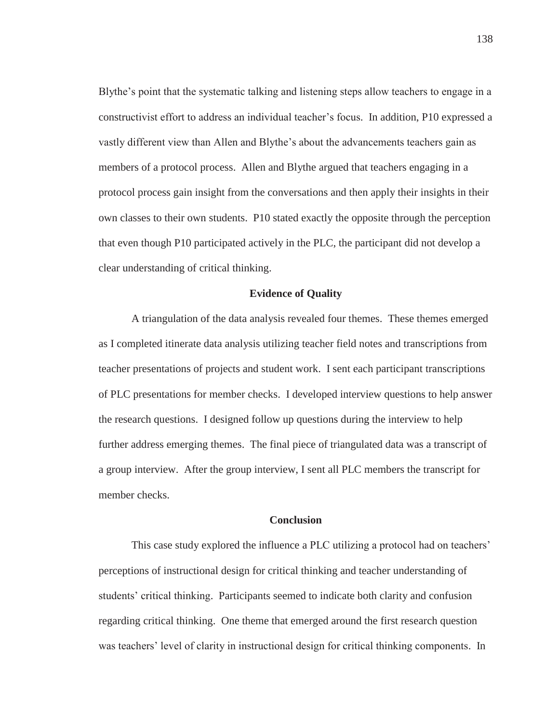Blythe's point that the systematic talking and listening steps allow teachers to engage in a constructivist effort to address an individual teacher's focus. In addition, P10 expressed a vastly different view than Allen and Blythe's about the advancements teachers gain as members of a protocol process. Allen and Blythe argued that teachers engaging in a protocol process gain insight from the conversations and then apply their insights in their own classes to their own students. P10 stated exactly the opposite through the perception that even though P10 participated actively in the PLC, the participant did not develop a clear understanding of critical thinking.

### **Evidence of Quality**

A triangulation of the data analysis revealed four themes. These themes emerged as I completed itinerate data analysis utilizing teacher field notes and transcriptions from teacher presentations of projects and student work. I sent each participant transcriptions of PLC presentations for member checks. I developed interview questions to help answer the research questions. I designed follow up questions during the interview to help further address emerging themes. The final piece of triangulated data was a transcript of a group interview. After the group interview, I sent all PLC members the transcript for member checks.

#### **Conclusion**

This case study explored the influence a PLC utilizing a protocol had on teachers' perceptions of instructional design for critical thinking and teacher understanding of students' critical thinking. Participants seemed to indicate both clarity and confusion regarding critical thinking. One theme that emerged around the first research question was teachers' level of clarity in instructional design for critical thinking components. In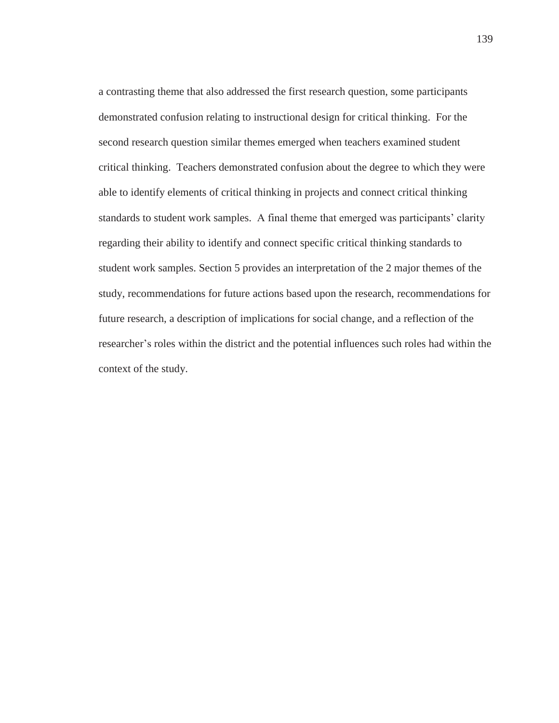a contrasting theme that also addressed the first research question, some participants demonstrated confusion relating to instructional design for critical thinking. For the second research question similar themes emerged when teachers examined student critical thinking. Teachers demonstrated confusion about the degree to which they were able to identify elements of critical thinking in projects and connect critical thinking standards to student work samples. A final theme that emerged was participants' clarity regarding their ability to identify and connect specific critical thinking standards to student work samples. Section 5 provides an interpretation of the 2 major themes of the study, recommendations for future actions based upon the research, recommendations for future research, a description of implications for social change, and a reflection of the researcher's roles within the district and the potential influences such roles had within the context of the study.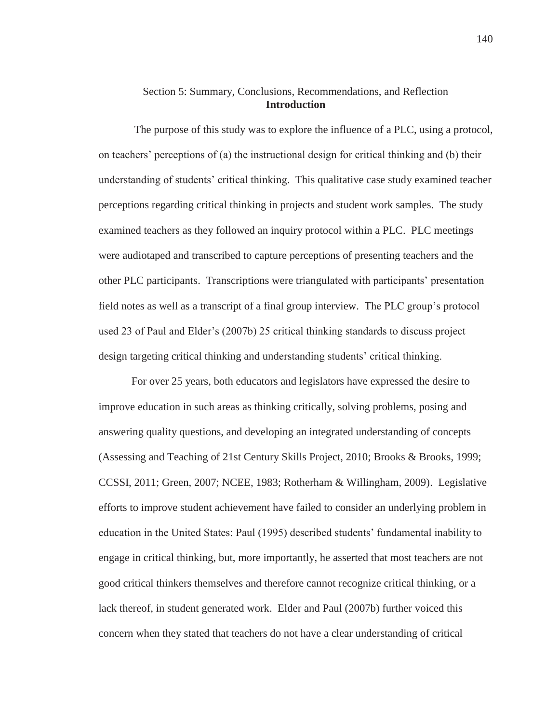# Section 5: Summary, Conclusions, Recommendations, and Reflection **Introduction**

 The purpose of this study was to explore the influence of a PLC, using a protocol, on teachers' perceptions of (a) the instructional design for critical thinking and (b) their understanding of students' critical thinking. This qualitative case study examined teacher perceptions regarding critical thinking in projects and student work samples. The study examined teachers as they followed an inquiry protocol within a PLC. PLC meetings were audiotaped and transcribed to capture perceptions of presenting teachers and the other PLC participants. Transcriptions were triangulated with participants' presentation field notes as well as a transcript of a final group interview. The PLC group's protocol used 23 of Paul and Elder's (2007b) 25 critical thinking standards to discuss project design targeting critical thinking and understanding students' critical thinking.

For over 25 years, both educators and legislators have expressed the desire to improve education in such areas as thinking critically, solving problems, posing and answering quality questions, and developing an integrated understanding of concepts (Assessing and Teaching of 21st Century Skills Project, 2010; Brooks & Brooks, 1999; CCSSI, 2011; Green, 2007; NCEE, 1983; Rotherham & Willingham, 2009). Legislative efforts to improve student achievement have failed to consider an underlying problem in education in the United States: Paul (1995) described students' fundamental inability to engage in critical thinking, but, more importantly, he asserted that most teachers are not good critical thinkers themselves and therefore cannot recognize critical thinking, or a lack thereof, in student generated work. Elder and Paul (2007b) further voiced this concern when they stated that teachers do not have a clear understanding of critical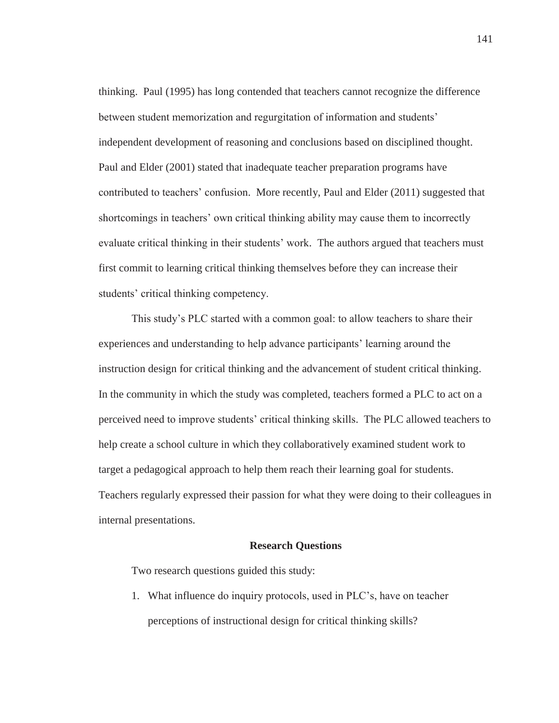thinking. Paul (1995) has long contended that teachers cannot recognize the difference between student memorization and regurgitation of information and students' independent development of reasoning and conclusions based on disciplined thought. Paul and Elder (2001) stated that inadequate teacher preparation programs have contributed to teachers' confusion. More recently, Paul and Elder (2011) suggested that shortcomings in teachers' own critical thinking ability may cause them to incorrectly evaluate critical thinking in their students' work. The authors argued that teachers must first commit to learning critical thinking themselves before they can increase their students' critical thinking competency.

This study's PLC started with a common goal: to allow teachers to share their experiences and understanding to help advance participants' learning around the instruction design for critical thinking and the advancement of student critical thinking. In the community in which the study was completed, teachers formed a PLC to act on a perceived need to improve students' critical thinking skills. The PLC allowed teachers to help create a school culture in which they collaboratively examined student work to target a pedagogical approach to help them reach their learning goal for students. Teachers regularly expressed their passion for what they were doing to their colleagues in internal presentations.

#### **Research Questions**

Two research questions guided this study:

1. What influence do inquiry protocols, used in PLC's, have on teacher perceptions of instructional design for critical thinking skills?

141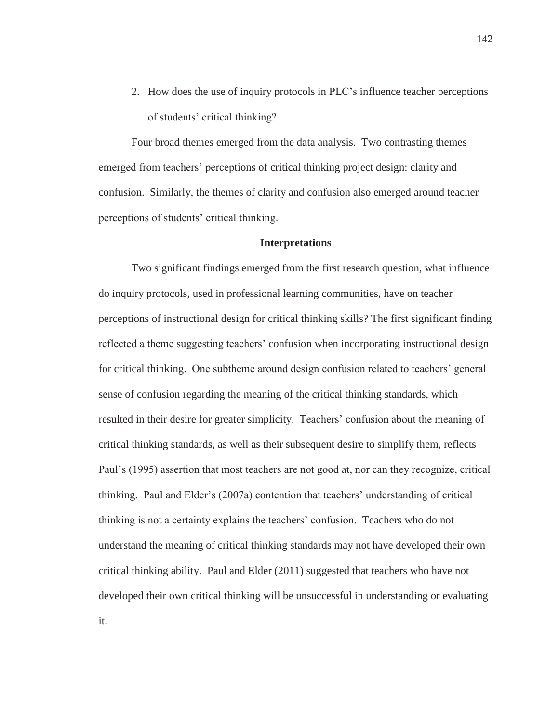2. How does the use of inquiry protocols in PLC's influence teacher perceptions of students' critical thinking?

Four broad themes emerged from the data analysis. Two contrasting themes emerged from teachers' perceptions of critical thinking project design: clarity and confusion. Similarly, the themes of clarity and confusion also emerged around teacher perceptions of students' critical thinking.

#### **Interpretations**

Two significant findings emerged from the first research question, what influence do inquiry protocols, used in professional learning communities, have on teacher perceptions of instructional design for critical thinking skills? The first significant finding reflected a theme suggesting teachers' confusion when incorporating instructional design for critical thinking. One subtheme around design confusion related to teachers' general sense of confusion regarding the meaning of the critical thinking standards, which resulted in their desire for greater simplicity. Teachers' confusion about the meaning of critical thinking standards, as well as their subsequent desire to simplify them, reflects Paul's (1995) assertion that most teachers are not good at, nor can they recognize, critical thinking. Paul and Elder's (2007a) contention that teachers' understanding of critical thinking is not a certainty explains the teachers' confusion. Teachers who do not understand the meaning of critical thinking standards may not have developed their own critical thinking ability. Paul and Elder (2011) suggested that teachers who have not developed their own critical thinking will be unsuccessful in understanding or evaluating it.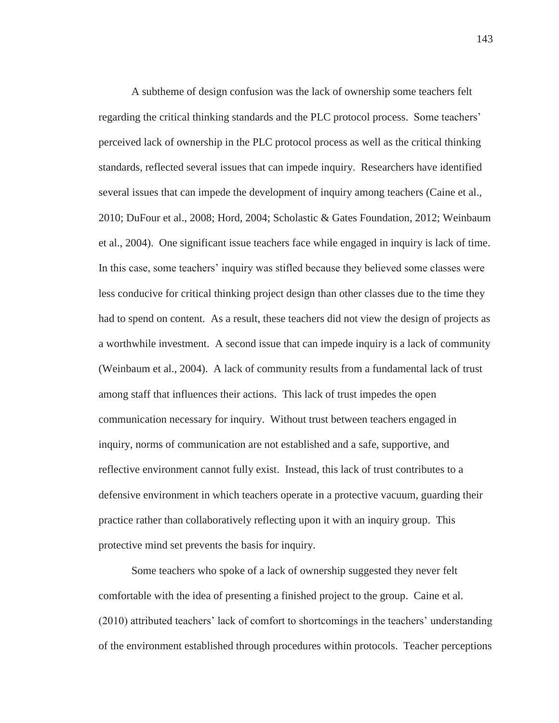A subtheme of design confusion was the lack of ownership some teachers felt regarding the critical thinking standards and the PLC protocol process. Some teachers' perceived lack of ownership in the PLC protocol process as well as the critical thinking standards, reflected several issues that can impede inquiry. Researchers have identified several issues that can impede the development of inquiry among teachers (Caine et al., 2010; DuFour et al., 2008; Hord, 2004; Scholastic & Gates Foundation, 2012; Weinbaum et al., 2004). One significant issue teachers face while engaged in inquiry is lack of time. In this case, some teachers' inquiry was stifled because they believed some classes were less conducive for critical thinking project design than other classes due to the time they had to spend on content. As a result, these teachers did not view the design of projects as a worthwhile investment. A second issue that can impede inquiry is a lack of community (Weinbaum et al., 2004). A lack of community results from a fundamental lack of trust among staff that influences their actions. This lack of trust impedes the open communication necessary for inquiry. Without trust between teachers engaged in inquiry, norms of communication are not established and a safe, supportive, and reflective environment cannot fully exist. Instead, this lack of trust contributes to a defensive environment in which teachers operate in a protective vacuum, guarding their practice rather than collaboratively reflecting upon it with an inquiry group. This protective mind set prevents the basis for inquiry.

Some teachers who spoke of a lack of ownership suggested they never felt comfortable with the idea of presenting a finished project to the group. Caine et al. (2010) attributed teachers' lack of comfort to shortcomings in the teachers' understanding of the environment established through procedures within protocols. Teacher perceptions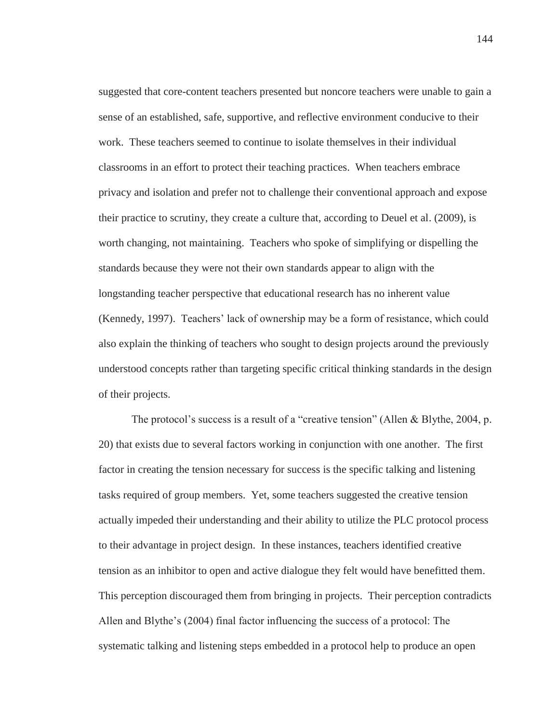suggested that core-content teachers presented but noncore teachers were unable to gain a sense of an established, safe, supportive, and reflective environment conducive to their work. These teachers seemed to continue to isolate themselves in their individual classrooms in an effort to protect their teaching practices. When teachers embrace privacy and isolation and prefer not to challenge their conventional approach and expose their practice to scrutiny, they create a culture that, according to Deuel et al. (2009), is worth changing, not maintaining. Teachers who spoke of simplifying or dispelling the standards because they were not their own standards appear to align with the longstanding teacher perspective that educational research has no inherent value (Kennedy, 1997). Teachers' lack of ownership may be a form of resistance, which could also explain the thinking of teachers who sought to design projects around the previously understood concepts rather than targeting specific critical thinking standards in the design of their projects.

The protocol's success is a result of a "creative tension" (Allen & Blythe, 2004, p. 20) that exists due to several factors working in conjunction with one another. The first factor in creating the tension necessary for success is the specific talking and listening tasks required of group members. Yet, some teachers suggested the creative tension actually impeded their understanding and their ability to utilize the PLC protocol process to their advantage in project design. In these instances, teachers identified creative tension as an inhibitor to open and active dialogue they felt would have benefitted them. This perception discouraged them from bringing in projects. Their perception contradicts Allen and Blythe's (2004) final factor influencing the success of a protocol: The systematic talking and listening steps embedded in a protocol help to produce an open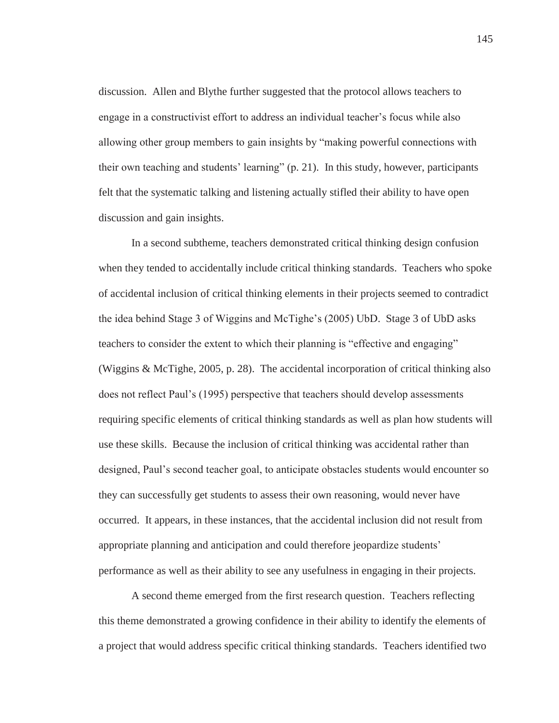discussion. Allen and Blythe further suggested that the protocol allows teachers to engage in a constructivist effort to address an individual teacher's focus while also allowing other group members to gain insights by "making powerful connections with their own teaching and students' learning" (p. 21). In this study, however, participants felt that the systematic talking and listening actually stifled their ability to have open discussion and gain insights.

In a second subtheme, teachers demonstrated critical thinking design confusion when they tended to accidentally include critical thinking standards. Teachers who spoke of accidental inclusion of critical thinking elements in their projects seemed to contradict the idea behind Stage 3 of Wiggins and McTighe's (2005) UbD. Stage 3 of UbD asks teachers to consider the extent to which their planning is "effective and engaging" (Wiggins & McTighe, 2005, p. 28). The accidental incorporation of critical thinking also does not reflect Paul's (1995) perspective that teachers should develop assessments requiring specific elements of critical thinking standards as well as plan how students will use these skills. Because the inclusion of critical thinking was accidental rather than designed, Paul's second teacher goal, to anticipate obstacles students would encounter so they can successfully get students to assess their own reasoning, would never have occurred. It appears, in these instances, that the accidental inclusion did not result from appropriate planning and anticipation and could therefore jeopardize students' performance as well as their ability to see any usefulness in engaging in their projects.

A second theme emerged from the first research question. Teachers reflecting this theme demonstrated a growing confidence in their ability to identify the elements of a project that would address specific critical thinking standards. Teachers identified two

145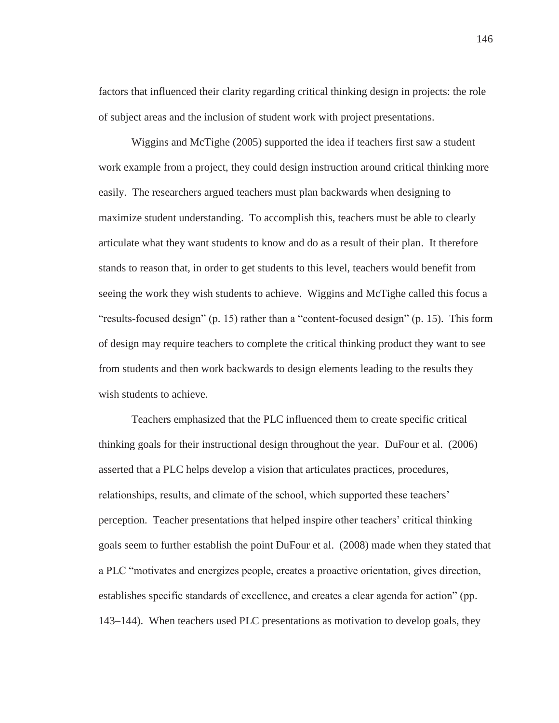factors that influenced their clarity regarding critical thinking design in projects: the role of subject areas and the inclusion of student work with project presentations.

Wiggins and McTighe (2005) supported the idea if teachers first saw a student work example from a project, they could design instruction around critical thinking more easily. The researchers argued teachers must plan backwards when designing to maximize student understanding. To accomplish this, teachers must be able to clearly articulate what they want students to know and do as a result of their plan. It therefore stands to reason that, in order to get students to this level, teachers would benefit from seeing the work they wish students to achieve. Wiggins and McTighe called this focus a "results-focused design" (p. 15) rather than a "content-focused design" (p. 15). This form of design may require teachers to complete the critical thinking product they want to see from students and then work backwards to design elements leading to the results they wish students to achieve.

Teachers emphasized that the PLC influenced them to create specific critical thinking goals for their instructional design throughout the year. DuFour et al. (2006) asserted that a PLC helps develop a vision that articulates practices, procedures, relationships, results, and climate of the school, which supported these teachers' perception. Teacher presentations that helped inspire other teachers' critical thinking goals seem to further establish the point DuFour et al. (2008) made when they stated that a PLC "motivates and energizes people, creates a proactive orientation, gives direction, establishes specific standards of excellence, and creates a clear agenda for action" (pp. 143–144). When teachers used PLC presentations as motivation to develop goals, they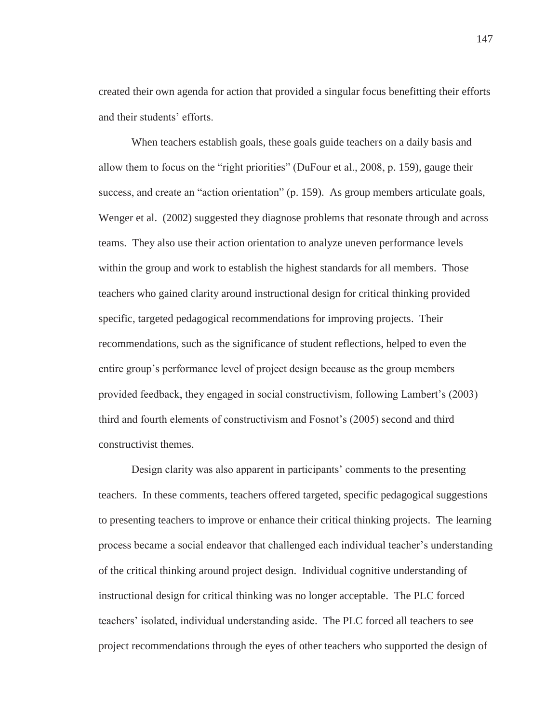created their own agenda for action that provided a singular focus benefitting their efforts and their students' efforts.

When teachers establish goals, these goals guide teachers on a daily basis and allow them to focus on the "right priorities" (DuFour et al., 2008, p. 159), gauge their success, and create an "action orientation" (p. 159). As group members articulate goals, Wenger et al. (2002) suggested they diagnose problems that resonate through and across teams. They also use their action orientation to analyze uneven performance levels within the group and work to establish the highest standards for all members. Those teachers who gained clarity around instructional design for critical thinking provided specific, targeted pedagogical recommendations for improving projects. Their recommendations, such as the significance of student reflections, helped to even the entire group's performance level of project design because as the group members provided feedback, they engaged in social constructivism, following Lambert's (2003) third and fourth elements of constructivism and Fosnot's (2005) second and third constructivist themes.

Design clarity was also apparent in participants' comments to the presenting teachers. In these comments, teachers offered targeted, specific pedagogical suggestions to presenting teachers to improve or enhance their critical thinking projects. The learning process became a social endeavor that challenged each individual teacher's understanding of the critical thinking around project design. Individual cognitive understanding of instructional design for critical thinking was no longer acceptable. The PLC forced teachers' isolated, individual understanding aside. The PLC forced all teachers to see project recommendations through the eyes of other teachers who supported the design of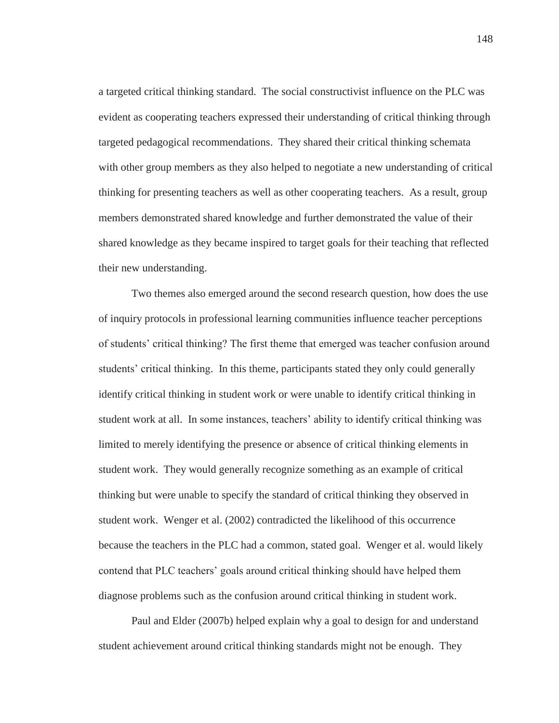a targeted critical thinking standard. The social constructivist influence on the PLC was evident as cooperating teachers expressed their understanding of critical thinking through targeted pedagogical recommendations. They shared their critical thinking schemata with other group members as they also helped to negotiate a new understanding of critical thinking for presenting teachers as well as other cooperating teachers. As a result, group members demonstrated shared knowledge and further demonstrated the value of their shared knowledge as they became inspired to target goals for their teaching that reflected their new understanding.

Two themes also emerged around the second research question, how does the use of inquiry protocols in professional learning communities influence teacher perceptions of students' critical thinking? The first theme that emerged was teacher confusion around students' critical thinking. In this theme, participants stated they only could generally identify critical thinking in student work or were unable to identify critical thinking in student work at all. In some instances, teachers' ability to identify critical thinking was limited to merely identifying the presence or absence of critical thinking elements in student work. They would generally recognize something as an example of critical thinking but were unable to specify the standard of critical thinking they observed in student work. Wenger et al. (2002) contradicted the likelihood of this occurrence because the teachers in the PLC had a common, stated goal. Wenger et al. would likely contend that PLC teachers' goals around critical thinking should have helped them diagnose problems such as the confusion around critical thinking in student work.

Paul and Elder (2007b) helped explain why a goal to design for and understand student achievement around critical thinking standards might not be enough. They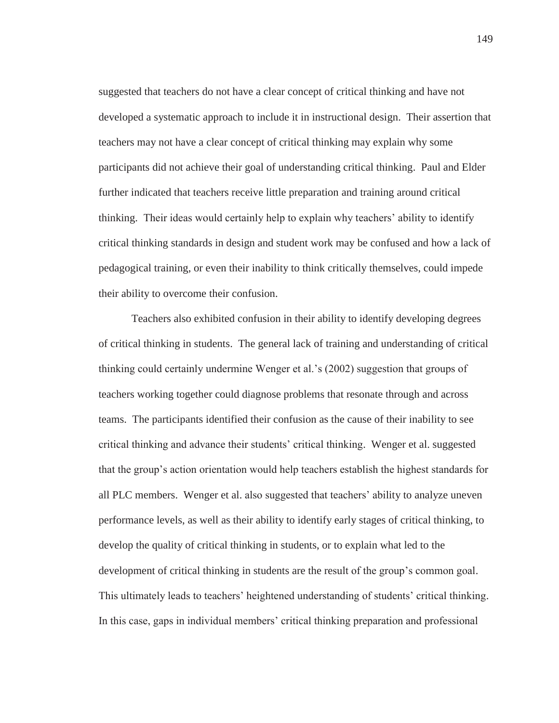suggested that teachers do not have a clear concept of critical thinking and have not developed a systematic approach to include it in instructional design. Their assertion that teachers may not have a clear concept of critical thinking may explain why some participants did not achieve their goal of understanding critical thinking. Paul and Elder further indicated that teachers receive little preparation and training around critical thinking. Their ideas would certainly help to explain why teachers' ability to identify critical thinking standards in design and student work may be confused and how a lack of pedagogical training, or even their inability to think critically themselves, could impede their ability to overcome their confusion.

Teachers also exhibited confusion in their ability to identify developing degrees of critical thinking in students. The general lack of training and understanding of critical thinking could certainly undermine Wenger et al.'s (2002) suggestion that groups of teachers working together could diagnose problems that resonate through and across teams. The participants identified their confusion as the cause of their inability to see critical thinking and advance their students' critical thinking. Wenger et al. suggested that the group's action orientation would help teachers establish the highest standards for all PLC members. Wenger et al. also suggested that teachers' ability to analyze uneven performance levels, as well as their ability to identify early stages of critical thinking, to develop the quality of critical thinking in students, or to explain what led to the development of critical thinking in students are the result of the group's common goal. This ultimately leads to teachers' heightened understanding of students' critical thinking. In this case, gaps in individual members' critical thinking preparation and professional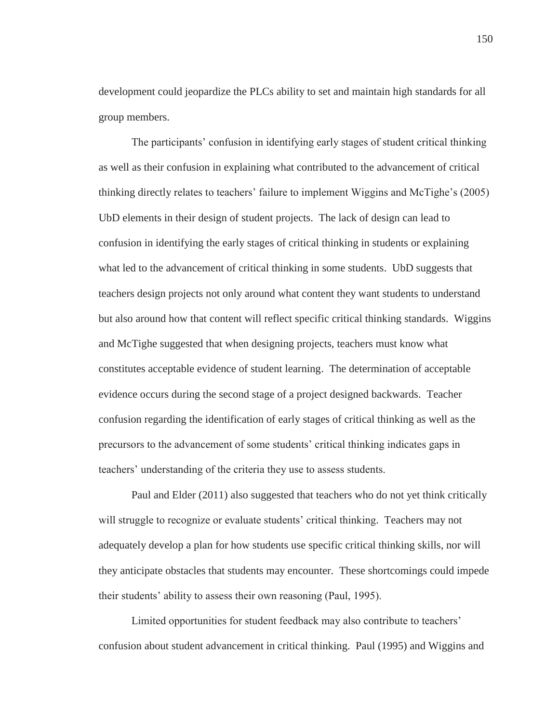development could jeopardize the PLCs ability to set and maintain high standards for all group members.

The participants' confusion in identifying early stages of student critical thinking as well as their confusion in explaining what contributed to the advancement of critical thinking directly relates to teachers' failure to implement Wiggins and McTighe's (2005) UbD elements in their design of student projects. The lack of design can lead to confusion in identifying the early stages of critical thinking in students or explaining what led to the advancement of critical thinking in some students. UbD suggests that teachers design projects not only around what content they want students to understand but also around how that content will reflect specific critical thinking standards. Wiggins and McTighe suggested that when designing projects, teachers must know what constitutes acceptable evidence of student learning. The determination of acceptable evidence occurs during the second stage of a project designed backwards. Teacher confusion regarding the identification of early stages of critical thinking as well as the precursors to the advancement of some students' critical thinking indicates gaps in teachers' understanding of the criteria they use to assess students.

Paul and Elder (2011) also suggested that teachers who do not yet think critically will struggle to recognize or evaluate students' critical thinking. Teachers may not adequately develop a plan for how students use specific critical thinking skills, nor will they anticipate obstacles that students may encounter. These shortcomings could impede their students' ability to assess their own reasoning (Paul, 1995).

Limited opportunities for student feedback may also contribute to teachers' confusion about student advancement in critical thinking. Paul (1995) and Wiggins and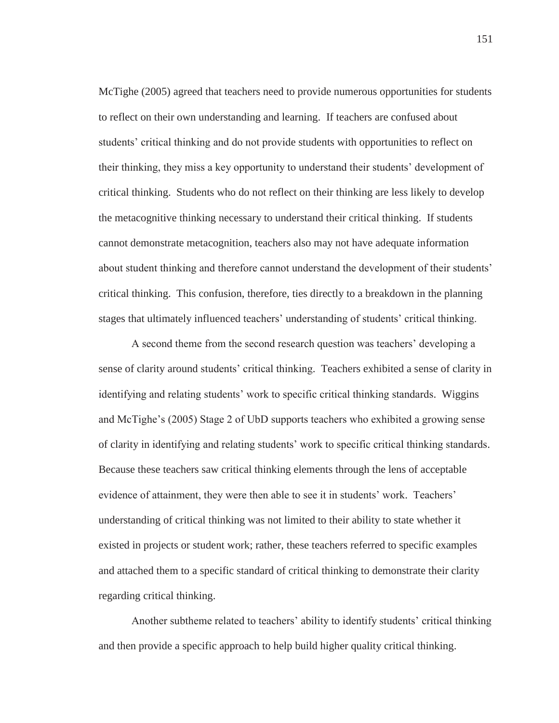McTighe (2005) agreed that teachers need to provide numerous opportunities for students to reflect on their own understanding and learning. If teachers are confused about students' critical thinking and do not provide students with opportunities to reflect on their thinking, they miss a key opportunity to understand their students' development of critical thinking. Students who do not reflect on their thinking are less likely to develop the metacognitive thinking necessary to understand their critical thinking. If students cannot demonstrate metacognition, teachers also may not have adequate information about student thinking and therefore cannot understand the development of their students' critical thinking. This confusion, therefore, ties directly to a breakdown in the planning stages that ultimately influenced teachers' understanding of students' critical thinking.

A second theme from the second research question was teachers' developing a sense of clarity around students' critical thinking. Teachers exhibited a sense of clarity in identifying and relating students' work to specific critical thinking standards. Wiggins and McTighe's (2005) Stage 2 of UbD supports teachers who exhibited a growing sense of clarity in identifying and relating students' work to specific critical thinking standards. Because these teachers saw critical thinking elements through the lens of acceptable evidence of attainment, they were then able to see it in students' work. Teachers' understanding of critical thinking was not limited to their ability to state whether it existed in projects or student work; rather, these teachers referred to specific examples and attached them to a specific standard of critical thinking to demonstrate their clarity regarding critical thinking.

Another subtheme related to teachers' ability to identify students' critical thinking and then provide a specific approach to help build higher quality critical thinking.

151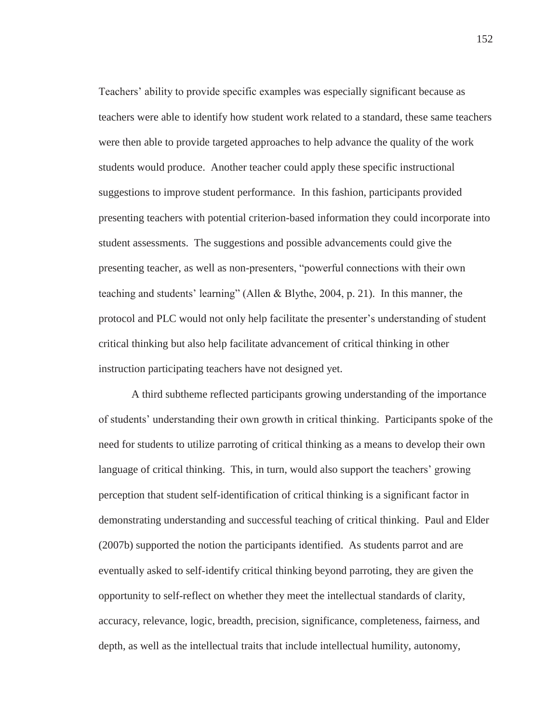Teachers' ability to provide specific examples was especially significant because as teachers were able to identify how student work related to a standard, these same teachers were then able to provide targeted approaches to help advance the quality of the work students would produce. Another teacher could apply these specific instructional suggestions to improve student performance. In this fashion, participants provided presenting teachers with potential criterion-based information they could incorporate into student assessments. The suggestions and possible advancements could give the presenting teacher, as well as non-presenters, "powerful connections with their own teaching and students' learning" (Allen & Blythe, 2004, p. 21). In this manner, the protocol and PLC would not only help facilitate the presenter's understanding of student critical thinking but also help facilitate advancement of critical thinking in other instruction participating teachers have not designed yet.

A third subtheme reflected participants growing understanding of the importance of students' understanding their own growth in critical thinking. Participants spoke of the need for students to utilize parroting of critical thinking as a means to develop their own language of critical thinking. This, in turn, would also support the teachers' growing perception that student self-identification of critical thinking is a significant factor in demonstrating understanding and successful teaching of critical thinking. Paul and Elder (2007b) supported the notion the participants identified. As students parrot and are eventually asked to self-identify critical thinking beyond parroting, they are given the opportunity to self-reflect on whether they meet the intellectual standards of clarity, accuracy, relevance, logic, breadth, precision, significance, completeness, fairness, and depth, as well as the intellectual traits that include intellectual humility, autonomy,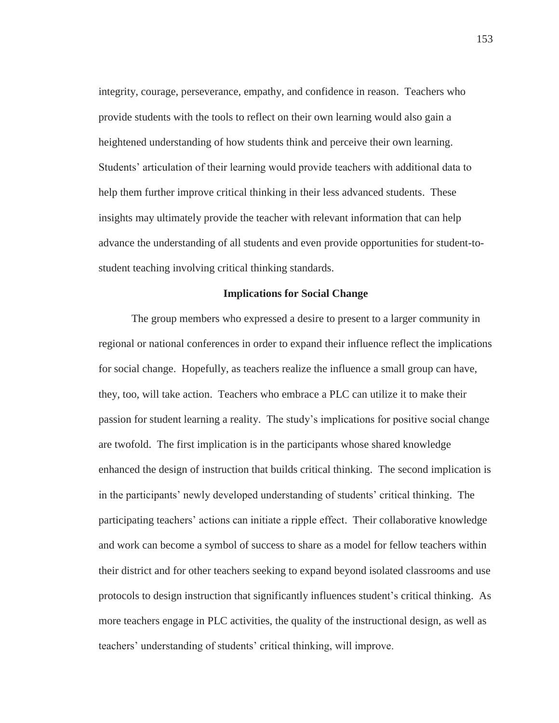integrity, courage, perseverance, empathy, and confidence in reason. Teachers who provide students with the tools to reflect on their own learning would also gain a heightened understanding of how students think and perceive their own learning. Students' articulation of their learning would provide teachers with additional data to help them further improve critical thinking in their less advanced students. These insights may ultimately provide the teacher with relevant information that can help advance the understanding of all students and even provide opportunities for student-tostudent teaching involving critical thinking standards.

### **Implications for Social Change**

The group members who expressed a desire to present to a larger community in regional or national conferences in order to expand their influence reflect the implications for social change. Hopefully, as teachers realize the influence a small group can have, they, too, will take action. Teachers who embrace a PLC can utilize it to make their passion for student learning a reality. The study's implications for positive social change are twofold. The first implication is in the participants whose shared knowledge enhanced the design of instruction that builds critical thinking. The second implication is in the participants' newly developed understanding of students' critical thinking. The participating teachers' actions can initiate a ripple effect. Their collaborative knowledge and work can become a symbol of success to share as a model for fellow teachers within their district and for other teachers seeking to expand beyond isolated classrooms and use protocols to design instruction that significantly influences student's critical thinking. As more teachers engage in PLC activities, the quality of the instructional design, as well as teachers' understanding of students' critical thinking, will improve.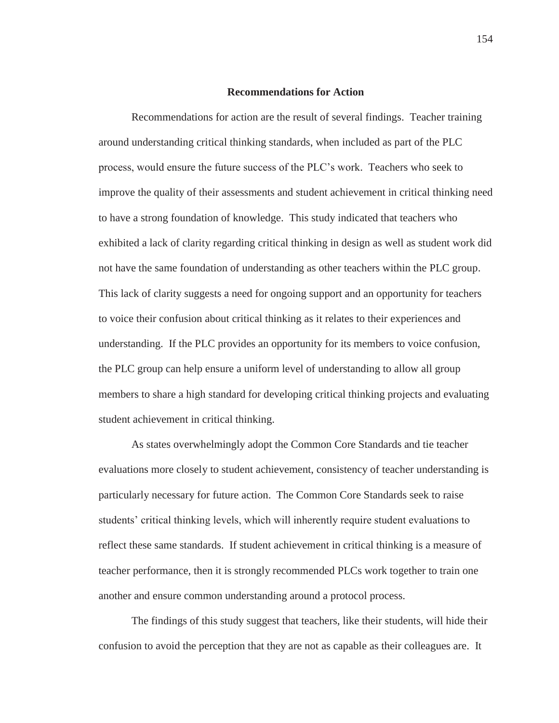#### **Recommendations for Action**

Recommendations for action are the result of several findings. Teacher training around understanding critical thinking standards, when included as part of the PLC process, would ensure the future success of the PLC's work. Teachers who seek to improve the quality of their assessments and student achievement in critical thinking need to have a strong foundation of knowledge. This study indicated that teachers who exhibited a lack of clarity regarding critical thinking in design as well as student work did not have the same foundation of understanding as other teachers within the PLC group. This lack of clarity suggests a need for ongoing support and an opportunity for teachers to voice their confusion about critical thinking as it relates to their experiences and understanding. If the PLC provides an opportunity for its members to voice confusion, the PLC group can help ensure a uniform level of understanding to allow all group members to share a high standard for developing critical thinking projects and evaluating student achievement in critical thinking.

As states overwhelmingly adopt the Common Core Standards and tie teacher evaluations more closely to student achievement, consistency of teacher understanding is particularly necessary for future action. The Common Core Standards seek to raise students' critical thinking levels, which will inherently require student evaluations to reflect these same standards. If student achievement in critical thinking is a measure of teacher performance, then it is strongly recommended PLCs work together to train one another and ensure common understanding around a protocol process.

The findings of this study suggest that teachers, like their students, will hide their confusion to avoid the perception that they are not as capable as their colleagues are. It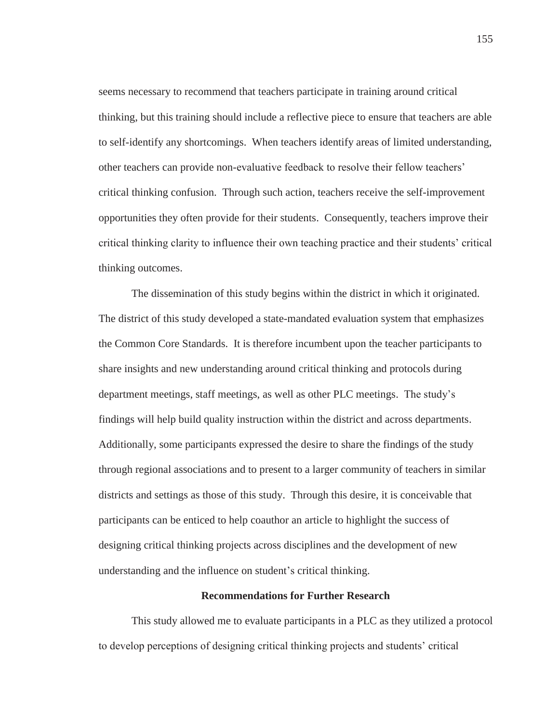seems necessary to recommend that teachers participate in training around critical thinking, but this training should include a reflective piece to ensure that teachers are able to self-identify any shortcomings. When teachers identify areas of limited understanding, other teachers can provide non-evaluative feedback to resolve their fellow teachers' critical thinking confusion. Through such action, teachers receive the self-improvement opportunities they often provide for their students. Consequently, teachers improve their critical thinking clarity to influence their own teaching practice and their students' critical thinking outcomes.

The dissemination of this study begins within the district in which it originated. The district of this study developed a state-mandated evaluation system that emphasizes the Common Core Standards. It is therefore incumbent upon the teacher participants to share insights and new understanding around critical thinking and protocols during department meetings, staff meetings, as well as other PLC meetings. The study's findings will help build quality instruction within the district and across departments. Additionally, some participants expressed the desire to share the findings of the study through regional associations and to present to a larger community of teachers in similar districts and settings as those of this study. Through this desire, it is conceivable that participants can be enticed to help coauthor an article to highlight the success of designing critical thinking projects across disciplines and the development of new understanding and the influence on student's critical thinking.

## **Recommendations for Further Research**

This study allowed me to evaluate participants in a PLC as they utilized a protocol to develop perceptions of designing critical thinking projects and students' critical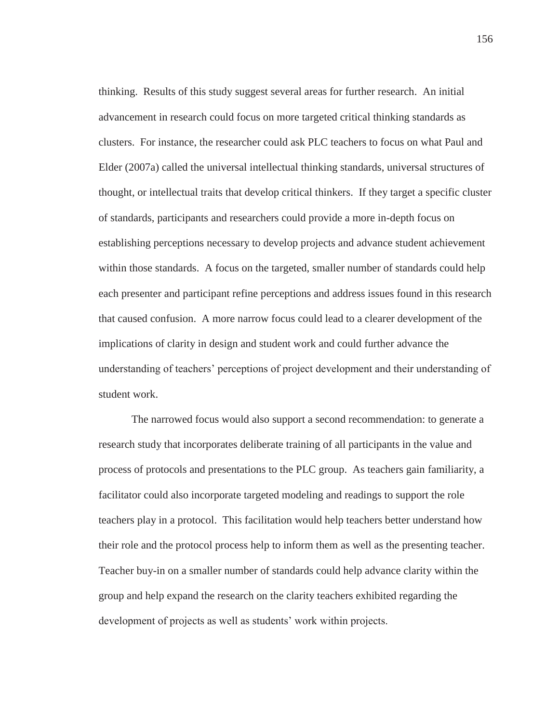thinking. Results of this study suggest several areas for further research. An initial advancement in research could focus on more targeted critical thinking standards as clusters. For instance, the researcher could ask PLC teachers to focus on what Paul and Elder (2007a) called the universal intellectual thinking standards, universal structures of thought, or intellectual traits that develop critical thinkers. If they target a specific cluster of standards, participants and researchers could provide a more in-depth focus on establishing perceptions necessary to develop projects and advance student achievement within those standards. A focus on the targeted, smaller number of standards could help each presenter and participant refine perceptions and address issues found in this research that caused confusion. A more narrow focus could lead to a clearer development of the implications of clarity in design and student work and could further advance the understanding of teachers' perceptions of project development and their understanding of student work.

The narrowed focus would also support a second recommendation: to generate a research study that incorporates deliberate training of all participants in the value and process of protocols and presentations to the PLC group. As teachers gain familiarity, a facilitator could also incorporate targeted modeling and readings to support the role teachers play in a protocol. This facilitation would help teachers better understand how their role and the protocol process help to inform them as well as the presenting teacher. Teacher buy-in on a smaller number of standards could help advance clarity within the group and help expand the research on the clarity teachers exhibited regarding the development of projects as well as students' work within projects.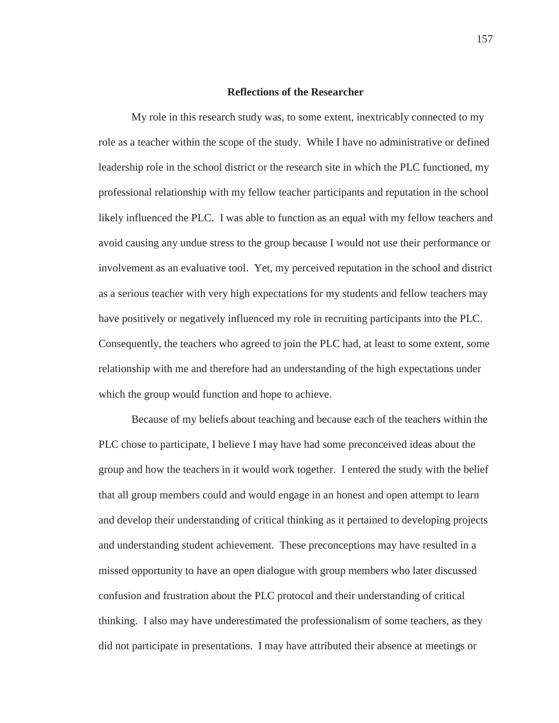#### **Reflections of the Researcher**

My role in this research study was, to some extent, inextricably connected to my role as a teacher within the scope of the study. While I have no administrative or defined leadership role in the school district or the research site in which the PLC functioned, my professional relationship with my fellow teacher participants and reputation in the school likely influenced the PLC. I was able to function as an equal with my fellow teachers and avoid causing any undue stress to the group because I would not use their performance or involvement as an evaluative tool. Yet, my perceived reputation in the school and district as a serious teacher with very high expectations for my students and fellow teachers may have positively or negatively influenced my role in recruiting participants into the PLC. Consequently, the teachers who agreed to join the PLC had, at least to some extent, some relationship with me and therefore had an understanding of the high expectations under which the group would function and hope to achieve.

Because of my beliefs about teaching and because each of the teachers within the PLC chose to participate, I believe I may have had some preconceived ideas about the group and how the teachers in it would work together. I entered the study with the belief that all group members could and would engage in an honest and open attempt to learn and develop their understanding of critical thinking as it pertained to developing projects and understanding student achievement. These preconceptions may have resulted in a missed opportunity to have an open dialogue with group members who later discussed confusion and frustration about the PLC protocol and their understanding of critical thinking. I also may have underestimated the professionalism of some teachers, as they did not participate in presentations. I may have attributed their absence at meetings or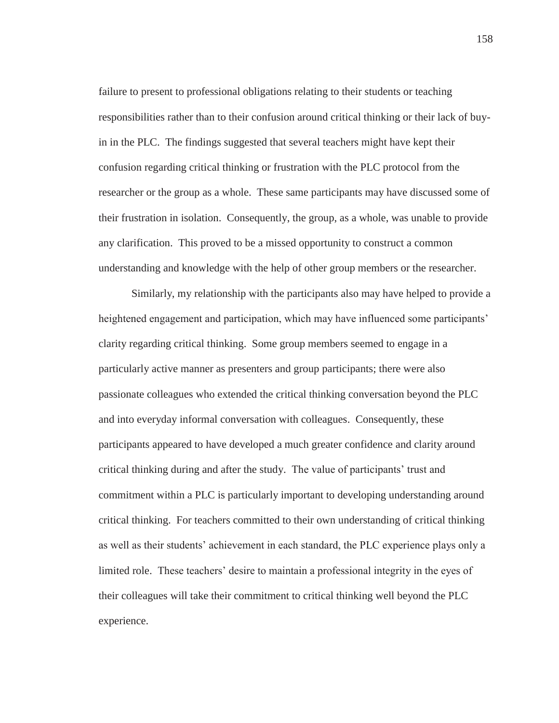failure to present to professional obligations relating to their students or teaching responsibilities rather than to their confusion around critical thinking or their lack of buyin in the PLC. The findings suggested that several teachers might have kept their confusion regarding critical thinking or frustration with the PLC protocol from the researcher or the group as a whole. These same participants may have discussed some of their frustration in isolation. Consequently, the group, as a whole, was unable to provide any clarification. This proved to be a missed opportunity to construct a common understanding and knowledge with the help of other group members or the researcher.

Similarly, my relationship with the participants also may have helped to provide a heightened engagement and participation, which may have influenced some participants' clarity regarding critical thinking. Some group members seemed to engage in a particularly active manner as presenters and group participants; there were also passionate colleagues who extended the critical thinking conversation beyond the PLC and into everyday informal conversation with colleagues. Consequently, these participants appeared to have developed a much greater confidence and clarity around critical thinking during and after the study. The value of participants' trust and commitment within a PLC is particularly important to developing understanding around critical thinking. For teachers committed to their own understanding of critical thinking as well as their students' achievement in each standard, the PLC experience plays only a limited role. These teachers' desire to maintain a professional integrity in the eyes of their colleagues will take their commitment to critical thinking well beyond the PLC experience.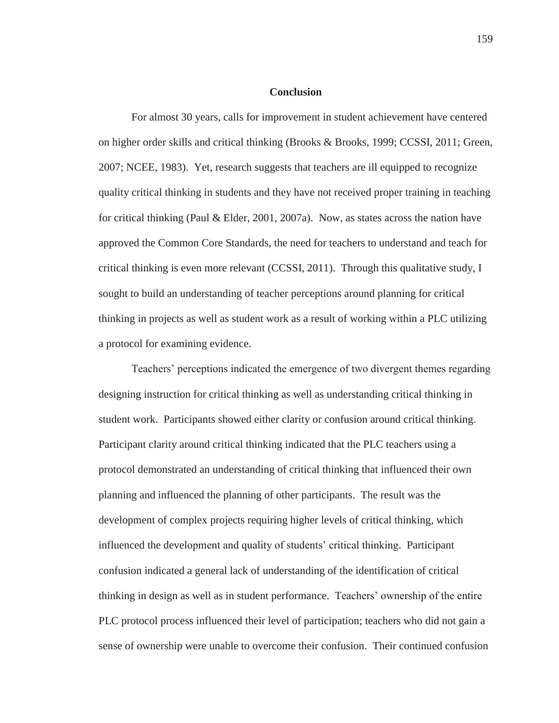#### **Conclusion**

For almost 30 years, calls for improvement in student achievement have centered on higher order skills and critical thinking (Brooks & Brooks, 1999; CCSSI, 2011; Green, 2007; NCEE, 1983). Yet, research suggests that teachers are ill equipped to recognize quality critical thinking in students and they have not received proper training in teaching for critical thinking (Paul & Elder, 2001, 2007a). Now, as states across the nation have approved the Common Core Standards, the need for teachers to understand and teach for critical thinking is even more relevant (CCSSI, 2011). Through this qualitative study, I sought to build an understanding of teacher perceptions around planning for critical thinking in projects as well as student work as a result of working within a PLC utilizing a protocol for examining evidence.

Teachers' perceptions indicated the emergence of two divergent themes regarding designing instruction for critical thinking as well as understanding critical thinking in student work. Participants showed either clarity or confusion around critical thinking. Participant clarity around critical thinking indicated that the PLC teachers using a protocol demonstrated an understanding of critical thinking that influenced their own planning and influenced the planning of other participants. The result was the development of complex projects requiring higher levels of critical thinking, which influenced the development and quality of students' critical thinking. Participant confusion indicated a general lack of understanding of the identification of critical thinking in design as well as in student performance. Teachers' ownership of the entire PLC protocol process influenced their level of participation; teachers who did not gain a sense of ownership were unable to overcome their confusion. Their continued confusion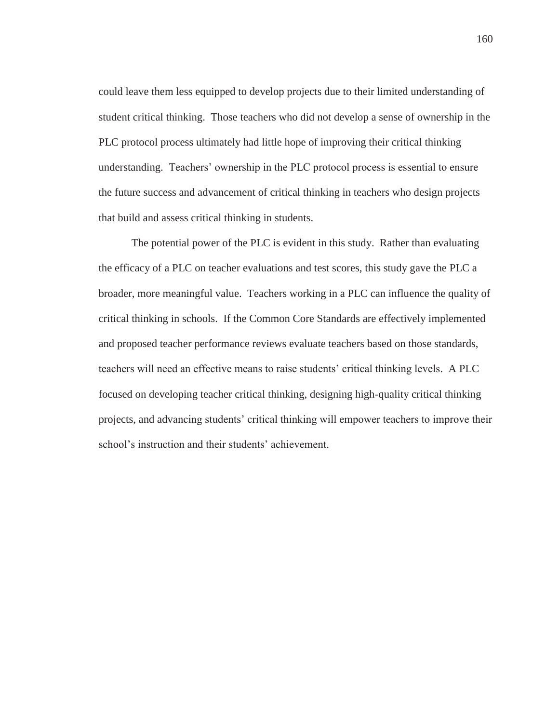could leave them less equipped to develop projects due to their limited understanding of student critical thinking. Those teachers who did not develop a sense of ownership in the PLC protocol process ultimately had little hope of improving their critical thinking understanding. Teachers' ownership in the PLC protocol process is essential to ensure the future success and advancement of critical thinking in teachers who design projects that build and assess critical thinking in students.

The potential power of the PLC is evident in this study. Rather than evaluating the efficacy of a PLC on teacher evaluations and test scores, this study gave the PLC a broader, more meaningful value. Teachers working in a PLC can influence the quality of critical thinking in schools. If the Common Core Standards are effectively implemented and proposed teacher performance reviews evaluate teachers based on those standards, teachers will need an effective means to raise students' critical thinking levels. A PLC focused on developing teacher critical thinking, designing high-quality critical thinking projects, and advancing students' critical thinking will empower teachers to improve their school's instruction and their students' achievement.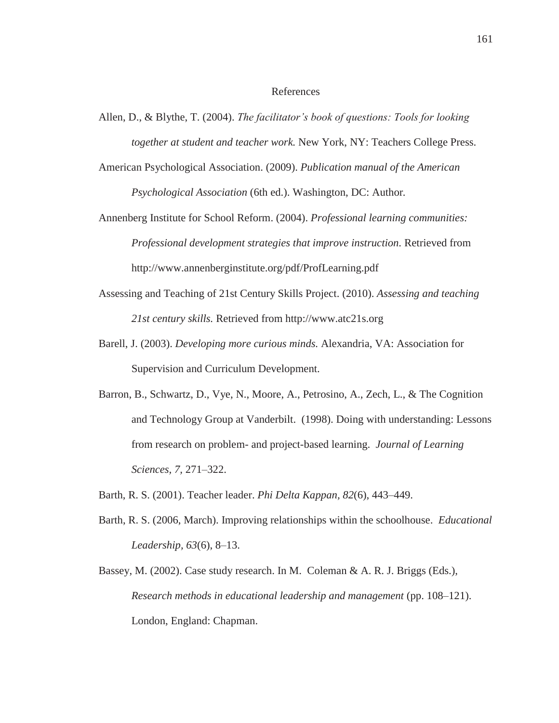#### References

- Allen, D., & Blythe, T. (2004). *The facilitator's book of questions: Tools for looking together at student and teacher work.* New York, NY: Teachers College Press.
- American Psychological Association. (2009). *Publication manual of the American Psychological Association* (6th ed.). Washington, DC: Author*.*
- Annenberg Institute for School Reform. (2004). *Professional learning communities: Professional development strategies that improve instruction.* Retrieved from http://www.annenberginstitute.org/pdf/ProfLearning.pdf
- Assessing and Teaching of 21st Century Skills Project. (2010). *Assessing and teaching 21st century skills.* Retrieved from http://www.atc21s.org
- Barell, J. (2003). *Developing more curious minds.* Alexandria, VA: Association for Supervision and Curriculum Development.
- Barron, B., Schwartz, D., Vye, N., Moore, A., Petrosino, A., Zech, L., & The Cognition and Technology Group at Vanderbilt. (1998). Doing with understanding: Lessons from research on problem- and project-based learning. *Journal of Learning Sciences, 7,* 271–322.
- Barth, R. S. (2001). Teacher leader. *Phi Delta Kappan, 82*(6), 443–449.
- Barth, R. S. (2006, March). Improving relationships within the schoolhouse. *Educational Leadership, 63*(6), 8–13.
- Bassey, M. (2002). Case study research. In M. Coleman & A. R. J. Briggs (Eds.), *Research methods in educational leadership and management* (pp. 108–121). London, England: Chapman.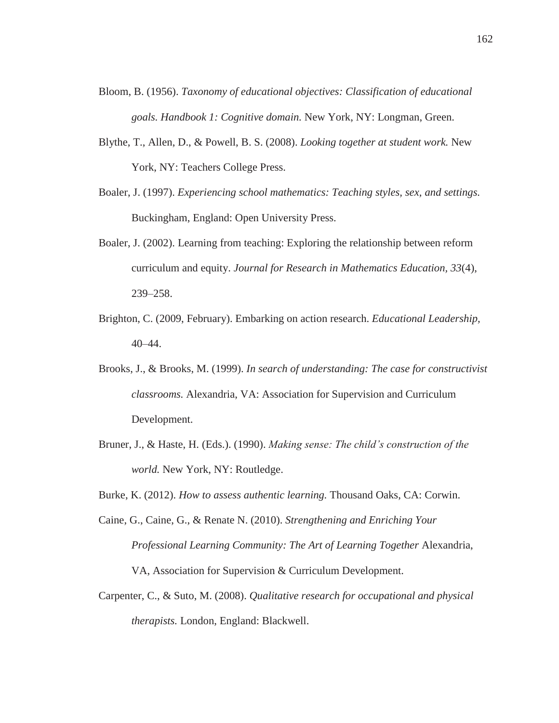- Bloom, B. (1956). *Taxonomy of educational objectives: Classification of educational goals. Handbook 1: Cognitive domain.* New York, NY: Longman, Green.
- Blythe, T., Allen, D., & Powell, B. S. (2008). *Looking together at student work.* New York, NY: Teachers College Press.
- Boaler, J. (1997). *Experiencing school mathematics: Teaching styles, sex, and settings.*  Buckingham, England: Open University Press.
- Boaler, J. (2002). Learning from teaching: Exploring the relationship between reform curriculum and equity. *Journal for Research in Mathematics Education, 33*(4), 239–258.
- Brighton, C. (2009, February). Embarking on action research. *Educational Leadership,* 40–44.
- Brooks, J., & Brooks, M. (1999). *In search of understanding: The case for constructivist classrooms.* Alexandria, VA: Association for Supervision and Curriculum Development.
- Bruner, J., & Haste, H. (Eds.). (1990). *Making sense: The child's construction of the world.* New York, NY: Routledge.
- Burke, K. (2012). *How to assess authentic learning.* Thousand Oaks, CA: Corwin.
- Caine, G., Caine, G., & Renate N. (2010). *Strengthening and Enriching Your Professional Learning Community: The Art of Learning Together* Alexandria, VA, Association for Supervision & Curriculum Development.
- Carpenter, C., & Suto, M. (2008). *Qualitative research for occupational and physical therapists.* London, England: Blackwell.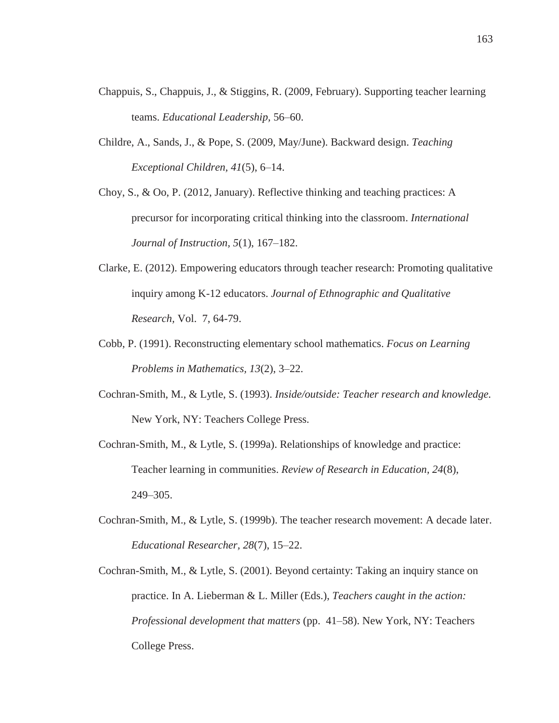- Chappuis, S., Chappuis, J., & Stiggins, R. (2009, February). Supporting teacher learning teams. *Educational Leadership,* 56–60.
- Childre, A., Sands, J., & Pope, S. (2009, May/June). Backward design. *Teaching Exceptional Children, 41*(5), 6–14.

Choy, S., & Oo, P. (2012, January). Reflective thinking and teaching practices: A precursor for incorporating critical thinking into the classroom. *International Journal of Instruction, 5*(1), 167–182.

- Clarke, E. (2012). Empowering educators through teacher research: Promoting qualitative inquiry among K-12 educators. *Journal of Ethnographic and Qualitative Research,* Vol. 7, 64-79.
- Cobb, P. (1991). Reconstructing elementary school mathematics. *Focus on Learning Problems in Mathematics, 13*(2), 3–22.
- Cochran-Smith, M., & Lytle, S. (1993). *Inside/outside: Teacher research and knowledge.*  New York, NY: Teachers College Press.
- Cochran-Smith, M., & Lytle, S. (1999a). Relationships of knowledge and practice: Teacher learning in communities. *Review of Research in Education, 24*(8), 249–305.
- Cochran-Smith, M., & Lytle, S. (1999b). The teacher research movement: A decade later. *Educational Researcher, 28*(7), 15–22.
- Cochran-Smith, M., & Lytle, S. (2001). Beyond certainty: Taking an inquiry stance on practice. In A. Lieberman & L. Miller (Eds.), *Teachers caught in the action: Professional development that matters* (pp. 41–58). New York, NY: Teachers College Press.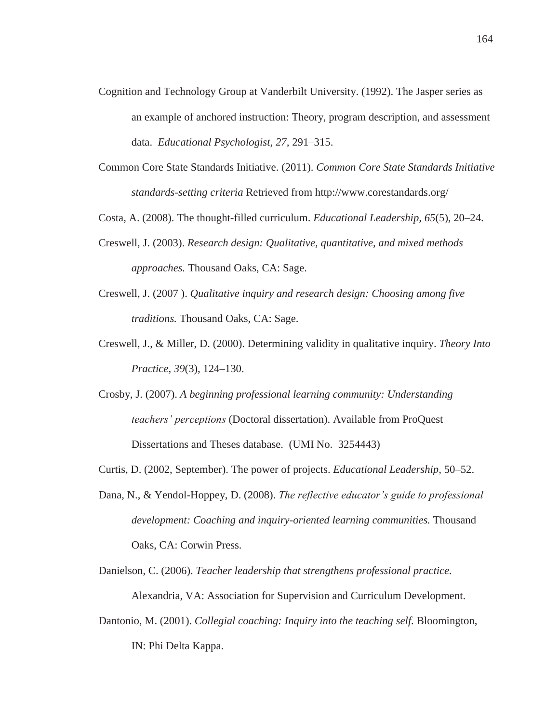- Cognition and Technology Group at Vanderbilt University. (1992). The Jasper series as an example of anchored instruction: Theory, program description, and assessment data. *Educational Psychologist, 27,* 291–315.
- Common Core State Standards Initiative. (2011). *Common Core State Standards Initiative standards-setting criteria* Retrieved from http://www.corestandards.org/

Costa, A. (2008). The thought-filled curriculum. *Educational Leadership, 65*(5), 20–24.

- Creswell, J. (2003). *Research design: Qualitative, quantitative, and mixed methods approaches.* Thousand Oaks, CA: Sage.
- Creswell, J. (2007 ). *Qualitative inquiry and research design: Choosing among five traditions.* Thousand Oaks, CA: Sage.
- Creswell, J., & Miller, D. (2000). Determining validity in qualitative inquiry. *Theory Into Practice, 39*(3), 124–130.
- Crosby, J. (2007). *A beginning professional learning community: Understanding teachers' perceptions* (Doctoral dissertation). Available from ProQuest Dissertations and Theses database. (UMI No. 3254443)
- Curtis, D. (2002, September). The power of projects. *Educational Leadership,* 50–52.
- Dana, N., & Yendol-Hoppey, D. (2008). *The reflective educator's guide to professional development: Coaching and inquiry-oriented learning communities.* Thousand Oaks, CA: Corwin Press.
- Danielson, C. (2006). *Teacher leadership that strengthens professional practice.*  Alexandria, VA: Association for Supervision and Curriculum Development.
- Dantonio, M. (2001). *Collegial coaching: Inquiry into the teaching self.* Bloomington, IN: Phi Delta Kappa.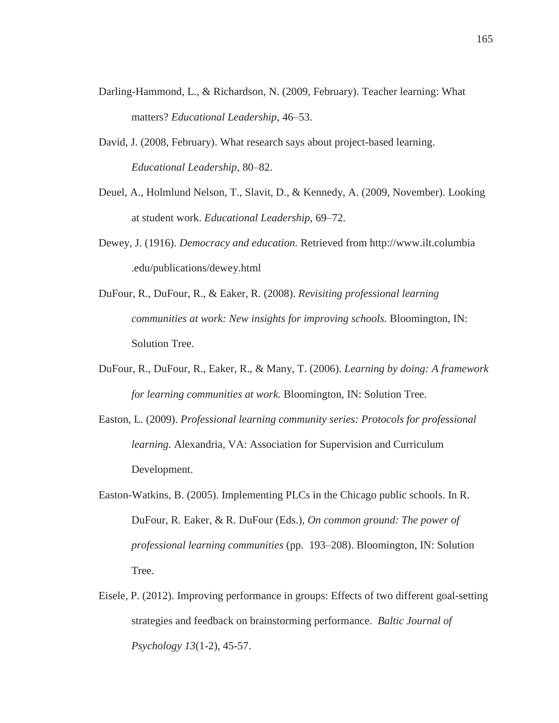- Darling-Hammond, L., & Richardson, N. (2009, February). Teacher learning: What matters? *Educational Leadership,* 46–53.
- David, J. (2008, February). What research says about project-based learning. *Educational Leadership,* 80–82.
- Deuel, A., Holmlund Nelson, T., Slavit, D., & Kennedy, A. (2009, November). Looking at student work. *Educational Leadership,* 69–72.
- Dewey, J. (1916). *Democracy and education.* Retrieved from http://www.ilt.columbia .edu/publications/dewey.html
- DuFour, R., DuFour, R., & Eaker, R. (2008). *Revisiting professional learning communities at work: New insights for improving schools.* Bloomington, IN: Solution Tree.
- DuFour, R., DuFour, R., Eaker, R., & Many, T. (2006). *Learning by doing: A framework for learning communities at work.* Bloomington, IN: Solution Tree.
- Easton, L. (2009). *Professional learning community series: Protocols for professional learning.* Alexandria, VA: Association for Supervision and Curriculum Development.
- Easton-Watkins, B. (2005). Implementing PLCs in the Chicago public schools. In R. DuFour, R. Eaker, & R. DuFour (Eds.), *On common ground: The power of professional learning communities* (pp. 193–208). Bloomington, IN: Solution Tree.
- Eisele, P. (2012). Improving performance in groups: Effects of two different goal-setting strategies and feedback on brainstorming performance. *Baltic Journal of Psychology 13*(1-2), 45-57.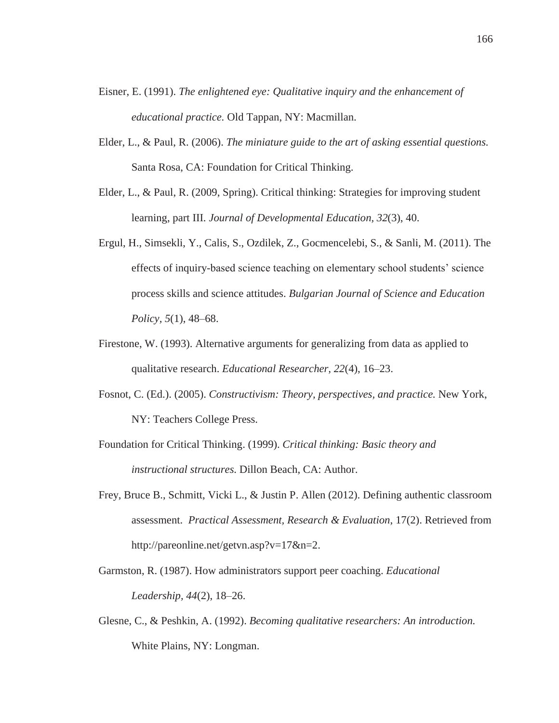- Eisner, E. (1991). *The enlightened eye: Qualitative inquiry and the enhancement of educational practice.* Old Tappan, NY: Macmillan.
- Elder, L., & Paul, R. (2006). *The miniature guide to the art of asking essential questions.*  Santa Rosa, CA: Foundation for Critical Thinking.
- Elder, L., & Paul, R. (2009, Spring). Critical thinking: Strategies for improving student learning, part III. *Journal of Developmental Education, 32*(3), 40.
- Ergul, H., Simsekli, Y., Calis, S., Ozdilek, Z., Gocmencelebi, S., & Sanli, M. (2011). The effects of inquiry-based science teaching on elementary school students' science process skills and science attitudes. *Bulgarian Journal of Science and Education Policy, 5*(1), 48–68.
- Firestone, W. (1993). Alternative arguments for generalizing from data as applied to qualitative research. *Educational Researcher, 22*(4), 16–23.
- Fosnot, C. (Ed.). (2005). *Constructivism: Theory, perspectives, and practice.* New York, NY: Teachers College Press.
- Foundation for Critical Thinking. (1999). *Critical thinking: Basic theory and instructional structures.* Dillon Beach, CA: Author.
- Frey, Bruce B., Schmitt, Vicki L., & Justin P. Allen (2012). Defining authentic classroom assessment. *Practical Assessment, Research & Evaluation*, 17(2). Retrieved from http://pareonline.net/getvn.asp?v=17&n=2.
- Garmston, R. (1987). How administrators support peer coaching. *Educational Leadership, 44*(2), 18–26.
- Glesne, C., & Peshkin, A. (1992). *Becoming qualitative researchers: An introduction.*  White Plains, NY: Longman.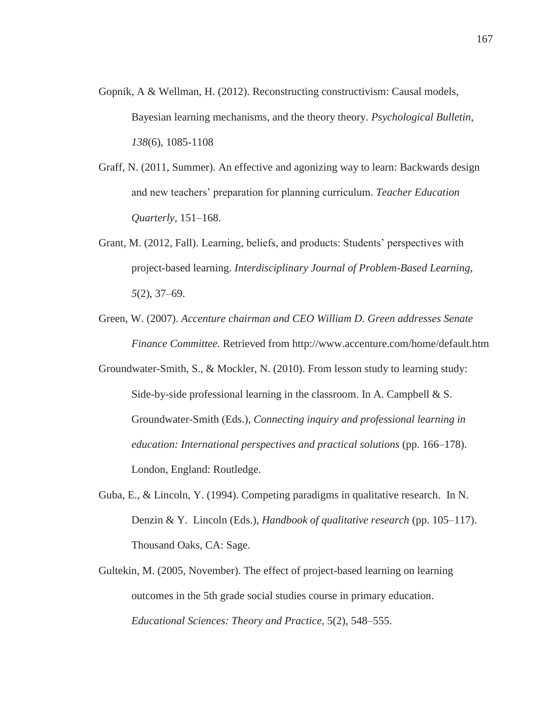- Gopnik, A & Wellman, H. (2012). Reconstructing constructivism: Causal models, Bayesian learning mechanisms, and the theory theory. *Psychological Bulletin*, *138*(6), 1085-1108
- Graff, N. (2011, Summer). An effective and agonizing way to learn: Backwards design and new teachers' preparation for planning curriculum. *Teacher Education Quarterly,* 151–168.
- Grant, M. (2012, Fall). Learning, beliefs, and products: Students' perspectives with project-based learning. *Interdisciplinary Journal of Problem-Based Learning, 5*(2), 37–69.
- Green, W. (2007). *Accenture chairman and CEO William D. Green addresses Senate Finance Committee.* Retrieved from http://www.accenture.com/home/default.htm

Groundwater-Smith, S., & Mockler, N. (2010). From lesson study to learning study: Side-by-side professional learning in the classroom. In A. Campbell & S. Groundwater-Smith (Eds.), *Connecting inquiry and professional learning in education: International perspectives and practical solutions* (pp. 166–178). London, England: Routledge.

- Guba, E., & Lincoln, Y. (1994). Competing paradigms in qualitative research. In N. Denzin & Y. Lincoln (Eds.), *Handbook of qualitative research* (pp. 105–117). Thousand Oaks, CA: Sage.
- Gultekin, M. (2005, November). The effect of project-based learning on learning outcomes in the 5th grade social studies course in primary education. *Educational Sciences: Theory and Practice,* 5(2), 548–555.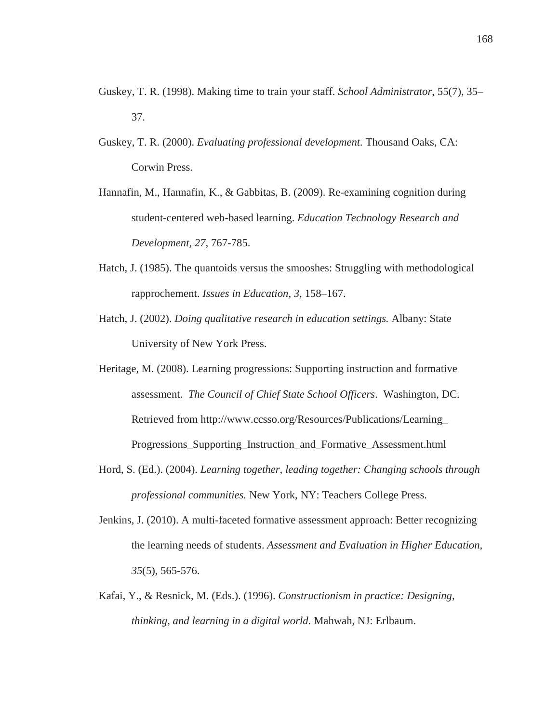- Guskey, T. R. (1998). Making time to train your staff. *School Administrator,* 55(7), 35– 37.
- Guskey, T. R. (2000). *Evaluating professional development.* Thousand Oaks, CA: Corwin Press.
- Hannafin, M., Hannafin, K., & Gabbitas, B. (2009). Re-examining cognition during student-centered web-based learning. *Education Technology Research and Development, 27,* 767-785.
- Hatch, J. (1985). The quantoids versus the smooshes: Struggling with methodological rapprochement. *Issues in Education, 3,* 158–167.
- Hatch, J. (2002). *Doing qualitative research in education settings.* Albany: State University of New York Press.
- Heritage, M. (2008). Learning progressions: Supporting instruction and formative assessment. *The Council of Chief State School Officers*. Washington, DC. Retrieved from http://www.ccsso.org/Resources/Publications/Learning\_ Progressions\_Supporting\_Instruction\_and\_Formative\_Assessment.html
- Hord, S. (Ed.). (2004). *Learning together, leading together: Changing schools through professional communities.* New York, NY: Teachers College Press.
- Jenkins, J. (2010). A multi-faceted formative assessment approach: Better recognizing the learning needs of students. *Assessment and Evaluation in Higher Education, 35*(5), 565-576.
- Kafai, Y., & Resnick, M. (Eds.). (1996). *Constructionism in practice: Designing, thinking, and learning in a digital world.* Mahwah, NJ: Erlbaum.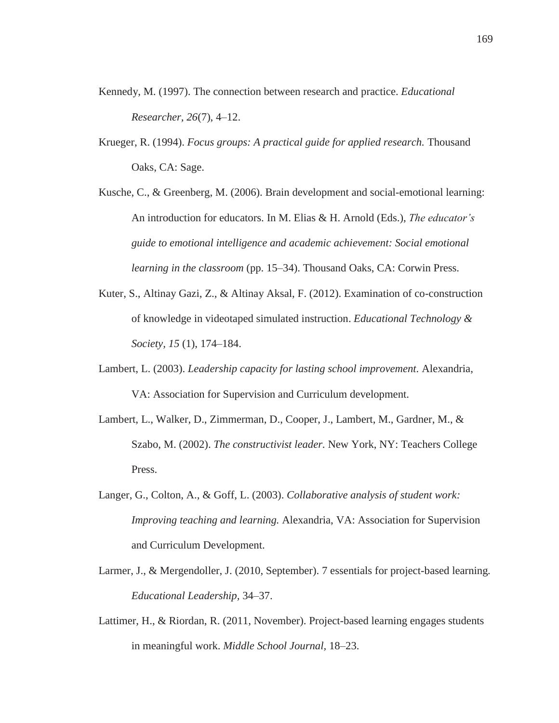- Kennedy, M. (1997). The connection between research and practice. *Educational Researcher, 26*(7), 4–12.
- Krueger, R. (1994). *Focus groups: A practical guide for applied research.* Thousand Oaks, CA: Sage.
- Kusche, C., & Greenberg, M. (2006). Brain development and social-emotional learning: An introduction for educators. In M. Elias & H. Arnold (Eds.), *The educator's guide to emotional intelligence and academic achievement: Social emotional learning in the classroom* (pp. 15–34). Thousand Oaks, CA: Corwin Press.
- Kuter, S., Altinay Gazi, Z., & Altinay Aksal, F. (2012). Examination of co-construction of knowledge in videotaped simulated instruction. *Educational Technology & Society, 15* (1), 174–184.
- Lambert, L. (2003). *Leadership capacity for lasting school improvement.* Alexandria, VA: Association for Supervision and Curriculum development.
- Lambert, L., Walker, D., Zimmerman, D., Cooper, J., Lambert, M., Gardner, M., & Szabo, M. (2002). *The constructivist leader.* New York, NY: Teachers College Press.
- Langer, G., Colton, A., & Goff, L. (2003). *Collaborative analysis of student work: Improving teaching and learning.* Alexandria, VA: Association for Supervision and Curriculum Development.
- Larmer, J., & Mergendoller, J. (2010, September). 7 essentials for project-based learning*. Educational Leadership,* 34–37.
- Lattimer, H., & Riordan, R. (2011, November). Project-based learning engages students in meaningful work. *Middle School Journal,* 18–23.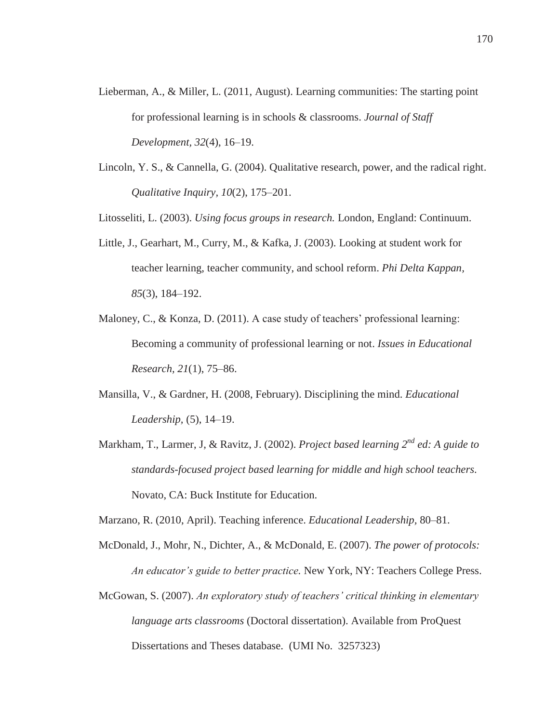- Lieberman, A., & Miller, L. (2011, August). Learning communities: The starting point for professional learning is in schools & classrooms. *Journal of Staff Development, 32*(4), 16–19.
- Lincoln, Y. S., & Cannella, G. (2004). Qualitative research, power, and the radical right. *Qualitative Inquiry, 10*(2), 175–201.

Litosseliti, L. (2003). *Using focus groups in research.* London, England: Continuum.

- Little, J., Gearhart, M., Curry, M., & Kafka, J. (2003). Looking at student work for teacher learning, teacher community, and school reform. *Phi Delta Kappan, 85*(3), 184–192.
- Maloney, C., & Konza, D. (2011). A case study of teachers' professional learning: Becoming a community of professional learning or not. *Issues in Educational Research, 21*(1), 75–86.
- Mansilla, V., & Gardner, H. (2008, February). Disciplining the mind. *Educational Leadership,* (5), 14–19.
- Markham, T., Larmer, J, & Ravitz, J. (2002). *Project based learning 2nd ed: A guide to standards-focused project based learning for middle and high school teachers.*  Novato, CA: Buck Institute for Education.

Marzano, R. (2010, April). Teaching inference. *Educational Leadership,* 80–81.

- McDonald, J., Mohr, N., Dichter, A., & McDonald, E. (2007). *The power of protocols: An educator's guide to better practice.* New York, NY: Teachers College Press.
- McGowan, S. (2007). *An exploratory study of teachers' critical thinking in elementary language arts classrooms* (Doctoral dissertation). Available from ProQuest Dissertations and Theses database. (UMI No. 3257323)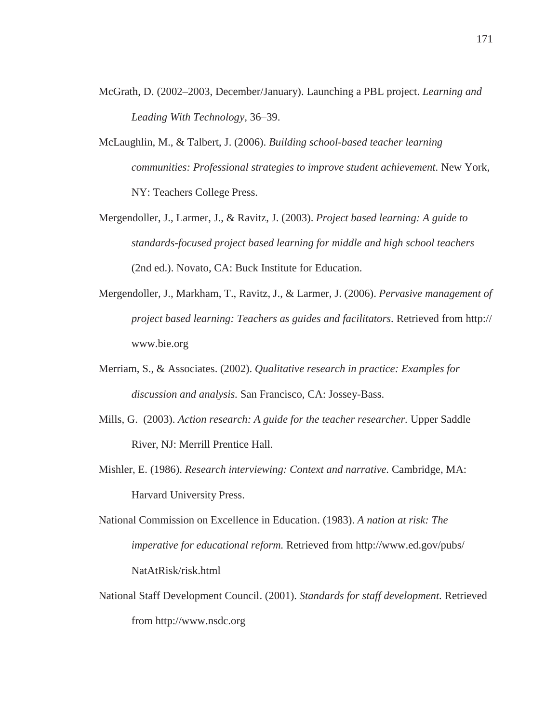- McGrath, D. (2002–2003, December/January). Launching a PBL project. *Learning and Leading With Technology,* 36–39.
- McLaughlin, M., & Talbert, J. (2006). *Building school-based teacher learning communities: Professional strategies to improve student achievement.* New York, NY: Teachers College Press.
- Mergendoller, J., Larmer, J., & Ravitz, J. (2003). *Project based learning: A guide to standards-focused project based learning for middle and high school teachers* (2nd ed.). Novato, CA: Buck Institute for Education.
- Mergendoller, J., Markham, T., Ravitz, J., & Larmer, J. (2006). *Pervasive management of project based learning: Teachers as guides and facilitators.* Retrieved from http:// www.bie.org
- Merriam, S., & Associates. (2002). *Qualitative research in practice: Examples for discussion and analysis.* San Francisco, CA: Jossey-Bass.
- Mills, G. (2003). *Action research: A guide for the teacher researcher.* Upper Saddle River, NJ: Merrill Prentice Hall.
- Mishler, E. (1986). *Research interviewing: Context and narrative.* Cambridge, MA: Harvard University Press.
- National Commission on Excellence in Education. (1983). *A nation at risk: The imperative for educational reform.* Retrieved from http://www.ed.gov/pubs/ NatAtRisk/risk.html
- National Staff Development Council. (2001). *Standards for staff development.* Retrieved from http://www.nsdc.org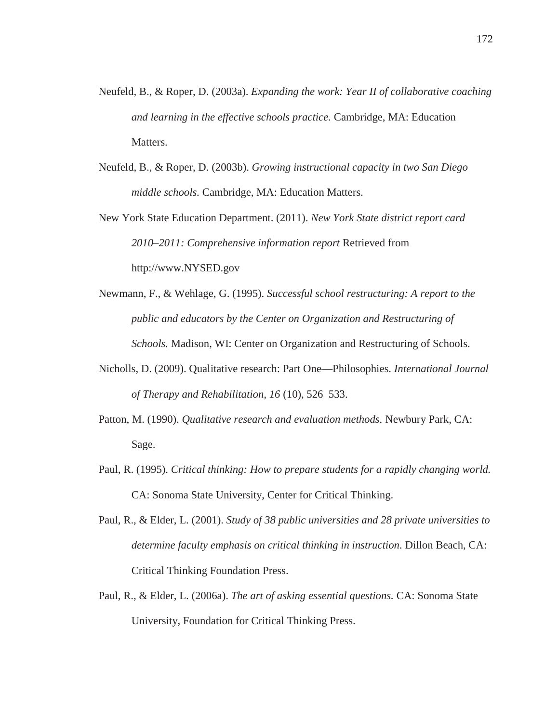- Neufeld, B., & Roper, D. (2003a). *Expanding the work: Year II of collaborative coaching and learning in the effective schools practice.* Cambridge, MA: Education Matters.
- Neufeld, B., & Roper, D. (2003b). *Growing instructional capacity in two San Diego middle schools.* Cambridge, MA: Education Matters.
- New York State Education Department. (2011). *New York State district report card 2010–2011: Comprehensive information report* Retrieved from http://www.NYSED.gov
- Newmann, F., & Wehlage, G. (1995). *Successful school restructuring: A report to the public and educators by the Center on Organization and Restructuring of Schools.* Madison, WI: Center on Organization and Restructuring of Schools.
- Nicholls, D. (2009). Qualitative research: Part One—Philosophies. *International Journal of Therapy and Rehabilitation, 16* (10), 526–533.
- Patton, M. (1990). *Qualitative research and evaluation methods.* Newbury Park, CA: Sage.
- Paul, R. (1995). *Critical thinking: How to prepare students for a rapidly changing world.*  CA: Sonoma State University, Center for Critical Thinking.
- Paul, R., & Elder, L. (2001). *Study of 38 public universities and 28 private universities to determine faculty emphasis on critical thinking in instruction.* Dillon Beach, CA: Critical Thinking Foundation Press.
- Paul, R., & Elder, L. (2006a). *The art of asking essential questions.* CA: Sonoma State University, Foundation for Critical Thinking Press.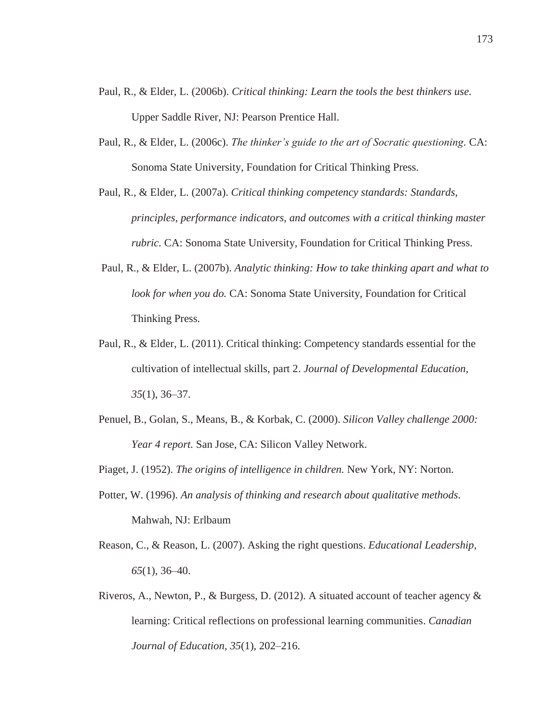- Paul, R., & Elder, L. (2006b). *Critical thinking: Learn the tools the best thinkers use.*  Upper Saddle River, NJ: Pearson Prentice Hall.
- Paul, R., & Elder, L. (2006c). *The thinker's guide to the art of Socratic questioning.* CA: Sonoma State University, Foundation for Critical Thinking Press.
- Paul, R., & Elder, L. (2007a). *Critical thinking competency standards: Standards, principles, performance indicators, and outcomes with a critical thinking master rubric.* CA: Sonoma State University, Foundation for Critical Thinking Press.
- Paul, R., & Elder, L. (2007b). *Analytic thinking: How to take thinking apart and what to look for when you do.* CA: Sonoma State University, Foundation for Critical Thinking Press.
- Paul, R., & Elder, L. (2011). Critical thinking: Competency standards essential for the cultivation of intellectual skills, part 2. *Journal of Developmental Education, 35*(1), 36–37.
- Penuel, B., Golan, S., Means, B., & Korbak, C. (2000). *Silicon Valley challenge 2000: Year 4 report.* San Jose, CA: Silicon Valley Network.
- Piaget, J. (1952). *The origins of intelligence in children.* New York, NY: Norton.
- Potter, W. (1996). *An analysis of thinking and research about qualitative methods.*  Mahwah, NJ: Erlbaum
- Reason, C., & Reason, L. (2007). Asking the right questions. *Educational Leadership, 65*(1), 36–40.
- Riveros, A., Newton, P., & Burgess, D. (2012). A situated account of teacher agency & learning: Critical reflections on professional learning communities. *Canadian Journal of Education, 35*(1), 202–216.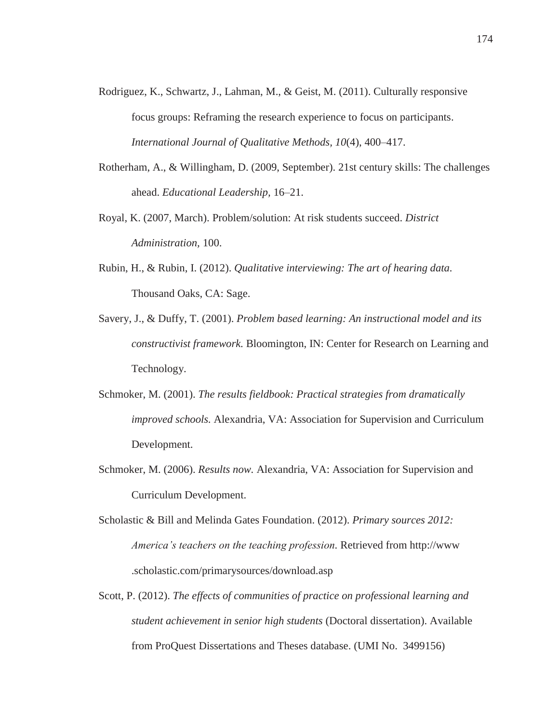- Rodriguez, K., Schwartz, J., Lahman, M., & Geist, M. (2011). Culturally responsive focus groups: Reframing the research experience to focus on participants. *International Journal of Qualitative Methods, 10*(4), 400–417.
- Rotherham, A., & Willingham, D. (2009, September). 21st century skills: The challenges ahead. *Educational Leadership,* 16–21.
- Royal, K. (2007, March). Problem/solution: At risk students succeed. *District Administration,* 100.
- Rubin, H., & Rubin, I. (2012). *Qualitative interviewing: The art of hearing data.*  Thousand Oaks, CA: Sage.
- Savery, J., & Duffy, T. (2001). *Problem based learning: An instructional model and its constructivist framework.* Bloomington, IN: Center for Research on Learning and Technology.
- Schmoker, M. (2001). *The results fieldbook: Practical strategies from dramatically improved schools.* Alexandria, VA: Association for Supervision and Curriculum Development.
- Schmoker, M. (2006). *Results now.* Alexandria, VA: Association for Supervision and Curriculum Development.
- Scholastic & Bill and Melinda Gates Foundation. (2012). *Primary sources 2012: America's teachers on the teaching profession.* Retrieved from http://www .scholastic.com/primarysources/download.asp
- Scott, P. (2012). *The effects of communities of practice on professional learning and student achievement in senior high students* (Doctoral dissertation). Available from ProQuest Dissertations and Theses database. (UMI No. 3499156)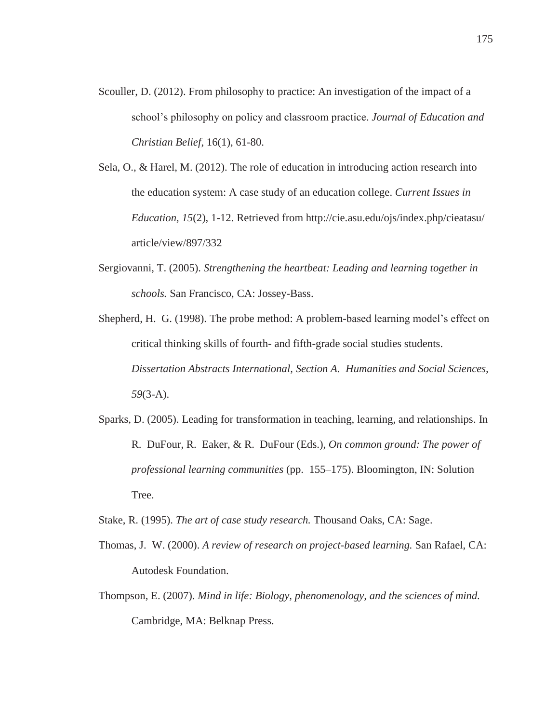- Scouller, D. (2012). From philosophy to practice: An investigation of the impact of a school's philosophy on policy and classroom practice. *Journal of Education and Christian Belief*, 16(1), 61-80.
- Sela, O., & Harel, M. (2012). The role of education in introducing action research into the education system: A case study of an education college. *Current Issues in Education, 15*(2), 1-12. Retrieved from http://cie.asu.edu/ojs/index.php/cieatasu/ article/view/897/332
- Sergiovanni, T. (2005). *Strengthening the heartbeat: Leading and learning together in schools.* San Francisco, CA: Jossey-Bass.
- Shepherd, H. G. (1998). The probe method: A problem-based learning model's effect on critical thinking skills of fourth- and fifth-grade social studies students. *Dissertation Abstracts International, Section A. Humanities and Social Sciences, 59*(3-A).
- Sparks, D. (2005). Leading for transformation in teaching, learning, and relationships. In R. DuFour, R. Eaker, & R. DuFour (Eds.), *On common ground: The power of professional learning communities* (pp. 155–175). Bloomington, IN: Solution Tree.

Stake, R. (1995). *The art of case study research.* Thousand Oaks, CA: Sage.

- Thomas, J. W. (2000). *A review of research on project-based learning.* San Rafael, CA: Autodesk Foundation.
- Thompson, E. (2007). *Mind in life: Biology, phenomenology, and the sciences of mind.*  Cambridge, MA: Belknap Press.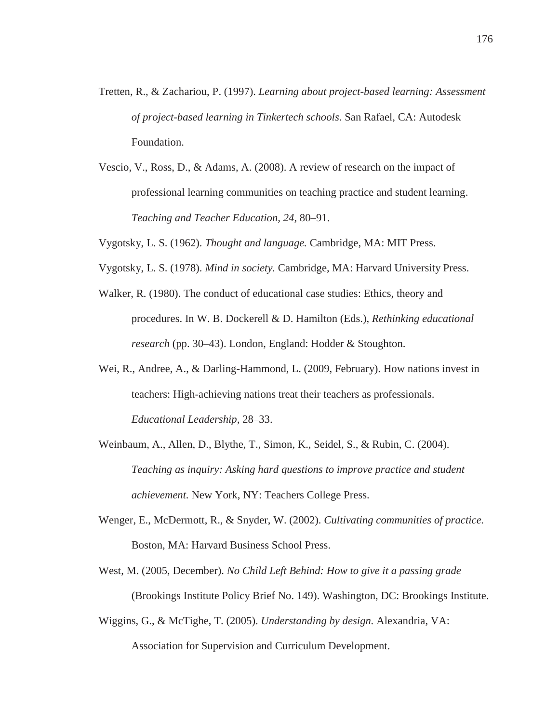- Tretten, R., & Zachariou, P. (1997). *Learning about project-based learning: Assessment of project-based learning in Tinkertech schools.* San Rafael, CA: Autodesk Foundation.
- Vescio, V., Ross, D., & Adams, A. (2008). A review of research on the impact of professional learning communities on teaching practice and student learning. *Teaching and Teacher Education, 24,* 80–91.
- Vygotsky, L. S. (1962). *Thought and language.* Cambridge, MA: MIT Press.
- Vygotsky, L. S. (1978). *Mind in society.* Cambridge, MA: Harvard University Press.
- Walker, R. (1980). The conduct of educational case studies: Ethics, theory and procedures. In W. B. Dockerell & D. Hamilton (Eds.), *Rethinking educational research* (pp. 30–43). London, England: Hodder & Stoughton.
- Wei, R., Andree, A., & Darling-Hammond, L. (2009, February). How nations invest in teachers: High-achieving nations treat their teachers as professionals. *Educational Leadership,* 28–33.
- Weinbaum, A., Allen, D., Blythe, T., Simon, K., Seidel, S., & Rubin, C. (2004). *Teaching as inquiry: Asking hard questions to improve practice and student achievement.* New York, NY: Teachers College Press.
- Wenger, E., McDermott, R., & Snyder, W. (2002). *Cultivating communities of practice.*  Boston, MA: Harvard Business School Press.
- West, M. (2005, December). *No Child Left Behind: How to give it a passing grade* (Brookings Institute Policy Brief No. 149). Washington, DC: Brookings Institute.
- Wiggins, G., & McTighe, T. (2005). *Understanding by design.* Alexandria, VA: Association for Supervision and Curriculum Development.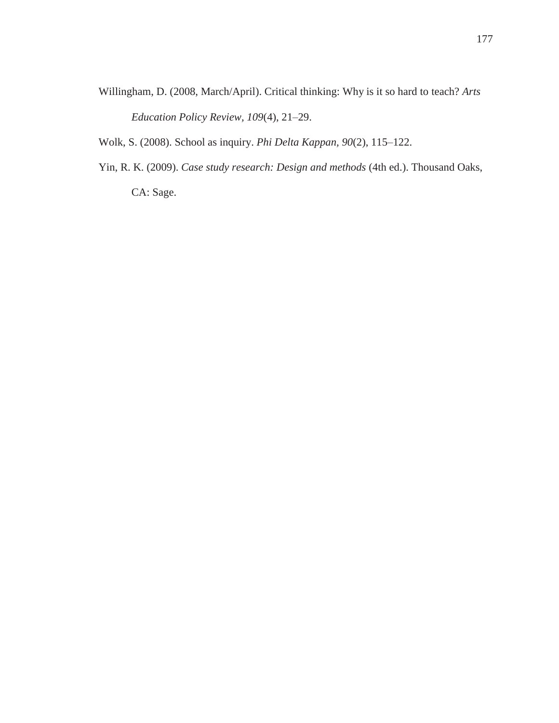Willingham, D. (2008, March/April). Critical thinking: Why is it so hard to teach? *Arts Education Policy Review, 109*(4), 21–29.

Wolk, S. (2008). School as inquiry. *Phi Delta Kappan, 90*(2), 115–122.

Yin, R. K. (2009). *Case study research: Design and methods* (4th ed.). Thousand Oaks, CA: Sage.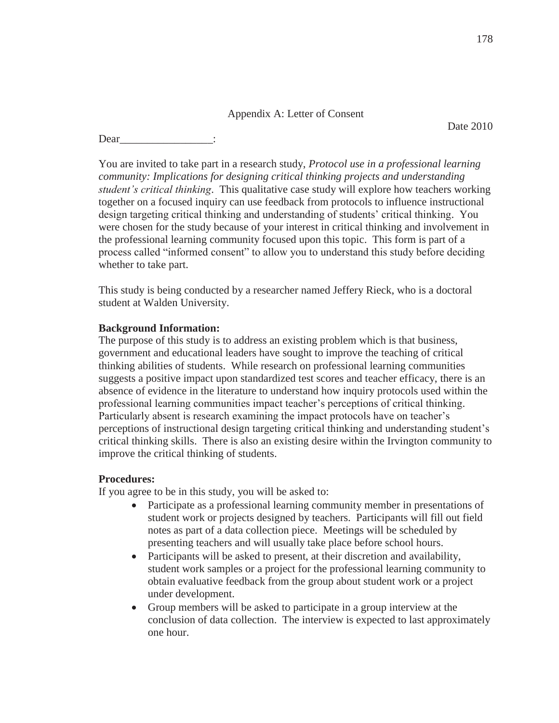# Appendix A: Letter of Consent

Date 2010

Dear

You are invited to take part in a research study, *Protocol use in a professional learning community: Implications for designing critical thinking projects and understanding student's critical thinking*. This qualitative case study will explore how teachers working together on a focused inquiry can use feedback from protocols to influence instructional design targeting critical thinking and understanding of students' critical thinking. You were chosen for the study because of your interest in critical thinking and involvement in the professional learning community focused upon this topic. This form is part of a process called "informed consent" to allow you to understand this study before deciding whether to take part.

This study is being conducted by a researcher named Jeffery Rieck, who is a doctoral student at Walden University.

# **Background Information:**

The purpose of this study is to address an existing problem which is that business, government and educational leaders have sought to improve the teaching of critical thinking abilities of students. While research on professional learning communities suggests a positive impact upon standardized test scores and teacher efficacy, there is an absence of evidence in the literature to understand how inquiry protocols used within the professional learning communities impact teacher's perceptions of critical thinking. Particularly absent is research examining the impact protocols have on teacher's perceptions of instructional design targeting critical thinking and understanding student's critical thinking skills. There is also an existing desire within the Irvington community to improve the critical thinking of students.

# **Procedures:**

If you agree to be in this study, you will be asked to:

- Participate as a professional learning community member in presentations of student work or projects designed by teachers. Participants will fill out field notes as part of a data collection piece. Meetings will be scheduled by presenting teachers and will usually take place before school hours.
- Participants will be asked to present, at their discretion and availability, student work samples or a project for the professional learning community to obtain evaluative feedback from the group about student work or a project under development.
- Group members will be asked to participate in a group interview at the conclusion of data collection. The interview is expected to last approximately one hour.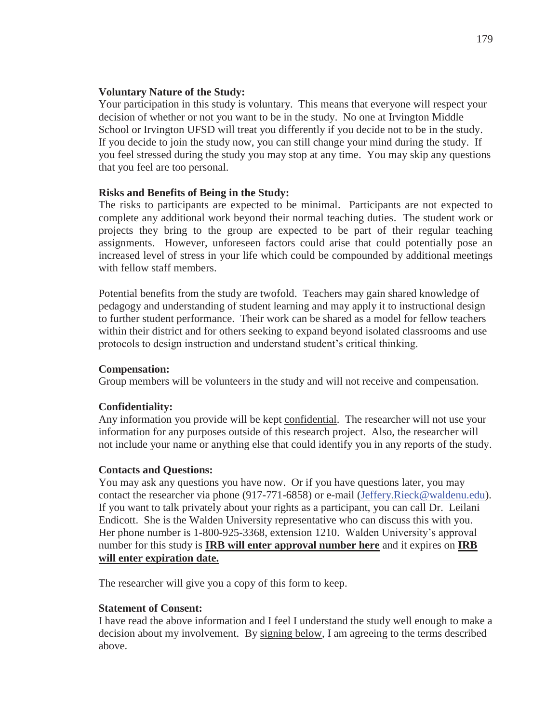# **Voluntary Nature of the Study:**

Your participation in this study is voluntary. This means that everyone will respect your decision of whether or not you want to be in the study. No one at Irvington Middle School or Irvington UFSD will treat you differently if you decide not to be in the study. If you decide to join the study now, you can still change your mind during the study. If you feel stressed during the study you may stop at any time. You may skip any questions that you feel are too personal.

# **Risks and Benefits of Being in the Study:**

The risks to participants are expected to be minimal. Participants are not expected to complete any additional work beyond their normal teaching duties. The student work or projects they bring to the group are expected to be part of their regular teaching assignments. However, unforeseen factors could arise that could potentially pose an increased level of stress in your life which could be compounded by additional meetings with fellow staff members.

Potential benefits from the study are twofold. Teachers may gain shared knowledge of pedagogy and understanding of student learning and may apply it to instructional design to further student performance. Their work can be shared as a model for fellow teachers within their district and for others seeking to expand beyond isolated classrooms and use protocols to design instruction and understand student's critical thinking.

# **Compensation:**

Group members will be volunteers in the study and will not receive and compensation.

# **Confidentiality:**

Any information you provide will be kept confidential. The researcher will not use your information for any purposes outside of this research project. Also, the researcher will not include your name or anything else that could identify you in any reports of the study.

# **Contacts and Questions:**

You may ask any questions you have now. Or if you have questions later, you may contact the researcher via phone (917-771-6858) or e-mail (Jeffery.Rieck@waldenu.edu). If you want to talk privately about your rights as a participant, you can call Dr. Leilani Endicott. She is the Walden University representative who can discuss this with you. Her phone number is 1-800-925-3368, extension 1210. Walden University's approval number for this study is **IRB will enter approval number here** and it expires on **IRB will enter expiration date.**

The researcher will give you a copy of this form to keep.

# **Statement of Consent:**

I have read the above information and I feel I understand the study well enough to make a decision about my involvement. By signing below, I am agreeing to the terms described above.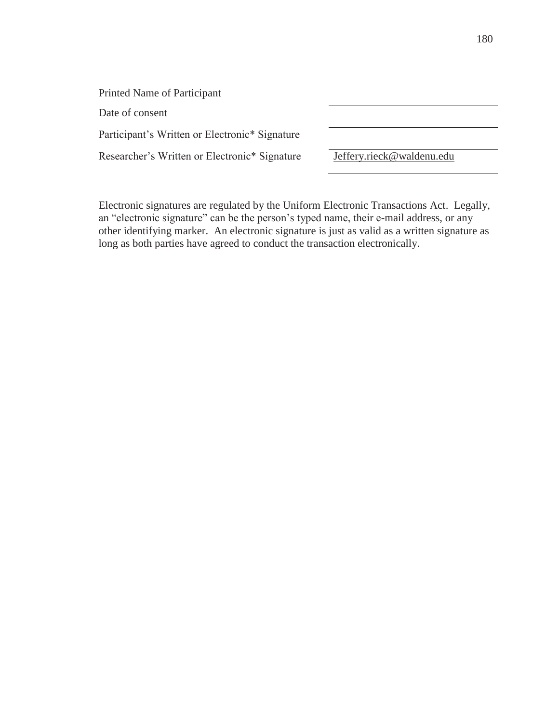| Printed Name of Participant                    |                           |
|------------------------------------------------|---------------------------|
| Date of consent                                |                           |
| Participant's Written or Electronic* Signature |                           |
| Researcher's Written or Electronic* Signature  | Jeffery.rieck@waldenu.edu |

Electronic signatures are regulated by the Uniform Electronic Transactions Act. Legally, an "electronic signature" can be the person's typed name, their e-mail address, or any other identifying marker. An electronic signature is just as valid as a written signature as long as both parties have agreed to conduct the transaction electronically.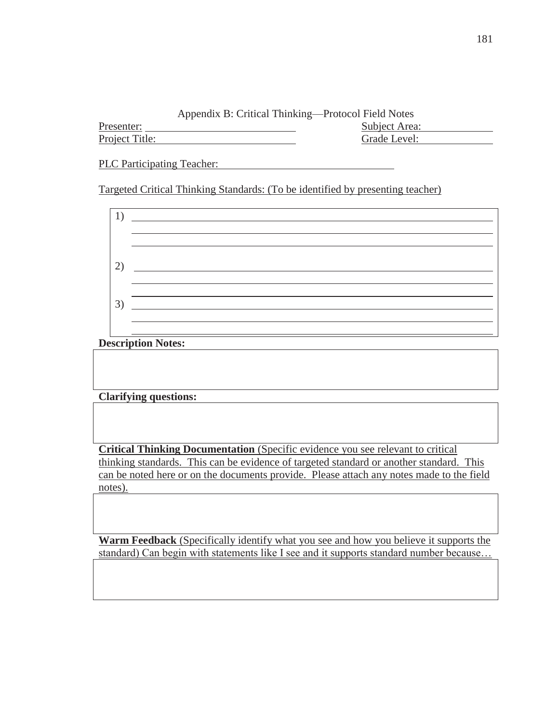| Presenter:     | Subject Area: |
|----------------|---------------|
| Project Title: | Grade Level:  |

PLC Participating Teacher:

Targeted Critical Thinking Standards: (To be identified by presenting teacher)

| $\overline{2}$ |  |
|----------------|--|
|                |  |
|                |  |
| $\mathfrak{Z}$ |  |
|                |  |

# **Description Notes:**

# **Clarifying questions:**

**Critical Thinking Documentation** (Specific evidence you see relevant to critical thinking standards. This can be evidence of targeted standard or another standard. This can be noted here or on the documents provide. Please attach any notes made to the field notes).

**Warm Feedback** (Specifically identify what you see and how you believe it supports the standard) Can begin with statements like I see and it supports standard number because…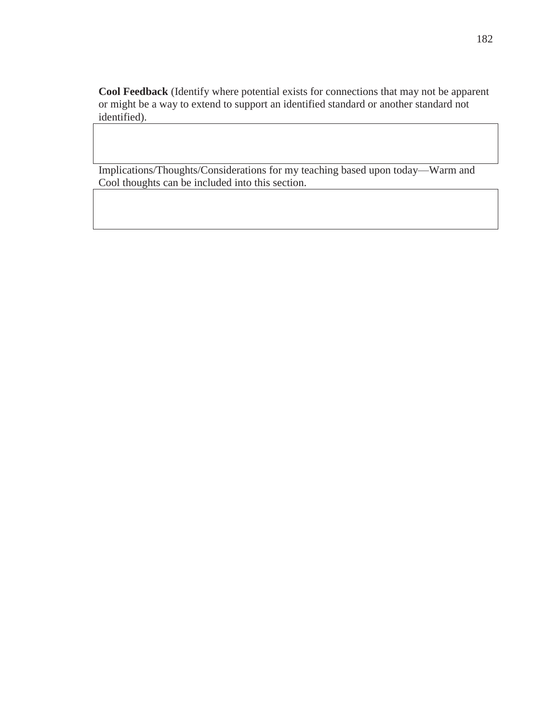**Cool Feedback** (Identify where potential exists for connections that may not be apparent or might be a way to extend to support an identified standard or another standard not identified).

Implications/Thoughts/Considerations for my teaching based upon today—Warm and Cool thoughts can be included into this section.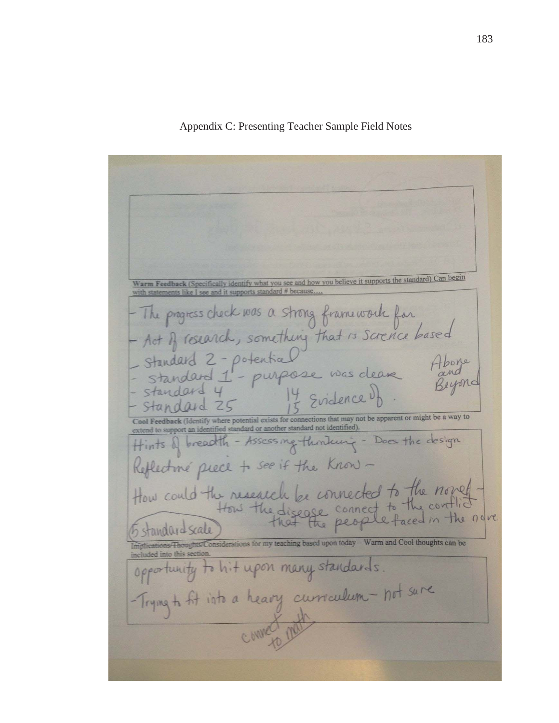Appendix C: Presenting Teacher Sample Field Notes

identify what you see and how you believe it supports the standard) Can begin ents like I see and it supports standard # because - The progress check was a strong framework for<br>- Act of research, something that is scrence based Standard 2-potential<br>- standard 1-purpose was cleare Pand<br>- standard 4 14 scilence by 14 Evidence of. Standard of Feedback (Identify where potential exists for connections that may not be apparent or might be a way to r another standard not identified Hints of breadth - Assessing thinking - Does the design Reflective piece to see if the Know-How could the research be connected to the norset 5 standard scale nsiderations for my teaching based upon today - Warm and Cool thoughts can be opportunity to hit upon many standards. - Trying to fit into a heavy curriculum - not sure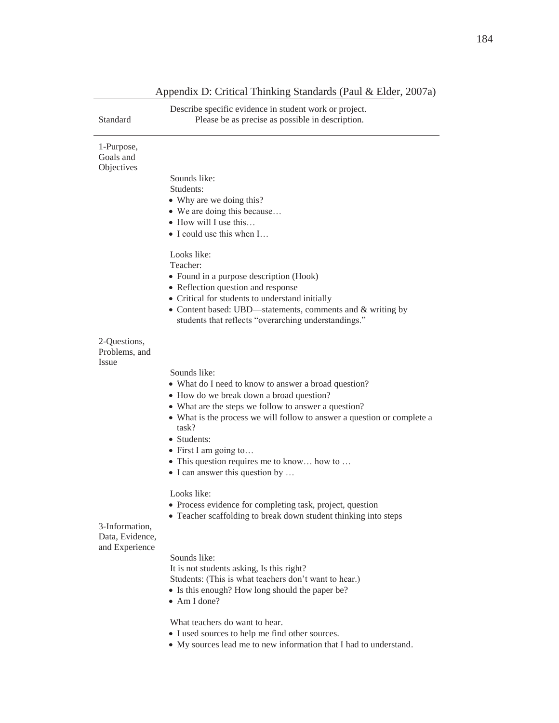| Standard                               | Describe specific evidence in student work or project.<br>Please be as precise as possible in description.           |
|----------------------------------------|----------------------------------------------------------------------------------------------------------------------|
| 1-Purpose,                             |                                                                                                                      |
| Goals and<br>Objectives                |                                                                                                                      |
|                                        | Sounds like:                                                                                                         |
|                                        | Students:                                                                                                            |
|                                        | • Why are we doing this?                                                                                             |
|                                        | • We are doing this because<br>$\bullet$ How will I use this                                                         |
|                                        | • I could use this when I                                                                                            |
|                                        | Looks like:                                                                                                          |
|                                        | Teacher:                                                                                                             |
|                                        | • Found in a purpose description (Hook)<br>• Reflection question and response                                        |
|                                        | • Critical for students to understand initially                                                                      |
|                                        | • Content based: UBD-statements, comments and & writing by                                                           |
|                                        | students that reflects "overarching understandings."                                                                 |
| 2-Questions,<br>Problems, and<br>Issue |                                                                                                                      |
|                                        | Sounds like:                                                                                                         |
|                                        | • What do I need to know to answer a broad question?                                                                 |
|                                        | • How do we break down a broad question?                                                                             |
|                                        | • What are the steps we follow to answer a question?                                                                 |
|                                        | • What is the process we will follow to answer a question or complete a<br>task?                                     |
|                                        | • Students:                                                                                                          |
|                                        | $\bullet$ First I am going to                                                                                        |
|                                        | • This question requires me to know how to                                                                           |
|                                        | $\bullet$ I can answer this question by                                                                              |
|                                        | Looks like:                                                                                                          |
|                                        | • Process evidence for completing task, project, question                                                            |
| 3-Information,                         | Teacher scaffolding to break down student thinking into steps                                                        |
| Data, Evidence,                        |                                                                                                                      |
| and Experience                         | Sounds like:                                                                                                         |
|                                        | It is not students asking, Is this right?                                                                            |
|                                        | Students: (This is what teachers don't want to hear.)                                                                |
|                                        | • Is this enough? How long should the paper be?                                                                      |
|                                        | $\bullet$ Am I done?                                                                                                 |
|                                        | What teachers do want to hear.                                                                                       |
|                                        | • I used sources to help me find other sources.<br>• My sources lead me to new information that I had to understand. |

# Appendix D: Critical Thinking Standards (Paul & Elder, 2007a)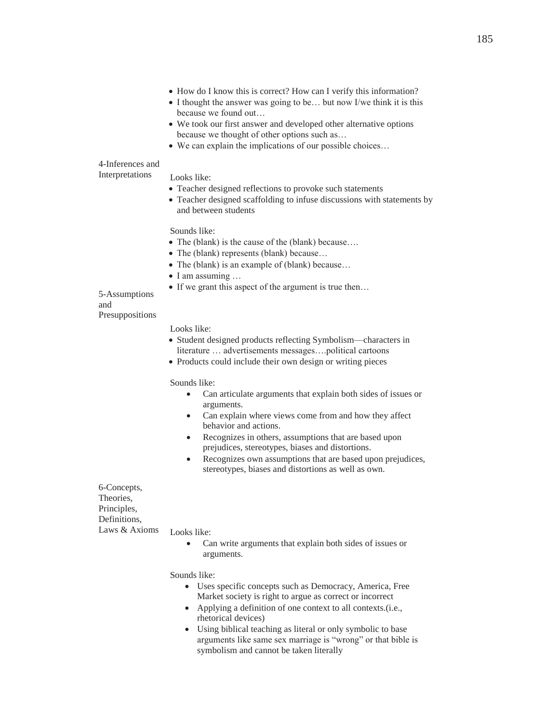- How do I know this is correct? How can I verify this information?
- $\bullet$  I thought the answer was going to be... but now I/we think it is this because we found out…
- We took our first answer and developed other alternative options because we thought of other options such as…
- $\bullet$  We can explain the implications of our possible choices...

### 4-Inferences and Interpretations

#### Looks like:

- Teacher designed reflections to provoke such statements
- Teacher designed scaffolding to infuse discussions with statements by and between students

Sounds like:

- The (blank) is the cause of the (blank) because....
- The (blank) represents (blank) because...
- The (blank) is an example of (blank) because...
- $\bullet$  I am assuming  $\dots$
- $\bullet$  If we grant this aspect of the argument is true then...

### 5-Assumptions and Presuppositions

#### Looks like:

- Student designed products reflecting Symbolism—characters in literature … advertisements messages….political cartoons
- Products could include their own design or writing pieces

#### Sounds like:

- Can articulate arguments that explain both sides of issues or arguments.
- Can explain where views come from and how they affect behavior and actions.
- Recognizes in others, assumptions that are based upon prejudices, stereotypes, biases and distortions.
- Recognizes own assumptions that are based upon prejudices, stereotypes, biases and distortions as well as own.

6-Concepts, Theories, Principles, Definitions, Laws & Axioms

#### Looks like:

• Can write arguments that explain both sides of issues or arguments.

Sounds like:

- Uses specific concepts such as Democracy, America, Free Market society is right to argue as correct or incorrect
- Applying a definition of one context to all contexts.(i.e., rhetorical devices)
- Using biblical teaching as literal or only symbolic to base arguments like same sex marriage is "wrong" or that bible is symbolism and cannot be taken literally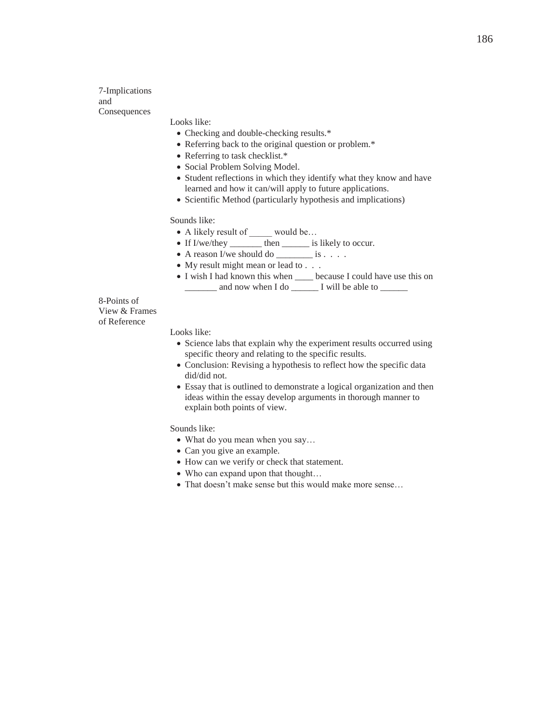7-Implications and Consequences

Looks like:

- Checking and double-checking results.\*
- Referring back to the original question or problem.\*
- Referring to task checklist.\*
- Social Problem Solving Model.
- Student reflections in which they identify what they know and have learned and how it can/will apply to future applications.
- Scientific Method (particularly hypothesis and implications)

Sounds like:

- A likely result of \_\_\_\_\_ would be...
- If I/we/they \_\_\_\_\_\_\_\_ then \_\_\_\_\_\_\_ is likely to occur.
- $\bullet$  A reason I/we should do \_\_\_\_\_\_\_\_\_ is . . . .
- $\bullet$  My result might mean or lead to  $\ldots$
- I wish I had known this when \_\_\_\_\_ because I could have use this on and now when I do \_\_\_\_\_\_\_ I will be able to \_\_\_\_\_\_\_

8-Points of View & Frames of Reference

Looks like:

- Science labs that explain why the experiment results occurred using specific theory and relating to the specific results.
- Conclusion: Revising a hypothesis to reflect how the specific data did/did not.
- Essay that is outlined to demonstrate a logical organization and then ideas within the essay develop arguments in thorough manner to explain both points of view.

Sounds like:

- What do you mean when you say...
- Can you give an example.
- How can we verify or check that statement.
- $\bullet$  Who can expand upon that thought...
- That doesn't make sense but this would make more sense...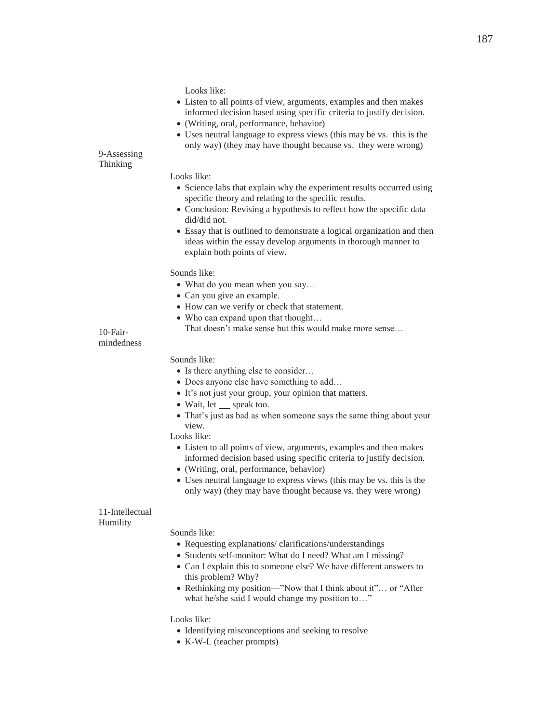Looks like:

- Listen to all points of view, arguments, examples and then makes informed decision based using specific criteria to justify decision.
- (Writing, oral, performance, behavior)
- Uses neutral language to express views (this may be vs. this is the only way) (they may have thought because vs. they were wrong)

9-Assessing Thinking

#### Looks like:

- Science labs that explain why the experiment results occurred using specific theory and relating to the specific results.
- Conclusion: Revising a hypothesis to reflect how the specific data did/did not.
- Essay that is outlined to demonstrate a logical organization and then ideas within the essay develop arguments in thorough manner to explain both points of view.

#### Sounds like:

- What do you mean when you say...
- Can you give an example.
- How can we verify or check that statement.
- $\bullet$  Who can expand upon that thought...
	- That doesn't make sense but this would make more sense…

### 10-Fairmindedness

### Sounds like:

- Is there anything else to consider...
- Does anyone else have something to add…
- It's not just your group, your opinion that matters.
- Wait, let speak too.
- That's just as bad as when someone says the same thing about your view.

#### Looks like:

- Listen to all points of view, arguments, examples and then makes informed decision based using specific criteria to justify decision.
- (Writing, oral, performance, behavior)
- Uses neutral language to express views (this may be vs. this is the only way) (they may have thought because vs. they were wrong)

### 11-Intellectual Humility

#### Sounds like:

- Requesting explanations/ clarifications/understandings
- Students self-monitor: What do I need? What am I missing?
- Can I explain this to someone else? We have different answers to this problem? Why?
- Rethinking my position—"Now that I think about it"... or "After what he/she said I would change my position to..."

#### Looks like:

- Identifying misconceptions and seeking to resolve
- K-W-L (teacher prompts)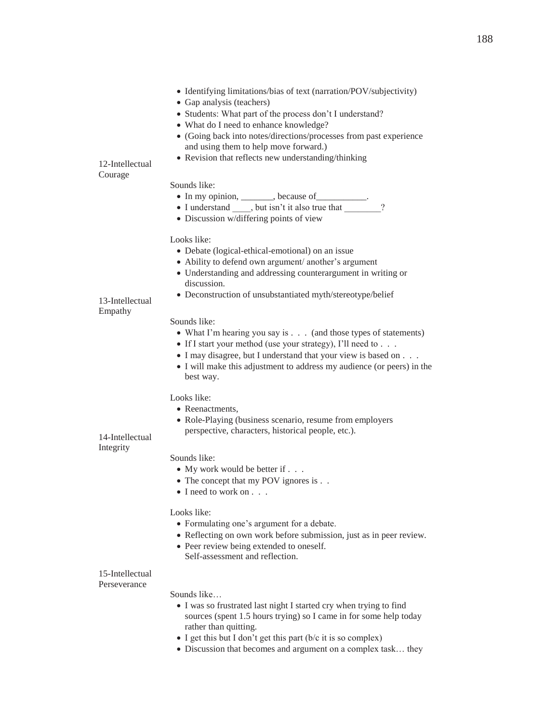- Identifying limitations/bias of text (narration/POV/subjectivity)
- Gap analysis (teachers)
- Students: What part of the process don't I understand?
- What do I need to enhance knowledge?
- x (Going back into notes/directions/processes from past experience and using them to help move forward.)
- Revision that reflects new understanding/thinking

12-Intellectual Courage

### Sounds like:

- In my opinion, \_\_\_\_\_\_, because of \_\_\_\_\_\_\_\_.<br>• I understand  $\overline{\phantom{a}}$ , but isn't it also true that ?
- I understand \_\_\_\_, but isn't it also true that
- Discussion w/differing points of view

### Looks like:

- Debate (logical-ethical-emotional) on an issue
- Ability to defend own argument/ another's argument
- Understanding and addressing counterargument in writing or discussion.
- Deconstruction of unsubstantiated myth/stereotype/belief

13-Intellectual Empathy

### Sounds like:

- $\bullet$  What I'm hearing you say is . . . (and those types of statements)
- If I start your method (use your strategy), I'll need to  $\ldots$ .
- I may disagree, but I understand that your view is based on . . .
- I will make this adjustment to address my audience (or peers) in the best way.

### Looks like:

- Reenactments,
- Role-Playing (business scenario, resume from employers perspective, characters, historical people, etc.).

14-Intellectual Integrity

### Sounds like:

- My work would be better if  $\ldots$
- The concept that my POV ignores is . .
- I need to work on . . .

### Looks like:

- Formulating one's argument for a debate.
- Reflecting on own work before submission, just as in peer review.
- Peer review being extended to oneself. Self-assessment and reflection.

### 15-Intellectual

Perseverance

#### Sounds like…

- I was so frustrated last night I started cry when trying to find sources (spent 1.5 hours trying) so I came in for some help today rather than quitting.
- $\bullet$  I get this but I don't get this part (b/c it is so complex)
- Discussion that becomes and argument on a complex task... they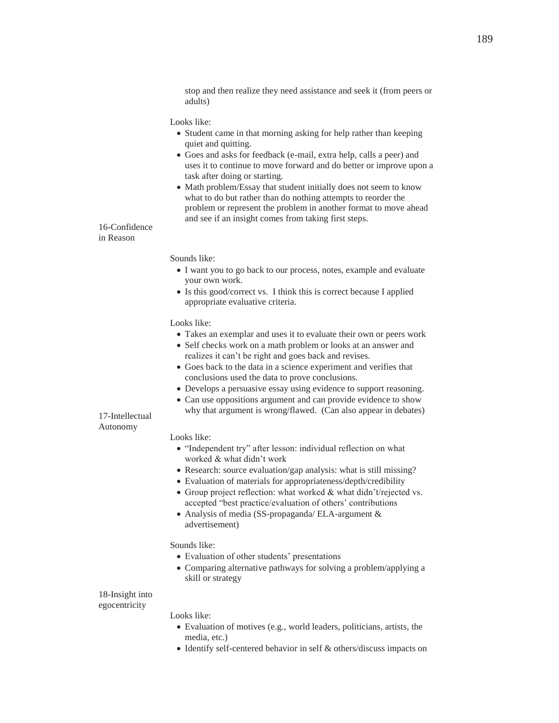stop and then realize they need assistance and seek it (from peers or adults)

#### Looks like:

- Student came in that morning asking for help rather than keeping quiet and quitting.
- x Goes and asks for feedback (e-mail, extra help, calls a peer) and uses it to continue to move forward and do better or improve upon a task after doing or starting.
- Math problem/Essay that student initially does not seem to know what to do but rather than do nothing attempts to reorder the problem or represent the problem in another format to move ahead and see if an insight comes from taking first steps.

### 16-Confidence in Reason

Sounds like:

- I want you to go back to our process, notes, example and evaluate your own work.
- Is this good/correct vs. I think this is correct because I applied appropriate evaluative criteria.

#### Looks like:

- Takes an exemplar and uses it to evaluate their own or peers work
- Self checks work on a math problem or looks at an answer and realizes it can't be right and goes back and revises.
- Goes back to the data in a science experiment and verifies that conclusions used the data to prove conclusions.
- Develops a persuasive essay using evidence to support reasoning.
- Can use oppositions argument and can provide evidence to show why that argument is wrong/flawed. (Can also appear in debates)

#### 17-Intellectual Autonomy

#### Looks like:

- "Independent try" after lesson: individual reflection on what worked & what didn't work
- Research: source evaluation/gap analysis: what is still missing?
- Evaluation of materials for appropriateness/depth/credibility
- Group project reflection: what worked  $&$  what didn't/rejected vs. accepted "best practice/evaluation of others' contributions
- Analysis of media (SS-propaganda/ ELA-argument & advertisement)

### Sounds like:

- Evaluation of other students' presentations
- Comparing alternative pathways for solving a problem/applying a skill or strategy

### 18-Insight into egocentricity

### Looks like:

- $\bullet$  Evaluation of motives (e.g., world leaders, politicians, artists, the media, etc.)
- $\bullet$  Identify self-centered behavior in self & others/discuss impacts on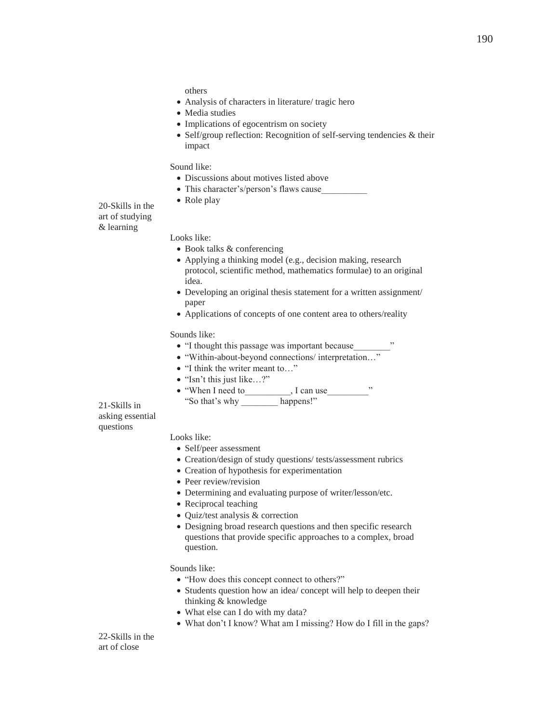others

- Analysis of characters in literature/ tragic hero
- Media studies
- Implications of egocentrism on society
- Self/group reflection: Recognition of self-serving tendencies & their impact

### Sound like:

- Discussions about motives listed above
- This character's/person's flaws cause
- Role play

20-Skills in the art of studying & learning

#### Looks like:

- Book talks & conferencing
- Applying a thinking model (e.g., decision making, research protocol, scientific method, mathematics formulae) to an original idea.
- Developing an original thesis statement for a written assignment/ paper
- Applications of concepts of one content area to others/reality

#### Sounds like:

- "I thought this passage was important because
- "Within-about-beyond connections/ interpretation..."
- "I think the writer meant to..."
- "Isn't this just like...?"
- "When I need to , I can use " "So that's why \_\_\_\_\_\_\_\_ happens!"

21-Skills in asking essential questions

# Looks like:

- Self/peer assessment
- Creation/design of study questions/ tests/assessment rubrics
- Creation of hypothesis for experimentation
- Peer review/revision
- Determining and evaluating purpose of writer/lesson/etc.
- Reciprocal teaching
- Quiz/test analysis & correction
- Designing broad research questions and then specific research questions that provide specific approaches to a complex, broad question.

Sounds like:

- "How does this concept connect to others?"
- Students question how an idea/ concept will help to deepen their thinking & knowledge
- What else can I do with my data?
- What don't I know? What am I missing? How do I fill in the gaps?

22-Skills in the art of close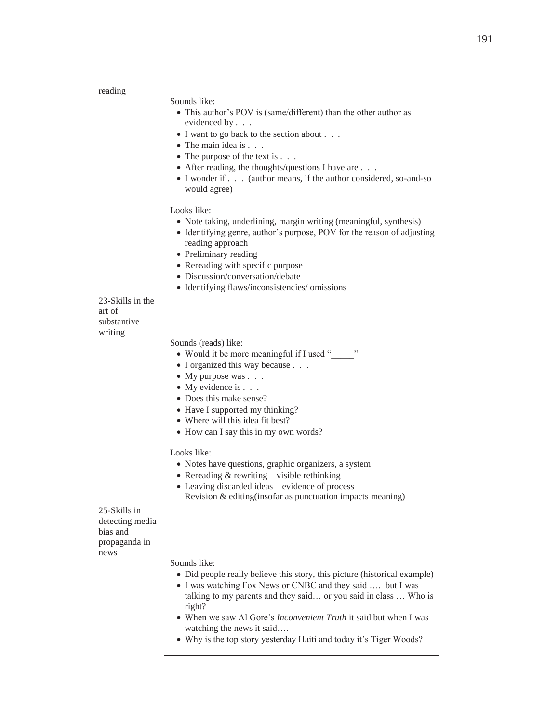reading

### Sounds like:

- This author's POV is (same/different) than the other author as evidenced by . . .
- $\bullet$  I want to go back to the section about  $\ldots$
- $\bullet$  The main idea is . . .
- $\bullet$  The purpose of the text is  $\ldots$
- $\bullet$  After reading, the thoughts/questions I have are . . .
- I wonder if . . . (author means, if the author considered, so-and-so would agree)

### Looks like:

- Note taking, underlining, margin writing (meaningful, synthesis)
- Identifying genre, author's purpose, POV for the reason of adjusting reading approach
- Preliminary reading
- Rereading with specific purpose
- Discussion/conversation/debate
- Identifying flaws/inconsistencies/ omissions

23-Skills in the art of substantive writing

Sounds (reads) like:

- Would it be more meaningful if I used "
- I organized this way because . . .
- $\bullet$  My purpose was . . .
- $\bullet$  My evidence is . . .
- Does this make sense?
- Have I supported my thinking?
- Where will this idea fit best?
- How can I say this in my own words?

Looks like:

- Notes have questions, graphic organizers, a system
- Rereading  $&$  rewriting—visible rethinking
- Leaving discarded ideas—evidence of process
	- Revision & editing(insofar as punctuation impacts meaning)

25-Skills in detecting media bias and propaganda in news

Sounds like:

- Did people really believe this story, this picture (historical example)
- I was watching Fox News or CNBC and they said .... but I was talking to my parents and they said… or you said in class … Who is right?
- When we saw Al Gore's *Inconvenient Truth* it said but when I was watching the news it said….
- Why is the top story yesterday Haiti and today it's Tiger Woods?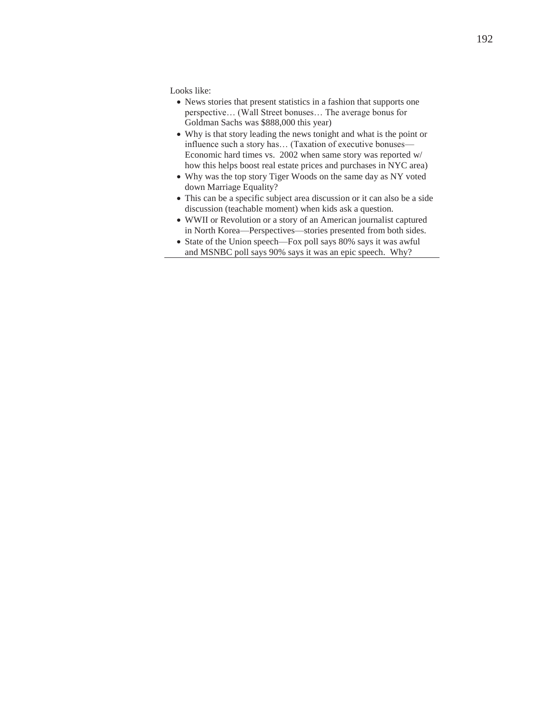Looks like:

- News stories that present statistics in a fashion that supports one perspective… (Wall Street bonuses… The average bonus for Goldman Sachs was \$888,000 this year)
- Why is that story leading the news tonight and what is the point or influence such a story has… (Taxation of executive bonuses— Economic hard times vs. 2002 when same story was reported w/ how this helps boost real estate prices and purchases in NYC area)
- Why was the top story Tiger Woods on the same day as NY voted down Marriage Equality?
- This can be a specific subject area discussion or it can also be a side discussion (teachable moment) when kids ask a question.
- x WWII or Revolution or a story of an American journalist captured in North Korea—Perspectives—stories presented from both sides.
- State of the Union speech—Fox poll says 80% says it was awful and MSNBC poll says 90% says it was an epic speech. Why?